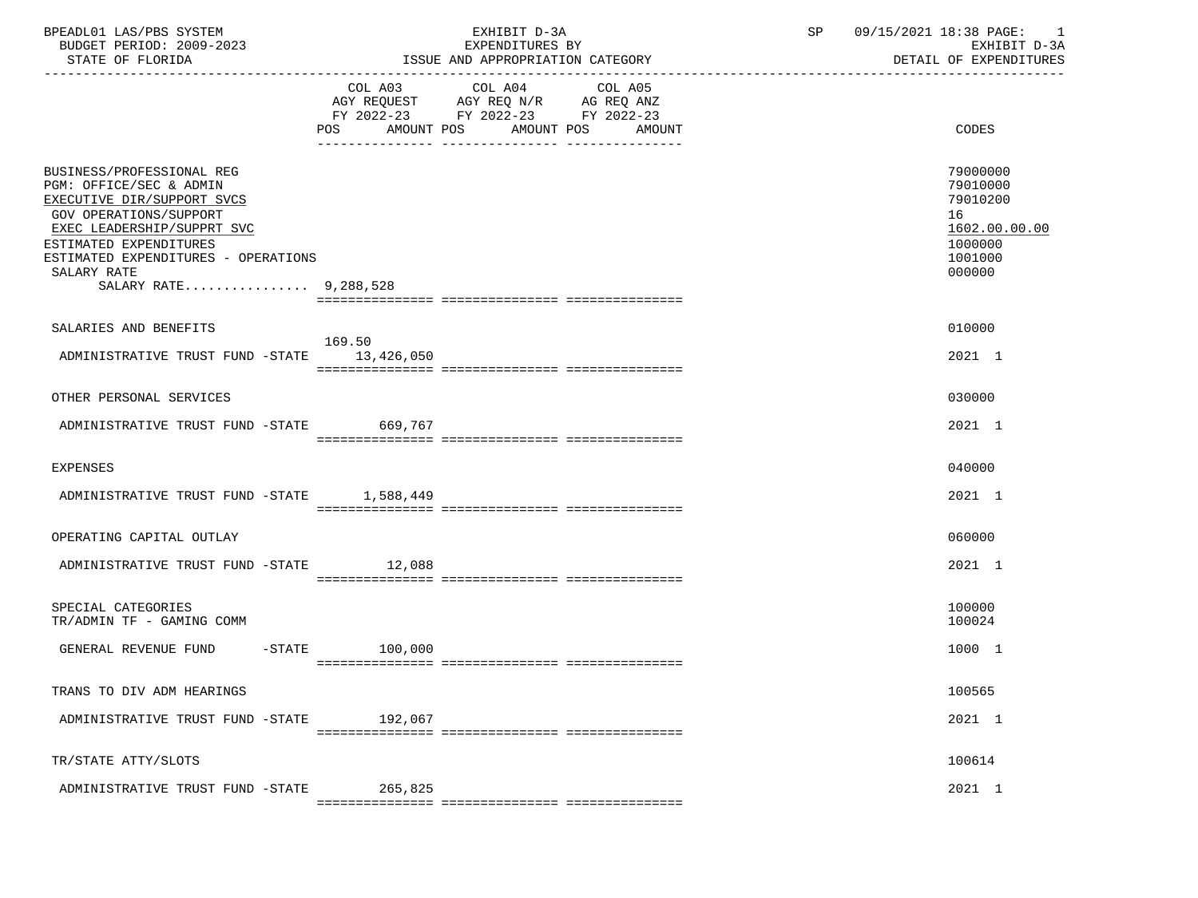| BPEADL01 LAS/PBS SYSTEM<br>BUDGET PERIOD: 2009-2023<br>STATE OF FLORIDA                                                                                                                                                                                    | EXHIBIT D-3A<br>EXPENDITURES BY<br>ISSUE AND APPROPRIATION CATEGORY                                                                      | SP 09/15/2021 18:38 PAGE: 1<br>EXHIBIT D-3A<br>DETAIL OF EXPENDITURES                   |
|------------------------------------------------------------------------------------------------------------------------------------------------------------------------------------------------------------------------------------------------------------|------------------------------------------------------------------------------------------------------------------------------------------|-----------------------------------------------------------------------------------------|
|                                                                                                                                                                                                                                                            | COL A03 COL A04 COL A05<br>AGY REQUEST AGY REQ N/R AG REQ ANZ<br>FY 2022-23 FY 2022-23 FY 2022-23<br>POS AMOUNT POS AMOUNT POS<br>AMOUNT | <b>CODES</b>                                                                            |
| BUSINESS/PROFESSIONAL REG<br>PGM: OFFICE/SEC & ADMIN<br>EXECUTIVE DIR/SUPPORT SVCS<br><b>GOV OPERATIONS/SUPPORT</b><br>EXEC LEADERSHIP/SUPPRT SVC<br>ESTIMATED EXPENDITURES<br>ESTIMATED EXPENDITURES - OPERATIONS<br>SALARY RATE<br>SALARY RATE 9,288,528 |                                                                                                                                          | 79000000<br>79010000<br>79010200<br>16<br>1602.00.00.00<br>1000000<br>1001000<br>000000 |
| SALARIES AND BENEFITS                                                                                                                                                                                                                                      |                                                                                                                                          | 010000                                                                                  |
| ADMINISTRATIVE TRUST FUND -STATE 13,426,050                                                                                                                                                                                                                | 169.50                                                                                                                                   | 2021 1                                                                                  |
| OTHER PERSONAL SERVICES                                                                                                                                                                                                                                    |                                                                                                                                          | 030000                                                                                  |
| ADMINISTRATIVE TRUST FUND -STATE 669,767                                                                                                                                                                                                                   |                                                                                                                                          | 2021 1                                                                                  |
| <b>EXPENSES</b>                                                                                                                                                                                                                                            |                                                                                                                                          | 040000                                                                                  |
| ADMINISTRATIVE TRUST FUND -STATE 1,588,449                                                                                                                                                                                                                 |                                                                                                                                          | 2021 1                                                                                  |
| OPERATING CAPITAL OUTLAY                                                                                                                                                                                                                                   |                                                                                                                                          | 060000                                                                                  |
| ADMINISTRATIVE TRUST FUND -STATE 12,088                                                                                                                                                                                                                    |                                                                                                                                          | 2021 1                                                                                  |
| SPECIAL CATEGORIES<br>TR/ADMIN TF - GAMING COMM                                                                                                                                                                                                            |                                                                                                                                          | 100000<br>100024                                                                        |
| GENERAL REVENUE FUND                                                                                                                                                                                                                                       | $-STATE$ 100,000                                                                                                                         | 1000 1                                                                                  |
| TRANS TO DIV ADM HEARINGS                                                                                                                                                                                                                                  |                                                                                                                                          | 100565                                                                                  |
| ADMINISTRATIVE TRUST FUND -STATE                                                                                                                                                                                                                           | 192,067                                                                                                                                  | 2021 1                                                                                  |
| TR/STATE ATTY/SLOTS                                                                                                                                                                                                                                        |                                                                                                                                          | 100614                                                                                  |
| ADMINISTRATIVE TRUST FUND -STATE                                                                                                                                                                                                                           | 265,825                                                                                                                                  | 2021 1                                                                                  |
|                                                                                                                                                                                                                                                            |                                                                                                                                          |                                                                                         |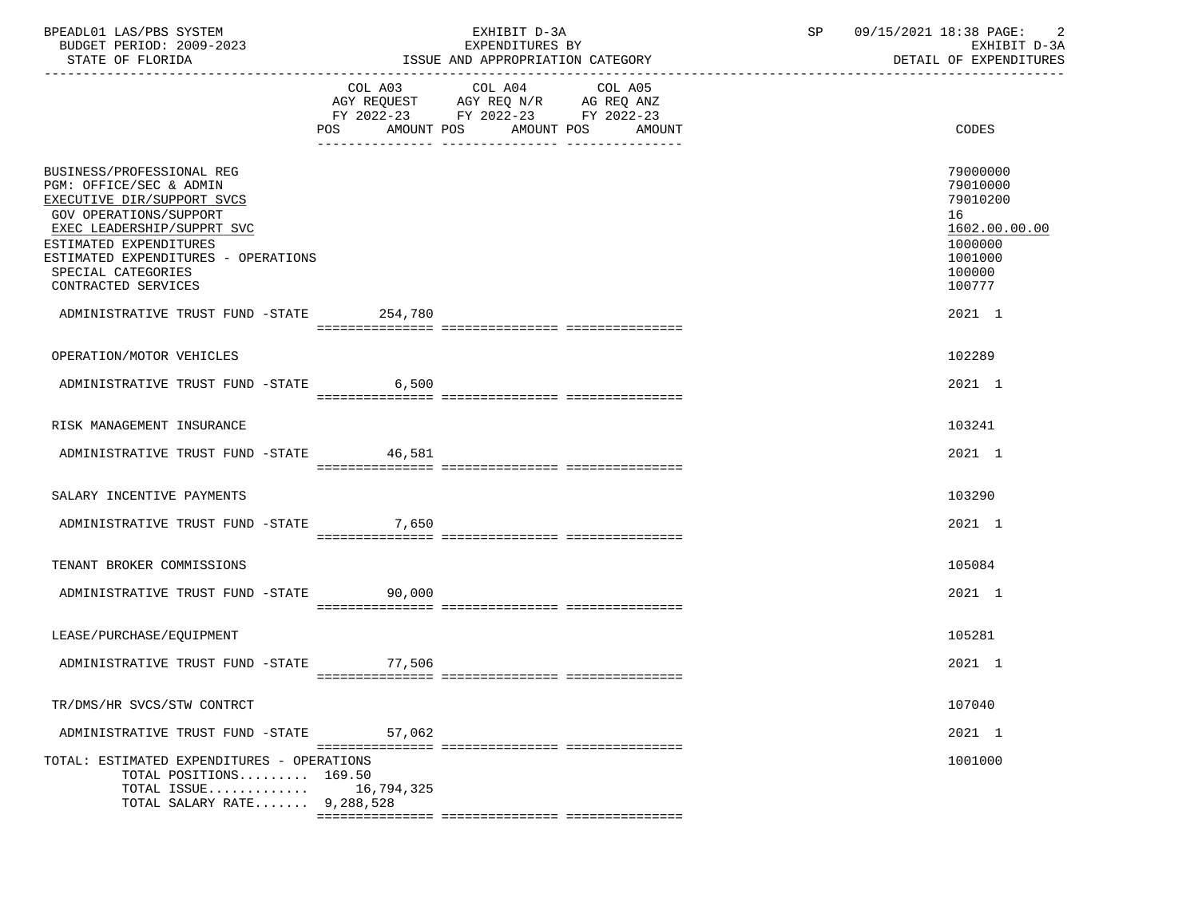| BPEADL01 LAS/PBS SYSTEM<br>BUDGET PERIOD: 2009-2023<br>STATE OF FLORIDA                                                                                                                                                                                                                              |                | EXHIBIT D-3A<br>EXPENDITURES BY<br>ISSUE AND APPROPRIATION CATEGORY                                                    | SP 09/15/2021 18:38 PAGE: | 2<br>EXHIBIT D-3A<br>DETAIL OF EXPENDITURES                                                                 |
|------------------------------------------------------------------------------------------------------------------------------------------------------------------------------------------------------------------------------------------------------------------------------------------------------|----------------|------------------------------------------------------------------------------------------------------------------------|---------------------------|-------------------------------------------------------------------------------------------------------------|
|                                                                                                                                                                                                                                                                                                      | POS AMOUNT POS | COL A03 COL A04 COL A05<br>AGY REQUEST AGY REQ N/R AG REQ ANZ<br>FY 2022-23 FY 2022-23 FY 2022-23<br>AMOUNT POS AMOUNT |                           | CODES                                                                                                       |
| BUSINESS/PROFESSIONAL REG<br>PGM: OFFICE/SEC & ADMIN<br>EXECUTIVE DIR/SUPPORT SVCS<br>GOV OPERATIONS/SUPPORT<br>EXEC LEADERSHIP/SUPPRT SVC<br>ESTIMATED EXPENDITURES<br>ESTIMATED EXPENDITURES - OPERATIONS<br>SPECIAL CATEGORIES<br>CONTRACTED SERVICES<br>ADMINISTRATIVE TRUST FUND -STATE 254,780 |                |                                                                                                                        |                           | 79000000<br>79010000<br>79010200<br>16<br>1602.00.00.00<br>1000000<br>1001000<br>100000<br>100777<br>2021 1 |
| OPERATION/MOTOR VEHICLES                                                                                                                                                                                                                                                                             |                |                                                                                                                        |                           | 102289                                                                                                      |
| ADMINISTRATIVE TRUST FUND -STATE 6,500                                                                                                                                                                                                                                                               |                |                                                                                                                        |                           | 2021 1                                                                                                      |
| RISK MANAGEMENT INSURANCE                                                                                                                                                                                                                                                                            |                |                                                                                                                        |                           | 103241                                                                                                      |
| ADMINISTRATIVE TRUST FUND -STATE 46,581                                                                                                                                                                                                                                                              |                |                                                                                                                        |                           | 2021 1                                                                                                      |
| SALARY INCENTIVE PAYMENTS                                                                                                                                                                                                                                                                            |                |                                                                                                                        |                           | 103290                                                                                                      |
| ADMINISTRATIVE TRUST FUND -STATE 7,650                                                                                                                                                                                                                                                               |                |                                                                                                                        |                           | 2021 1                                                                                                      |
| TENANT BROKER COMMISSIONS                                                                                                                                                                                                                                                                            |                |                                                                                                                        |                           | 105084                                                                                                      |
| ADMINISTRATIVE TRUST FUND -STATE 90,000                                                                                                                                                                                                                                                              |                |                                                                                                                        |                           | 2021 1                                                                                                      |
| LEASE/PURCHASE/EQUIPMENT                                                                                                                                                                                                                                                                             |                |                                                                                                                        |                           | 105281                                                                                                      |
| ADMINISTRATIVE TRUST FUND -STATE 77,506                                                                                                                                                                                                                                                              |                |                                                                                                                        |                           | 2021 1                                                                                                      |
| TR/DMS/HR SVCS/STW CONTRCT                                                                                                                                                                                                                                                                           |                |                                                                                                                        |                           | 107040                                                                                                      |
| ADMINISTRATIVE TRUST FUND -STATE                                                                                                                                                                                                                                                                     | 57,062         |                                                                                                                        |                           | 2021 1                                                                                                      |
| TOTAL: ESTIMATED EXPENDITURES - OPERATIONS<br>TOTAL POSITIONS 169.50<br>TOTAL ISSUE<br>TOTAL SALARY RATE 9,288,528                                                                                                                                                                                   | 16,794,325     |                                                                                                                        |                           | 1001000                                                                                                     |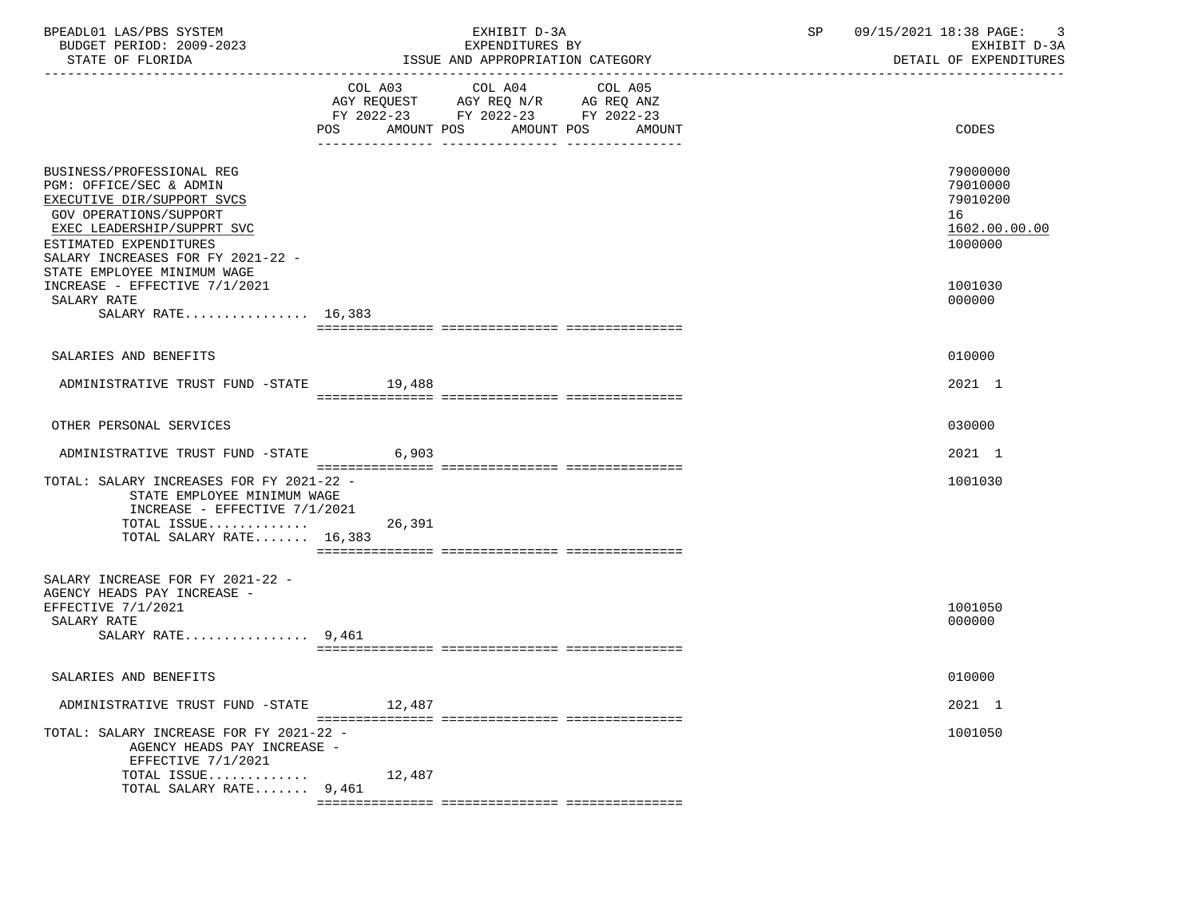| BPEADL01 LAS/PBS SYSTEM<br>BUDGET PERIOD: 2009-2023<br>STATE OF FLORIDA                                                                                                                                                                  |                                              | EXHIBIT D-3A<br>EXPENDITURES BY<br>ISSUE AND APPROPRIATION CATEGORY                         | 09/15/2021 18:38 PAGE: 3<br>SP<br>EXHIBIT D-3A<br>DETAIL OF EXPENDITURES |                                                                    |  |
|------------------------------------------------------------------------------------------------------------------------------------------------------------------------------------------------------------------------------------------|----------------------------------------------|---------------------------------------------------------------------------------------------|--------------------------------------------------------------------------|--------------------------------------------------------------------|--|
|                                                                                                                                                                                                                                          | COL A03 COL A04<br>POS AMOUNT POS AMOUNT POS | COL A05<br>AGY REQUEST AGY REQ N/R AG REQ ANZ<br>FY 2022-23 FY 2022-23 FY 2022-23<br>AMOUNT |                                                                          | CODES                                                              |  |
| BUSINESS/PROFESSIONAL REG<br>PGM: OFFICE/SEC & ADMIN<br>EXECUTIVE DIR/SUPPORT SVCS<br>GOV OPERATIONS/SUPPORT<br>EXEC LEADERSHIP/SUPPRT SVC<br>ESTIMATED EXPENDITURES<br>SALARY INCREASES FOR FY 2021-22 -<br>STATE EMPLOYEE MINIMUM WAGE |                                              |                                                                                             |                                                                          | 79000000<br>79010000<br>79010200<br>16<br>1602.00.00.00<br>1000000 |  |
| INCREASE - EFFECTIVE 7/1/2021<br>SALARY RATE<br>SALARY RATE 16,383                                                                                                                                                                       |                                              |                                                                                             |                                                                          | 1001030<br>000000                                                  |  |
| SALARIES AND BENEFITS                                                                                                                                                                                                                    |                                              |                                                                                             |                                                                          | 010000                                                             |  |
| ADMINISTRATIVE TRUST FUND -STATE 19,488                                                                                                                                                                                                  |                                              |                                                                                             |                                                                          | 2021 1                                                             |  |
| OTHER PERSONAL SERVICES                                                                                                                                                                                                                  |                                              |                                                                                             |                                                                          | 030000                                                             |  |
| ADMINISTRATIVE TRUST FUND -STATE                                                                                                                                                                                                         | 6,903                                        |                                                                                             |                                                                          | 2021 1                                                             |  |
| TOTAL: SALARY INCREASES FOR FY 2021-22 -<br>STATE EMPLOYEE MINIMUM WAGE<br>INCREASE - EFFECTIVE $7/1/2021$<br>TOTAL ISSUE<br>TOTAL SALARY RATE 16,383                                                                                    | 26,391                                       |                                                                                             |                                                                          | 1001030                                                            |  |
| SALARY INCREASE FOR FY 2021-22 -<br>AGENCY HEADS PAY INCREASE -<br>EFFECTIVE 7/1/2021<br>SALARY RATE<br>SALARY RATE $9,461$                                                                                                              |                                              |                                                                                             |                                                                          | 1001050<br>000000                                                  |  |
| SALARIES AND BENEFITS                                                                                                                                                                                                                    |                                              |                                                                                             |                                                                          | 010000                                                             |  |
| ADMINISTRATIVE TRUST FUND -STATE                                                                                                                                                                                                         | 12,487                                       |                                                                                             |                                                                          | 2021 1                                                             |  |
| TOTAL: SALARY INCREASE FOR FY 2021-22 -<br>AGENCY HEADS PAY INCREASE -<br>EFFECTIVE 7/1/2021                                                                                                                                             |                                              |                                                                                             |                                                                          | 1001050                                                            |  |
| TOTAL ISSUE<br>TOTAL SALARY RATE 9,461                                                                                                                                                                                                   | 12,487                                       |                                                                                             |                                                                          |                                                                    |  |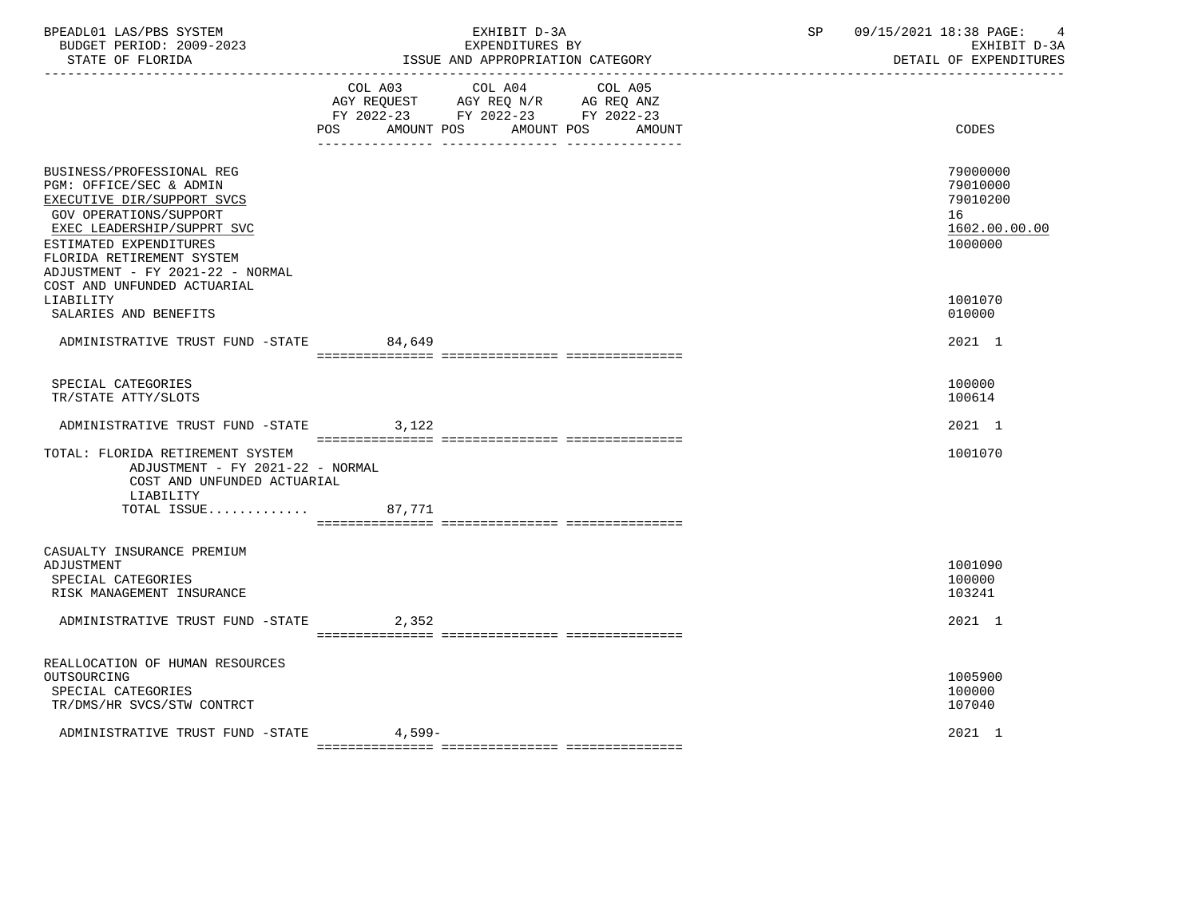| BPEADL01 LAS/PBS SYSTEM<br>BUDGET PERIOD: 2009-2023<br>STATE OF FLORIDA                                                                                                                                                               |        | EXHIBIT D-3A<br>EXPENDITURES BY<br>ISSUE AND APPROPRIATION CATEGORY                                                                     | 09/15/2021 18:38 PAGE:<br>SP<br>EXHIBIT D-3A<br>DETAIL OF EXPENDITURES |                                                              |  |
|---------------------------------------------------------------------------------------------------------------------------------------------------------------------------------------------------------------------------------------|--------|-----------------------------------------------------------------------------------------------------------------------------------------|------------------------------------------------------------------------|--------------------------------------------------------------|--|
|                                                                                                                                                                                                                                       | POS    | COL A03 COL A04<br>COL A05<br>AGY REQUEST AGY REQ N/R AG REQ ANZ<br>FY 2022-23 FY 2022-23 FY 2022-23<br>AMOUNT POS AMOUNT POS<br>AMOUNT |                                                                        | CODES                                                        |  |
| BUSINESS/PROFESSIONAL REG<br>PGM: OFFICE/SEC & ADMIN<br>EXECUTIVE DIR/SUPPORT SVCS<br>GOV OPERATIONS/SUPPORT<br>EXEC LEADERSHIP/SUPPRT SVC<br>ESTIMATED EXPENDITURES<br>FLORIDA RETIREMENT SYSTEM<br>ADJUSTMENT - FY 2021-22 - NORMAL |        |                                                                                                                                         | 16                                                                     | 79000000<br>79010000<br>79010200<br>1602.00.00.00<br>1000000 |  |
| COST AND UNFUNDED ACTUARIAL<br>LIABILITY<br>SALARIES AND BENEFITS                                                                                                                                                                     |        |                                                                                                                                         |                                                                        | 1001070<br>010000                                            |  |
| ADMINISTRATIVE TRUST FUND -STATE 84,649                                                                                                                                                                                               |        |                                                                                                                                         |                                                                        | 2021 1                                                       |  |
| SPECIAL CATEGORIES<br>TR/STATE ATTY/SLOTS                                                                                                                                                                                             |        |                                                                                                                                         |                                                                        | 100000<br>100614                                             |  |
| ADMINISTRATIVE TRUST FUND -STATE                                                                                                                                                                                                      | 3,122  |                                                                                                                                         |                                                                        | 2021 1                                                       |  |
| TOTAL: FLORIDA RETIREMENT SYSTEM<br>ADJUSTMENT - FY 2021-22 - NORMAL<br>COST AND UNFUNDED ACTUARIAL<br>LIABILITY<br>TOTAL ISSUE                                                                                                       | 87,771 |                                                                                                                                         |                                                                        | 1001070                                                      |  |
| CASUALTY INSURANCE PREMIUM<br>ADJUSTMENT<br>SPECIAL CATEGORIES<br>RISK MANAGEMENT INSURANCE                                                                                                                                           |        |                                                                                                                                         |                                                                        | 1001090<br>100000<br>103241                                  |  |
| ADMINISTRATIVE TRUST FUND -STATE                                                                                                                                                                                                      | 2,352  |                                                                                                                                         |                                                                        | 2021 1                                                       |  |
| REALLOCATION OF HUMAN RESOURCES<br>OUTSOURCING<br>SPECIAL CATEGORIES<br>TR/DMS/HR SVCS/STW CONTRCT                                                                                                                                    |        |                                                                                                                                         |                                                                        | 1005900<br>100000<br>107040<br>2021 1                        |  |
| ADMINISTRATIVE TRUST FUND -STATE                                                                                                                                                                                                      | 4,599- |                                                                                                                                         |                                                                        |                                                              |  |

=============== =============== ===============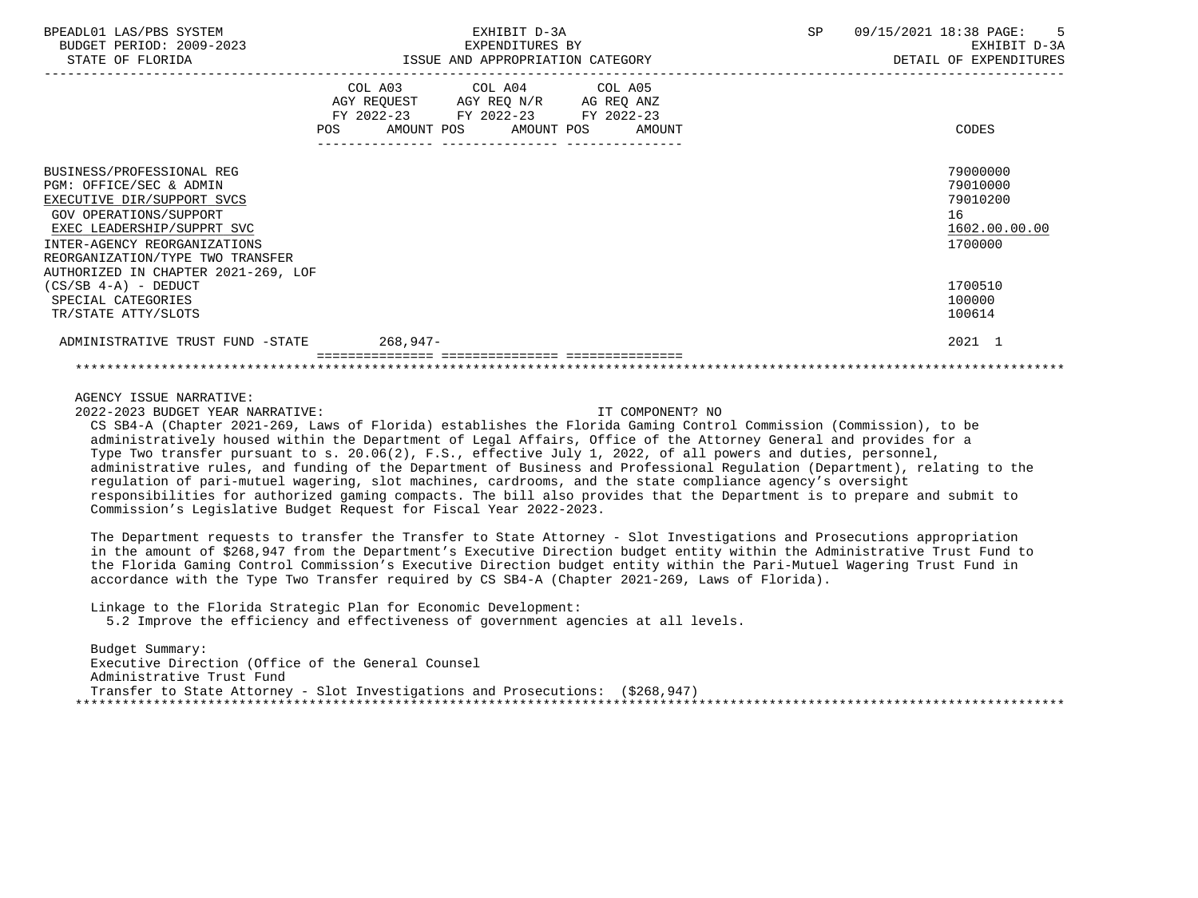| BPEADL01<br>SYSTEM<br>∟AS/PBS              | .<br>د م ب                          | 72021<br>ם ר<br>18:38<br>PAGL -                                    |
|--------------------------------------------|-------------------------------------|--------------------------------------------------------------------|
| 2009-2023<br>: ח∩ד ¤ תם<br>BUDGET<br>-JD • | $\mathbf{m}$<br>'URES BY<br>EXPENDI | $\mathsf{r}\,\mathsf{n}\,\mathsf{\tau}\,\mathsf{m}$<br>tvu:<br>- ⊶ |
| $27.777$ $27.777$ $27.777$                 | TOOTH 33TD 3DDDQDDT3FTQ17 Q3FDQQDII | <b>DRAIT AR RUDBURTHDRA</b>                                        |

|                                                                                                                                                                                                                                                       | COL A03<br>AGY REOUEST<br><b>POS</b> | COL A04 COL A05<br>AGY REQ N/R<br>FY 2022-23 FY 2022-23 FY 2022-23<br>AMOUNT POS<br>AMOUNT POS | AG REQ ANZ<br>AMOUNT | CODES                                                              |
|-------------------------------------------------------------------------------------------------------------------------------------------------------------------------------------------------------------------------------------------------------|--------------------------------------|------------------------------------------------------------------------------------------------|----------------------|--------------------------------------------------------------------|
| BUSINESS/PROFESSIONAL REG<br>PGM: OFFICE/SEC & ADMIN<br>EXECUTIVE DIR/SUPPORT SVCS<br>GOV OPERATIONS/SUPPORT<br>EXEC LEADERSHIP/SUPPRT SVC<br>INTER-AGENCY REORGANIZATIONS<br>REORGANIZATION/TYPE TWO TRANSFER<br>AUTHORIZED IN CHAPTER 2021-269, LOF |                                      |                                                                                                |                      | 79000000<br>79010000<br>79010200<br>16<br>1602.00.00.00<br>1700000 |
| $(CS/SB 4-A)$ - DEDUCT<br>SPECIAL CATEGORIES<br>TR/STATE ATTY/SLOTS                                                                                                                                                                                   |                                      |                                                                                                |                      | 1700510<br>100000<br>100614                                        |
| ADMINISTRATIVE TRUST FUND -STATE                                                                                                                                                                                                                      | 268,947-                             |                                                                                                |                      | 2021 1                                                             |
|                                                                                                                                                                                                                                                       |                                      |                                                                                                |                      |                                                                    |

2022-2023 BUDGET YEAR NARRATIVE: IT COMPONENT? NO

 CS SB4-A (Chapter 2021-269, Laws of Florida) establishes the Florida Gaming Control Commission (Commission), to be administratively housed within the Department of Legal Affairs, Office of the Attorney General and provides for a Type Two transfer pursuant to s. 20.06(2), F.S., effective July 1, 2022, of all powers and duties, personnel, administrative rules, and funding of the Department of Business and Professional Regulation (Department), relating to the regulation of pari-mutuel wagering, slot machines, cardrooms, and the state compliance agency's oversight responsibilities for authorized gaming compacts. The bill also provides that the Department is to prepare and submit to Commission's Legislative Budget Request for Fiscal Year 2022-2023.

 The Department requests to transfer the Transfer to State Attorney - Slot Investigations and Prosecutions appropriation in the amount of \$268,947 from the Department's Executive Direction budget entity within the Administrative Trust Fund to the Florida Gaming Control Commission's Executive Direction budget entity within the Pari-Mutuel Wagering Trust Fund in accordance with the Type Two Transfer required by CS SB4-A (Chapter 2021-269, Laws of Florida).

Linkage to the Florida Strategic Plan for Economic Development:

5.2 Improve the efficiency and effectiveness of government agencies at all levels.

 Budget Summary: Executive Direction (Office of the General Counsel Administrative Trust Fund Transfer to State Attorney - Slot Investigations and Prosecutions: (\$268,947) \*\*\*\*\*\*\*\*\*\*\*\*\*\*\*\*\*\*\*\*\*\*\*\*\*\*\*\*\*\*\*\*\*\*\*\*\*\*\*\*\*\*\*\*\*\*\*\*\*\*\*\*\*\*\*\*\*\*\*\*\*\*\*\*\*\*\*\*\*\*\*\*\*\*\*\*\*\*\*\*\*\*\*\*\*\*\*\*\*\*\*\*\*\*\*\*\*\*\*\*\*\*\*\*\*\*\*\*\*\*\*\*\*\*\*\*\*\*\*\*\*\*\*\*\*\*\*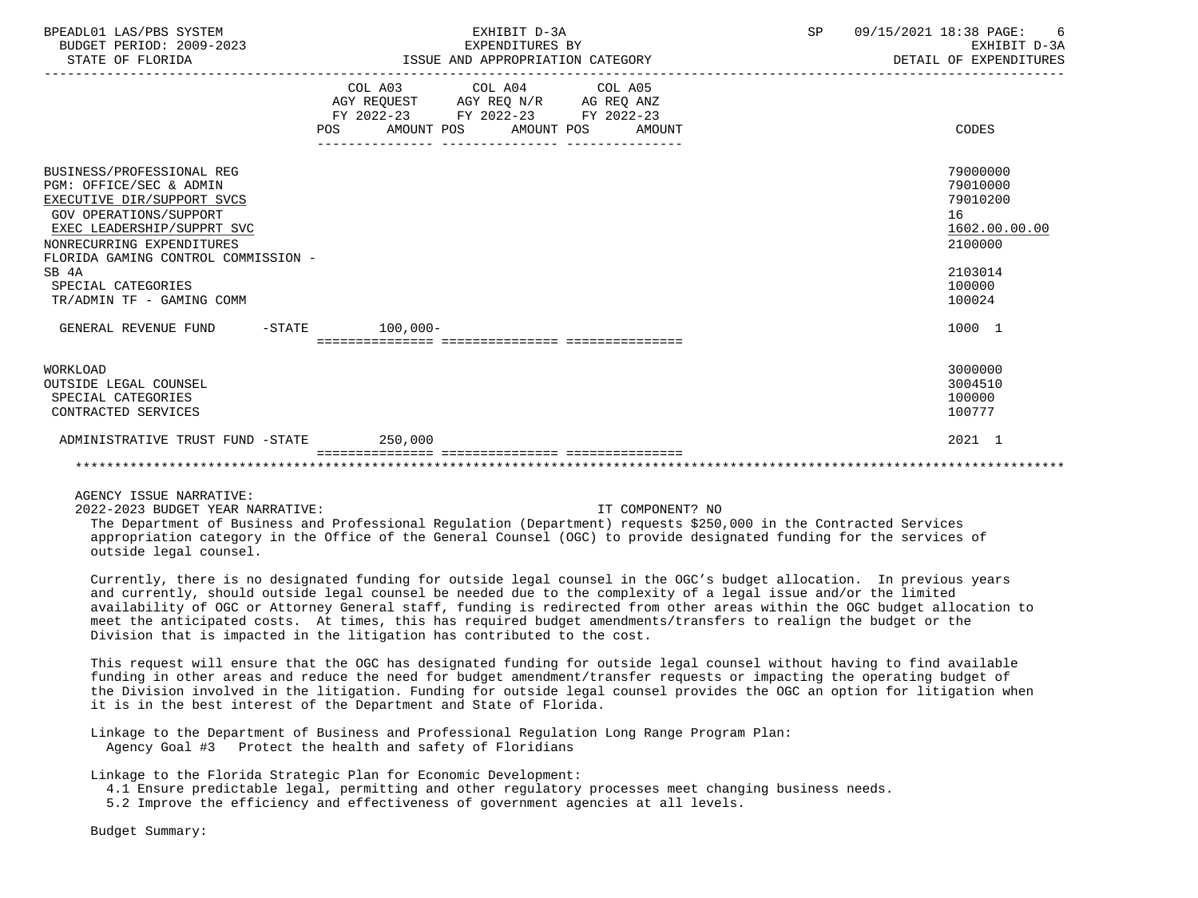| BPEADL01 LAS/PBS SYSTEM<br>BUDGET PERIOD: 2009-2023<br>STATE OF FLORIDA                                                                                                                                                                                                    | EXHIBIT D-3A<br>EXPENDITURES BY<br>EXPENDITURES BY<br>ISSUE AND APPROPRIATION CATEGORY                                                | SP<br>09/15/2021 18:38 PAGE:<br>-6<br>EXHIBIT D-3A<br>DETAIL OF EXPENDITURES                      |
|----------------------------------------------------------------------------------------------------------------------------------------------------------------------------------------------------------------------------------------------------------------------------|---------------------------------------------------------------------------------------------------------------------------------------|---------------------------------------------------------------------------------------------------|
|                                                                                                                                                                                                                                                                            | COL A03 COL A04 COL A05<br>AGY REQUEST AGY REQ N/R AG REQ ANZ<br>FY 2022-23 FY 2022-23 FY 2022-23<br>POS AMOUNT POS AMOUNT POS AMOUNT | CODES                                                                                             |
| BUSINESS/PROFESSIONAL REG<br>PGM: OFFICE/SEC & ADMIN<br>EXECUTIVE DIR/SUPPORT SVCS<br>GOV OPERATIONS/SUPPORT<br>EXEC LEADERSHIP/SUPPRT SVC<br>NONRECURRING EXPENDITURES<br>FLORIDA GAMING CONTROL COMMISSION -<br>SB 4A<br>SPECIAL CATEGORIES<br>TR/ADMIN TF - GAMING COMM |                                                                                                                                       | 79000000<br>79010000<br>79010200<br>16<br>1602.00.00.00<br>2100000<br>2103014<br>100000<br>100024 |
| GENERAL REVENUE FUND -STATE 100.000-                                                                                                                                                                                                                                       |                                                                                                                                       | 1000 1                                                                                            |
| <b>WORKLOAD</b><br>OUTSIDE LEGAL COUNSEL<br>SPECIAL CATEGORIES<br>CONTRACTED SERVICES                                                                                                                                                                                      |                                                                                                                                       | 3000000<br>3004510<br>100000<br>100777                                                            |
| ADMINISTRATIVE TRUST FUND -STATE 250,000                                                                                                                                                                                                                                   |                                                                                                                                       | 2021 1                                                                                            |
|                                                                                                                                                                                                                                                                            |                                                                                                                                       |                                                                                                   |

2022-2023 BUDGET YEAR NARRATIVE: IT COMPONENT? NO

 The Department of Business and Professional Regulation (Department) requests \$250,000 in the Contracted Services appropriation category in the Office of the General Counsel (OGC) to provide designated funding for the services of outside legal counsel.

 Currently, there is no designated funding for outside legal counsel in the OGC's budget allocation. In previous years and currently, should outside legal counsel be needed due to the complexity of a legal issue and/or the limited availability of OGC or Attorney General staff, funding is redirected from other areas within the OGC budget allocation to meet the anticipated costs. At times, this has required budget amendments/transfers to realign the budget or the Division that is impacted in the litigation has contributed to the cost.

 This request will ensure that the OGC has designated funding for outside legal counsel without having to find available funding in other areas and reduce the need for budget amendment/transfer requests or impacting the operating budget of the Division involved in the litigation. Funding for outside legal counsel provides the OGC an option for litigation when it is in the best interest of the Department and State of Florida.

 Linkage to the Department of Business and Professional Regulation Long Range Program Plan: Agency Goal #3 Protect the health and safety of Floridians

Linkage to the Florida Strategic Plan for Economic Development:

4.1 Ensure predictable legal, permitting and other regulatory processes meet changing business needs.

5.2 Improve the efficiency and effectiveness of government agencies at all levels.

Budget Summary: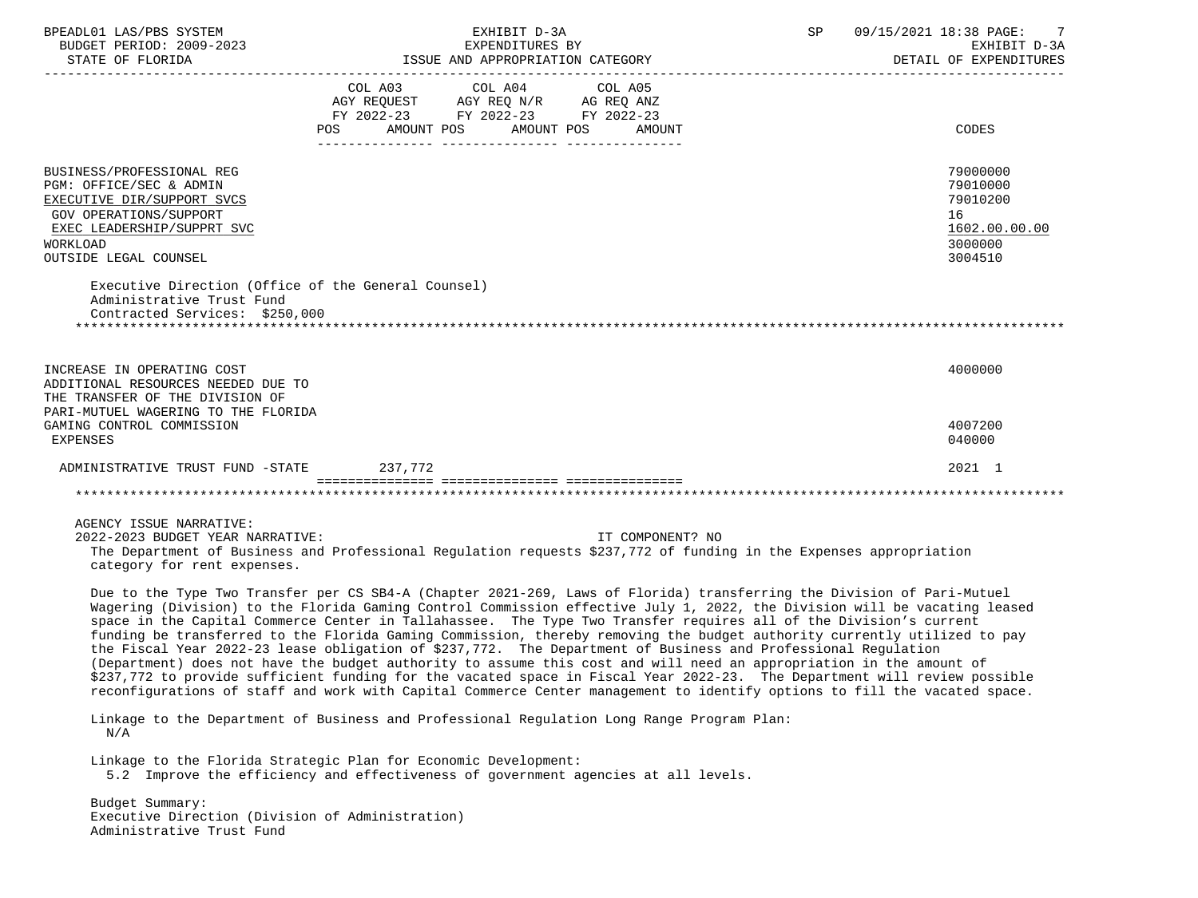| BPEADL01 LAS/PBS SYSTEM<br>BUDGET PERIOD: 2009-2023                                                                                                                             | EXHIBIT D-3A<br>EXPENDITURES BY                                                                                                                                                                                                                                                                                                                                                                                                                                                                                                                                                                                                                                                                                                                                                                                                                                                                                                                                                                                                                                                                      | 09/15/2021 18:38 PAGE:<br>SP <sub>3</sub><br>EXHIBIT D-3A<br>DETAIL OF EXPENDITURES |
|---------------------------------------------------------------------------------------------------------------------------------------------------------------------------------|------------------------------------------------------------------------------------------------------------------------------------------------------------------------------------------------------------------------------------------------------------------------------------------------------------------------------------------------------------------------------------------------------------------------------------------------------------------------------------------------------------------------------------------------------------------------------------------------------------------------------------------------------------------------------------------------------------------------------------------------------------------------------------------------------------------------------------------------------------------------------------------------------------------------------------------------------------------------------------------------------------------------------------------------------------------------------------------------------|-------------------------------------------------------------------------------------|
|                                                                                                                                                                                 | COL A03 COL A04 COL A05<br>AGY REQUEST AGY REQ N/R AG REQ ANZ<br>FY 2022-23 FY 2022-23 FY 2022-23<br>POS AMOUNT POS AMOUNT POS AMOUNT                                                                                                                                                                                                                                                                                                                                                                                                                                                                                                                                                                                                                                                                                                                                                                                                                                                                                                                                                                | CODES                                                                               |
| BUSINESS/PROFESSIONAL REG<br>PGM: OFFICE/SEC & ADMIN<br>EXECUTIVE DIR/SUPPORT SVCS<br>GOV OPERATIONS/SUPPORT<br>EXEC LEADERSHIP/SUPPRT SVC<br>WORKLOAD<br>OUTSIDE LEGAL COUNSEL |                                                                                                                                                                                                                                                                                                                                                                                                                                                                                                                                                                                                                                                                                                                                                                                                                                                                                                                                                                                                                                                                                                      | 79000000<br>79010000<br>79010200<br>16<br>1602.00.00.00<br>3000000<br>3004510       |
| Executive Direction (Office of the General Counsel)<br>Administrative Trust Fund<br>Contracted Services: \$250,000                                                              |                                                                                                                                                                                                                                                                                                                                                                                                                                                                                                                                                                                                                                                                                                                                                                                                                                                                                                                                                                                                                                                                                                      |                                                                                     |
| INCREASE IN OPERATING COST<br>ADDITIONAL RESOURCES NEEDED DUE TO<br>THE TRANSFER OF THE DIVISION OF<br>PARI-MUTUEL WAGERING TO THE FLORIDA                                      |                                                                                                                                                                                                                                                                                                                                                                                                                                                                                                                                                                                                                                                                                                                                                                                                                                                                                                                                                                                                                                                                                                      | 4000000                                                                             |
| GAMING CONTROL COMMISSION<br><b>EXPENSES</b>                                                                                                                                    |                                                                                                                                                                                                                                                                                                                                                                                                                                                                                                                                                                                                                                                                                                                                                                                                                                                                                                                                                                                                                                                                                                      | 4007200<br>040000                                                                   |
| ADMINISTRATIVE TRUST FUND -STATE 237,772                                                                                                                                        |                                                                                                                                                                                                                                                                                                                                                                                                                                                                                                                                                                                                                                                                                                                                                                                                                                                                                                                                                                                                                                                                                                      | 2021 1                                                                              |
|                                                                                                                                                                                 |                                                                                                                                                                                                                                                                                                                                                                                                                                                                                                                                                                                                                                                                                                                                                                                                                                                                                                                                                                                                                                                                                                      |                                                                                     |
| AGENCY ISSUE NARRATIVE:<br>2022-2023 BUDGET YEAR NARRATIVE:<br>category for rent expenses.                                                                                      | IT COMPONENT? NO<br>The Department of Business and Professional Requlation requests \$237,772 of funding in the Expenses appropriation                                                                                                                                                                                                                                                                                                                                                                                                                                                                                                                                                                                                                                                                                                                                                                                                                                                                                                                                                               |                                                                                     |
|                                                                                                                                                                                 | Due to the Type Two Transfer per CS SB4-A (Chapter 2021-269, Laws of Florida) transferring the Division of Pari-Mutuel<br>Wagering (Division) to the Florida Gaming Control Commission effective July 1, 2022, the Division will be vacating leased<br>space in the Capital Commerce Center in Tallahassee. The Type Two Transfer requires all of the Division's current<br>funding be transferred to the Florida Gaming Commission, thereby removing the budget authority currently utilized to pay<br>the Fiscal Year 2022-23 lease obligation of \$237,772. The Department of Business and Professional Regulation<br>(Department) does not have the budget authority to assume this cost and will need an appropriation in the amount of<br>\$237,772 to provide sufficient funding for the vacated space in Fiscal Year 2022-23. The Department will review possible<br>reconfigurations of staff and work with Capital Commerce Center management to identify options to fill the vacated space.<br>Linkage to the Department of Business and Professional Regulation Long Range Program Plan: |                                                                                     |
| N/A                                                                                                                                                                             | Linkage to the Florida Strategic Plan for Economic Development:<br>5.2 Improve the efficiency and effectiveness of government agencies at all levels.                                                                                                                                                                                                                                                                                                                                                                                                                                                                                                                                                                                                                                                                                                                                                                                                                                                                                                                                                |                                                                                     |

 Budget Summary: Executive Direction (Division of Administration) Administrative Trust Fund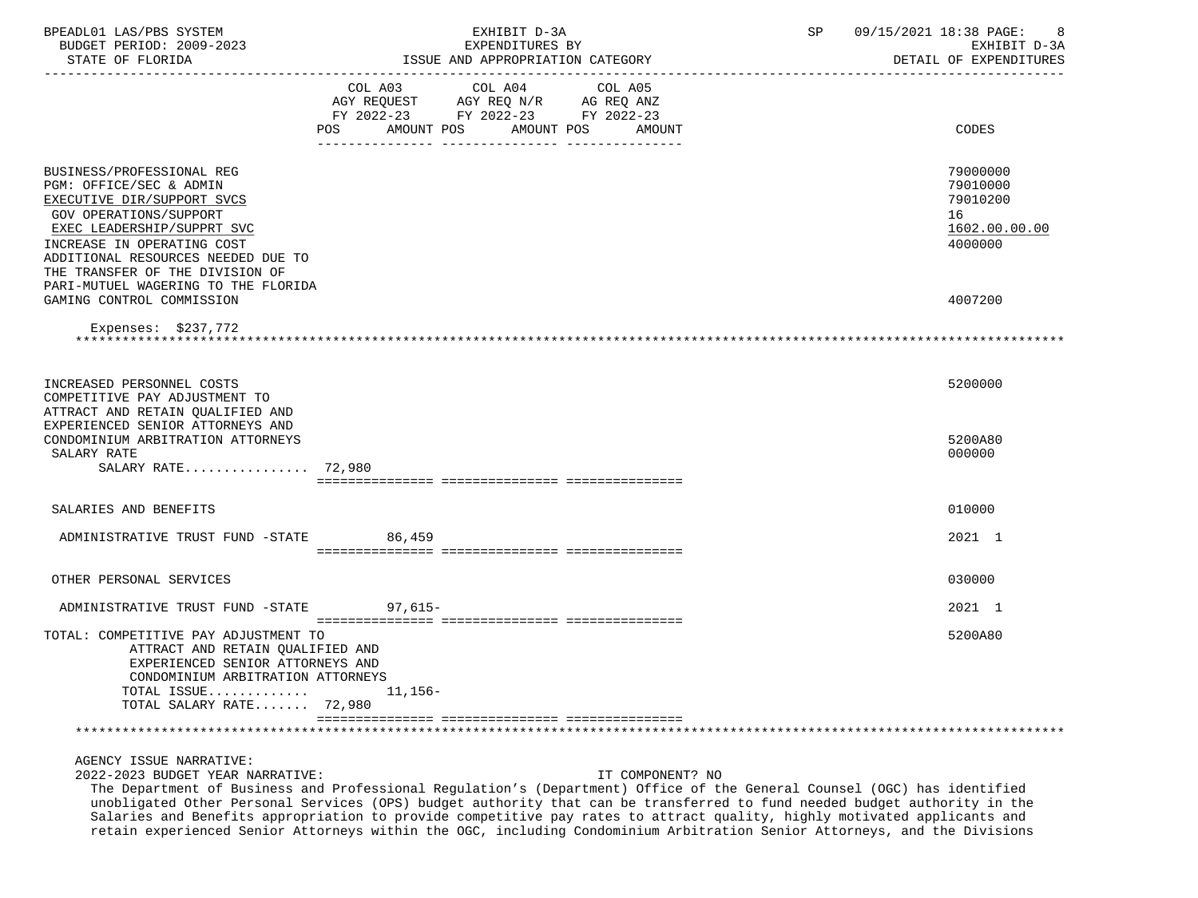| BPEADL01 LAS/PBS SYSTEM<br>BUDGET PERIOD: 2009-2023<br>STATE OF FLORIDA                                                                                                                                                                                                                         | EXHIBIT D-3A<br>EXPENDITURES BY<br>ISSUE AND APPROPRIATION CATEGORY                                                                                  | SP | 09/15/2021 18:38 PAGE:<br>8<br>EXHIBIT D-3A<br>DETAIL OF EXPENDITURES |
|-------------------------------------------------------------------------------------------------------------------------------------------------------------------------------------------------------------------------------------------------------------------------------------------------|------------------------------------------------------------------------------------------------------------------------------------------------------|----|-----------------------------------------------------------------------|
|                                                                                                                                                                                                                                                                                                 | COL A03<br>COL A04<br>COL A05<br>AGY REQUEST AGY REQ N/R AG REQ ANZ<br>FY 2022-23 FY 2022-23 FY 2022-23<br>AMOUNT POS<br>POS<br>AMOUNT POS<br>AMOUNT |    | CODES                                                                 |
| BUSINESS/PROFESSIONAL REG<br>PGM: OFFICE/SEC & ADMIN<br>EXECUTIVE DIR/SUPPORT SVCS<br><b>GOV OPERATIONS/SUPPORT</b><br>EXEC LEADERSHIP/SUPPRT SVC<br>INCREASE IN OPERATING COST<br>ADDITIONAL RESOURCES NEEDED DUE TO<br>THE TRANSFER OF THE DIVISION OF<br>PARI-MUTUEL WAGERING TO THE FLORIDA |                                                                                                                                                      |    | 79000000<br>79010000<br>79010200<br>16<br>1602.00.00.00<br>4000000    |
| GAMING CONTROL COMMISSION<br>Expenses: $$237,772$                                                                                                                                                                                                                                               |                                                                                                                                                      |    | 4007200                                                               |
| INCREASED PERSONNEL COSTS<br>COMPETITIVE PAY ADJUSTMENT TO<br>ATTRACT AND RETAIN QUALIFIED AND<br>EXPERIENCED SENIOR ATTORNEYS AND                                                                                                                                                              |                                                                                                                                                      |    | 5200000                                                               |
| CONDOMINIUM ARBITRATION ATTORNEYS<br>SALARY RATE<br>SALARY RATE 72,980                                                                                                                                                                                                                          |                                                                                                                                                      |    | 5200A80<br>000000                                                     |
| SALARIES AND BENEFITS                                                                                                                                                                                                                                                                           |                                                                                                                                                      |    | 010000                                                                |
| ADMINISTRATIVE TRUST FUND -STATE                                                                                                                                                                                                                                                                | 86,459                                                                                                                                               |    | 2021 1                                                                |
| OTHER PERSONAL SERVICES                                                                                                                                                                                                                                                                         |                                                                                                                                                      |    | 030000                                                                |
| ADMINISTRATIVE TRUST FUND -STATE 97,615-                                                                                                                                                                                                                                                        |                                                                                                                                                      |    | 2021 1                                                                |
| TOTAL: COMPETITIVE PAY ADJUSTMENT TO<br>ATTRACT AND RETAIN QUALIFIED AND<br>EXPERIENCED SENIOR ATTORNEYS AND<br>CONDOMINIUM ARBITRATION ATTORNEYS<br>TOTAL ISSUE<br>TOTAL SALARY RATE 72,980                                                                                                    | 11,156–                                                                                                                                              |    | 5200A80                                                               |
|                                                                                                                                                                                                                                                                                                 |                                                                                                                                                      |    |                                                                       |

2022-2023 BUDGET YEAR NARRATIVE: IT COMPONENT? NO

 The Department of Business and Professional Regulation's (Department) Office of the General Counsel (OGC) has identified unobligated Other Personal Services (OPS) budget authority that can be transferred to fund needed budget authority in the Salaries and Benefits appropriation to provide competitive pay rates to attract quality, highly motivated applicants and retain experienced Senior Attorneys within the OGC, including Condominium Arbitration Senior Attorneys, and the Divisions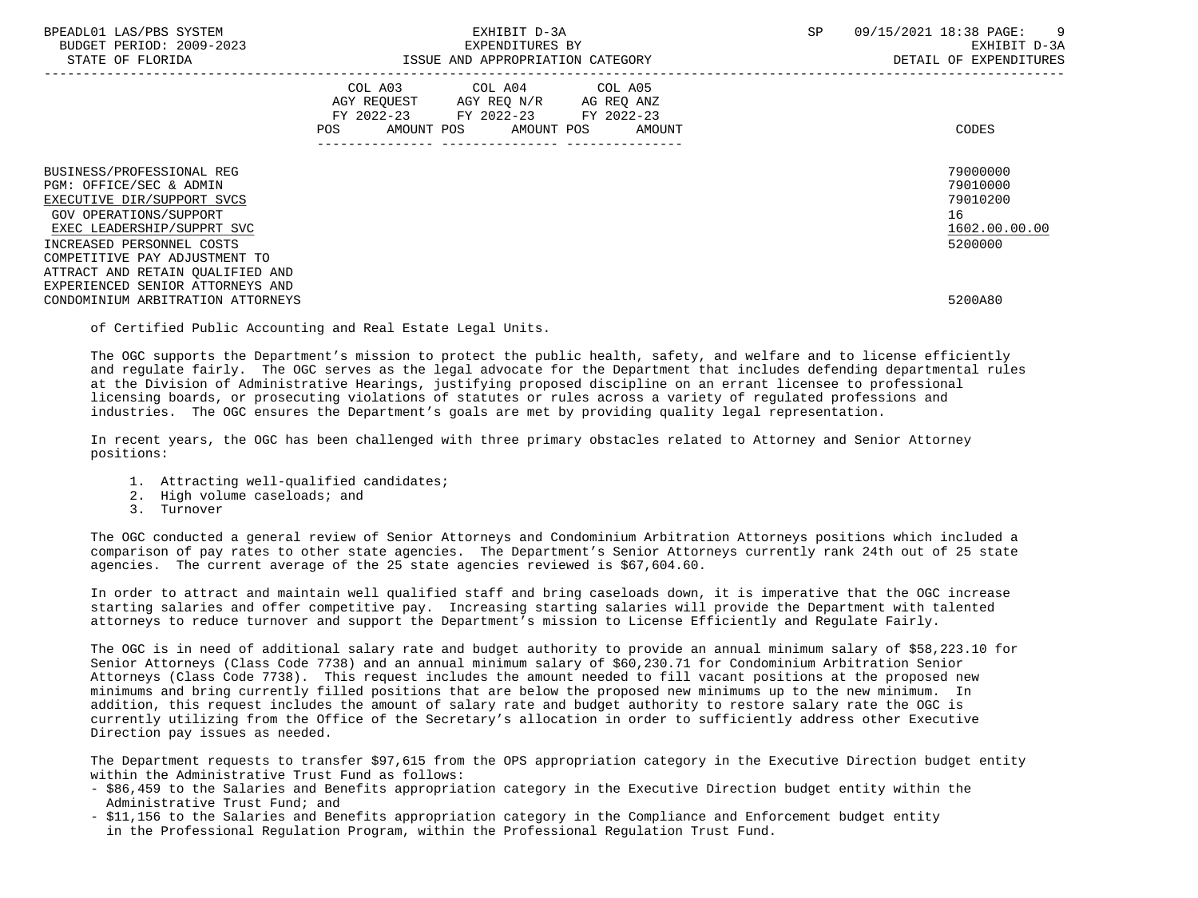| BPEADL01 LAS/PBS SYSTEM<br>BUDGET PERIOD: 2009-2023<br>STATE OF FLORIDA                                                                                                                                  | EXHIBIT D-3A<br>EXPENDITURES BY<br>ISSUE AND APPROPRIATION CATEGORY                                                                         | 09/15/2021 18:38 PAGE: 9<br>SP<br>EXHIBIT D-3A<br>DETAIL OF EXPENDITURES |
|----------------------------------------------------------------------------------------------------------------------------------------------------------------------------------------------------------|---------------------------------------------------------------------------------------------------------------------------------------------|--------------------------------------------------------------------------|
|                                                                                                                                                                                                          | COL A03 COL A04 COL A05<br>AGY REQUEST AGY REQ N/R AG REQ ANZ<br>FY 2022-23 FY 2022-23 FY 2022-23<br>AMOUNT POS AMOUNT POS<br>POS<br>AMOUNT | CODES                                                                    |
| BUSINESS/PROFESSIONAL REG<br>PGM: OFFICE/SEC & ADMIN<br>EXECUTIVE DIR/SUPPORT SVCS<br>GOV OPERATIONS/SUPPORT<br>EXEC LEADERSHIP/SUPPRT SVC<br>INCREASED PERSONNEL COSTS<br>COMPETITIVE PAY ADJUSTMENT TO |                                                                                                                                             | 79000000<br>79010000<br>79010200<br>16<br>1602.00.00.00<br>5200000       |
| ATTRACT AND RETAIN OUALIFIED AND<br>EXPERIENCED SENIOR ATTORNEYS AND<br>CONDOMINIUM ARBITRATION ATTORNEYS                                                                                                |                                                                                                                                             | 5200A80                                                                  |

of Certified Public Accounting and Real Estate Legal Units.

 The OGC supports the Department's mission to protect the public health, safety, and welfare and to license efficiently and regulate fairly. The OGC serves as the legal advocate for the Department that includes defending departmental rules at the Division of Administrative Hearings, justifying proposed discipline on an errant licensee to professional licensing boards, or prosecuting violations of statutes or rules across a variety of regulated professions and industries. The OGC ensures the Department's goals are met by providing quality legal representation.

 In recent years, the OGC has been challenged with three primary obstacles related to Attorney and Senior Attorney positions:

- 1. Attracting well-qualified candidates;
- 2. High volume caseloads; and
- 3. Turnover

 The OGC conducted a general review of Senior Attorneys and Condominium Arbitration Attorneys positions which included a comparison of pay rates to other state agencies. The Department's Senior Attorneys currently rank 24th out of 25 state agencies. The current average of the 25 state agencies reviewed is \$67,604.60.

 In order to attract and maintain well qualified staff and bring caseloads down, it is imperative that the OGC increase starting salaries and offer competitive pay. Increasing starting salaries will provide the Department with talented attorneys to reduce turnover and support the Department's mission to License Efficiently and Regulate Fairly.

 The OGC is in need of additional salary rate and budget authority to provide an annual minimum salary of \$58,223.10 for Senior Attorneys (Class Code 7738) and an annual minimum salary of \$60,230.71 for Condominium Arbitration Senior Attorneys (Class Code 7738). This request includes the amount needed to fill vacant positions at the proposed new minimums and bring currently filled positions that are below the proposed new minimums up to the new minimum. In addition, this request includes the amount of salary rate and budget authority to restore salary rate the OGC is currently utilizing from the Office of the Secretary's allocation in order to sufficiently address other Executive Direction pay issues as needed.

 The Department requests to transfer \$97,615 from the OPS appropriation category in the Executive Direction budget entity within the Administrative Trust Fund as follows:

- \$86,459 to the Salaries and Benefits appropriation category in the Executive Direction budget entity within the Administrative Trust Fund; and
- \$11,156 to the Salaries and Benefits appropriation category in the Compliance and Enforcement budget entity in the Professional Regulation Program, within the Professional Regulation Trust Fund.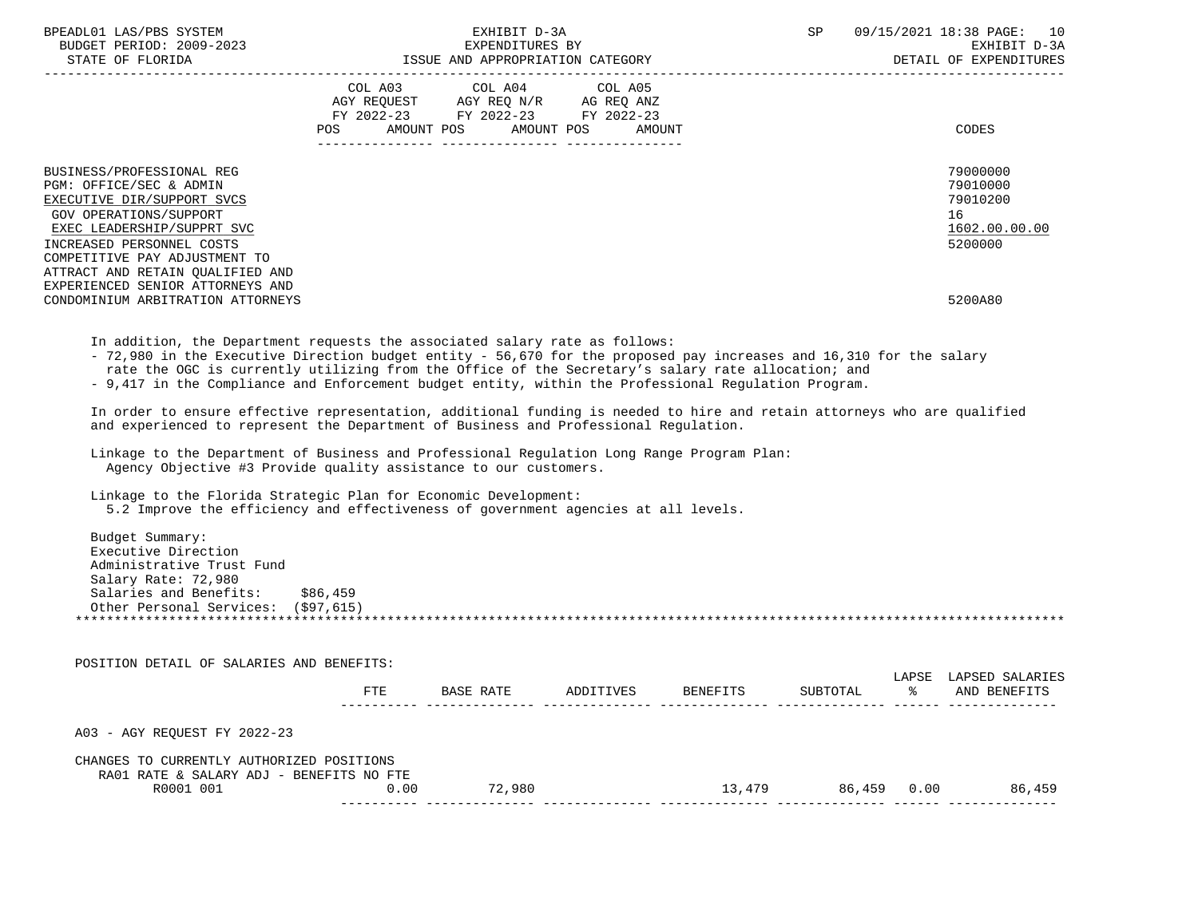| BPEADL01 LAS/PBS SYSTEM<br>BUDGET PERIOD: 2009-2023<br>STATE OF FLORIDA                                                                                                                                                                      | EXHIBIT D-3A<br>EXPENDITURES BY<br>ISSUE AND APPROPRIATION CATEGORY |                                                                                                                                   |  | SP | 09/15/2021 18:38 PAGE: 10<br>EXHIBIT D-3A<br>DETAIL OF EXPENDITURES |  |
|----------------------------------------------------------------------------------------------------------------------------------------------------------------------------------------------------------------------------------------------|---------------------------------------------------------------------|-----------------------------------------------------------------------------------------------------------------------------------|--|----|---------------------------------------------------------------------|--|
|                                                                                                                                                                                                                                              | POS                                                                 | COL A03 COL A04 COL A05<br>AGY REQUEST AGY REQ N/R AG REQ ANZ<br>FY 2022-23 FY 2022-23 FY 2022-23<br>AMOUNT POS AMOUNT POS AMOUNT |  |    | CODES                                                               |  |
| BUSINESS/PROFESSIONAL REG<br>PGM: OFFICE/SEC & ADMIN<br>EXECUTIVE DIR/SUPPORT SVCS<br>GOV OPERATIONS/SUPPORT<br>EXEC LEADERSHIP/SUPPRT SVC<br>INCREASED PERSONNEL COSTS<br>COMPETITIVE PAY ADJUSTMENT TO<br>ATTRACT AND RETAIN OUALIFIED AND |                                                                     |                                                                                                                                   |  |    | 79000000<br>79010000<br>79010200<br>16<br>1602.00.00.00<br>5200000  |  |
| EXPERIENCED SENIOR ATTORNEYS AND<br>CONDOMINIUM ARBITRATION ATTORNEYS                                                                                                                                                                        |                                                                     |                                                                                                                                   |  |    | 5200A80                                                             |  |

In addition, the Department requests the associated salary rate as follows:

- 72,980 in the Executive Direction budget entity - 56,670 for the proposed pay increases and 16,310 for the salary

rate the OGC is currently utilizing from the Office of the Secretary's salary rate allocation; and

- 9,417 in the Compliance and Enforcement budget entity, within the Professional Regulation Program.

 In order to ensure effective representation, additional funding is needed to hire and retain attorneys who are qualified and experienced to represent the Department of Business and Professional Regulation.

 Linkage to the Department of Business and Professional Regulation Long Range Program Plan: Agency Objective #3 Provide quality assistance to our customers.

Linkage to the Florida Strategic Plan for Economic Development:

5.2 Improve the efficiency and effectiveness of government agencies at all levels.

| Budget Summary:                     |          |  |
|-------------------------------------|----------|--|
| Executive Direction                 |          |  |
| Administrative Trust Fund           |          |  |
| Salary Rate: 72,980                 |          |  |
| Salaries and Benefits:              | \$86,459 |  |
| Other Personal Services: (\$97,615) |          |  |
|                                     |          |  |
|                                     |          |  |

| POSITION DETAIL OF SALARIES AND BENEFITS:                                             |      |           |           |          |          |             |                                 |
|---------------------------------------------------------------------------------------|------|-----------|-----------|----------|----------|-------------|---------------------------------|
|                                                                                       | FTE  | BASE RATE | ADDITIVES | BENEFITS | SUBTOTAL | LAPSE<br>°≈ | LAPSED SALARIES<br>AND BENEFITS |
| A03 - AGY REOUEST FY 2022-23                                                          |      |           |           |          |          |             |                                 |
| CHANGES TO CURRENTLY AUTHORIZED POSITIONS<br>RA01 RATE & SALARY ADJ - BENEFITS NO FTE |      |           |           |          |          |             |                                 |
| R0001 001                                                                             | 0.00 | 72,980    |           | 13,479   | 86,459   | 0.00        | 86,459                          |
|                                                                                       |      |           |           |          |          |             |                                 |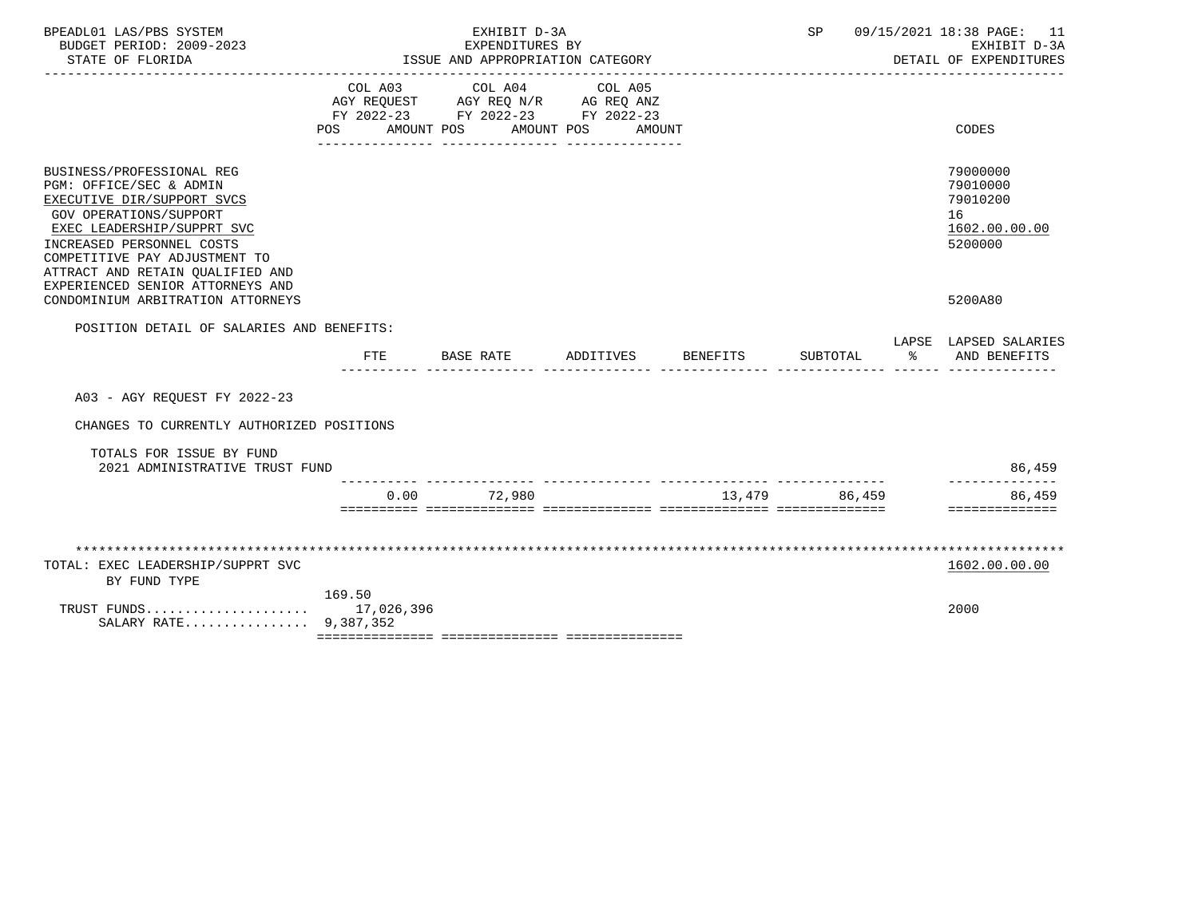| BPEADL01 LAS/PBS SYSTEM<br>BUDGET PERIOD: 2009-2023<br>STATE OF FLORIDA                                                                                                                                                                                                                 |                    | EXHIBIT D-3A<br>EXPENDITURES BY<br>ISSUE AND APPROPRIATION CATEGORY                  |                                         |          |               |    | SP 09/15/2021 18:38 PAGE: 11<br>EXHIBIT D-3A<br>DETAIL OF EXPENDITURES |
|-----------------------------------------------------------------------------------------------------------------------------------------------------------------------------------------------------------------------------------------------------------------------------------------|--------------------|--------------------------------------------------------------------------------------|-----------------------------------------|----------|---------------|----|------------------------------------------------------------------------|
| ____________________                                                                                                                                                                                                                                                                    | COL A03<br>POS FOR | AGY REQUEST AGY REQ N/R AG REQ ANZ<br>FY 2022-23 FY 2022-23 FY 2022-23<br>AMOUNT POS | COL A04 COL A05<br>AMOUNT POS<br>AMOUNT |          |               |    | CODES                                                                  |
| BUSINESS/PROFESSIONAL REG<br>PGM: OFFICE/SEC & ADMIN<br>EXECUTIVE DIR/SUPPORT SVCS<br><b>GOV OPERATIONS/SUPPORT</b><br>EXEC LEADERSHIP/SUPPRT SVC<br>INCREASED PERSONNEL COSTS<br>COMPETITIVE PAY ADJUSTMENT TO<br>ATTRACT AND RETAIN QUALIFIED AND<br>EXPERIENCED SENIOR ATTORNEYS AND |                    |                                                                                      |                                         |          |               |    | 79000000<br>79010000<br>79010200<br>16<br>1602.00.00.00<br>5200000     |
| CONDOMINIUM ARBITRATION ATTORNEYS                                                                                                                                                                                                                                                       |                    |                                                                                      |                                         |          |               |    | 5200A80                                                                |
| POSITION DETAIL OF SALARIES AND BENEFITS:                                                                                                                                                                                                                                               | <b>FTE</b>         | BASE RATE                                                                            | ADDITIVES                               | BENEFITS | SUBTOTAL      | ిన | LAPSE LAPSED SALARIES<br>AND BENEFITS                                  |
| A03 - AGY REQUEST FY 2022-23                                                                                                                                                                                                                                                            |                    |                                                                                      |                                         |          |               |    |                                                                        |
| CHANGES TO CURRENTLY AUTHORIZED POSITIONS                                                                                                                                                                                                                                               |                    |                                                                                      |                                         |          |               |    |                                                                        |
| TOTALS FOR ISSUE BY FUND<br>2021 ADMINISTRATIVE TRUST FUND                                                                                                                                                                                                                              |                    |                                                                                      |                                         |          |               |    | 86,459                                                                 |
|                                                                                                                                                                                                                                                                                         | 0.00               | 72,980                                                                               | _ _______________ ________              |          | 13,479 86,459 |    | 86,459<br>==============                                               |
|                                                                                                                                                                                                                                                                                         |                    |                                                                                      |                                         |          |               |    |                                                                        |
| TOTAL: EXEC LEADERSHIP/SUPPRT SVC<br>BY FUND TYPE                                                                                                                                                                                                                                       |                    |                                                                                      |                                         |          |               |    | 1602.00.00.00                                                          |
| TRUST FUNDS 17,026,396<br>SALARY RATE 9,387,352                                                                                                                                                                                                                                         | 169.50             |                                                                                      |                                         |          |               |    | 2000                                                                   |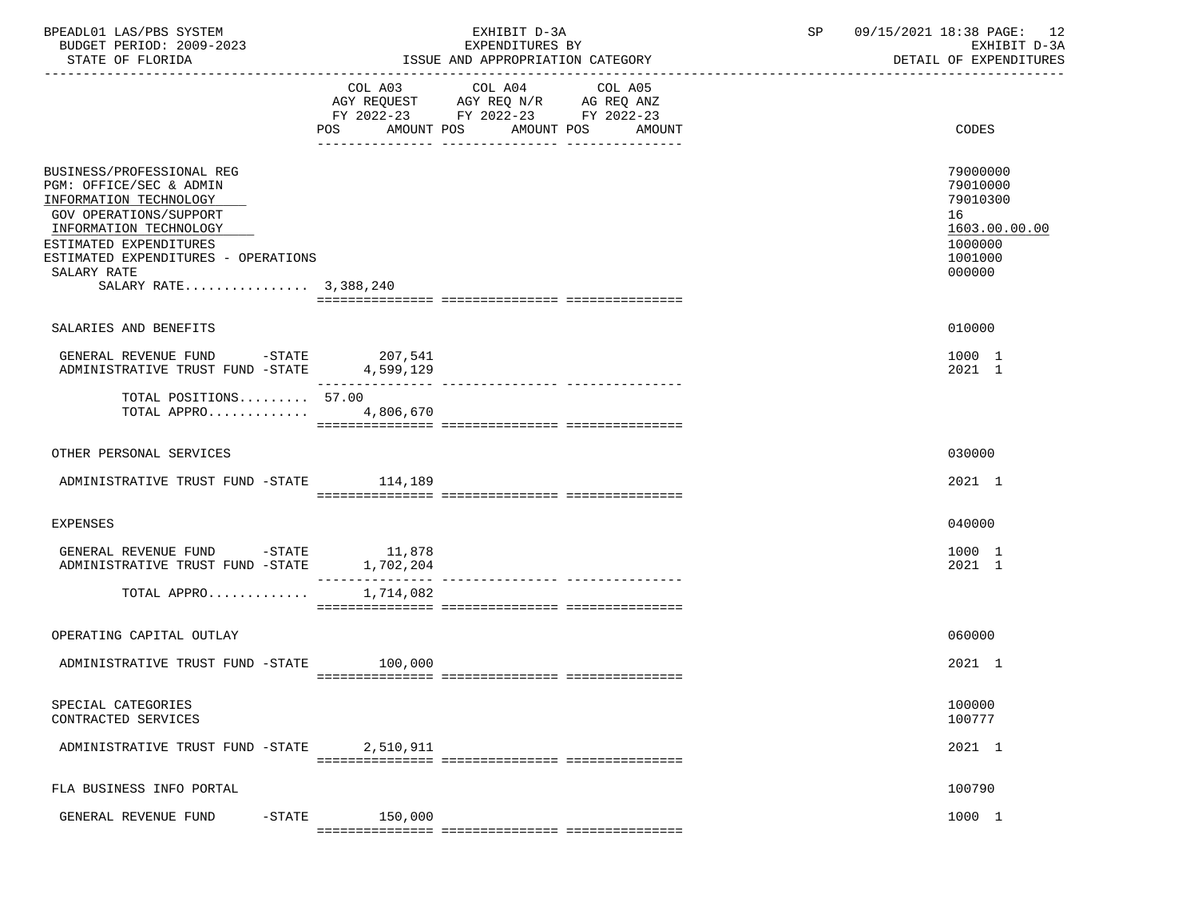| BPEADL01 LAS/PBS SYSTEM<br>BUDGET PERIOD: 2009-2023<br>STATE OF FLORIDA                                                                                                                                                                            | EXHIBIT D-3A<br>EXPENDITURES BY<br>ISSUE AND APPROPRIATION CATEGORY |                                                                                                                    |                   |  | 09/15/2021 18:38 PAGE: 12<br>SP<br>EXHIBIT D-3A<br>DETAIL OF EXPENDITURES               |  |
|----------------------------------------------------------------------------------------------------------------------------------------------------------------------------------------------------------------------------------------------------|---------------------------------------------------------------------|--------------------------------------------------------------------------------------------------------------------|-------------------|--|-----------------------------------------------------------------------------------------|--|
|                                                                                                                                                                                                                                                    | POS                                                                 | COL A03 COL A04<br>AGY REQUEST AGY REQ N/R AG REQ ANZ<br>FY 2022-23 FY 2022-23 FY 2022-23<br>AMOUNT POS AMOUNT POS | COL A05<br>AMOUNT |  | CODES                                                                                   |  |
| BUSINESS/PROFESSIONAL REG<br>PGM: OFFICE/SEC & ADMIN<br>INFORMATION TECHNOLOGY<br><b>GOV OPERATIONS/SUPPORT</b><br>INFORMATION TECHNOLOGY<br>ESTIMATED EXPENDITURES<br>ESTIMATED EXPENDITURES - OPERATIONS<br>SALARY RATE<br>SALARY RATE 3,388,240 |                                                                     |                                                                                                                    |                   |  | 79000000<br>79010000<br>79010300<br>16<br>1603.00.00.00<br>1000000<br>1001000<br>000000 |  |
| SALARIES AND BENEFITS                                                                                                                                                                                                                              |                                                                     |                                                                                                                    |                   |  | 010000                                                                                  |  |
| GENERAL REVENUE FUND -STATE $207,541$<br>ADMINISTRATIVE TRUST FUND -STATE $4,599,129$                                                                                                                                                              | _______________                                                     |                                                                                                                    |                   |  | 1000 1<br>2021 1                                                                        |  |
| TOTAL POSITIONS 57.00<br>TOTAL APPRO                                                                                                                                                                                                               | 4,806,670                                                           |                                                                                                                    |                   |  |                                                                                         |  |
| OTHER PERSONAL SERVICES                                                                                                                                                                                                                            |                                                                     |                                                                                                                    |                   |  | 030000                                                                                  |  |
| ADMINISTRATIVE TRUST FUND -STATE 114,189                                                                                                                                                                                                           |                                                                     |                                                                                                                    |                   |  | 2021 1                                                                                  |  |
| <b>EXPENSES</b>                                                                                                                                                                                                                                    |                                                                     |                                                                                                                    |                   |  | 040000                                                                                  |  |
| GENERAL REVENUE FUND -STATE 11,878<br>ADMINISTRATIVE TRUST FUND -STATE                                                                                                                                                                             | 1,702,204                                                           |                                                                                                                    |                   |  | 1000 1<br>2021 1                                                                        |  |
| TOTAL APPRO                                                                                                                                                                                                                                        | 1,714,082                                                           |                                                                                                                    |                   |  |                                                                                         |  |
| OPERATING CAPITAL OUTLAY                                                                                                                                                                                                                           |                                                                     |                                                                                                                    |                   |  | 060000                                                                                  |  |
| ADMINISTRATIVE TRUST FUND -STATE 100,000                                                                                                                                                                                                           |                                                                     |                                                                                                                    |                   |  | $2021$ 1                                                                                |  |
| SPECIAL CATEGORIES<br>CONTRACTED SERVICES                                                                                                                                                                                                          |                                                                     |                                                                                                                    |                   |  | 100000<br>100777                                                                        |  |
| ADMINISTRATIVE TRUST FUND -STATE                                                                                                                                                                                                                   | 2,510,911                                                           |                                                                                                                    |                   |  | 2021 1                                                                                  |  |
| FLA BUSINESS INFO PORTAL                                                                                                                                                                                                                           |                                                                     |                                                                                                                    |                   |  | 100790                                                                                  |  |
| GENERAL REVENUE FUND<br>$-$ STATE                                                                                                                                                                                                                  | 150,000                                                             |                                                                                                                    |                   |  | 1000 1                                                                                  |  |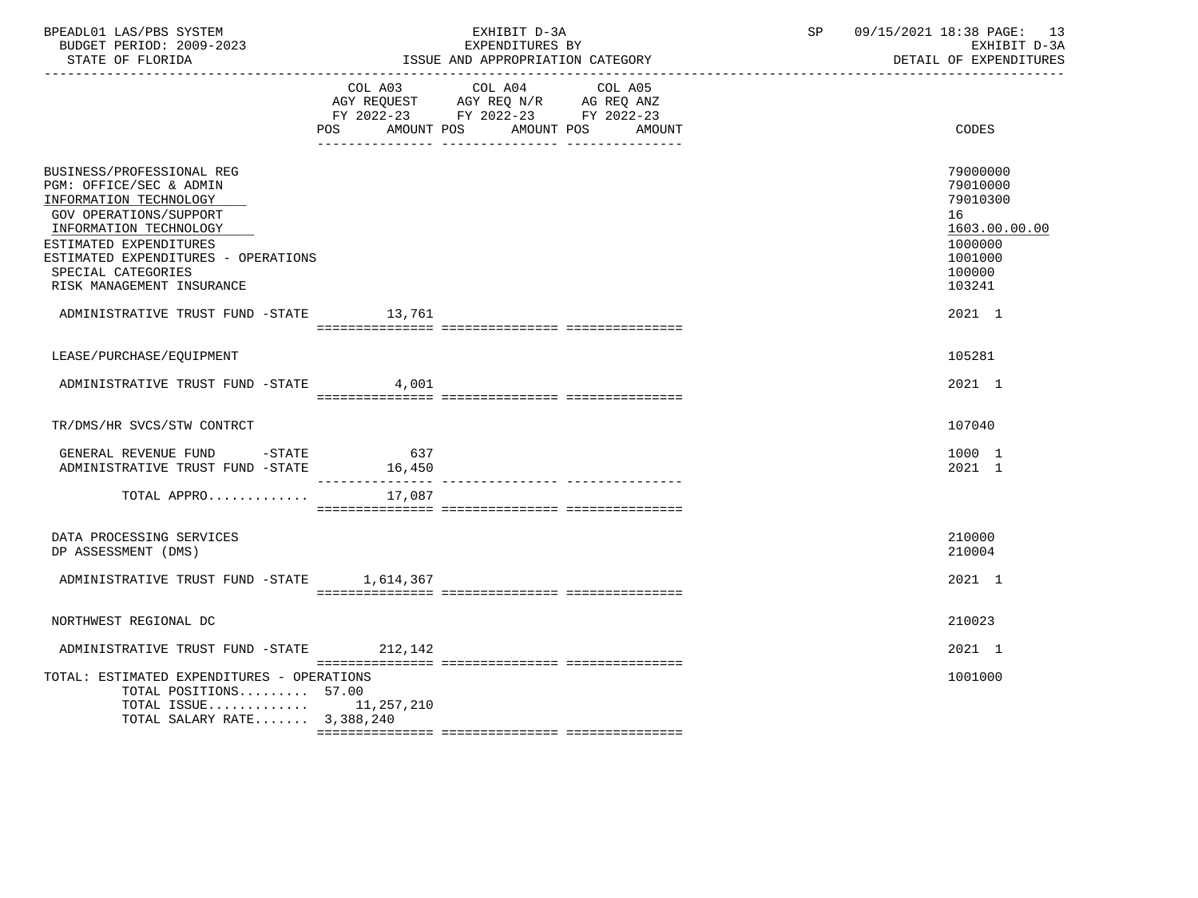| BPEADL01 LAS/PBS SYSTEM<br>BUDGET PERIOD: 2009-2023<br>STATE OF FLORIDA                                                                                                                                                                                | EXHIBIT D-3A<br>EXPENDITURES BY<br>ISSUE AND APPROPRIATION CATEGORY |                                                                                                                                       |  | SP | 09/15/2021 18:38 PAGE: 13<br>EXHIBIT D-3A<br>DETAIL OF EXPENDITURES                               |
|--------------------------------------------------------------------------------------------------------------------------------------------------------------------------------------------------------------------------------------------------------|---------------------------------------------------------------------|---------------------------------------------------------------------------------------------------------------------------------------|--|----|---------------------------------------------------------------------------------------------------|
|                                                                                                                                                                                                                                                        |                                                                     | COL A03 COL A04 COL A05<br>AGY REQUEST AGY REQ N/R AG REQ ANZ<br>FY 2022-23 FY 2022-23 FY 2022-23<br>POS AMOUNT POS AMOUNT POS AMOUNT |  |    | CODES                                                                                             |
| BUSINESS/PROFESSIONAL REG<br>PGM: OFFICE/SEC & ADMIN<br>INFORMATION TECHNOLOGY<br>GOV OPERATIONS/SUPPORT<br>INFORMATION TECHNOLOGY<br>ESTIMATED EXPENDITURES<br>ESTIMATED EXPENDITURES - OPERATIONS<br>SPECIAL CATEGORIES<br>RISK MANAGEMENT INSURANCE |                                                                     |                                                                                                                                       |  |    | 79000000<br>79010000<br>79010300<br>16<br>1603.00.00.00<br>1000000<br>1001000<br>100000<br>103241 |
| ADMINISTRATIVE TRUST FUND -STATE 13,761                                                                                                                                                                                                                |                                                                     |                                                                                                                                       |  |    | 2021 1                                                                                            |
| LEASE/PURCHASE/EQUIPMENT                                                                                                                                                                                                                               |                                                                     |                                                                                                                                       |  |    | 105281                                                                                            |
| ADMINISTRATIVE TRUST FUND -STATE                                                                                                                                                                                                                       | 4,001                                                               |                                                                                                                                       |  |    | 2021 1                                                                                            |
| TR/DMS/HR SVCS/STW CONTRCT                                                                                                                                                                                                                             |                                                                     |                                                                                                                                       |  |    | 107040                                                                                            |
| GENERAL REVENUE FUND -STATE<br>ADMINISTRATIVE TRUST FUND -STATE 16,450                                                                                                                                                                                 | 637                                                                 |                                                                                                                                       |  |    | 1000 1<br>2021 1                                                                                  |
| TOTAL APPRO $17,087$                                                                                                                                                                                                                                   |                                                                     |                                                                                                                                       |  |    |                                                                                                   |
| DATA PROCESSING SERVICES<br>DP ASSESSMENT (DMS)                                                                                                                                                                                                        |                                                                     |                                                                                                                                       |  |    | 210000<br>210004                                                                                  |
| ADMINISTRATIVE TRUST FUND -STATE 1,614,367                                                                                                                                                                                                             |                                                                     |                                                                                                                                       |  |    | 2021 1                                                                                            |
| NORTHWEST REGIONAL DC                                                                                                                                                                                                                                  |                                                                     |                                                                                                                                       |  |    | 210023                                                                                            |
| ADMINISTRATIVE TRUST FUND -STATE 212,142                                                                                                                                                                                                               |                                                                     |                                                                                                                                       |  |    | 2021 1                                                                                            |
| TOTAL: ESTIMATED EXPENDITURES - OPERATIONS<br>TOTAL POSITIONS 57.00<br>TOTAL ISSUE $11, 257, 210$<br>TOTAL SALARY RATE 3,388,240                                                                                                                       |                                                                     |                                                                                                                                       |  |    | 1001000                                                                                           |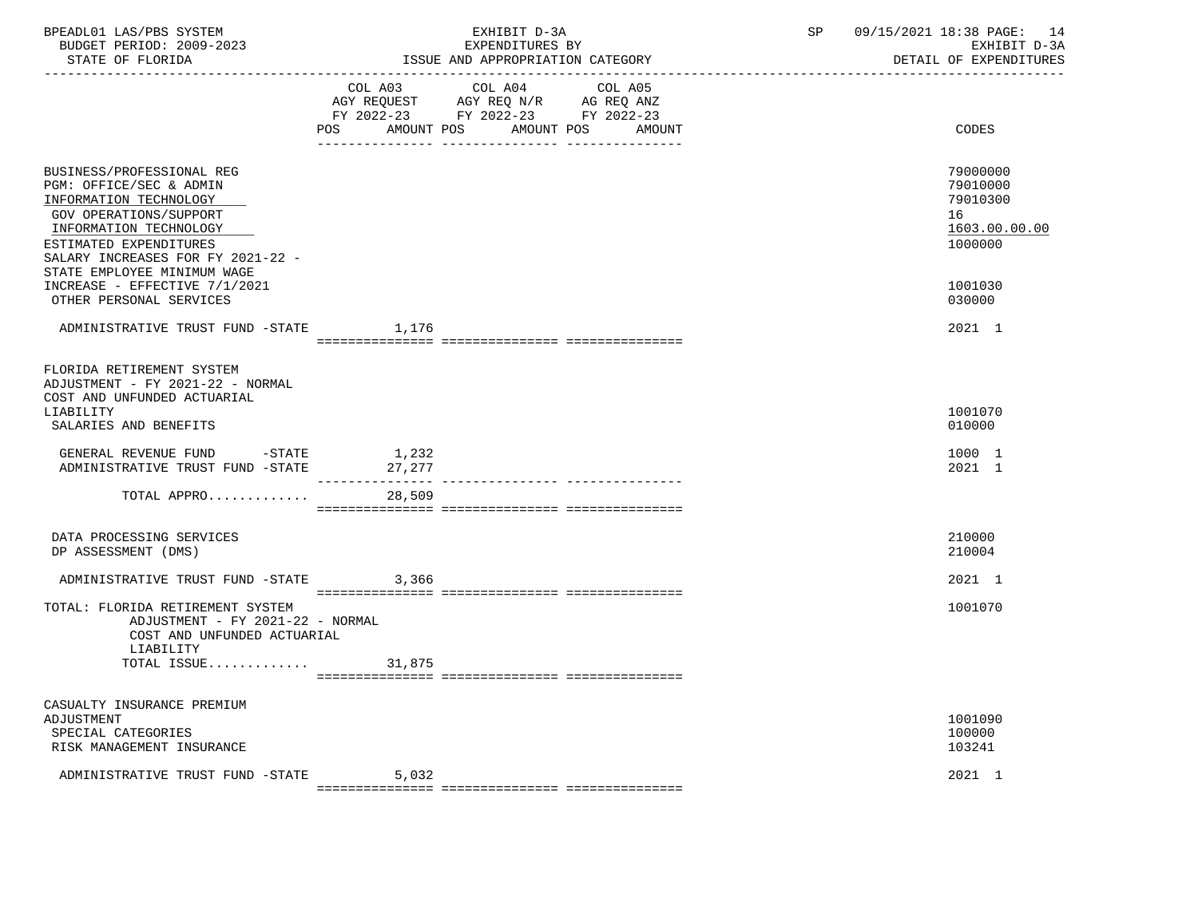| COL A03 COL A04 COL A05<br>AGY REQUEST AGY REQ N/R AG REQ ANZ<br>FY 2022-23 FY 2022-23 FY 2022-23<br>AMOUNT POS AMOUNT POS<br>CODES<br>POS<br>AMOUNT<br>BUSINESS/PROFESSIONAL REG<br>PGM: OFFICE/SEC & ADMIN<br>79010300<br>INFORMATION TECHNOLOGY<br>GOV OPERATIONS/SUPPORT<br>16<br>INFORMATION TECHNOLOGY<br>ESTIMATED EXPENDITURES<br>1000000<br>SALARY INCREASES FOR FY 2021-22 -<br>STATE EMPLOYEE MINIMUM WAGE<br>INCREASE - EFFECTIVE 7/1/2021<br>1001030<br>OTHER PERSONAL SERVICES<br>030000<br>ADMINISTRATIVE TRUST FUND -STATE 1,176<br>2021 1<br>FLORIDA RETIREMENT SYSTEM<br>ADJUSTMENT - FY 2021-22 - NORMAL<br>COST AND UNFUNDED ACTUARIAL<br>1001070<br>LIABILITY<br>SALARIES AND BENEFITS<br>010000<br>GENERAL REVENUE FUND -STATE 1,232<br>1000 1<br>ADMINISTRATIVE TRUST FUND -STATE 27,277<br>2021 1<br>TOTAL APPRO<br>28,509<br>DATA PROCESSING SERVICES<br>210000<br>DP ASSESSMENT (DMS)<br>210004<br>ADMINISTRATIVE TRUST FUND -STATE 3,366<br>2021 1<br>TOTAL: FLORIDA RETIREMENT SYSTEM<br>1001070<br>ADJUSTMENT - FY 2021-22 - NORMAL<br>COST AND UNFUNDED ACTUARIAL<br>LIABILITY<br>CASUALTY INSURANCE PREMIUM<br>ADJUSTMENT<br>1001090<br>100000<br>SPECIAL CATEGORIES<br>103241<br>RISK MANAGEMENT INSURANCE | BPEADL01 LAS/PBS SYSTEM<br>BUDGET PERIOD: 2009-2023<br>STATE OF FLORIDA |       | EXHIBIT D-3A<br>EXPENDITURES BY<br>ISSUE AND APPROPRIATION CATEGORY | SP 09/15/2021 18:38 PAGE: 14<br>EXHIBIT D-3A<br>DETAIL OF EXPENDITURES |  |
|--------------------------------------------------------------------------------------------------------------------------------------------------------------------------------------------------------------------------------------------------------------------------------------------------------------------------------------------------------------------------------------------------------------------------------------------------------------------------------------------------------------------------------------------------------------------------------------------------------------------------------------------------------------------------------------------------------------------------------------------------------------------------------------------------------------------------------------------------------------------------------------------------------------------------------------------------------------------------------------------------------------------------------------------------------------------------------------------------------------------------------------------------------------------------------------------------------------------------------------------|-------------------------------------------------------------------------|-------|---------------------------------------------------------------------|------------------------------------------------------------------------|--|
|                                                                                                                                                                                                                                                                                                                                                                                                                                                                                                                                                                                                                                                                                                                                                                                                                                                                                                                                                                                                                                                                                                                                                                                                                                            |                                                                         |       |                                                                     |                                                                        |  |
|                                                                                                                                                                                                                                                                                                                                                                                                                                                                                                                                                                                                                                                                                                                                                                                                                                                                                                                                                                                                                                                                                                                                                                                                                                            |                                                                         |       |                                                                     |                                                                        |  |
|                                                                                                                                                                                                                                                                                                                                                                                                                                                                                                                                                                                                                                                                                                                                                                                                                                                                                                                                                                                                                                                                                                                                                                                                                                            |                                                                         |       |                                                                     | 79000000<br>79010000<br>1603.00.00.00                                  |  |
|                                                                                                                                                                                                                                                                                                                                                                                                                                                                                                                                                                                                                                                                                                                                                                                                                                                                                                                                                                                                                                                                                                                                                                                                                                            |                                                                         |       |                                                                     |                                                                        |  |
|                                                                                                                                                                                                                                                                                                                                                                                                                                                                                                                                                                                                                                                                                                                                                                                                                                                                                                                                                                                                                                                                                                                                                                                                                                            |                                                                         |       |                                                                     |                                                                        |  |
|                                                                                                                                                                                                                                                                                                                                                                                                                                                                                                                                                                                                                                                                                                                                                                                                                                                                                                                                                                                                                                                                                                                                                                                                                                            |                                                                         |       |                                                                     |                                                                        |  |
|                                                                                                                                                                                                                                                                                                                                                                                                                                                                                                                                                                                                                                                                                                                                                                                                                                                                                                                                                                                                                                                                                                                                                                                                                                            |                                                                         |       |                                                                     |                                                                        |  |
|                                                                                                                                                                                                                                                                                                                                                                                                                                                                                                                                                                                                                                                                                                                                                                                                                                                                                                                                                                                                                                                                                                                                                                                                                                            |                                                                         |       |                                                                     |                                                                        |  |
|                                                                                                                                                                                                                                                                                                                                                                                                                                                                                                                                                                                                                                                                                                                                                                                                                                                                                                                                                                                                                                                                                                                                                                                                                                            |                                                                         |       |                                                                     |                                                                        |  |
|                                                                                                                                                                                                                                                                                                                                                                                                                                                                                                                                                                                                                                                                                                                                                                                                                                                                                                                                                                                                                                                                                                                                                                                                                                            |                                                                         |       |                                                                     |                                                                        |  |
|                                                                                                                                                                                                                                                                                                                                                                                                                                                                                                                                                                                                                                                                                                                                                                                                                                                                                                                                                                                                                                                                                                                                                                                                                                            |                                                                         |       |                                                                     |                                                                        |  |
|                                                                                                                                                                                                                                                                                                                                                                                                                                                                                                                                                                                                                                                                                                                                                                                                                                                                                                                                                                                                                                                                                                                                                                                                                                            |                                                                         |       |                                                                     |                                                                        |  |
|                                                                                                                                                                                                                                                                                                                                                                                                                                                                                                                                                                                                                                                                                                                                                                                                                                                                                                                                                                                                                                                                                                                                                                                                                                            |                                                                         |       |                                                                     |                                                                        |  |
|                                                                                                                                                                                                                                                                                                                                                                                                                                                                                                                                                                                                                                                                                                                                                                                                                                                                                                                                                                                                                                                                                                                                                                                                                                            |                                                                         |       |                                                                     |                                                                        |  |
|                                                                                                                                                                                                                                                                                                                                                                                                                                                                                                                                                                                                                                                                                                                                                                                                                                                                                                                                                                                                                                                                                                                                                                                                                                            | ADMINISTRATIVE TRUST FUND -STATE                                        | 5,032 |                                                                     | 2021 1                                                                 |  |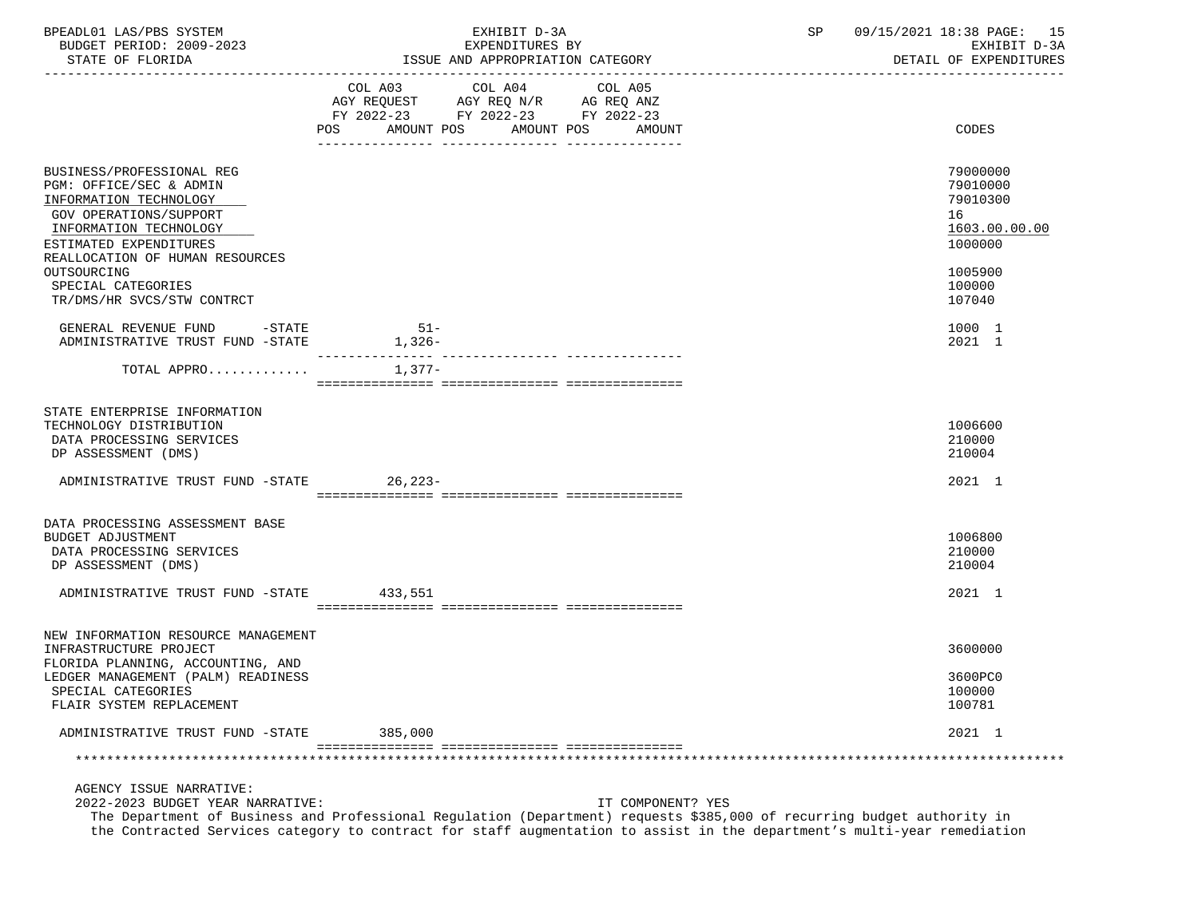| BPEADL01 LAS/PBS SYSTEM<br>BUDGET PERIOD: 2009-2023<br>STATE OF FLORIDA                                                                                                                                        |                                                                                                                                   | EXHIBIT D-3A<br>EXPENDITURES BY<br>ISSUE AND APPROPRIATION CATEGORY                                               | SP | 09/15/2021 18:38 PAGE: 15<br>EXHIBIT D-3A<br>DETAIL OF EXPENDITURES           |
|----------------------------------------------------------------------------------------------------------------------------------------------------------------------------------------------------------------|-----------------------------------------------------------------------------------------------------------------------------------|-------------------------------------------------------------------------------------------------------------------|----|-------------------------------------------------------------------------------|
|                                                                                                                                                                                                                | COL A03 COL A04<br>POS FOR THE POST OF THE STATE STATE STATE STATE STATE STATE STATE STATE STATE STATE STATE STATE STATE STATE ST | COL A05<br>AGY REQUEST AGY REQ N/R AG REQ ANZ<br>FY 2022-23 FY 2022-23 FY 2022-23<br>AMOUNT POS AMOUNT POS AMOUNT |    | CODES                                                                         |
| BUSINESS/PROFESSIONAL REG<br>PGM: OFFICE/SEC & ADMIN<br>INFORMATION TECHNOLOGY<br>GOV OPERATIONS/SUPPORT<br>INFORMATION TECHNOLOGY<br>ESTIMATED EXPENDITURES<br>REALLOCATION OF HUMAN RESOURCES<br>OUTSOURCING |                                                                                                                                   |                                                                                                                   |    | 79000000<br>79010000<br>79010300<br>16<br>1603.00.00.00<br>1000000<br>1005900 |
| SPECIAL CATEGORIES<br>TR/DMS/HR SVCS/STW CONTRCT                                                                                                                                                               |                                                                                                                                   |                                                                                                                   |    | 100000<br>107040                                                              |
| GENERAL REVENUE FUND -STATE<br>ADMINISTRATIVE TRUST FUND -STATE                                                                                                                                                | $51-$<br>$1,326-$                                                                                                                 |                                                                                                                   |    | 1000 1<br>2021 1                                                              |
| TOTAL APPRO                                                                                                                                                                                                    | 1,377-                                                                                                                            |                                                                                                                   |    |                                                                               |
| STATE ENTERPRISE INFORMATION<br>TECHNOLOGY DISTRIBUTION<br>DATA PROCESSING SERVICES<br>DP ASSESSMENT (DMS)<br>ADMINISTRATIVE TRUST FUND -STATE 26,223-                                                         |                                                                                                                                   |                                                                                                                   |    | 1006600<br>210000<br>210004<br>2021 1                                         |
|                                                                                                                                                                                                                |                                                                                                                                   |                                                                                                                   |    |                                                                               |
| DATA PROCESSING ASSESSMENT BASE<br><b>BUDGET ADJUSTMENT</b><br>DATA PROCESSING SERVICES<br>DP ASSESSMENT (DMS)                                                                                                 |                                                                                                                                   |                                                                                                                   |    | 1006800<br>210000<br>210004                                                   |
| ADMINISTRATIVE TRUST FUND -STATE 433,551                                                                                                                                                                       |                                                                                                                                   |                                                                                                                   |    | 2021 1                                                                        |
| NEW INFORMATION RESOURCE MANAGEMENT<br>INFRASTRUCTURE PROJECT<br>FLORIDA PLANNING, ACCOUNTING, AND                                                                                                             |                                                                                                                                   |                                                                                                                   |    | 3600000                                                                       |
| LEDGER MANAGEMENT (PALM) READINESS<br>SPECIAL CATEGORIES<br>FLAIR SYSTEM REPLACEMENT                                                                                                                           |                                                                                                                                   |                                                                                                                   |    | 3600PC0<br>100000<br>100781                                                   |
| ADMINISTRATIVE TRUST FUND -STATE                                                                                                                                                                               | 385,000                                                                                                                           |                                                                                                                   |    | 2021 1                                                                        |
|                                                                                                                                                                                                                |                                                                                                                                   |                                                                                                                   |    |                                                                               |
| AGENCY ISSUE NARRATIVE:<br>2022-2023 BUDGET YEAR NARRATIVE:                                                                                                                                                    |                                                                                                                                   | IT COMPONENT? YES                                                                                                 |    |                                                                               |

 The Department of Business and Professional Regulation (Department) requests \$385,000 of recurring budget authority in the Contracted Services category to contract for staff augmentation to assist in the department's multi-year remediation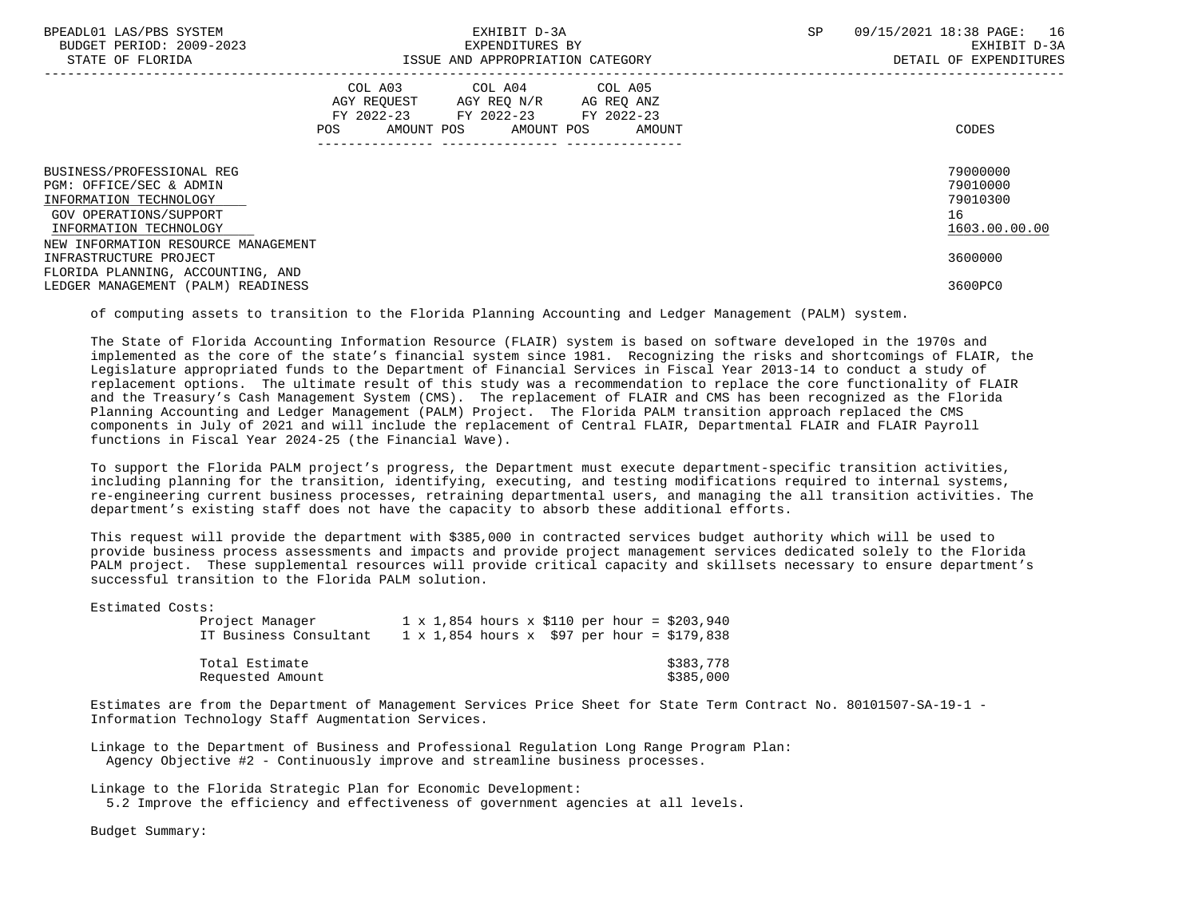| BPEADL01 LAS/PBS SYSTEM<br>BUDGET PERIOD: 2009-2023<br>STATE OF FLORIDA                            |                                                                                                                | EXHIBIT D-3A<br>EXPENDITURES BY<br>ISSUE AND APPROPRIATION CATEGORY                               |                              | SP. | 09/15/2021 18:38 PAGE: 16<br>EXHIBIT D-3A<br>DETAIL OF EXPENDITURES |
|----------------------------------------------------------------------------------------------------|----------------------------------------------------------------------------------------------------------------|---------------------------------------------------------------------------------------------------|------------------------------|-----|---------------------------------------------------------------------|
|                                                                                                    | POS FOR THE POST OF THE STATE STATE STATE STATE STATE STATE STATE STATE STATE STATE STATE STATE STATE STATE ST | COL A03 COL A04 COL A05<br>AGY REOUEST AGY REO N/R AG REO ANZ<br>FY 2022-23 FY 2022-23 FY 2022-23 | AMOUNT POS AMOUNT POS AMOUNT |     | CODES                                                               |
| BUSINESS/PROFESSIONAL REG<br>PGM: OFFICE/SEC & ADMIN                                               |                                                                                                                |                                                                                                   |                              |     | 79000000<br>79010000                                                |
| INFORMATION TECHNOLOGY                                                                             |                                                                                                                |                                                                                                   |                              |     | 79010300<br>16                                                      |
| GOV OPERATIONS/SUPPORT<br>INFORMATION TECHNOLOGY                                                   |                                                                                                                |                                                                                                   |                              |     | 1603.00.00.00                                                       |
| NEW INFORMATION RESOURCE MANAGEMENT<br>INFRASTRUCTURE PROJECT<br>FLORIDA PLANNING, ACCOUNTING, AND |                                                                                                                |                                                                                                   |                              |     | 3600000                                                             |
| LEDGER MANAGEMENT (PALM) READINESS                                                                 |                                                                                                                |                                                                                                   |                              |     | 3600PC0                                                             |

of computing assets to transition to the Florida Planning Accounting and Ledger Management (PALM) system.

 The State of Florida Accounting Information Resource (FLAIR) system is based on software developed in the 1970s and implemented as the core of the state's financial system since 1981. Recognizing the risks and shortcomings of FLAIR, the Legislature appropriated funds to the Department of Financial Services in Fiscal Year 2013-14 to conduct a study of replacement options. The ultimate result of this study was a recommendation to replace the core functionality of FLAIR and the Treasury's Cash Management System (CMS). The replacement of FLAIR and CMS has been recognized as the Florida Planning Accounting and Ledger Management (PALM) Project. The Florida PALM transition approach replaced the CMS components in July of 2021 and will include the replacement of Central FLAIR, Departmental FLAIR and FLAIR Payroll functions in Fiscal Year 2024-25 (the Financial Wave).

 To support the Florida PALM project's progress, the Department must execute department-specific transition activities, including planning for the transition, identifying, executing, and testing modifications required to internal systems, re-engineering current business processes, retraining departmental users, and managing the all transition activities. The department's existing staff does not have the capacity to absorb these additional efforts.

 This request will provide the department with \$385,000 in contracted services budget authority which will be used to provide business process assessments and impacts and provide project management services dedicated solely to the Florida PALM project. These supplemental resources will provide critical capacity and skillsets necessary to ensure department's successful transition to the Florida PALM solution.

Estimated Costs:

| Project Manager        | $1 \times 1,854$ hours x \$110 per hour = \$203,940  |
|------------------------|------------------------------------------------------|
| IT Business Consultant | $1 \times 1,854$ hours $x$ \$97 per hour = \$179,838 |
| Total Estimate         | \$383,778                                            |
| Requested Amount       | \$385,000                                            |

 Estimates are from the Department of Management Services Price Sheet for State Term Contract No. 80101507-SA-19-1 - Information Technology Staff Augmentation Services.

 Linkage to the Department of Business and Professional Regulation Long Range Program Plan: Agency Objective #2 - Continuously improve and streamline business processes.

Linkage to the Florida Strategic Plan for Economic Development:

5.2 Improve the efficiency and effectiveness of government agencies at all levels.

Budget Summary: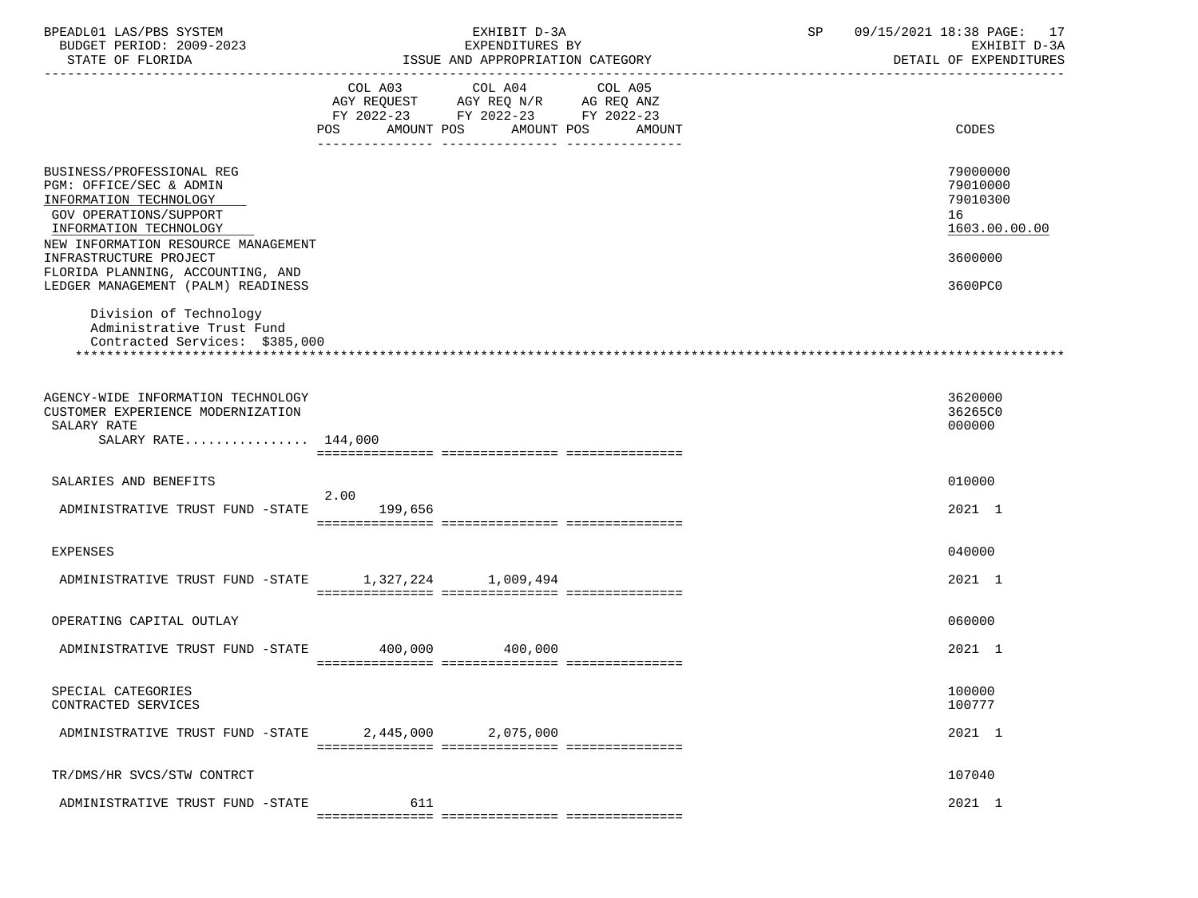| BPEADL01 LAS/PBS SYSTEM                                     |                                    | EXHIBIT D-3A                                        |         | SP | 09/15/2021 18:38 PAGE: 17 |
|-------------------------------------------------------------|------------------------------------|-----------------------------------------------------|---------|----|---------------------------|
| BUDGET PERIOD: 2009-2023                                    |                                    | EXPENDITURES BY<br>ISSUE AND APPROPRIATION CATEGORY |         |    | EXHIBIT D-3A              |
| STATE OF FLORIDA<br>---------------------                   |                                    |                                                     |         |    | DETAIL OF EXPENDITURES    |
|                                                             |                                    | COL A03 COL A04                                     | COL A05 |    |                           |
|                                                             | AGY REQUEST AGY REQ N/R AG REQ ANZ |                                                     |         |    |                           |
|                                                             | FY 2022-23 FY 2022-23 FY 2022-23   |                                                     |         |    |                           |
|                                                             | POS AMOUNT POS AMOUNT POS AMOUNT   |                                                     |         |    | CODES                     |
|                                                             |                                    |                                                     |         |    |                           |
| BUSINESS/PROFESSIONAL REG                                   |                                    |                                                     |         |    | 79000000                  |
| PGM: OFFICE/SEC & ADMIN                                     |                                    |                                                     |         |    | 79010000                  |
| INFORMATION TECHNOLOGY                                      |                                    |                                                     |         |    | 79010300                  |
| GOV OPERATIONS/SUPPORT                                      |                                    |                                                     |         |    | 16                        |
| INFORMATION TECHNOLOGY                                      |                                    |                                                     |         |    | 1603.00.00.00             |
| NEW INFORMATION RESOURCE MANAGEMENT                         |                                    |                                                     |         |    |                           |
| INFRASTRUCTURE PROJECT<br>FLORIDA PLANNING, ACCOUNTING, AND |                                    |                                                     |         |    | 3600000                   |
| LEDGER MANAGEMENT (PALM) READINESS                          |                                    |                                                     |         |    | 3600PC0                   |
|                                                             |                                    |                                                     |         |    |                           |
| Division of Technology                                      |                                    |                                                     |         |    |                           |
| Administrative Trust Fund                                   |                                    |                                                     |         |    |                           |
| Contracted Services: \$385,000                              |                                    |                                                     |         |    |                           |
|                                                             |                                    |                                                     |         |    |                           |
|                                                             |                                    |                                                     |         |    |                           |
| AGENCY-WIDE INFORMATION TECHNOLOGY                          |                                    |                                                     |         |    | 3620000                   |
| CUSTOMER EXPERIENCE MODERNIZATION                           |                                    |                                                     |         |    | 36265C0                   |
| SALARY RATE                                                 |                                    |                                                     |         |    | 000000                    |
| SALARY RATE 144,000                                         |                                    |                                                     |         |    |                           |
|                                                             |                                    |                                                     |         |    |                           |
| SALARIES AND BENEFITS                                       |                                    |                                                     |         |    | 010000                    |
|                                                             | 2.00                               |                                                     |         |    |                           |
| ADMINISTRATIVE TRUST FUND -STATE 199,656                    |                                    |                                                     |         |    | 2021 1                    |
|                                                             |                                    |                                                     |         |    |                           |
| <b>EXPENSES</b>                                             |                                    |                                                     |         |    | 040000                    |
|                                                             |                                    |                                                     |         |    |                           |
| ADMINISTRATIVE TRUST FUND -STATE 1,327,224 1,009,494        |                                    |                                                     |         |    | 2021 1                    |
|                                                             |                                    |                                                     |         |    |                           |
| OPERATING CAPITAL OUTLAY                                    |                                    |                                                     |         |    | 060000                    |
|                                                             |                                    |                                                     |         |    |                           |
| ADMINISTRATIVE TRUST FUND -STATE 400,000 400,000            |                                    |                                                     |         |    | 2021 1                    |
|                                                             |                                    |                                                     |         |    |                           |
| SPECIAL CATEGORIES                                          |                                    |                                                     |         |    | 100000                    |
| CONTRACTED SERVICES                                         |                                    |                                                     |         |    | 100777                    |
|                                                             |                                    |                                                     |         |    |                           |
| ADMINISTRATIVE TRUST FUND -STATE                            |                                    | 2,445,000 2,075,000                                 |         |    | 2021 1                    |
|                                                             |                                    |                                                     |         |    |                           |
| TR/DMS/HR SVCS/STW CONTRCT                                  |                                    |                                                     |         |    | 107040                    |
|                                                             |                                    |                                                     |         |    |                           |
| ADMINISTRATIVE TRUST FUND -STATE                            | 611                                |                                                     |         |    | 2021 1                    |
|                                                             |                                    |                                                     |         |    |                           |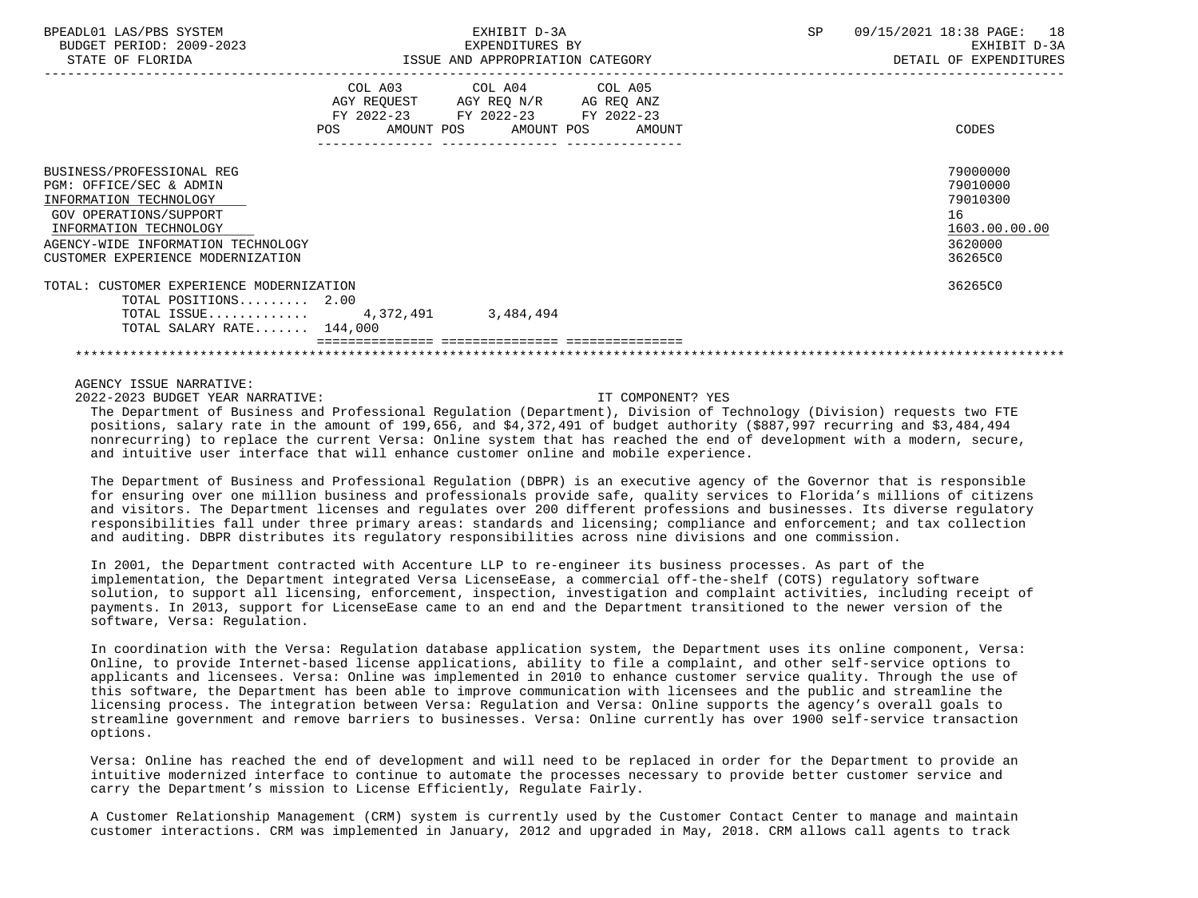| BPEADL01 LAS/PBS SYSTEM<br>BUDGET PERIOD: 2009-2023<br>STATE OF FLORIDA                                                                                                                                       |     | EXHIBIT D-3A<br>EXPENDITURES BY<br>ISSUE AND APPROPRIATION CATEGORY                                                                  | SP | 09/15/2021 18:38 PAGE: 18<br>EXHIBIT D-3A<br>DETAIL OF EXPENDITURES           |
|---------------------------------------------------------------------------------------------------------------------------------------------------------------------------------------------------------------|-----|--------------------------------------------------------------------------------------------------------------------------------------|----|-------------------------------------------------------------------------------|
|                                                                                                                                                                                                               |     |                                                                                                                                      |    |                                                                               |
|                                                                                                                                                                                                               | POS | COL A03 COL A04 COL A05<br>AGY REQUEST AGY REQ N/R AG REQ ANZ<br>FY 2022-23 FY 2022-23 FY 2022-23<br>AMOUNT POS AMOUNT POS<br>AMOUNT |    | CODES                                                                         |
| BUSINESS/PROFESSIONAL REG<br>PGM: OFFICE/SEC & ADMIN<br>INFORMATION TECHNOLOGY<br>GOV OPERATIONS/SUPPORT<br>INFORMATION TECHNOLOGY<br>AGENCY-WIDE INFORMATION TECHNOLOGY<br>CUSTOMER EXPERIENCE MODERNIZATION |     |                                                                                                                                      |    | 79000000<br>79010000<br>79010300<br>16<br>1603.00.00.00<br>3620000<br>36265C0 |
| TOTAL: CUSTOMER EXPERIENCE MODERNIZATION<br>TOTAL POSITIONS 2.00<br>TOTAL ISSUE 4,372,491 3,484,494<br>TOTAL SALARY RATE $144,000$                                                                            |     |                                                                                                                                      |    | 36265C0                                                                       |
|                                                                                                                                                                                                               |     |                                                                                                                                      |    |                                                                               |

2022-2023 BUDGET YEAR NARRATIVE: IT COMPONENT? YES

 The Department of Business and Professional Regulation (Department), Division of Technology (Division) requests two FTE positions, salary rate in the amount of 199,656, and \$4,372,491 of budget authority (\$887,997 recurring and \$3,484,494 nonrecurring) to replace the current Versa: Online system that has reached the end of development with a modern, secure, and intuitive user interface that will enhance customer online and mobile experience.

 The Department of Business and Professional Regulation (DBPR) is an executive agency of the Governor that is responsible for ensuring over one million business and professionals provide safe, quality services to Florida's millions of citizens and visitors. The Department licenses and regulates over 200 different professions and businesses. Its diverse regulatory responsibilities fall under three primary areas: standards and licensing; compliance and enforcement; and tax collection and auditing. DBPR distributes its regulatory responsibilities across nine divisions and one commission.

 In 2001, the Department contracted with Accenture LLP to re-engineer its business processes. As part of the implementation, the Department integrated Versa LicenseEase, a commercial off-the-shelf (COTS) regulatory software solution, to support all licensing, enforcement, inspection, investigation and complaint activities, including receipt of payments. In 2013, support for LicenseEase came to an end and the Department transitioned to the newer version of the software, Versa: Regulation.

 In coordination with the Versa: Regulation database application system, the Department uses its online component, Versa: Online, to provide Internet-based license applications, ability to file a complaint, and other self-service options to applicants and licensees. Versa: Online was implemented in 2010 to enhance customer service quality. Through the use of this software, the Department has been able to improve communication with licensees and the public and streamline the licensing process. The integration between Versa: Regulation and Versa: Online supports the agency's overall goals to streamline government and remove barriers to businesses. Versa: Online currently has over 1900 self-service transaction options.

 Versa: Online has reached the end of development and will need to be replaced in order for the Department to provide an intuitive modernized interface to continue to automate the processes necessary to provide better customer service and carry the Department's mission to License Efficiently, Regulate Fairly.

 A Customer Relationship Management (CRM) system is currently used by the Customer Contact Center to manage and maintain customer interactions. CRM was implemented in January, 2012 and upgraded in May, 2018. CRM allows call agents to track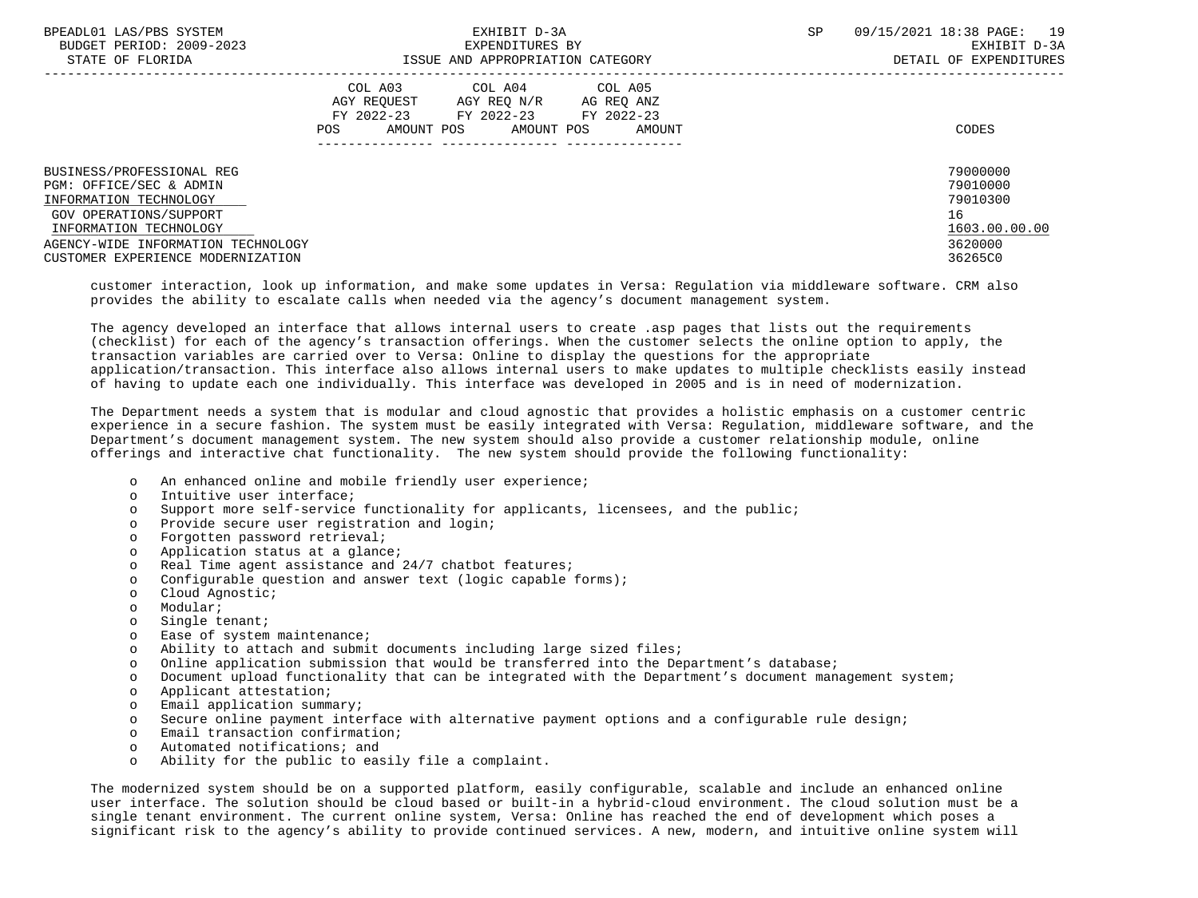| BPEADL01 LAS/PBS SYSTEM<br>BUDGET PERIOD: 2009-2023                                                                                | EXHIBIT D-3A<br>EXPENDITURES BY                                                                                                                      |  | 09/15/2021 18:38 PAGE:<br>19<br>EXHIBIT D-3A            |
|------------------------------------------------------------------------------------------------------------------------------------|------------------------------------------------------------------------------------------------------------------------------------------------------|--|---------------------------------------------------------|
| STATE OF FLORIDA                                                                                                                   | ISSUE AND APPROPRIATION CATEGORY                                                                                                                     |  | DETAIL OF EXPENDITURES                                  |
|                                                                                                                                    | COL A03 COL A04 COL A05<br>AGY REOUEST<br>AGY REO N/R<br>AG REQ ANZ<br>FY 2022-23 FY 2022-23 FY 2022-23<br>AMOUNT POS<br>AMOUNT POS<br>POS<br>AMOUNT |  | CODES                                                   |
| BUSINESS/PROFESSIONAL REG<br>PGM: OFFICE/SEC & ADMIN<br>INFORMATION TECHNOLOGY<br>GOV OPERATIONS/SUPPORT<br>INFORMATION TECHNOLOGY |                                                                                                                                                      |  | 79000000<br>79010000<br>79010300<br>16<br>1603.00.00.00 |
| AGENCY-WIDE INFORMATION TECHNOLOGY<br>CUSTOMER EXPERIENCE MODERNIZATION                                                            |                                                                                                                                                      |  | 3620000<br>36265C0                                      |

 customer interaction, look up information, and make some updates in Versa: Regulation via middleware software. CRM also provides the ability to escalate calls when needed via the agency's document management system.

 The agency developed an interface that allows internal users to create .asp pages that lists out the requirements (checklist) for each of the agency's transaction offerings. When the customer selects the online option to apply, the transaction variables are carried over to Versa: Online to display the questions for the appropriate application/transaction. This interface also allows internal users to make updates to multiple checklists easily instead of having to update each one individually. This interface was developed in 2005 and is in need of modernization.

 The Department needs a system that is modular and cloud agnostic that provides a holistic emphasis on a customer centric experience in a secure fashion. The system must be easily integrated with Versa: Regulation, middleware software, and the Department's document management system. The new system should also provide a customer relationship module, online offerings and interactive chat functionality. The new system should provide the following functionality:

- o An enhanced online and mobile friendly user experience;
- o Intuitive user interface;
- o Support more self-service functionality for applicants, licensees, and the public;
- o Provide secure user registration and login;
- o Forgotten password retrieval;
- o Application status at a glance;
- o Real Time agent assistance and 24/7 chatbot features;
- o Configurable question and answer text (logic capable forms);
- o Cloud Agnostic;
- o Modular;
- o Single tenant;
- o Ease of system maintenance;
- o Ability to attach and submit documents including large sized files;
- o Online application submission that would be transferred into the Department's database;
- o Document upload functionality that can be integrated with the Department's document management system;
- o Applicant attestation;
- o Email application summary;
- o Secure online payment interface with alternative payment options and a configurable rule design;
- o Email transaction confirmation;
- o Automated notifications; and
- o Ability for the public to easily file a complaint.

 The modernized system should be on a supported platform, easily configurable, scalable and include an enhanced online user interface. The solution should be cloud based or built-in a hybrid-cloud environment. The cloud solution must be a single tenant environment. The current online system, Versa: Online has reached the end of development which poses a significant risk to the agency's ability to provide continued services. A new, modern, and intuitive online system will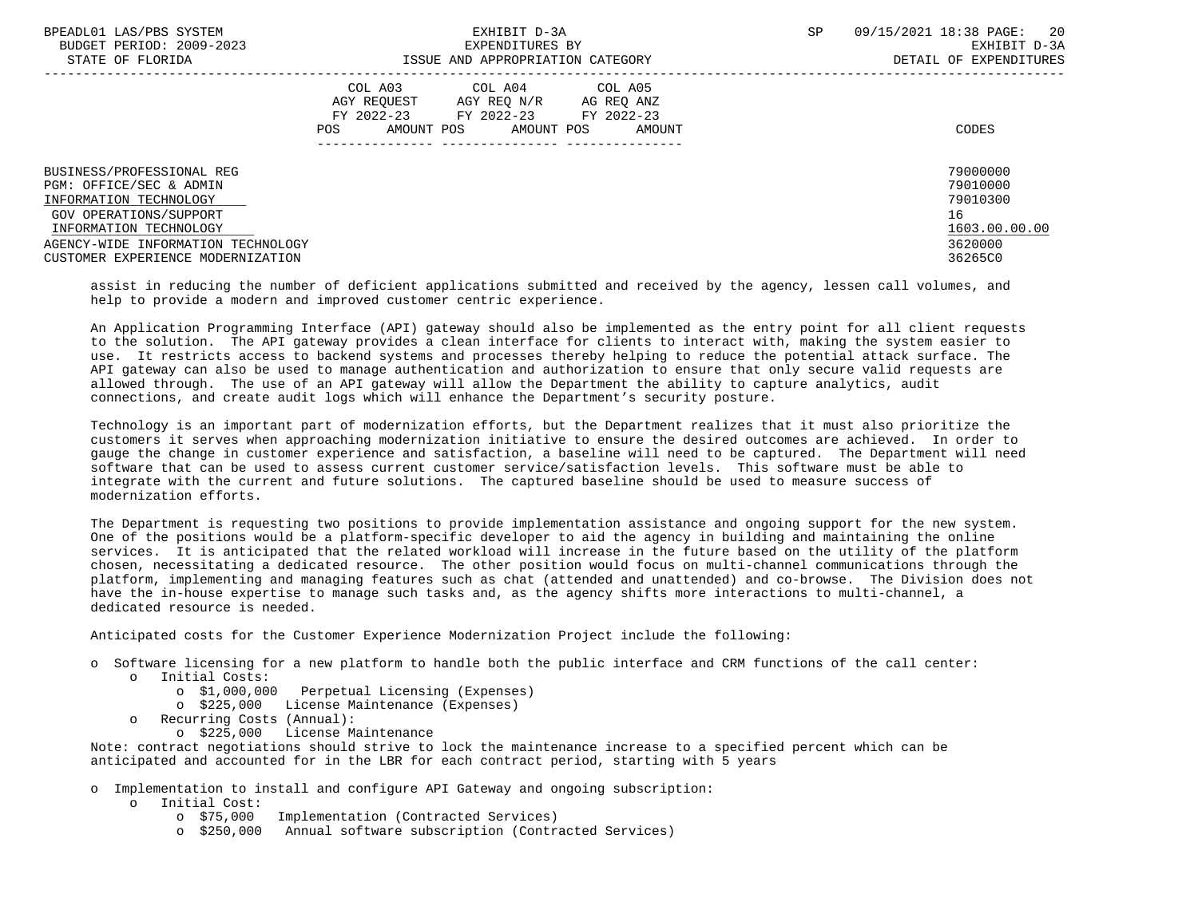| BPEADL01 LAS/PBS SYSTEM            | EXHIBIT D-3A                              | SP | 09/15/2021 18:38 PAGE: 20 |
|------------------------------------|-------------------------------------------|----|---------------------------|
| BUDGET PERIOD: 2009-2023           | EXPENDITURES BY                           |    | EXHIBIT D-3A              |
| STATE OF FLORIDA                   | ISSUE AND APPROPRIATION CATEGORY          |    | DETAIL OF EXPENDITURES    |
|                                    | COL A03 COL A04 COL A05                   |    |                           |
|                                    | AGY REOUEST<br>AGY REO N/R<br>AG REO ANZ  |    |                           |
|                                    | FY 2022-23 FY 2022-23 FY 2022-23          |    |                           |
|                                    | AMOUNT POS<br>AMOUNT POS<br>POS<br>AMOUNT |    | CODES                     |
|                                    |                                           |    |                           |
| BUSINESS/PROFESSIONAL REG          |                                           |    | 79000000                  |
| PGM: OFFICE/SEC & ADMIN            |                                           |    | 79010000                  |
| INFORMATION TECHNOLOGY             |                                           |    | 79010300                  |
| GOV OPERATIONS/SUPPORT             |                                           |    | 16                        |
| INFORMATION TECHNOLOGY             |                                           |    | 1603.00.00.00             |
| AGENCY-WIDE INFORMATION TECHNOLOGY |                                           |    | 3620000                   |
| CUSTOMER EXPERIENCE MODERNIZATION  |                                           |    | 36265C0                   |

 assist in reducing the number of deficient applications submitted and received by the agency, lessen call volumes, and help to provide a modern and improved customer centric experience.

 An Application Programming Interface (API) gateway should also be implemented as the entry point for all client requests to the solution. The API gateway provides a clean interface for clients to interact with, making the system easier to use. It restricts access to backend systems and processes thereby helping to reduce the potential attack surface. The API gateway can also be used to manage authentication and authorization to ensure that only secure valid requests are allowed through. The use of an API gateway will allow the Department the ability to capture analytics, audit connections, and create audit logs which will enhance the Department's security posture.

 Technology is an important part of modernization efforts, but the Department realizes that it must also prioritize the customers it serves when approaching modernization initiative to ensure the desired outcomes are achieved. In order to gauge the change in customer experience and satisfaction, a baseline will need to be captured. The Department will need software that can be used to assess current customer service/satisfaction levels. This software must be able to integrate with the current and future solutions. The captured baseline should be used to measure success of modernization efforts.

 The Department is requesting two positions to provide implementation assistance and ongoing support for the new system. One of the positions would be a platform-specific developer to aid the agency in building and maintaining the online services. It is anticipated that the related workload will increase in the future based on the utility of the platform chosen, necessitating a dedicated resource. The other position would focus on multi-channel communications through the platform, implementing and managing features such as chat (attended and unattended) and co-browse. The Division does not have the in-house expertise to manage such tasks and, as the agency shifts more interactions to multi-channel, a dedicated resource is needed.

Anticipated costs for the Customer Experience Modernization Project include the following:

- o Software licensing for a new platform to handle both the public interface and CRM functions of the call center:
	- o Initial Costs:
		- o \$1,000,000 Perpetual Licensing (Expenses)
		- o \$225,000 License Maintenance (Expenses)
	- o Recurring Costs (Annual):
		- o \$225,000 License Maintenance

 Note: contract negotiations should strive to lock the maintenance increase to a specified percent which can be anticipated and accounted for in the LBR for each contract period, starting with 5 years

o Implementation to install and configure API Gateway and ongoing subscription:

- o Initial Cost:
	- o \$75,000 Implementation (Contracted Services)
	- o \$250,000 Annual software subscription (Contracted Services)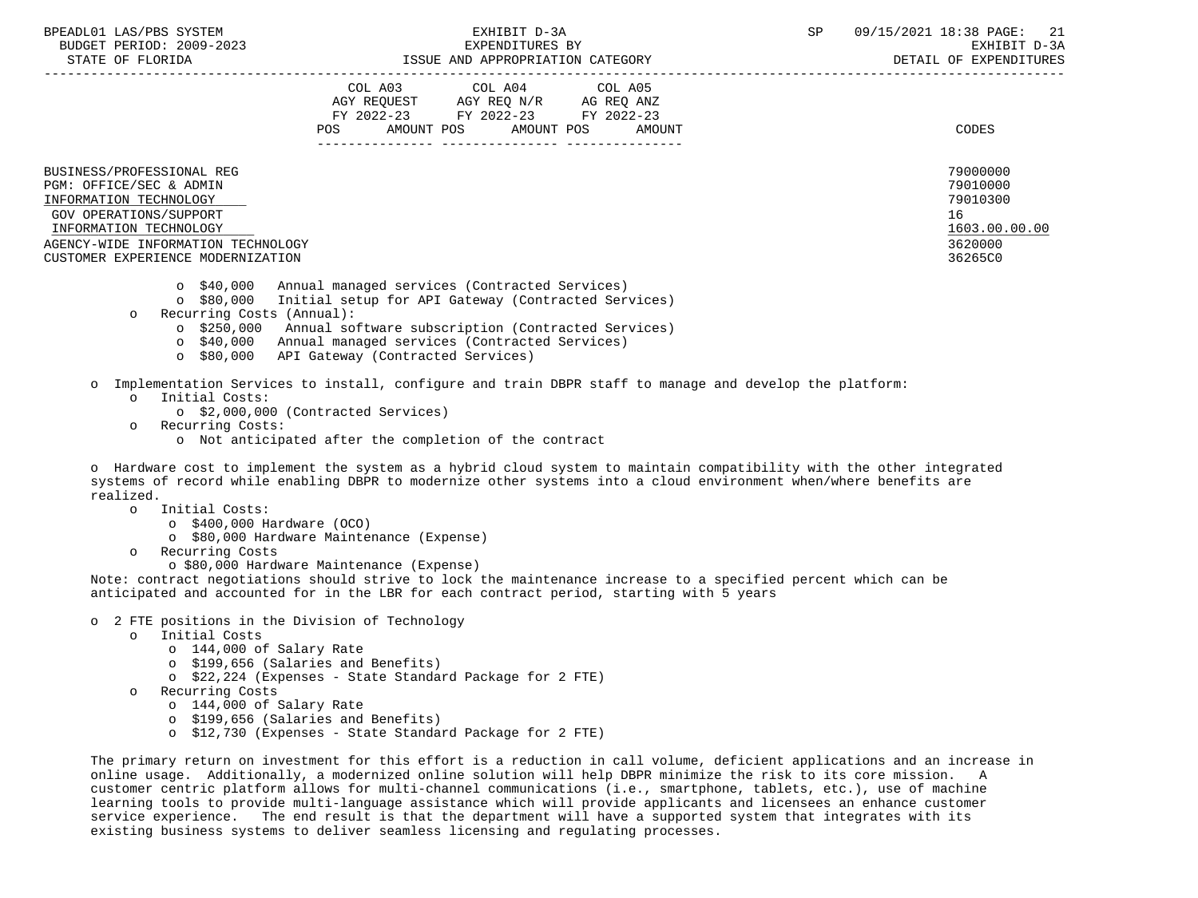|                                                                                                          | COL A03<br>COL A05<br>COL A04<br>AGY REQ N/R<br>AGY REOUEST<br>AG REQ ANZ<br>FY 2022-23<br>FY 2022-23<br>FY 2022-23<br>POS<br>AMOUNT POS<br>AMOUNT POS<br>AMOUNT | CODES                                  |
|----------------------------------------------------------------------------------------------------------|------------------------------------------------------------------------------------------------------------------------------------------------------------------|----------------------------------------|
| BUSINESS/PROFESSIONAL REG<br>PGM: OFFICE/SEC & ADMIN<br>INFORMATION TECHNOLOGY<br>GOV OPERATIONS/SUPPORT |                                                                                                                                                                  | 79000000<br>79010000<br>79010300<br>16 |
| INFORMATION TECHNOLOGY                                                                                   |                                                                                                                                                                  | 1603.00.00.00                          |

 AGENCY-WIDE INFORMATION TECHNOLOGY 3620000 CUSTOMER EXPERIENCE MODERNIZATION 36265C0

- o \$40,000 Annual managed services (Contracted Services)
- o \$80,000 Initial setup for API Gateway (Contracted Services)
- o Recurring Costs (Annual):
	- o \$250,000 Annual software subscription (Contracted Services)
	- o \$40,000 Annual managed services (Contracted Services)
	- o \$80,000 API Gateway (Contracted Services)
- o Implementation Services to install, configure and train DBPR staff to manage and develop the platform:
	- o Initial Costs:
		- o \$2,000,000 (Contracted Services)
	- o Recurring Costs:
		- o Not anticipated after the completion of the contract

 o Hardware cost to implement the system as a hybrid cloud system to maintain compatibility with the other integrated systems of record while enabling DBPR to modernize other systems into a cloud environment when/where benefits are realized.

- o Initial Costs:
	- o \$400,000 Hardware (OCO)
		- o \$80,000 Hardware Maintenance (Expense)
- o Recurring Costs
	- o \$80,000 Hardware Maintenance (Expense)

 Note: contract negotiations should strive to lock the maintenance increase to a specified percent which can be anticipated and accounted for in the LBR for each contract period, starting with 5 years

- o 2 FTE positions in the Division of Technology
	- o Initial Costs
		- o 144,000 of Salary Rate
		- o \$199,656 (Salaries and Benefits)
		- o \$22,224 (Expenses State Standard Package for 2 FTE)
	- o Recurring Costs
		- o 144,000 of Salary Rate
		- o \$199,656 (Salaries and Benefits)
		- o \$12,730 (Expenses State Standard Package for 2 FTE)

 The primary return on investment for this effort is a reduction in call volume, deficient applications and an increase in online usage. Additionally, a modernized online solution will help DBPR minimize the risk to its core mission. A customer centric platform allows for multi-channel communications (i.e., smartphone, tablets, etc.), use of machine learning tools to provide multi-language assistance which will provide applicants and licensees an enhance customer service experience. The end result is that the department will have a supported system that integrates with its existing business systems to deliver seamless licensing and regulating processes.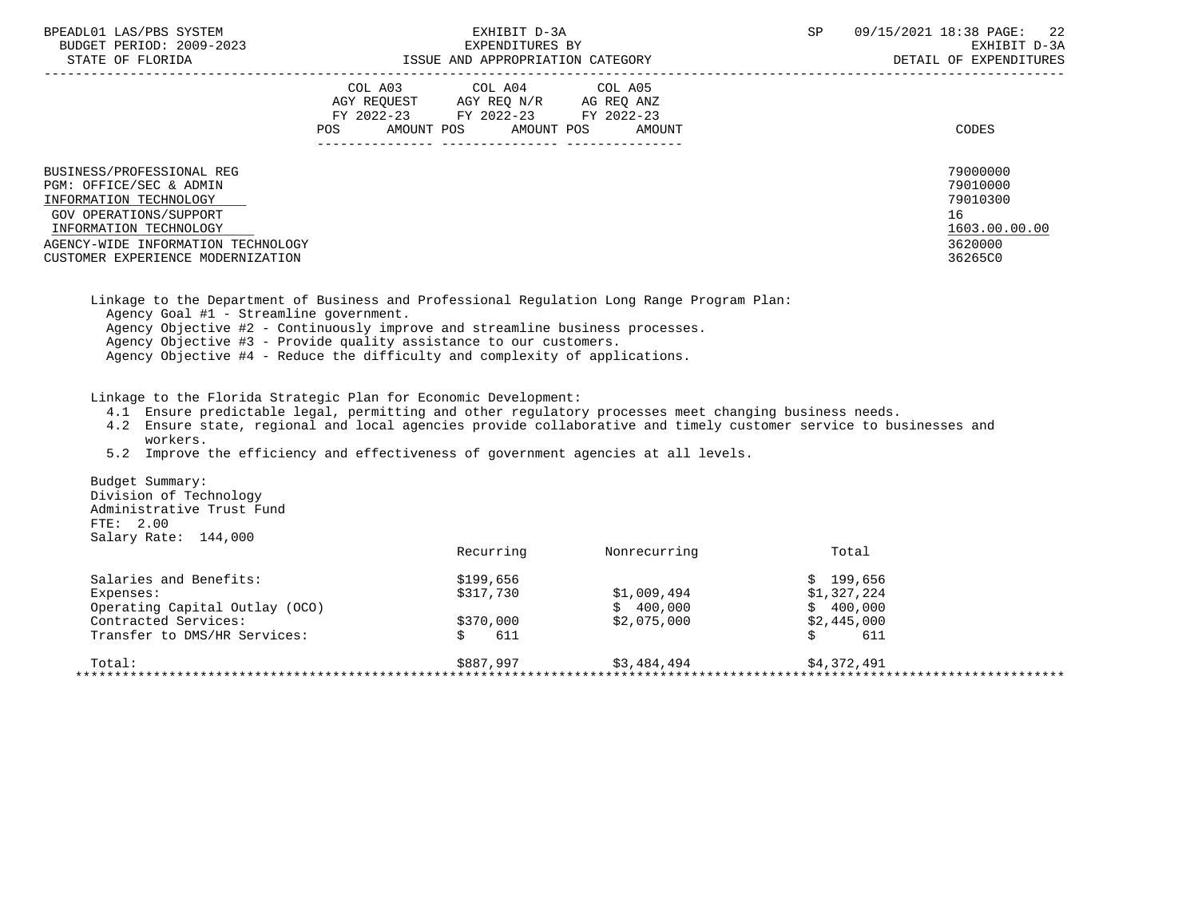| BPEADL01 LAS/PBS SYSTEM |                   |                          |
|-------------------------|-------------------|--------------------------|
|                         |                   | BUDGET PERIOD: 2009-2023 |
|                         | גתדסת הם סתי שידי |                          |

|                                                                         | COL A03<br>AGY REQUEST<br>FY 2022-23<br><b>POS</b><br>AMOUNT POS | COL A04<br>AGY REQ N/R<br>FY 2022-23<br>AMOUNT POS | COL A05<br>AG REQ ANZ<br>FY 2022-23<br>AMOUNT | CODES                |
|-------------------------------------------------------------------------|------------------------------------------------------------------|----------------------------------------------------|-----------------------------------------------|----------------------|
| BUSINESS/PROFESSIONAL REG<br>PGM: OFFICE/SEC & ADMIN                    |                                                                  |                                                    |                                               | 79000000<br>79010000 |
| INFORMATION TECHNOLOGY<br>GOV OPERATIONS/SUPPORT                        |                                                                  |                                                    |                                               | 79010300<br>16       |
| INFORMATION TECHNOLOGY                                                  |                                                                  |                                                    |                                               | 1603.00.00.00        |
| AGENCY-WIDE INFORMATION TECHNOLOGY<br>CUSTOMER EXPERIENCE MODERNIZATION |                                                                  |                                                    |                                               | 3620000<br>36265C0   |
|                                                                         |                                                                  |                                                    |                                               |                      |

 Linkage to the Department of Business and Professional Regulation Long Range Program Plan: Agency Goal #1 - Streamline government. Agency Objective #2 - Continuously improve and streamline business processes. Agency Objective #3 - Provide quality assistance to our customers. Agency Objective #4 - Reduce the difficulty and complexity of applications.

Linkage to the Florida Strategic Plan for Economic Development:

- 4.1 Ensure predictable legal, permitting and other regulatory processes meet changing business needs.
- 4.2 Ensure state, regional and local agencies provide collaborative and timely customer service to businesses and workers.
- 5.2 Improve the efficiency and effectiveness of government agencies at all levels.

 Budget Summary: Division of Technology Administrative Trust Fund FTE: 2.00 Salary Rate: 144,000

| \$199,656<br>\$317,730 | \$1,009,494            | \$199.656<br>\$1,327,224 |
|------------------------|------------------------|--------------------------|
|                        |                        |                          |
|                        |                        |                          |
|                        | \$400.000              | \$400.000                |
|                        | \$2,075,000            | \$2,445,000              |
| 611                    |                        | 611                      |
|                        | \$3,484,494            | \$4,372,491              |
|                        | \$370,000<br>\$887,997 |                          |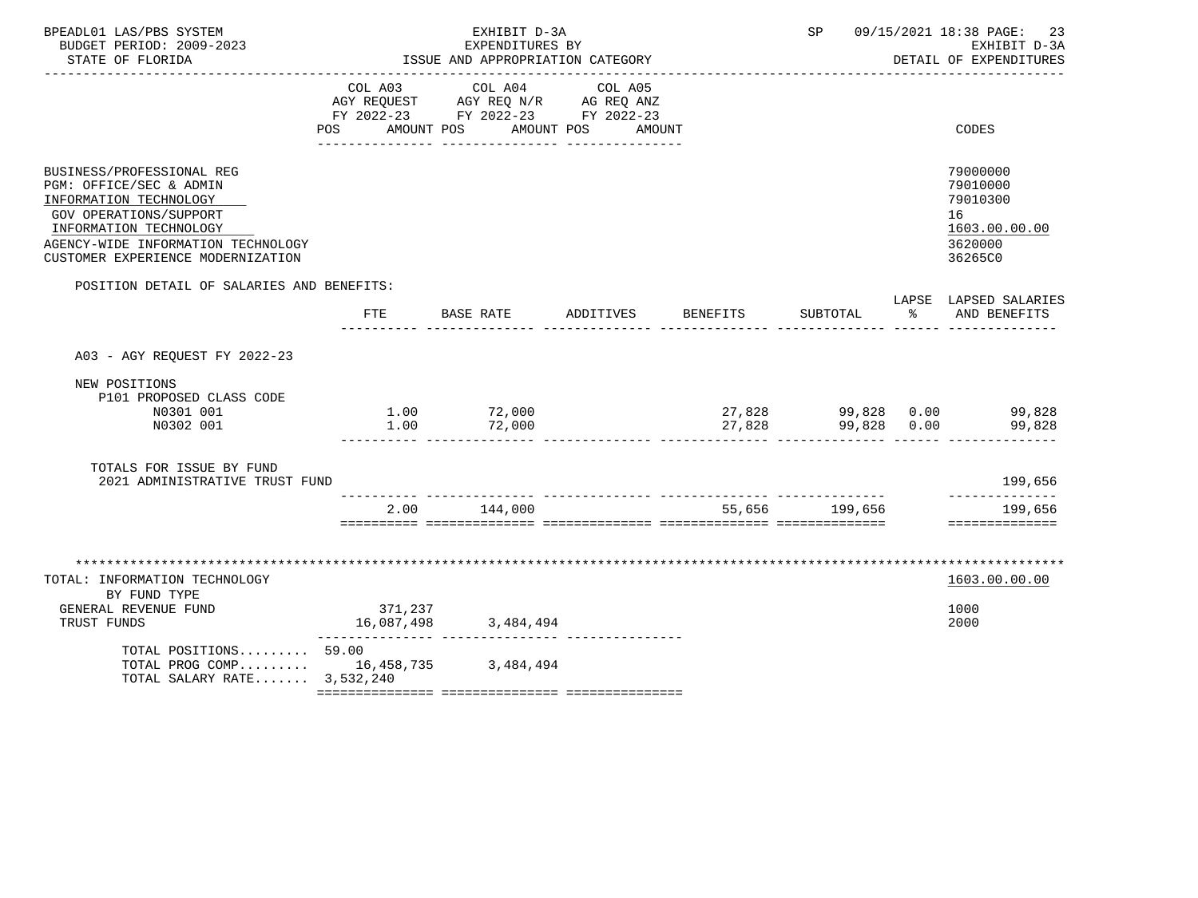| BPEADL01 LAS/PBS SYSTEM<br>BUDGET PERIOD: 2009-2023<br>STATE OF FLORIDA<br><u>___________________</u>                                                                                                         | EXHIBIT D-3A<br>EXPENDITURES BY<br>ISSUE AND APPROPRIATION CATEGORY |                                                                                   |                              |                 | SP             |    | 09/15/2021 18:38 PAGE:<br>23<br>EXHIBIT D-3A<br>DETAIL OF EXPENDITURES        |
|---------------------------------------------------------------------------------------------------------------------------------------------------------------------------------------------------------------|---------------------------------------------------------------------|-----------------------------------------------------------------------------------|------------------------------|-----------------|----------------|----|-------------------------------------------------------------------------------|
|                                                                                                                                                                                                               | COL A03<br>POS AMOUNT POS                                           | COL A04<br>AGY REQUEST AGY REQ N/R AG REQ ANZ<br>FY 2022-23 FY 2022-23 FY 2022-23 | COL A05<br>AMOUNT POS AMOUNT |                 |                |    | CODES                                                                         |
| BUSINESS/PROFESSIONAL REG<br>PGM: OFFICE/SEC & ADMIN<br>INFORMATION TECHNOLOGY<br>GOV OPERATIONS/SUPPORT<br>INFORMATION TECHNOLOGY<br>AGENCY-WIDE INFORMATION TECHNOLOGY<br>CUSTOMER EXPERIENCE MODERNIZATION |                                                                     |                                                                                   |                              |                 |                |    | 79000000<br>79010000<br>79010300<br>16<br>1603.00.00.00<br>3620000<br>36265C0 |
| POSITION DETAIL OF SALARIES AND BENEFITS:                                                                                                                                                                     | FTE                                                                 | BASE RATE                                                                         | ADDITIVES                    | <b>BENEFITS</b> | SUBTOTAL       | ႜၟ | LAPSE LAPSED SALARIES<br>AND BENEFITS                                         |
| A03 - AGY REOUEST FY 2022-23                                                                                                                                                                                  |                                                                     |                                                                                   |                              |                 |                |    |                                                                               |
| NEW POSITIONS<br>P101 PROPOSED CLASS CODE<br>N0301 001<br>N0302 001                                                                                                                                           | 1.00                                                                | $1.00$ $72,000$<br>72,000                                                         |                              | 27,828          | 99,828 0.00    |    | $27,828$ 99,828 0.00 99,828<br>27.828 99.828 0.00 99.828<br>99,828            |
| TOTALS FOR ISSUE BY FUND<br>2021 ADMINISTRATIVE TRUST FUND                                                                                                                                                    |                                                                     |                                                                                   |                              |                 |                |    | 199,656                                                                       |
|                                                                                                                                                                                                               |                                                                     | 2.00 144,000                                                                      |                              |                 | 55,656 199,656 |    | -------------<br>199,656<br>==============                                    |
| TOTAL: INFORMATION TECHNOLOGY<br>BY FUND TYPE<br>GENERAL REVENUE FUND                                                                                                                                         | 371,237                                                             |                                                                                   |                              |                 |                |    | 1603.00.00.00<br>1000                                                         |
| TRUST FUNDS                                                                                                                                                                                                   | 16,087,498                                                          | 3,484,494                                                                         |                              |                 |                |    | 2000                                                                          |
| TOTAL POSITIONS 59.00<br>TOTAL PROG COMP 16,458,735 3,484,494<br>TOTAL SALARY RATE 3,532,240                                                                                                                  |                                                                     |                                                                                   |                              |                 |                |    |                                                                               |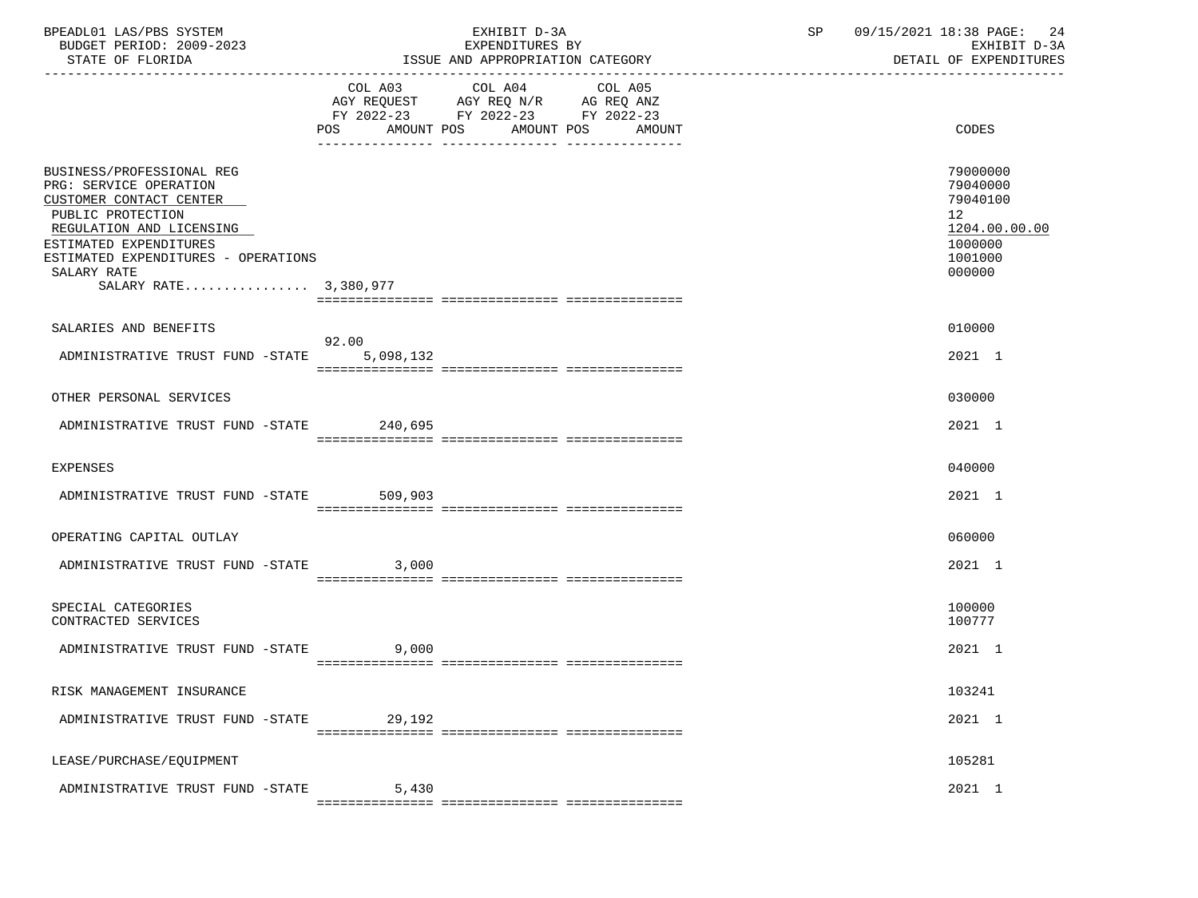| BPEADL01 LAS/PBS SYSTEM<br>BUDGET PERIOD: 2009-2023<br>STATE OF FLORIDA                                                                                                                                                                  |        | EXHIBIT D-3A<br>EXPENDITURES BY<br>ISSUE AND APPROPRIATION CATEGORY                                                                   | SP 09/15/2021 18:38 PAGE: 24<br>EXHIBIT D-3A<br>DETAIL OF EXPENDITURES                               |
|------------------------------------------------------------------------------------------------------------------------------------------------------------------------------------------------------------------------------------------|--------|---------------------------------------------------------------------------------------------------------------------------------------|------------------------------------------------------------------------------------------------------|
|                                                                                                                                                                                                                                          |        | COL A03 COL A04 COL A05<br>AGY REQUEST AGY REQ N/R AG REQ ANZ<br>FY 2022-23 FY 2022-23 FY 2022-23<br>POS AMOUNT POS AMOUNT POS AMOUNT | <b>CODES</b>                                                                                         |
| BUSINESS/PROFESSIONAL REG<br>PRG: SERVICE OPERATION<br>CUSTOMER CONTACT CENTER<br>PUBLIC PROTECTION<br>REGULATION AND LICENSING<br>ESTIMATED EXPENDITURES<br>ESTIMATED EXPENDITURES - OPERATIONS<br>SALARY RATE<br>SALARY RATE 3,380,977 |        |                                                                                                                                       | 79000000<br>79040000<br>79040100<br>12 <sub>2</sub><br>1204.00.00.00<br>1000000<br>1001000<br>000000 |
| SALARIES AND BENEFITS                                                                                                                                                                                                                    | 92.00  |                                                                                                                                       | 010000                                                                                               |
| ADMINISTRATIVE TRUST FUND -STATE 5,098,132                                                                                                                                                                                               |        |                                                                                                                                       | 2021 1                                                                                               |
| OTHER PERSONAL SERVICES                                                                                                                                                                                                                  |        |                                                                                                                                       | 030000                                                                                               |
| ADMINISTRATIVE TRUST FUND -STATE 240,695                                                                                                                                                                                                 |        |                                                                                                                                       | 2021 1                                                                                               |
| EXPENSES                                                                                                                                                                                                                                 |        |                                                                                                                                       | 040000                                                                                               |
| ADMINISTRATIVE TRUST FUND -STATE 509,903                                                                                                                                                                                                 |        |                                                                                                                                       | 2021 1                                                                                               |
| OPERATING CAPITAL OUTLAY                                                                                                                                                                                                                 |        |                                                                                                                                       | 060000                                                                                               |
| ADMINISTRATIVE TRUST FUND -STATE 3,000                                                                                                                                                                                                   |        |                                                                                                                                       | 2021 1                                                                                               |
| SPECIAL CATEGORIES<br>CONTRACTED SERVICES                                                                                                                                                                                                |        |                                                                                                                                       | 100000<br>100777                                                                                     |
| ADMINISTRATIVE TRUST FUND -STATE                                                                                                                                                                                                         | 9,000  |                                                                                                                                       | 2021 1                                                                                               |
| RISK MANAGEMENT INSURANCE                                                                                                                                                                                                                |        |                                                                                                                                       | 103241                                                                                               |
| ADMINISTRATIVE TRUST FUND -STATE                                                                                                                                                                                                         | 29,192 |                                                                                                                                       | 2021 1                                                                                               |
| LEASE/PURCHASE/EQUIPMENT                                                                                                                                                                                                                 |        |                                                                                                                                       | 105281                                                                                               |
| ADMINISTRATIVE TRUST FUND -STATE                                                                                                                                                                                                         | 5,430  |                                                                                                                                       | 2021 1                                                                                               |
|                                                                                                                                                                                                                                          |        |                                                                                                                                       |                                                                                                      |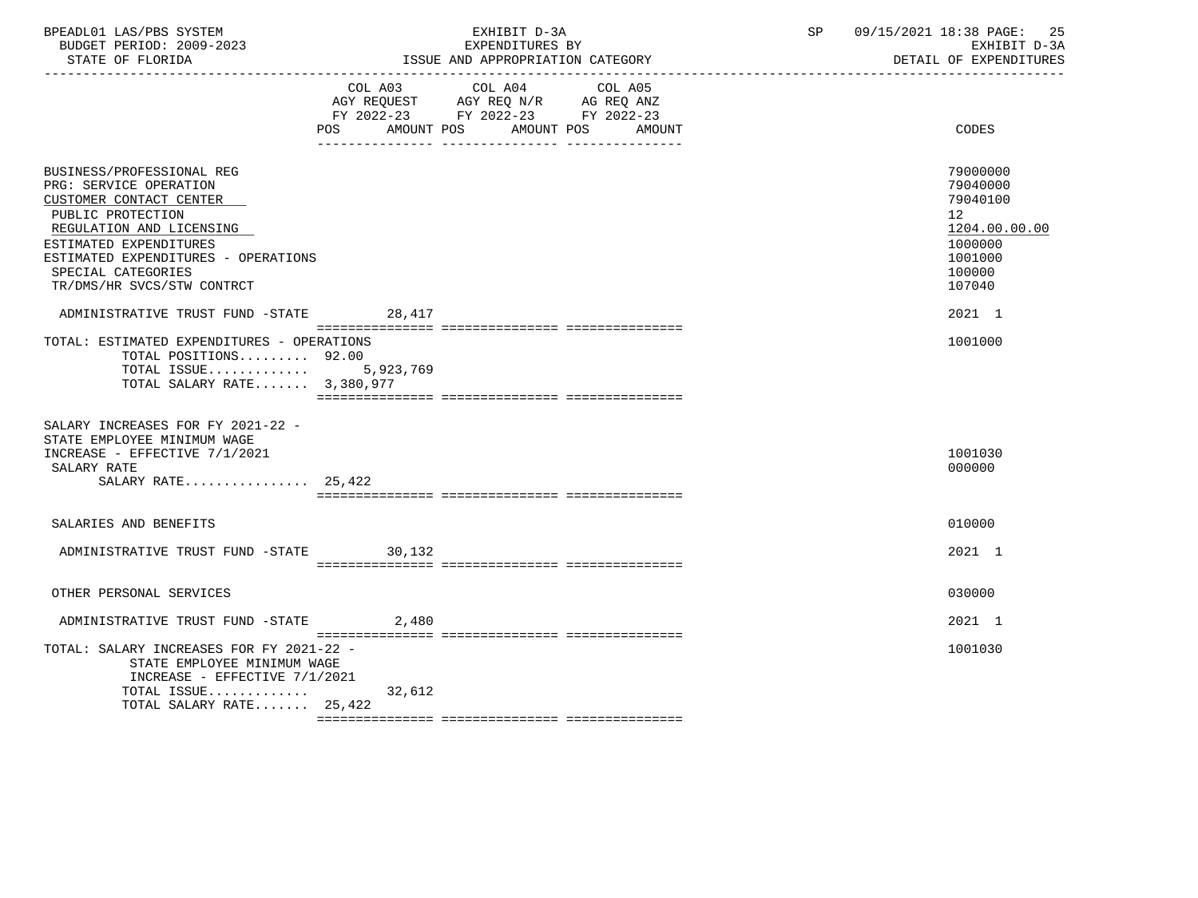| BPEADL01 LAS/PBS SYSTEM  | EXHIBIT D-3A                     | 09/15/2021 18:38 PAGE: 1<br>-25 |
|--------------------------|----------------------------------|---------------------------------|
| BUDGET PERIOD: 2009-2023 | EXPENDITURES BY                  | EXHIBIT D-3A                    |
| STATE OF FLORIDA         | ISSUE AND APPROPRIATION CATEGORY | DETAIL OF EXPENDITURES          |

|                                                                                                                                                                                                                                                      | COL A03<br>AMOUNT POS<br>POS | COL A04<br>AGY REQUEST AGY REQ N/R AG REQ ANZ<br>FY 2022-23 FY 2022-23 FY 2022-23<br>AMOUNT POS | COL A05 | AMOUNT | CODES                                                                                             |
|------------------------------------------------------------------------------------------------------------------------------------------------------------------------------------------------------------------------------------------------------|------------------------------|-------------------------------------------------------------------------------------------------|---------|--------|---------------------------------------------------------------------------------------------------|
| BUSINESS/PROFESSIONAL REG<br>PRG: SERVICE OPERATION<br>CUSTOMER CONTACT CENTER<br>PUBLIC PROTECTION<br>REGULATION AND LICENSING<br>ESTIMATED EXPENDITURES<br>ESTIMATED EXPENDITURES - OPERATIONS<br>SPECIAL CATEGORIES<br>TR/DMS/HR SVCS/STW CONTRCT |                              |                                                                                                 |         |        | 79000000<br>79040000<br>79040100<br>12<br>1204.00.00.00<br>1000000<br>1001000<br>100000<br>107040 |
| ADMINISTRATIVE TRUST FUND -STATE                                                                                                                                                                                                                     | 28,417                       |                                                                                                 |         |        | 2021 1                                                                                            |
|                                                                                                                                                                                                                                                      |                              |                                                                                                 |         |        |                                                                                                   |
| TOTAL: ESTIMATED EXPENDITURES - OPERATIONS<br>TOTAL POSITIONS 92.00<br>TOTAL ISSUE $5,923,769$<br>TOTAL SALARY RATE 3,380,977                                                                                                                        |                              |                                                                                                 |         |        | 1001000                                                                                           |
| SALARY INCREASES FOR FY 2021-22 -<br>STATE EMPLOYEE MINIMUM WAGE<br>INCREASE - EFFECTIVE 7/1/2021<br>SALARY RATE<br>SALARY RATE $25,422$                                                                                                             |                              |                                                                                                 |         |        | 1001030<br>000000                                                                                 |
| SALARIES AND BENEFITS                                                                                                                                                                                                                                |                              |                                                                                                 |         |        | 010000                                                                                            |
| ADMINISTRATIVE TRUST FUND -STATE 30,132                                                                                                                                                                                                              |                              |                                                                                                 |         |        | 2021 1                                                                                            |
| OTHER PERSONAL SERVICES                                                                                                                                                                                                                              |                              |                                                                                                 |         |        | 030000                                                                                            |
| ADMINISTRATIVE TRUST FUND -STATE                                                                                                                                                                                                                     | 2,480                        |                                                                                                 |         |        | 2021 1                                                                                            |
| TOTAL: SALARY INCREASES FOR FY 2021-22 -<br>STATE EMPLOYEE MINIMUM WAGE<br>INCREASE - EFFECTIVE 7/1/2021<br>TOTAL ISSUE<br>TOTAL SALARY RATE 25,422                                                                                                  | 32,612                       |                                                                                                 |         |        | 1001030                                                                                           |
|                                                                                                                                                                                                                                                      |                              |                                                                                                 |         |        |                                                                                                   |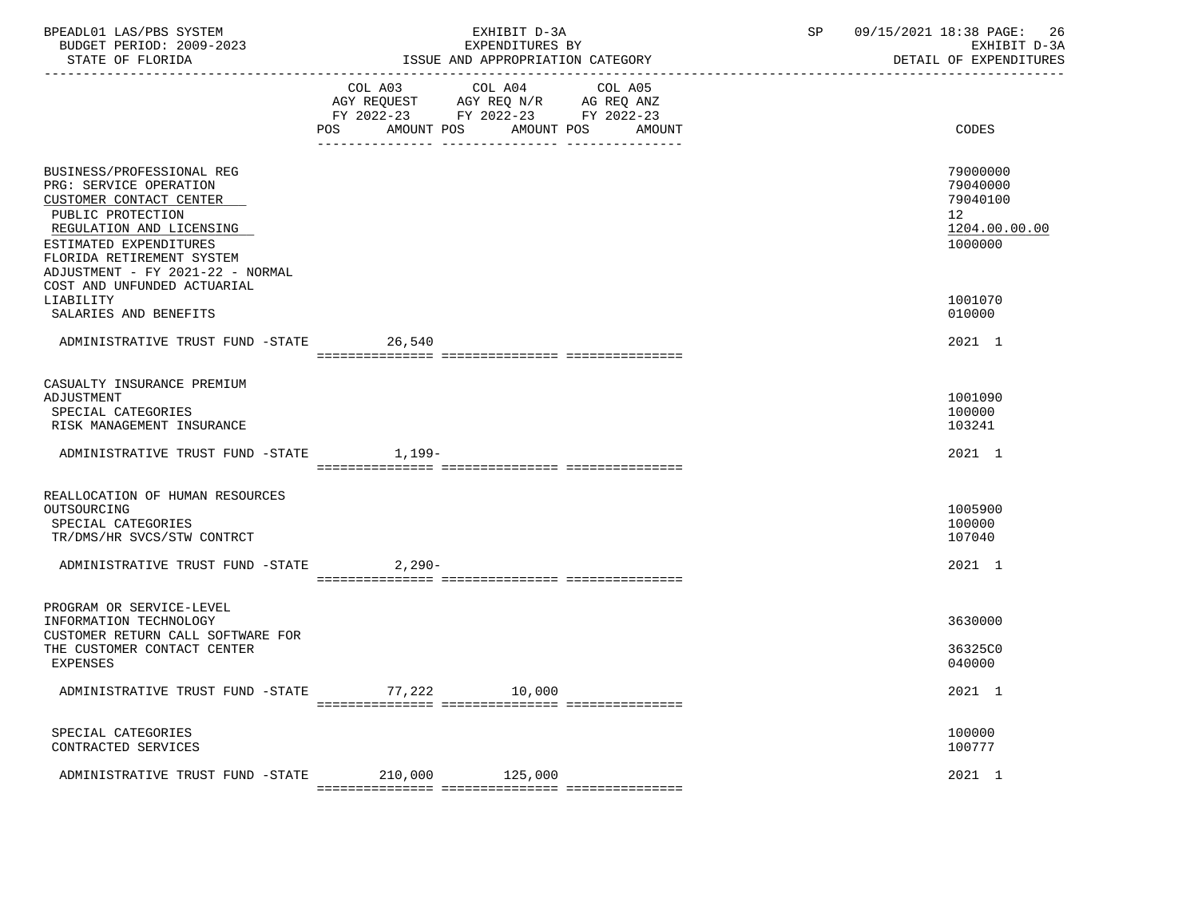| BPEADL01 LAS/PBS SYSTEM<br>BUDGET PERIOD: 2009-2023                                                                                                                                                                        | EXHIBIT D-3A<br>EXPENDITURES BY                                                                                                          | 09/15/2021 18:38 PAGE: 26<br>SP<br>EXHIBIT D-3A<br>DETAIL OF EXPENDITURES |
|----------------------------------------------------------------------------------------------------------------------------------------------------------------------------------------------------------------------------|------------------------------------------------------------------------------------------------------------------------------------------|---------------------------------------------------------------------------|
|                                                                                                                                                                                                                            | COL A03 COL A04 COL A05<br>AGY REQUEST AGY REQ N/R AG REQ ANZ<br>FY 2022-23 FY 2022-23 FY 2022-23<br>AMOUNT POS AMOUNT POS AMOUNT<br>POS | CODES                                                                     |
|                                                                                                                                                                                                                            |                                                                                                                                          |                                                                           |
| BUSINESS/PROFESSIONAL REG<br>PRG: SERVICE OPERATION<br>CUSTOMER CONTACT CENTER<br>PUBLIC PROTECTION<br>REGULATION AND LICENSING<br>ESTIMATED EXPENDITURES<br>FLORIDA RETIREMENT SYSTEM<br>ADJUSTMENT - FY 2021-22 - NORMAL |                                                                                                                                          | 79000000<br>79040000<br>79040100<br>12<br>1204.00.00.00<br>1000000        |
| COST AND UNFUNDED ACTUARIAL<br>LIABILITY<br>SALARIES AND BENEFITS                                                                                                                                                          |                                                                                                                                          | 1001070<br>010000                                                         |
| ADMINISTRATIVE TRUST FUND -STATE 26,540                                                                                                                                                                                    |                                                                                                                                          | 2021 1                                                                    |
| CASUALTY INSURANCE PREMIUM<br>ADJUSTMENT<br>SPECIAL CATEGORIES<br>RISK MANAGEMENT INSURANCE                                                                                                                                |                                                                                                                                          | 1001090<br>100000<br>103241                                               |
| ADMINISTRATIVE TRUST FUND -STATE 1,199-                                                                                                                                                                                    |                                                                                                                                          | 2021 1                                                                    |
| REALLOCATION OF HUMAN RESOURCES<br>OUTSOURCING<br>SPECIAL CATEGORIES<br>TR/DMS/HR SVCS/STW CONTRCT                                                                                                                         |                                                                                                                                          | 1005900<br>100000<br>107040                                               |
| ADMINISTRATIVE TRUST FUND -STATE 2,290-                                                                                                                                                                                    |                                                                                                                                          | 2021 1                                                                    |
| PROGRAM OR SERVICE-LEVEL<br>INFORMATION TECHNOLOGY<br>CUSTOMER RETURN CALL SOFTWARE FOR<br>THE CUSTOMER CONTACT CENTER<br>EXPENSES                                                                                         |                                                                                                                                          | 3630000<br>36325C0<br>040000                                              |
| ADMINISTRATIVE TRUST FUND -STATE                                                                                                                                                                                           | 77,222<br>10,000                                                                                                                         | 2021 1                                                                    |
| SPECIAL CATEGORIES<br>CONTRACTED SERVICES                                                                                                                                                                                  |                                                                                                                                          | 100000<br>100777                                                          |
| ADMINISTRATIVE TRUST FUND -STATE                                                                                                                                                                                           | 210,000<br>125,000                                                                                                                       | 2021 1                                                                    |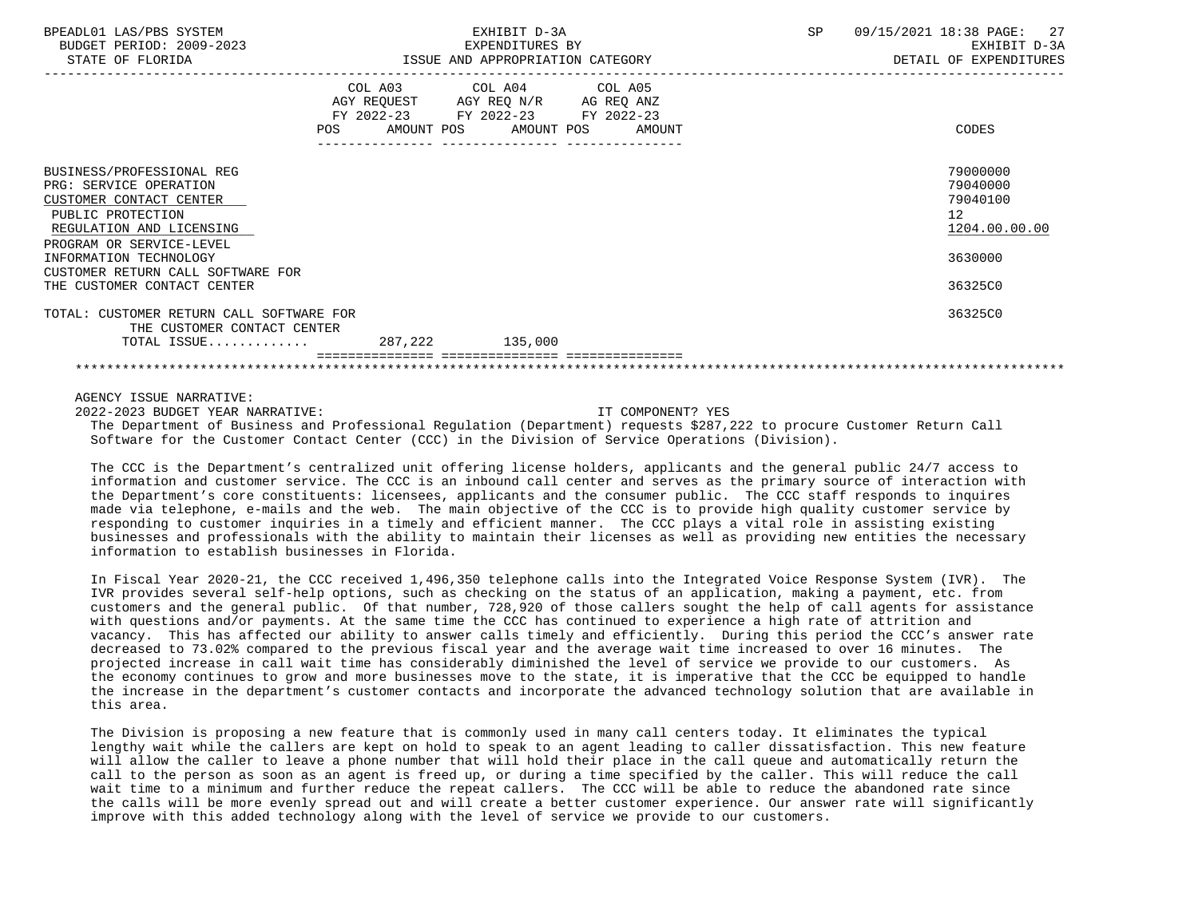| BPEADL01 LAS/PBS SYSTEM<br>BUDGET PERIOD: 2009-2023<br>STATE OF FLORIDA                                                                                     | EXHIBIT D-3A<br>EXPENDITURES BY<br>ISSUE AND APPROPRIATION CATEGORY                                        |                         |  | SP | 09/15/2021 18:38 PAGE: 27<br>EXHIBIT D-3A<br>DETAIL OF EXPENDITURES |
|-------------------------------------------------------------------------------------------------------------------------------------------------------------|------------------------------------------------------------------------------------------------------------|-------------------------|--|----|---------------------------------------------------------------------|
|                                                                                                                                                             | AGY REQUEST AGY REQ N/R AG REQ ANZ<br>FY 2022-23 FY 2022-23 FY 2022-23<br>POS AMOUNT POS AMOUNT POS AMOUNT | COL A03 COL A04 COL A05 |  |    | CODES                                                               |
| BUSINESS/PROFESSIONAL REG<br>PRG: SERVICE OPERATION<br>CUSTOMER CONTACT CENTER<br>PUBLIC PROTECTION<br>REGULATION AND LICENSING<br>PROGRAM OR SERVICE-LEVEL |                                                                                                            |                         |  |    | 79000000<br>79040000<br>79040100<br>12<br>1204.00.00.00             |
| INFORMATION TECHNOLOGY<br>CUSTOMER RETURN CALL SOFTWARE FOR<br>THE CUSTOMER CONTACT CENTER                                                                  |                                                                                                            |                         |  |    | 3630000<br>36325C0                                                  |
| TOTAL: CUSTOMER RETURN CALL SOFTWARE FOR<br>THE CUSTOMER CONTACT CENTER<br>TOTAL ISSUE 287,222 135,000                                                      |                                                                                                            |                         |  |    | 36325C0                                                             |
|                                                                                                                                                             |                                                                                                            |                         |  |    |                                                                     |

 2022-2023 BUDGET YEAR NARRATIVE: IT COMPONENT? YES The Department of Business and Professional Regulation (Department) requests \$287,222 to procure Customer Return Call Software for the Customer Contact Center (CCC) in the Division of Service Operations (Division).

 The CCC is the Department's centralized unit offering license holders, applicants and the general public 24/7 access to information and customer service. The CCC is an inbound call center and serves as the primary source of interaction with the Department's core constituents: licensees, applicants and the consumer public. The CCC staff responds to inquires made via telephone, e-mails and the web. The main objective of the CCC is to provide high quality customer service by responding to customer inquiries in a timely and efficient manner. The CCC plays a vital role in assisting existing businesses and professionals with the ability to maintain their licenses as well as providing new entities the necessary information to establish businesses in Florida.

 In Fiscal Year 2020-21, the CCC received 1,496,350 telephone calls into the Integrated Voice Response System (IVR). The IVR provides several self-help options, such as checking on the status of an application, making a payment, etc. from customers and the general public. Of that number, 728,920 of those callers sought the help of call agents for assistance with questions and/or payments. At the same time the CCC has continued to experience a high rate of attrition and vacancy. This has affected our ability to answer calls timely and efficiently. During this period the CCC's answer rate decreased to 73.02% compared to the previous fiscal year and the average wait time increased to over 16 minutes. The projected increase in call wait time has considerably diminished the level of service we provide to our customers. As the economy continues to grow and more businesses move to the state, it is imperative that the CCC be equipped to handle the increase in the department's customer contacts and incorporate the advanced technology solution that are available in this area.

 The Division is proposing a new feature that is commonly used in many call centers today. It eliminates the typical lengthy wait while the callers are kept on hold to speak to an agent leading to caller dissatisfaction. This new feature will allow the caller to leave a phone number that will hold their place in the call queue and automatically return the call to the person as soon as an agent is freed up, or during a time specified by the caller. This will reduce the call wait time to a minimum and further reduce the repeat callers. The CCC will be able to reduce the abandoned rate since the calls will be more evenly spread out and will create a better customer experience. Our answer rate will significantly improve with this added technology along with the level of service we provide to our customers.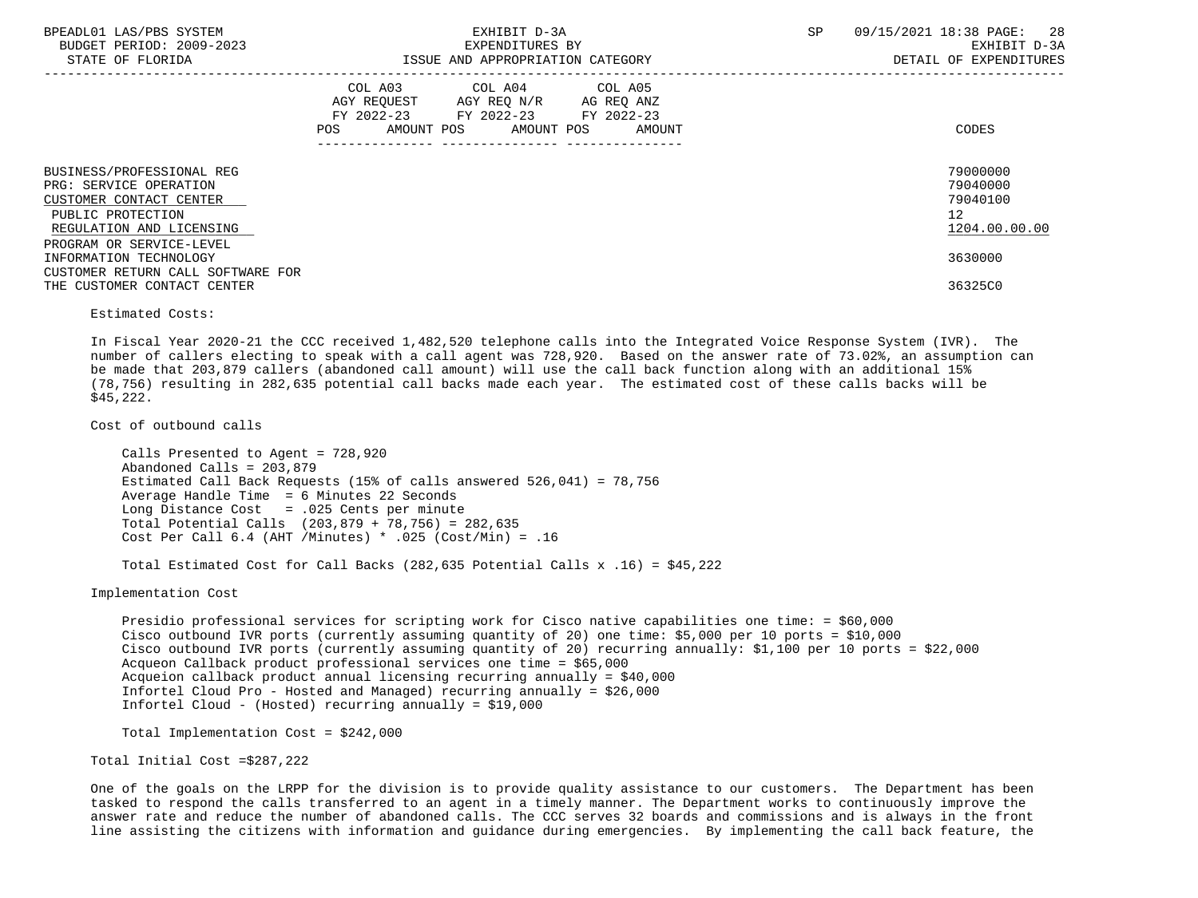| BPEADL01 LAS/PBS SYSTEM<br>BUDGET PERIOD: 2009-2023<br>STATE OF FLORIDA                                                                                     | EXHIBIT D-3A<br>EXPENDITURES BY<br>ISSUE AND APPROPRIATION CATEGORY                                                                      | 09/15/2021 18:38 PAGE: 28<br>SP<br>EXHIBIT D-3A<br>DETAIL OF EXPENDITURES |  |  |
|-------------------------------------------------------------------------------------------------------------------------------------------------------------|------------------------------------------------------------------------------------------------------------------------------------------|---------------------------------------------------------------------------|--|--|
|                                                                                                                                                             | COL A03 COL A04 COL A05<br>AGY REQUEST AGY REQ N/R AG REQ ANZ<br>FY 2022-23 FY 2022-23 FY 2022-23<br>AMOUNT POS AMOUNT POS AMOUNT<br>POS | CODES                                                                     |  |  |
| BUSINESS/PROFESSIONAL REG<br>PRG: SERVICE OPERATION<br>CUSTOMER CONTACT CENTER<br>PUBLIC PROTECTION<br>REGULATION AND LICENSING<br>PROGRAM OR SERVICE-LEVEL |                                                                                                                                          | 79000000<br>79040000<br>79040100<br>12<br>1204.00.00.00                   |  |  |
| INFORMATION TECHNOLOGY<br>CUSTOMER RETURN CALL SOFTWARE FOR<br>THE CUSTOMER CONTACT CENTER                                                                  |                                                                                                                                          | 3630000<br>36325C0                                                        |  |  |
| Estimated Costs:                                                                                                                                            |                                                                                                                                          |                                                                           |  |  |

 In Fiscal Year 2020-21 the CCC received 1,482,520 telephone calls into the Integrated Voice Response System (IVR). The number of callers electing to speak with a call agent was 728,920. Based on the answer rate of 73.02%, an assumption can be made that 203,879 callers (abandoned call amount) will use the call back function along with an additional 15% (78,756) resulting in 282,635 potential call backs made each year. The estimated cost of these calls backs will be \$45,222.

Cost of outbound calls

 Calls Presented to Agent = 728,920 Abandoned Calls = 203,879 Estimated Call Back Requests (15% of calls answered 526,041) = 78,756 Average Handle Time = 6 Minutes 22 Seconds Long Distance Cost = .025 Cents per minute Total Potential Calls (203,879 + 78,756) = 282,635 Cost Per Call 6.4 (AHT /Minutes) \* .025 (Cost/Min) = .16

Total Estimated Cost for Call Backs (282,635 Potential Calls x .16) = \$45,222

Implementation Cost

 Presidio professional services for scripting work for Cisco native capabilities one time: = \$60,000 Cisco outbound IVR ports (currently assuming quantity of 20) one time: \$5,000 per 10 ports = \$10,000 Cisco outbound IVR ports (currently assuming quantity of 20) recurring annually: \$1,100 per 10 ports = \$22,000 Acqueon Callback product professional services one time = \$65,000 Acqueion callback product annual licensing recurring annually = \$40,000 Infortel Cloud Pro - Hosted and Managed) recurring annually = \$26,000 Infortel Cloud - (Hosted) recurring annually = \$19,000

Total Implementation Cost = \$242,000

Total Initial Cost =\$287,222

 One of the goals on the LRPP for the division is to provide quality assistance to our customers. The Department has been tasked to respond the calls transferred to an agent in a timely manner. The Department works to continuously improve the answer rate and reduce the number of abandoned calls. The CCC serves 32 boards and commissions and is always in the front line assisting the citizens with information and guidance during emergencies. By implementing the call back feature, the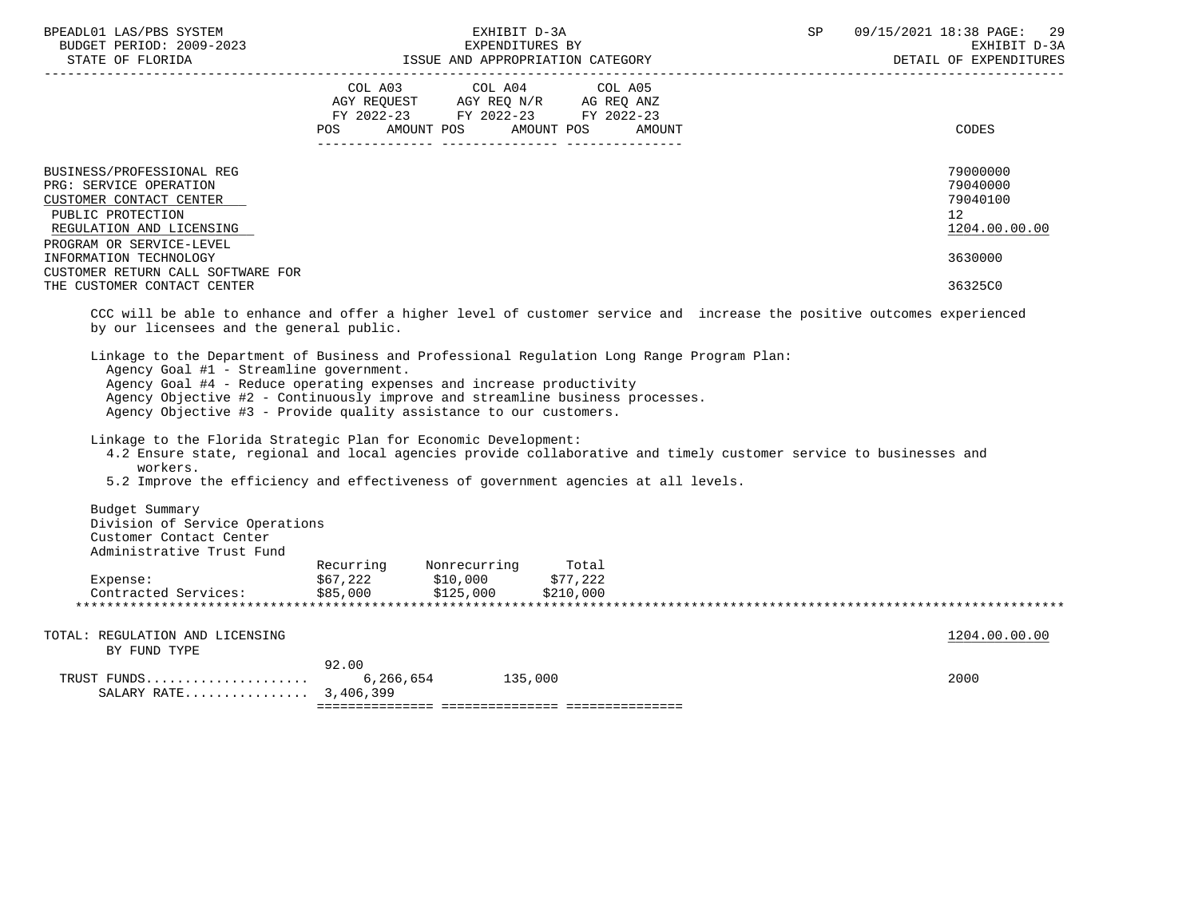|                                                                                                                                 | COL A03<br>AGY REQUEST<br>FY 2022-23<br>POS<br>AMOUNT POS | COL A04<br>AGY REQ N/R<br>FY 2022-23 FY 2022-23<br>AMOUNT POS | COL A05<br>AG REQ ANZ<br>AMOUNT | CODES                                                   |
|---------------------------------------------------------------------------------------------------------------------------------|-----------------------------------------------------------|---------------------------------------------------------------|---------------------------------|---------------------------------------------------------|
| BUSINESS/PROFESSIONAL REG<br>PRG: SERVICE OPERATION<br>CUSTOMER CONTACT CENTER<br>PUBLIC PROTECTION<br>REGULATION AND LICENSING |                                                           |                                                               |                                 | 79000000<br>79040000<br>79040100<br>12<br>1204.00.00.00 |
| PROGRAM OR SERVICE-LEVEL<br>INFORMATION TECHNOLOGY<br>CUSTOMER RETURN CALL SOFTWARE FOR                                         |                                                           |                                                               |                                 | 3630000                                                 |
| THE CUSTOMER CONTACT CENTER                                                                                                     |                                                           |                                                               |                                 | 36325C0                                                 |

ISSUE AND APPROPRIATION CATEGORY

 CCC will be able to enhance and offer a higher level of customer service and increase the positive outcomes experienced by our licensees and the general public.

 Linkage to the Department of Business and Professional Regulation Long Range Program Plan: Agency Goal #1 - Streamline government. Agency Goal #4 - Reduce operating expenses and increase productivity Agency Objective #2 - Continuously improve and streamline business processes. Agency Objective #3 - Provide quality assistance to our customers.

Linkage to the Florida Strategic Plan for Economic Development:

- 4.2 Ensure state, regional and local agencies provide collaborative and timely customer service to businesses and workers.
- 5.2 Improve the efficiency and effectiveness of government agencies at all levels.

 Budget Summary Division of Service Operations Customer Contact Center Administrative Trust Fund

|                      | Recurring | Nonrecurring | Total        |  |  |                                 |  |
|----------------------|-----------|--------------|--------------|--|--|---------------------------------|--|
| Expense:             | \$67,222  | \$10,000     | 7,222<br>ウワワ |  |  |                                 |  |
| Contracted Services: | \$85,000  | \$125,000    | \$210,000    |  |  |                                 |  |
|                      |           |              |              |  |  | ******************************* |  |

| SALARY RATE 3,406,399           |       |         |               |
|---------------------------------|-------|---------|---------------|
|                                 |       | 135,000 | 2000          |
|                                 |       |         |               |
|                                 | 92.00 |         |               |
| BY FUND TYPE                    |       |         |               |
|                                 |       |         |               |
| TOTAL: REGULATION AND LICENSING |       |         | 1204.00.00.00 |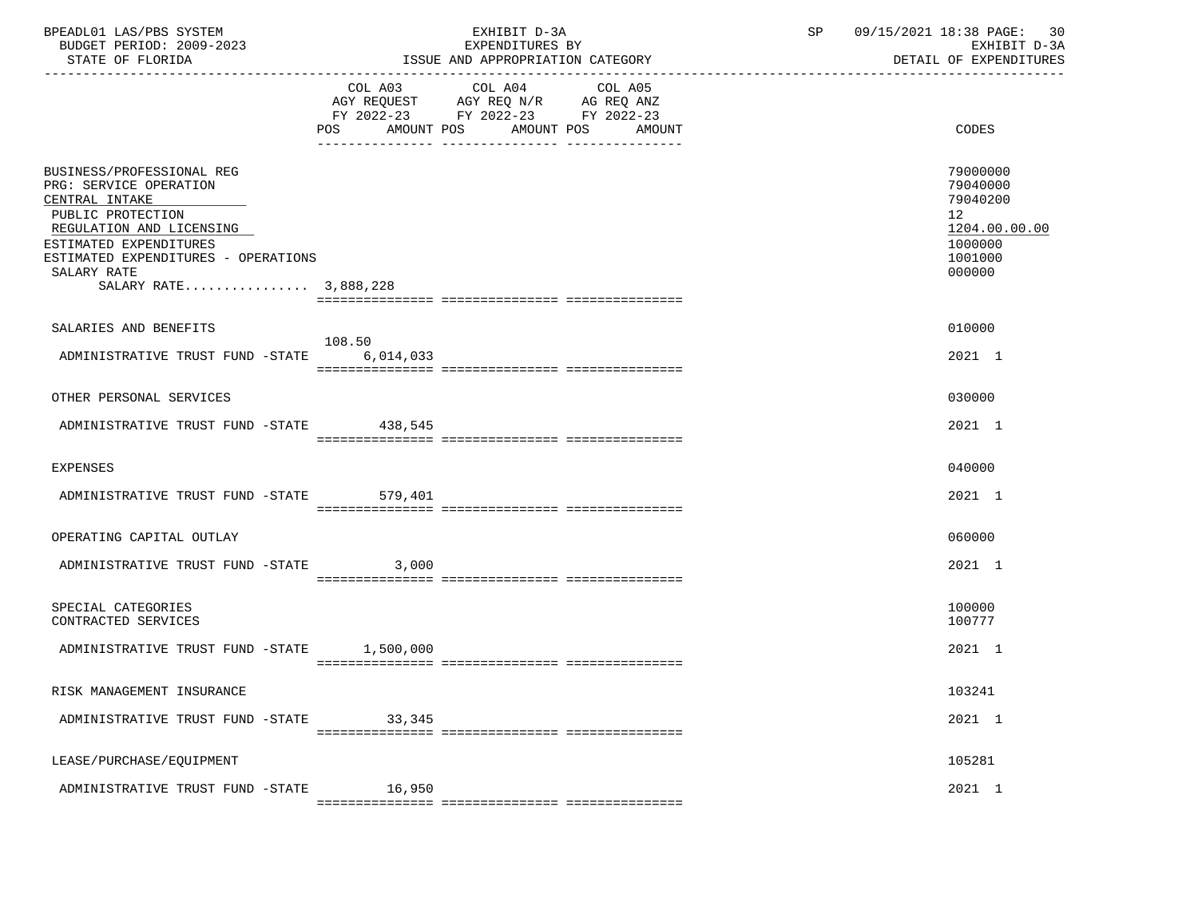| BPEADL01 LAS/PBS SYSTEM<br>BUDGET PERIOD: 2009-2023<br>STATE OF FLORIDA                                                                                                                                                         | EXHIBIT D-3A<br>EXPENDITURES BY<br>ISSUE AND APPROPRIATION CATEGORY                                                                   | SP 09/15/2021 18:38 PAGE: 30<br>EXHIBIT D-3A<br>DETAIL OF EXPENDITURES                               |
|---------------------------------------------------------------------------------------------------------------------------------------------------------------------------------------------------------------------------------|---------------------------------------------------------------------------------------------------------------------------------------|------------------------------------------------------------------------------------------------------|
|                                                                                                                                                                                                                                 | COL A03 COL A04 COL A05<br>AGY REQUEST AGY REQ N/R AG REQ ANZ<br>FY 2022-23 FY 2022-23 FY 2022-23<br>POS AMOUNT POS AMOUNT POS AMOUNT | <b>CODES</b>                                                                                         |
| BUSINESS/PROFESSIONAL REG<br>PRG: SERVICE OPERATION<br>CENTRAL INTAKE<br>PUBLIC PROTECTION<br>REGULATION AND LICENSING<br>ESTIMATED EXPENDITURES<br>ESTIMATED EXPENDITURES - OPERATIONS<br>SALARY RATE<br>SALARY RATE 3,888,228 |                                                                                                                                       | 79000000<br>79040000<br>79040200<br>12 <sub>2</sub><br>1204.00.00.00<br>1000000<br>1001000<br>000000 |
| SALARIES AND BENEFITS                                                                                                                                                                                                           |                                                                                                                                       | 010000                                                                                               |
| ADMINISTRATIVE TRUST FUND -STATE 6,014,033                                                                                                                                                                                      | 108.50                                                                                                                                | 2021 1                                                                                               |
| OTHER PERSONAL SERVICES                                                                                                                                                                                                         |                                                                                                                                       | 030000                                                                                               |
| ADMINISTRATIVE TRUST FUND -STATE 438,545                                                                                                                                                                                        |                                                                                                                                       | 2021 1                                                                                               |
| EXPENSES                                                                                                                                                                                                                        |                                                                                                                                       | 040000                                                                                               |
| ADMINISTRATIVE TRUST FUND -STATE 579,401                                                                                                                                                                                        |                                                                                                                                       | 2021 1                                                                                               |
| OPERATING CAPITAL OUTLAY                                                                                                                                                                                                        |                                                                                                                                       | 060000                                                                                               |
| ADMINISTRATIVE TRUST FUND -STATE 3,000                                                                                                                                                                                          |                                                                                                                                       | 2021 1                                                                                               |
| SPECIAL CATEGORIES<br>CONTRACTED SERVICES                                                                                                                                                                                       |                                                                                                                                       | 100000<br>100777                                                                                     |
| ADMINISTRATIVE TRUST FUND -STATE 1,500,000                                                                                                                                                                                      |                                                                                                                                       | 2021 1                                                                                               |
| RISK MANAGEMENT INSURANCE                                                                                                                                                                                                       |                                                                                                                                       | 103241                                                                                               |
| ADMINISTRATIVE TRUST FUND -STATE                                                                                                                                                                                                | 33,345                                                                                                                                | 2021 1                                                                                               |
| LEASE/PURCHASE/EQUIPMENT                                                                                                                                                                                                        |                                                                                                                                       | 105281                                                                                               |
| ADMINISTRATIVE TRUST FUND -STATE                                                                                                                                                                                                | 16,950<br>===========                                                                                                                 | 2021 1                                                                                               |
|                                                                                                                                                                                                                                 |                                                                                                                                       |                                                                                                      |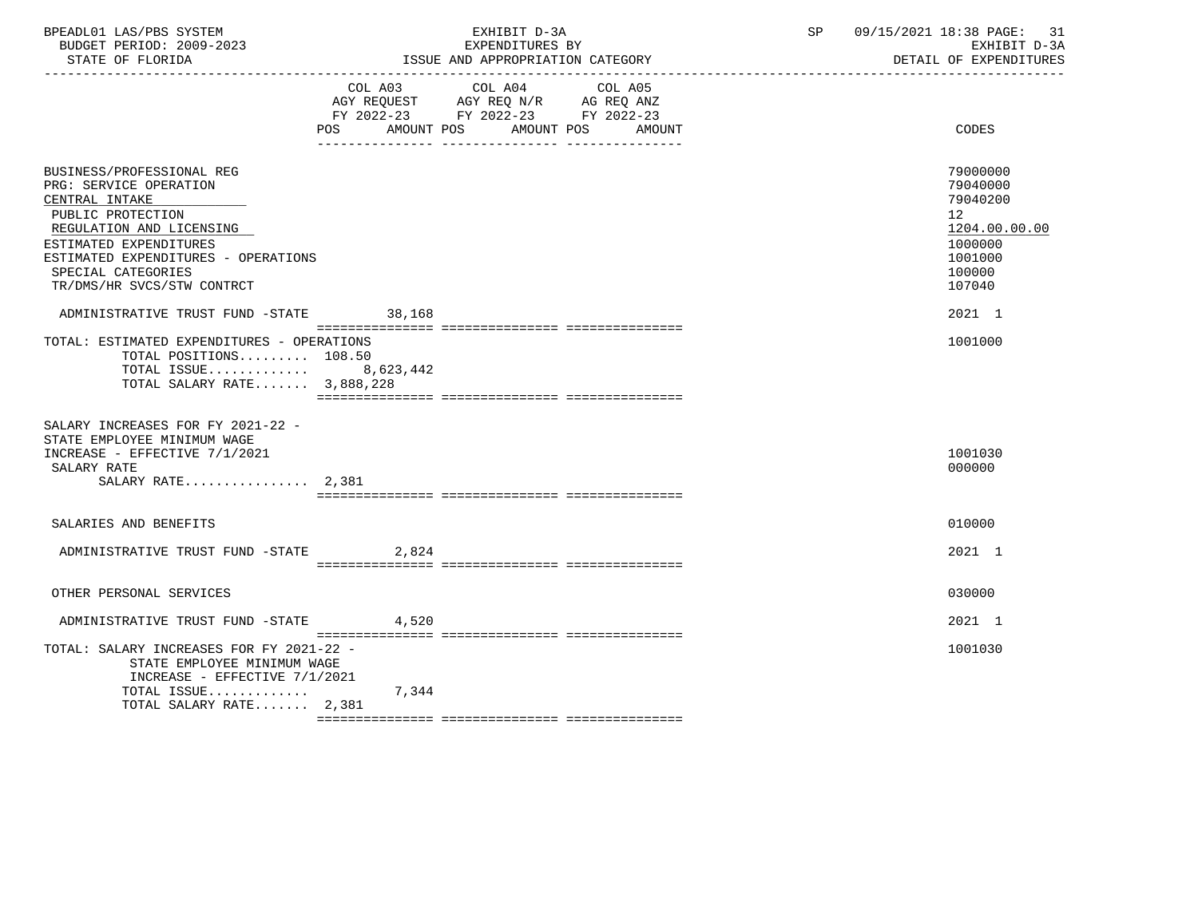| BPEADL01 LAS/PBS SYSTEM  | EXHIBIT D-3A                     | 09/15/2021 18:38 PAGE: |
|--------------------------|----------------------------------|------------------------|
| BUDGET PERIOD: 2009-2023 | EXPENDITURES BY                  | EXHIBIT D-3A           |
| STATE OF FLORIDA         | ISSUE AND APPROPRIATION CATEGORY | DETAIL OF EXPENDITURES |

|                                                                                                                                                                                                                                             | POS.<br>AMOUNT POS | COL A03 COL A04 COL A05<br>AGY REQUEST AGY REQ N/R AG REQ ANZ<br>FY 2022-23 FY 2022-23 FY 2022-23<br>AMOUNT POS | AMOUNT | CODES                                                                                             |
|---------------------------------------------------------------------------------------------------------------------------------------------------------------------------------------------------------------------------------------------|--------------------|-----------------------------------------------------------------------------------------------------------------|--------|---------------------------------------------------------------------------------------------------|
| BUSINESS/PROFESSIONAL REG<br>PRG: SERVICE OPERATION<br>CENTRAL INTAKE<br>PUBLIC PROTECTION<br>REGULATION AND LICENSING<br>ESTIMATED EXPENDITURES<br>ESTIMATED EXPENDITURES - OPERATIONS<br>SPECIAL CATEGORIES<br>TR/DMS/HR SVCS/STW CONTRCT |                    |                                                                                                                 |        | 79000000<br>79040000<br>79040200<br>12<br>1204.00.00.00<br>1000000<br>1001000<br>100000<br>107040 |
| ADMINISTRATIVE TRUST FUND -STATE                                                                                                                                                                                                            | 38,168             |                                                                                                                 |        | 2021 1                                                                                            |
| TOTAL: ESTIMATED EXPENDITURES - OPERATIONS<br>TOTAL POSITIONS 108.50<br>TOTAL ISSUE 8,623,442<br>TOTAL SALARY RATE 3,888,228                                                                                                                |                    |                                                                                                                 |        | 1001000                                                                                           |
| SALARY INCREASES FOR FY 2021-22 -<br>STATE EMPLOYEE MINIMUM WAGE<br>INCREASE - EFFECTIVE 7/1/2021<br>SALARY RATE<br>SALARY RATE $2,381$                                                                                                     |                    |                                                                                                                 |        | 1001030<br>000000                                                                                 |
| SALARIES AND BENEFITS                                                                                                                                                                                                                       |                    |                                                                                                                 |        | 010000                                                                                            |
| ADMINISTRATIVE TRUST FUND -STATE                                                                                                                                                                                                            | 2,824              |                                                                                                                 |        | 2021 1                                                                                            |
| OTHER PERSONAL SERVICES                                                                                                                                                                                                                     |                    |                                                                                                                 |        | 030000                                                                                            |
| ADMINISTRATIVE TRUST FUND -STATE                                                                                                                                                                                                            | 4,520              |                                                                                                                 |        | 2021 1                                                                                            |
| TOTAL: SALARY INCREASES FOR FY 2021-22 -<br>STATE EMPLOYEE MINIMUM WAGE<br>INCREASE - EFFECTIVE 7/1/2021<br>TOTAL ISSUE<br>TOTAL SALARY RATE 2,381                                                                                          | 7,344              |                                                                                                                 |        | 1001030                                                                                           |
|                                                                                                                                                                                                                                             |                    |                                                                                                                 |        |                                                                                                   |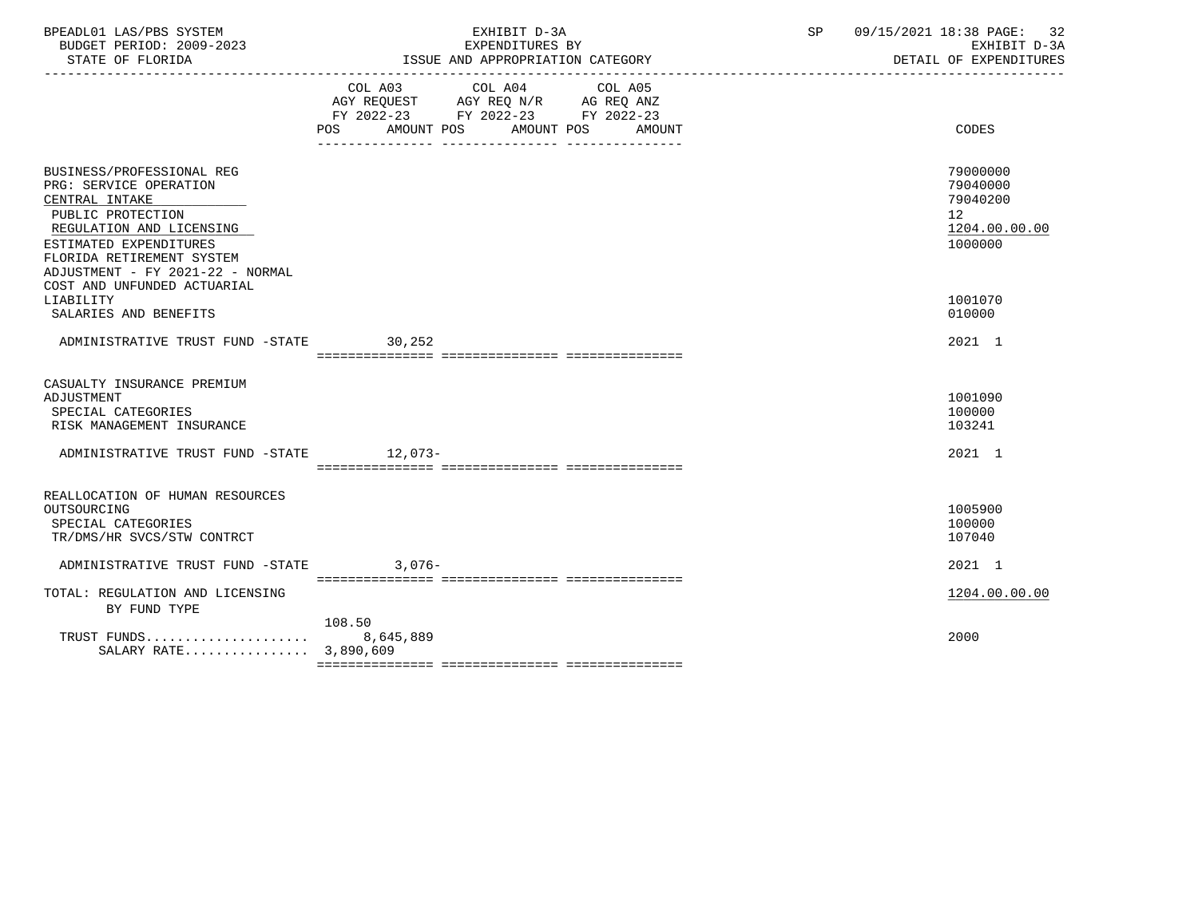| BPEADL01 LAS/PBS SYSTEM<br>BUDGET PERIOD: 2009-2023<br>STATE OF FLORIDA                                                                                                                                                                          | EXHIBIT D-3A<br>EXPENDITURES BY<br>ISSUE AND APPROPRIATION CATEGORY                                   | 09/15/2021 18:38 PAGE: 32<br>SP<br>EXHIBIT D-3A<br>DETAIL OF EXPENDITURES       |
|--------------------------------------------------------------------------------------------------------------------------------------------------------------------------------------------------------------------------------------------------|-------------------------------------------------------------------------------------------------------|---------------------------------------------------------------------------------|
|                                                                                                                                                                                                                                                  | COL A03 COL A04 COL A05<br>FY 2022-23 FY 2022-23 FY 2022-23<br>AMOUNT POS AMOUNT POS<br>POS<br>AMOUNT | CODES                                                                           |
| BUSINESS/PROFESSIONAL REG<br>PRG: SERVICE OPERATION<br>CENTRAL INTAKE<br>PUBLIC PROTECTION<br>REGULATION AND LICENSING<br>ESTIMATED EXPENDITURES<br>FLORIDA RETIREMENT SYSTEM<br>ADJUSTMENT - FY 2021-22 - NORMAL<br>COST AND UNFUNDED ACTUARIAL |                                                                                                       | 79000000<br>79040000<br>79040200<br>12 <sup>7</sup><br>1204.00.00.00<br>1000000 |
| LIABILITY<br>SALARIES AND BENEFITS                                                                                                                                                                                                               |                                                                                                       | 1001070<br>010000                                                               |
| ADMINISTRATIVE TRUST FUND -STATE 30,252                                                                                                                                                                                                          |                                                                                                       | 2021 1                                                                          |
| CASUALTY INSURANCE PREMIUM<br>ADJUSTMENT<br>SPECIAL CATEGORIES<br>RISK MANAGEMENT INSURANCE                                                                                                                                                      |                                                                                                       | 1001090<br>100000<br>103241                                                     |
| ADMINISTRATIVE TRUST FUND -STATE 12,073-                                                                                                                                                                                                         |                                                                                                       | 2021 1                                                                          |
| REALLOCATION OF HUMAN RESOURCES<br>OUTSOURCING<br>SPECIAL CATEGORIES<br>TR/DMS/HR SVCS/STW CONTRCT                                                                                                                                               |                                                                                                       | 1005900<br>100000<br>107040                                                     |
| ADMINISTRATIVE TRUST FUND -STATE                                                                                                                                                                                                                 | $3,076-$                                                                                              | $2021$ 1                                                                        |
| TOTAL: REGULATION AND LICENSING<br>BY FUND TYPE                                                                                                                                                                                                  |                                                                                                       | 1204.00.00.00                                                                   |
| SALARY RATE 3,890,609                                                                                                                                                                                                                            | 108.50                                                                                                | 2000                                                                            |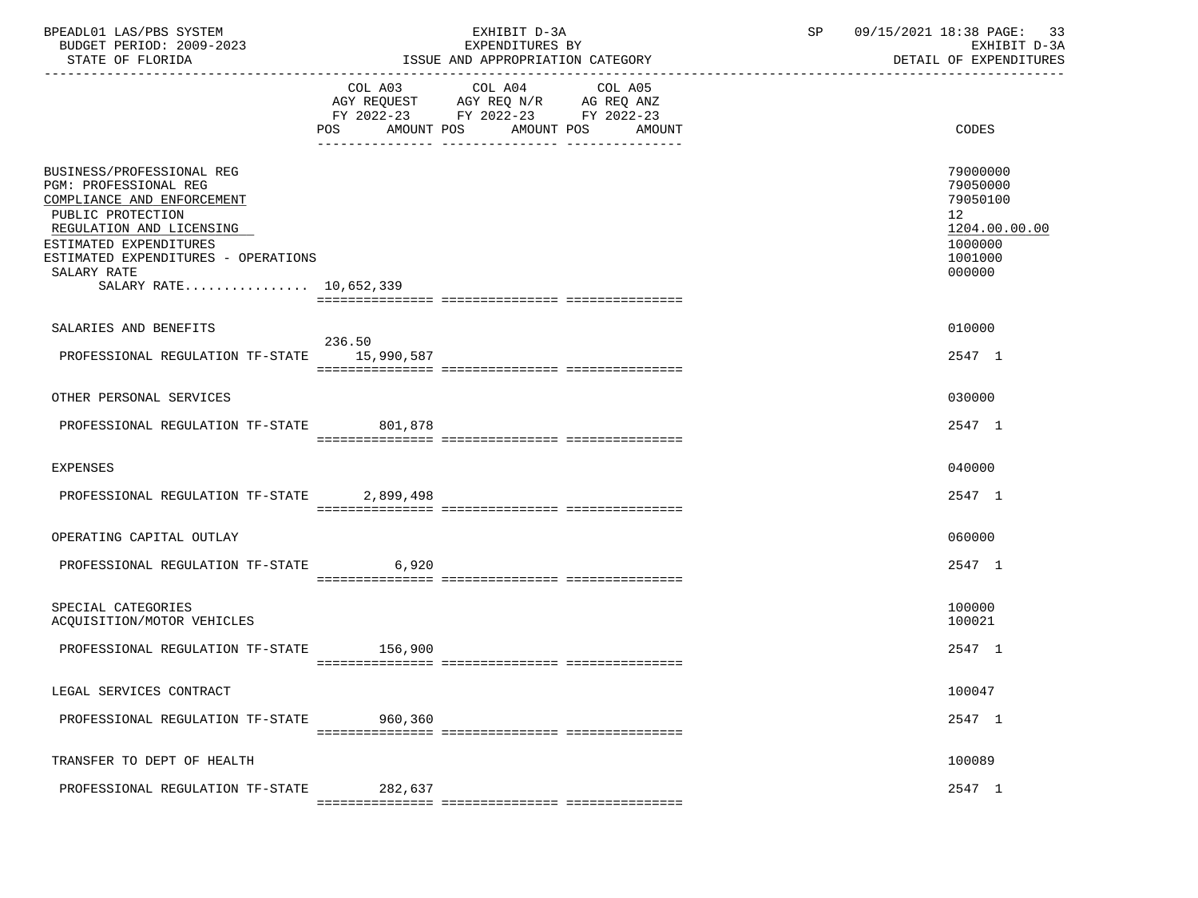| BPEADL01 LAS/PBS SYSTEM<br>BUDGET PERIOD: 2009-2023<br>STATE OF FLORIDA                                                                                                                                                                     | EXHIBIT D-3A<br>EXPENDITURES BY<br>ISSUE AND APPROPRIATION CATEGORY                                                                   | 09/15/2021 18:38 PAGE: 33<br>SP<br>EXHIBIT D-3A<br>DETAIL OF EXPENDITURES               |
|---------------------------------------------------------------------------------------------------------------------------------------------------------------------------------------------------------------------------------------------|---------------------------------------------------------------------------------------------------------------------------------------|-----------------------------------------------------------------------------------------|
|                                                                                                                                                                                                                                             | COL A03 COL A04 COL A05<br>AGY REQUEST AGY REQ N/R AG REQ ANZ<br>FY 2022-23 FY 2022-23 FY 2022-23<br>POS AMOUNT POS AMOUNT POS AMOUNT | <b>CODES</b>                                                                            |
| BUSINESS/PROFESSIONAL REG<br>PGM: PROFESSIONAL REG<br>COMPLIANCE AND ENFORCEMENT<br>PUBLIC PROTECTION<br>REGULATION AND LICENSING<br>ESTIMATED EXPENDITURES<br>ESTIMATED EXPENDITURES - OPERATIONS<br>SALARY RATE<br>SALARY RATE 10,652,339 |                                                                                                                                       | 79000000<br>79050000<br>79050100<br>12<br>1204.00.00.00<br>1000000<br>1001000<br>000000 |
| SALARIES AND BENEFITS                                                                                                                                                                                                                       | 236.50                                                                                                                                | 010000                                                                                  |
| PROFESSIONAL REGULATION TF-STATE 15,990,587                                                                                                                                                                                                 |                                                                                                                                       | 2547 1                                                                                  |
| OTHER PERSONAL SERVICES                                                                                                                                                                                                                     |                                                                                                                                       | 030000                                                                                  |
| PROFESSIONAL REGULATION TF-STATE 801.878                                                                                                                                                                                                    |                                                                                                                                       | 2547 1                                                                                  |
| EXPENSES                                                                                                                                                                                                                                    |                                                                                                                                       | 040000                                                                                  |
| PROFESSIONAL REGULATION TF-STATE 2,899,498                                                                                                                                                                                                  |                                                                                                                                       | 2547 1                                                                                  |
| OPERATING CAPITAL OUTLAY                                                                                                                                                                                                                    |                                                                                                                                       | 060000                                                                                  |
| PROFESSIONAL REGULATION TF-STATE 6,920                                                                                                                                                                                                      |                                                                                                                                       | 2547 1                                                                                  |
| SPECIAL CATEGORIES<br>ACQUISITION/MOTOR VEHICLES                                                                                                                                                                                            |                                                                                                                                       | 100000<br>100021                                                                        |
| PROFESSIONAL REGULATION TF-STATE 156,900                                                                                                                                                                                                    |                                                                                                                                       | 2547 1                                                                                  |
| LEGAL SERVICES CONTRACT                                                                                                                                                                                                                     |                                                                                                                                       | 100047                                                                                  |
| PROFESSIONAL REGULATION TF-STATE                                                                                                                                                                                                            | 960,360                                                                                                                               | 2547 1                                                                                  |
| TRANSFER TO DEPT OF HEALTH                                                                                                                                                                                                                  |                                                                                                                                       | 100089                                                                                  |
| PROFESSIONAL REGULATION TF-STATE                                                                                                                                                                                                            | 282,637                                                                                                                               | 2547 1                                                                                  |
|                                                                                                                                                                                                                                             |                                                                                                                                       |                                                                                         |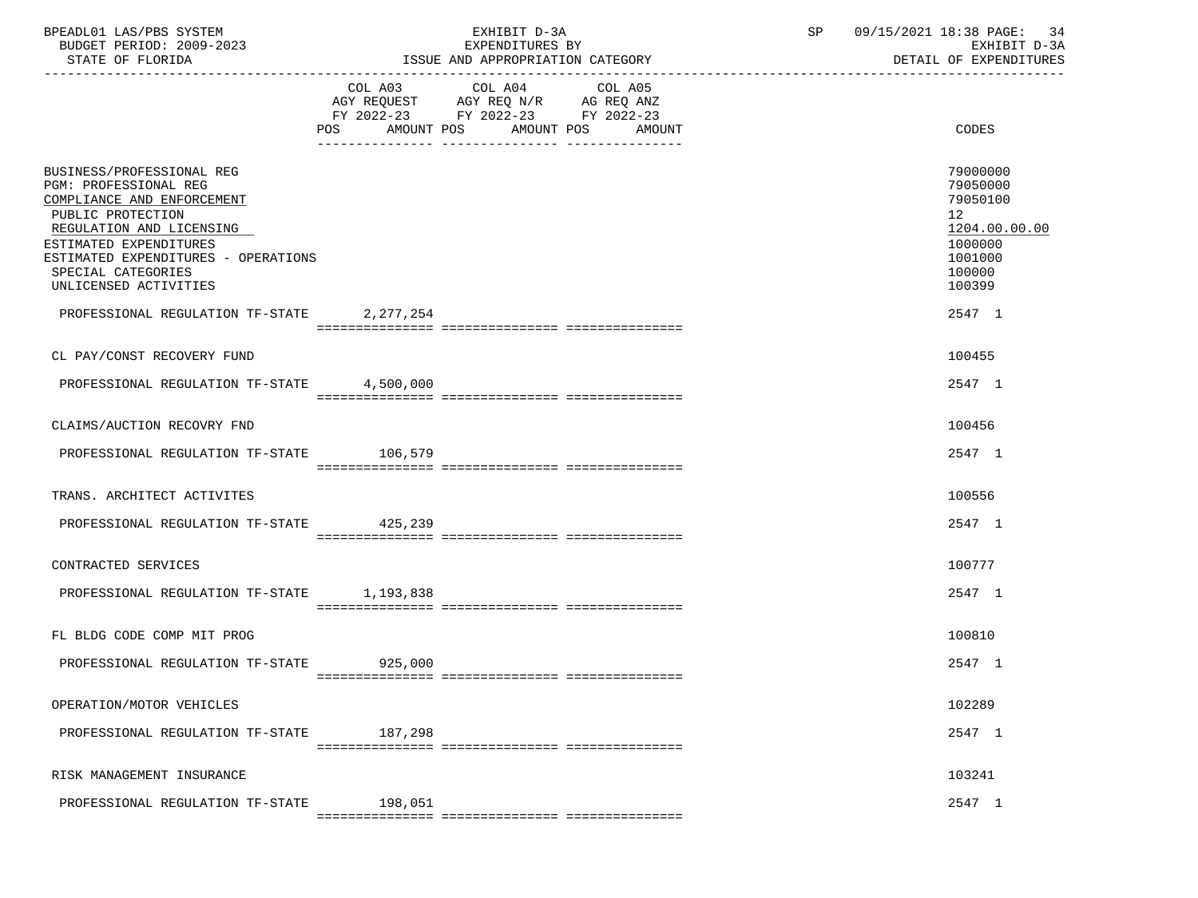| BPEADL01 LAS/PBS SYSTEM<br>BUDGET PERIOD: 2009-2023<br>STATE OF FLORIDA                                                                                                                                                                           |                           | EXHIBIT D-3A<br>EXPENDITURES BY<br>ISSUE AND APPROPRIATION CATEGORY                       |                   | SP | 09/15/2021 18:38 PAGE:<br>-34<br>EXHIBIT D-3A<br>DETAIL OF EXPENDITURES                                        |  |
|---------------------------------------------------------------------------------------------------------------------------------------------------------------------------------------------------------------------------------------------------|---------------------------|-------------------------------------------------------------------------------------------|-------------------|----|----------------------------------------------------------------------------------------------------------------|--|
|                                                                                                                                                                                                                                                   | POS AMOUNT POS AMOUNT POS | COL A03 COL A04<br>AGY REQUEST AGY REQ N/R AG REQ ANZ<br>FY 2022-23 FY 2022-23 FY 2022-23 | COL A05<br>AMOUNT |    | CODES                                                                                                          |  |
| BUSINESS/PROFESSIONAL REG<br>PGM: PROFESSIONAL REG<br>COMPLIANCE AND ENFORCEMENT<br>PUBLIC PROTECTION<br>REGULATION AND LICENSING<br>ESTIMATED EXPENDITURES<br>ESTIMATED EXPENDITURES - OPERATIONS<br>SPECIAL CATEGORIES<br>UNLICENSED ACTIVITIES |                           |                                                                                           |                   |    | 79000000<br>79050000<br>79050100<br>12 <sup>°</sup><br>1204.00.00.00<br>1000000<br>1001000<br>100000<br>100399 |  |
| PROFESSIONAL REGULATION TF-STATE 2,277,254                                                                                                                                                                                                        |                           |                                                                                           |                   |    | 2547 1                                                                                                         |  |
| CL PAY/CONST RECOVERY FUND                                                                                                                                                                                                                        |                           |                                                                                           |                   |    | 100455                                                                                                         |  |
| PROFESSIONAL REGULATION TF-STATE                                                                                                                                                                                                                  | 4,500,000                 |                                                                                           |                   |    | 2547 1                                                                                                         |  |
| CLAIMS/AUCTION RECOVRY FND                                                                                                                                                                                                                        |                           |                                                                                           |                   |    | 100456                                                                                                         |  |
| PROFESSIONAL REGULATION TF-STATE 106,579                                                                                                                                                                                                          |                           |                                                                                           |                   |    | 2547 1                                                                                                         |  |
|                                                                                                                                                                                                                                                   |                           |                                                                                           |                   |    |                                                                                                                |  |
| TRANS. ARCHITECT ACTIVITES                                                                                                                                                                                                                        |                           |                                                                                           |                   |    | 100556                                                                                                         |  |
| PROFESSIONAL REGULATION TF-STATE 425,239                                                                                                                                                                                                          |                           |                                                                                           |                   |    | 2547 1                                                                                                         |  |
| CONTRACTED SERVICES                                                                                                                                                                                                                               |                           |                                                                                           |                   |    | 100777                                                                                                         |  |
| PROFESSIONAL REGULATION TF-STATE 1,193,838                                                                                                                                                                                                        |                           |                                                                                           |                   |    | 2547 1                                                                                                         |  |
| FL BLDG CODE COMP MIT PROG                                                                                                                                                                                                                        |                           |                                                                                           |                   |    | 100810                                                                                                         |  |
| PROFESSIONAL REGULATION TF-STATE 925,000                                                                                                                                                                                                          |                           |                                                                                           |                   |    | 2547 1                                                                                                         |  |
|                                                                                                                                                                                                                                                   |                           |                                                                                           |                   |    |                                                                                                                |  |
| OPERATION/MOTOR VEHICLES                                                                                                                                                                                                                          |                           |                                                                                           |                   |    | 102289                                                                                                         |  |
| PROFESSIONAL REGULATION TF-STATE                                                                                                                                                                                                                  | 187,298                   |                                                                                           |                   |    | 2547 1                                                                                                         |  |
|                                                                                                                                                                                                                                                   |                           |                                                                                           |                   |    |                                                                                                                |  |
| RISK MANAGEMENT INSURANCE                                                                                                                                                                                                                         |                           |                                                                                           |                   |    | 103241                                                                                                         |  |
| PROFESSIONAL REGULATION TF-STATE                                                                                                                                                                                                                  | 198,051                   |                                                                                           |                   |    | 2547 1                                                                                                         |  |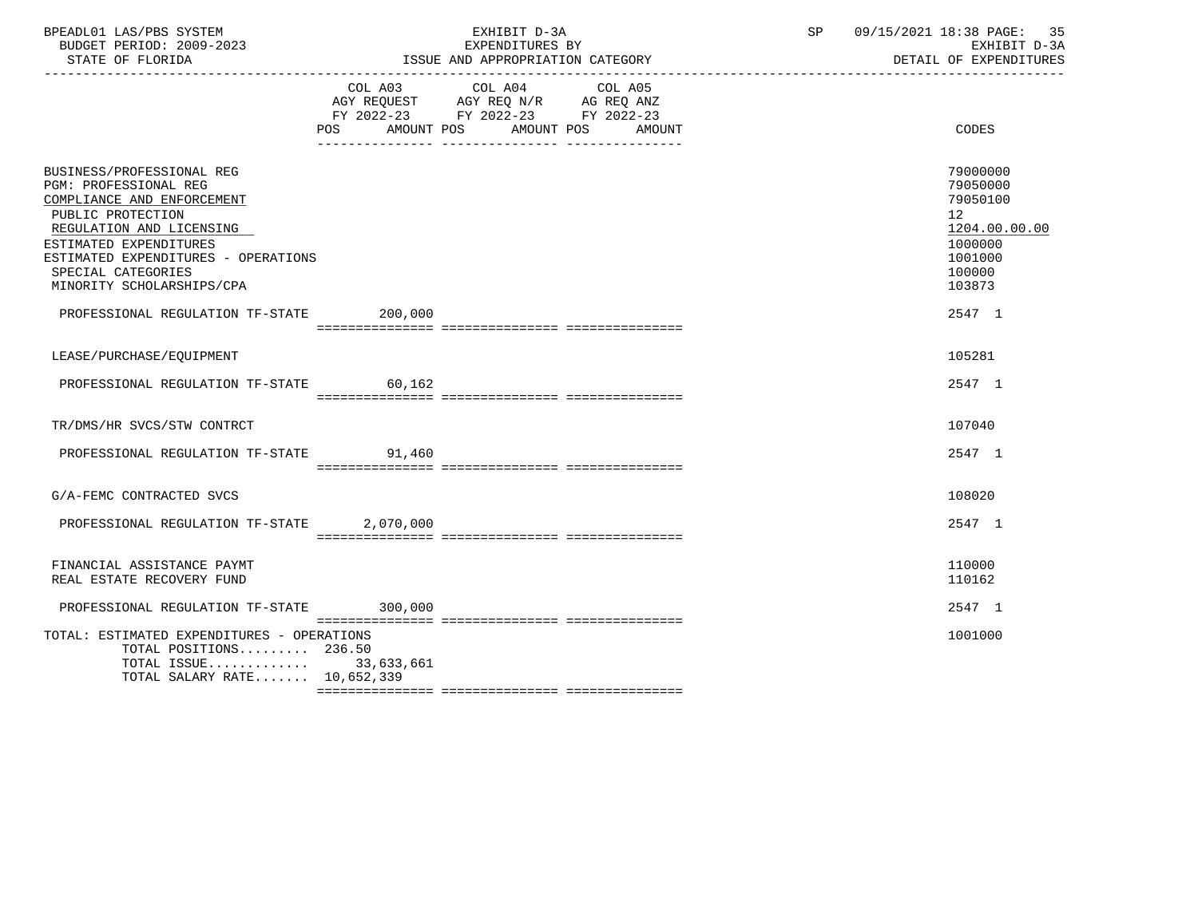|           | EXHIBIT D-3A<br>EXPENDITURES BY                                                                                                                                                                                                                                                                                                                                                 | SP                                                                                                                                                                                                                                                   | 09/15/2021 18:38 PAGE:<br>35<br>EXHIBIT D-3A<br>DETAIL OF EXPENDITURES                                         |
|-----------|---------------------------------------------------------------------------------------------------------------------------------------------------------------------------------------------------------------------------------------------------------------------------------------------------------------------------------------------------------------------------------|------------------------------------------------------------------------------------------------------------------------------------------------------------------------------------------------------------------------------------------------------|----------------------------------------------------------------------------------------------------------------|
|           | AMOUNT                                                                                                                                                                                                                                                                                                                                                                          |                                                                                                                                                                                                                                                      | <b>CODES</b>                                                                                                   |
|           |                                                                                                                                                                                                                                                                                                                                                                                 |                                                                                                                                                                                                                                                      | 79000000<br>79050000<br>79050100<br>12 <sup>°</sup><br>1204.00.00.00<br>1000000<br>1001000<br>100000<br>103873 |
| 200,000   |                                                                                                                                                                                                                                                                                                                                                                                 |                                                                                                                                                                                                                                                      | 2547 1                                                                                                         |
|           |                                                                                                                                                                                                                                                                                                                                                                                 |                                                                                                                                                                                                                                                      | 105281                                                                                                         |
|           |                                                                                                                                                                                                                                                                                                                                                                                 |                                                                                                                                                                                                                                                      | 2547 1                                                                                                         |
|           |                                                                                                                                                                                                                                                                                                                                                                                 |                                                                                                                                                                                                                                                      | 107040                                                                                                         |
|           |                                                                                                                                                                                                                                                                                                                                                                                 |                                                                                                                                                                                                                                                      | 2547 1                                                                                                         |
|           |                                                                                                                                                                                                                                                                                                                                                                                 |                                                                                                                                                                                                                                                      | 108020                                                                                                         |
| 2,070,000 |                                                                                                                                                                                                                                                                                                                                                                                 |                                                                                                                                                                                                                                                      | 2547 1                                                                                                         |
|           |                                                                                                                                                                                                                                                                                                                                                                                 |                                                                                                                                                                                                                                                      | 110000<br>110162                                                                                               |
|           |                                                                                                                                                                                                                                                                                                                                                                                 |                                                                                                                                                                                                                                                      | 2547 1                                                                                                         |
|           |                                                                                                                                                                                                                                                                                                                                                                                 |                                                                                                                                                                                                                                                      | 1001000                                                                                                        |
|           | ESTIMATED EXPENDITURES - OPERATIONS<br>PROFESSIONAL REGULATION TF-STATE<br>PROFESSIONAL REGULATION TF-STATE 60,162<br>PROFESSIONAL REGULATION TF-STATE 91.460<br>PROFESSIONAL REGULATION TF-STATE<br>PROFESSIONAL REGULATION TF-STATE 300,000<br>TOTAL: ESTIMATED EXPENDITURES - OPERATIONS<br>TOTAL POSITIONS 236.50<br>TOTAL ISSUE 33,633,661<br>TOTAL SALARY RATE 10,652,339 | COL A03 COL A04 COL A05<br>$\begin{tabular}{lllllll} AGY & \texttt{REQUEST} & \texttt{AGY} & \texttt{REG} & \texttt{N/R} & \texttt{AG} & \texttt{REQ} & \texttt{ANZ} \end{tabular}$<br>FY 2022-23 FY 2022-23 FY 2022-23<br>POS AMOUNT POS AMOUNT POS | EXPENDITURES BI<br>ISSUE AND APPROPRIATION CATEGORY                                                            |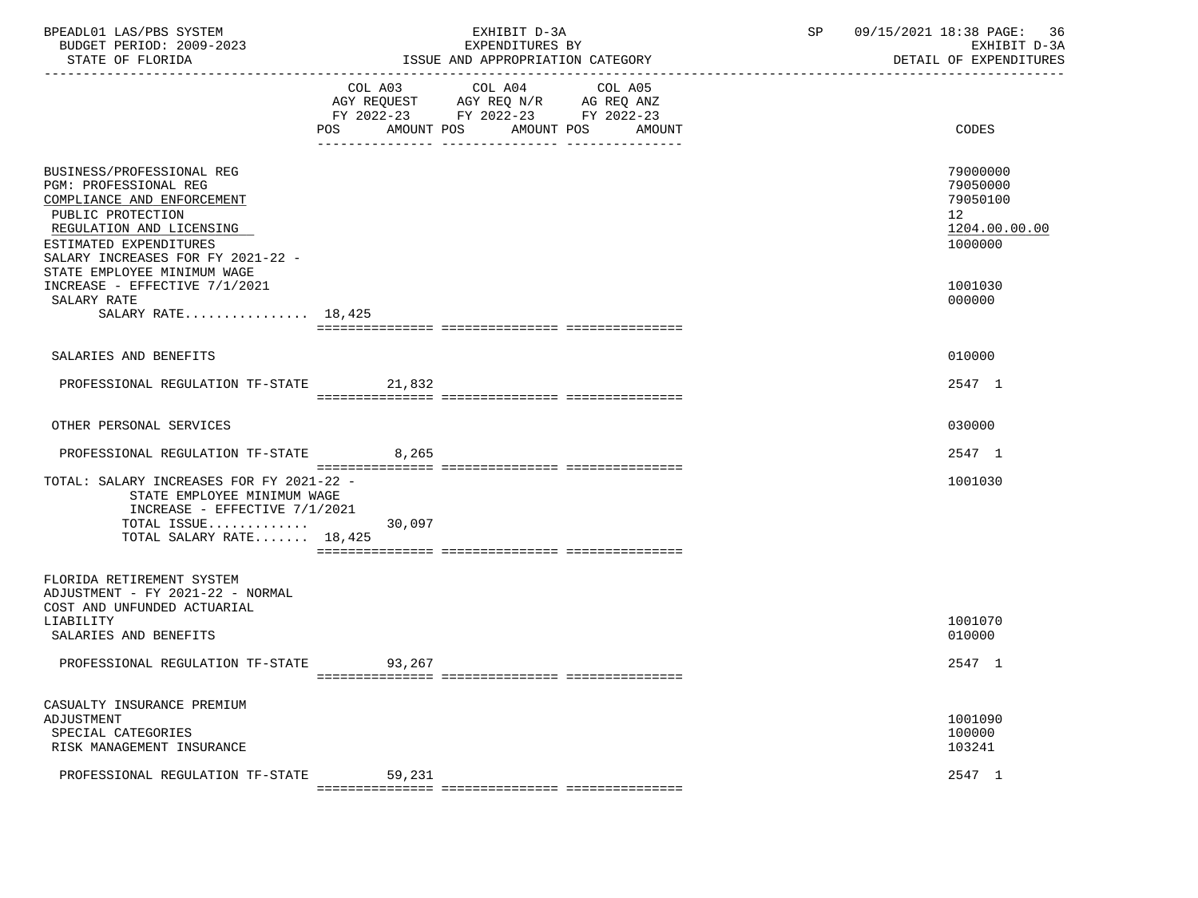| BPEADL01 LAS/PBS SYSTEM<br>BUDGET PERIOD: 2009-2023<br>STATE OF FLORIDA                                                                                                                                                         |        | EXHIBIT D-3A<br>EXPENDITURES BY<br>ISSUE AND APPROPRIATION CATEGORY                                                                  | SP | 09/15/2021 18:38 PAGE: 36<br>EXHIBIT D-3A<br>DETAIL OF EXPENDITURES |
|---------------------------------------------------------------------------------------------------------------------------------------------------------------------------------------------------------------------------------|--------|--------------------------------------------------------------------------------------------------------------------------------------|----|---------------------------------------------------------------------|
|                                                                                                                                                                                                                                 | POS    | COL A03 COL A04 COL A05<br>AGY REQUEST AGY REQ N/R AG REQ ANZ<br>FY 2022-23 FY 2022-23 FY 2022-23<br>AMOUNT POS AMOUNT POS<br>AMOUNT |    | CODES                                                               |
| BUSINESS/PROFESSIONAL REG<br>PGM: PROFESSIONAL REG<br>COMPLIANCE AND ENFORCEMENT<br>PUBLIC PROTECTION<br>REGULATION AND LICENSING<br>ESTIMATED EXPENDITURES<br>SALARY INCREASES FOR FY 2021-22 -<br>STATE EMPLOYEE MINIMUM WAGE |        |                                                                                                                                      |    | 79000000<br>79050000<br>79050100<br>12<br>1204.00.00.00<br>1000000  |
| INCREASE - EFFECTIVE 7/1/2021<br>SALARY RATE<br>SALARY RATE $18,425$                                                                                                                                                            |        |                                                                                                                                      |    | 1001030<br>000000                                                   |
| SALARIES AND BENEFITS                                                                                                                                                                                                           |        |                                                                                                                                      |    | 010000                                                              |
| PROFESSIONAL REGULATION TF-STATE 21,832                                                                                                                                                                                         |        |                                                                                                                                      |    | 2547 1                                                              |
| OTHER PERSONAL SERVICES                                                                                                                                                                                                         |        |                                                                                                                                      |    | 030000                                                              |
| PROFESSIONAL REGULATION TF-STATE                                                                                                                                                                                                | 8,265  |                                                                                                                                      |    | 2547 1                                                              |
| TOTAL: SALARY INCREASES FOR FY 2021-22 -<br>STATE EMPLOYEE MINIMUM WAGE<br>INCREASE - EFFECTIVE $7/1/2021$<br>TOTAL ISSUE<br>TOTAL SALARY RATE 18,425                                                                           | 30,097 |                                                                                                                                      |    | 1001030                                                             |
| FLORIDA RETIREMENT SYSTEM<br>ADJUSTMENT - FY 2021-22 - NORMAL<br>COST AND UNFUNDED ACTUARIAL<br>LIABILITY                                                                                                                       |        |                                                                                                                                      |    | 1001070                                                             |
| SALARIES AND BENEFITS                                                                                                                                                                                                           |        |                                                                                                                                      |    | 010000                                                              |
| PROFESSIONAL REGULATION TF-STATE                                                                                                                                                                                                | 93,267 |                                                                                                                                      |    | 2547 1                                                              |
| CASUALTY INSURANCE PREMIUM<br>ADJUSTMENT<br>SPECIAL CATEGORIES<br>RISK MANAGEMENT INSURANCE                                                                                                                                     |        |                                                                                                                                      |    | 1001090<br>100000<br>103241                                         |
| PROFESSIONAL REGULATION TF-STATE                                                                                                                                                                                                | 59,231 |                                                                                                                                      |    | 2547 1                                                              |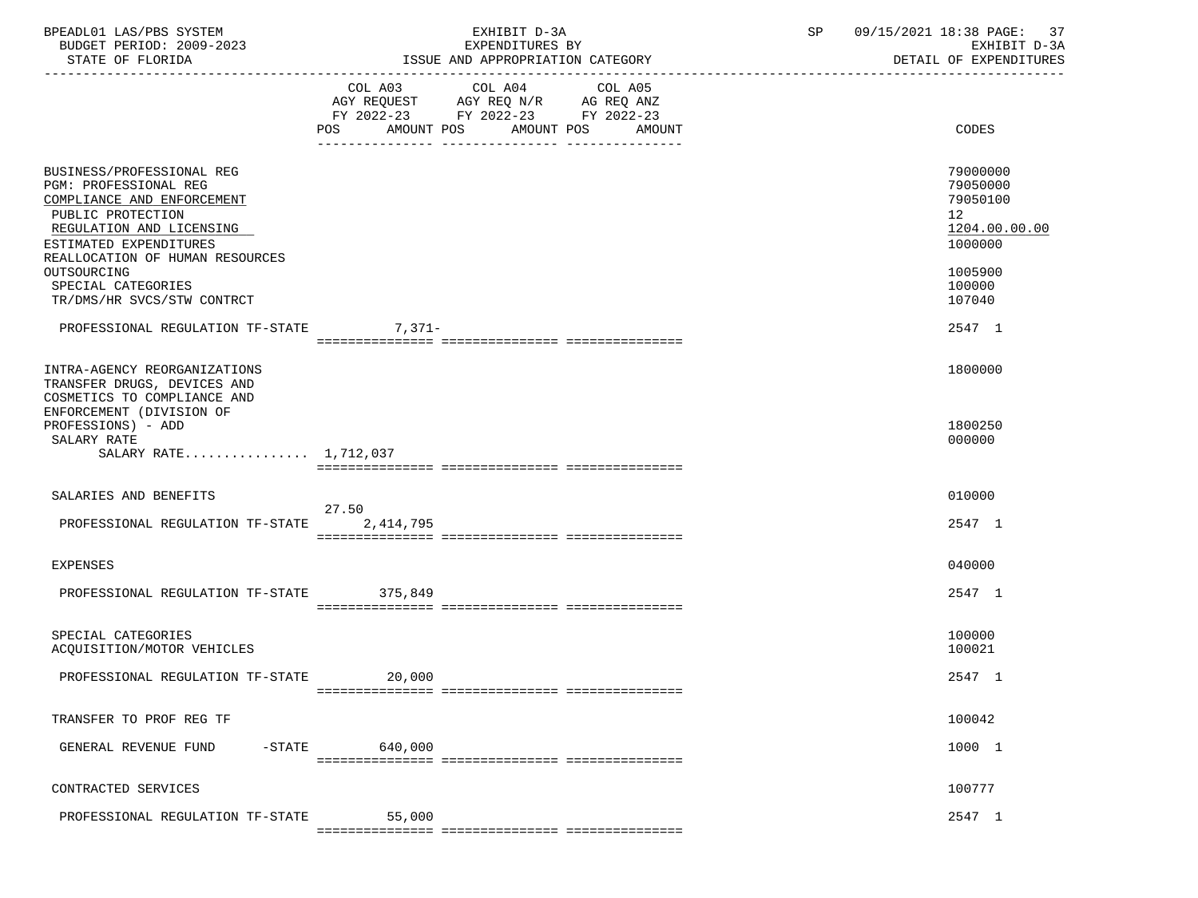| BPEADL01 LAS/PBS SYSTEM<br>BUDGET PERIOD: 2009-2023<br>STATE OF FLORIDA                                                                                                                        | EXHIBIT D-3A<br>EXPENDITURES BY<br>ISSUE AND APPROPRIATION CATEGORY                                                                      | 09/15/2021 18:38 PAGE:<br>SP<br>-37<br>EXHIBIT D-3A<br>DETAIL OF EXPENDITURES   |
|------------------------------------------------------------------------------------------------------------------------------------------------------------------------------------------------|------------------------------------------------------------------------------------------------------------------------------------------|---------------------------------------------------------------------------------|
|                                                                                                                                                                                                | COL A03 COL A04<br>COL A05<br>AGY REQUEST AGY REQ N/R AG REQ ANZ<br>FY 2022-23 FY 2022-23 FY 2022-23<br>POS AMOUNT POS AMOUNT POS AMOUNT | CODES                                                                           |
|                                                                                                                                                                                                |                                                                                                                                          |                                                                                 |
| BUSINESS/PROFESSIONAL REG<br>PGM: PROFESSIONAL REG<br>COMPLIANCE AND ENFORCEMENT<br>PUBLIC PROTECTION<br>REGULATION AND LICENSING<br>ESTIMATED EXPENDITURES<br>REALLOCATION OF HUMAN RESOURCES |                                                                                                                                          | 79000000<br>79050000<br>79050100<br>12 <sup>°</sup><br>1204.00.00.00<br>1000000 |
| OUTSOURCING<br>SPECIAL CATEGORIES<br>TR/DMS/HR SVCS/STW CONTRCT                                                                                                                                |                                                                                                                                          | 1005900<br>100000<br>107040                                                     |
| PROFESSIONAL REGULATION TF-STATE 7,371-                                                                                                                                                        |                                                                                                                                          | 2547 1                                                                          |
| INTRA-AGENCY REORGANIZATIONS<br>TRANSFER DRUGS, DEVICES AND<br>COSMETICS TO COMPLIANCE AND<br>ENFORCEMENT (DIVISION OF                                                                         |                                                                                                                                          | 1800000                                                                         |
| PROFESSIONS) - ADD<br>SALARY RATE<br>SALARY RATE 1,712,037                                                                                                                                     |                                                                                                                                          | 1800250<br>000000                                                               |
|                                                                                                                                                                                                |                                                                                                                                          |                                                                                 |
| SALARIES AND BENEFITS<br>PROFESSIONAL REGULATION TF-STATE                                                                                                                                      | 27.50<br>2,414,795                                                                                                                       | 010000<br>2547 1                                                                |
| EXPENSES                                                                                                                                                                                       |                                                                                                                                          | 040000                                                                          |
| PROFESSIONAL REGULATION TF-STATE 375,849                                                                                                                                                       |                                                                                                                                          | 2547 1                                                                          |
| SPECIAL CATEGORIES<br>ACOUISITION/MOTOR VEHICLES                                                                                                                                               |                                                                                                                                          | 100000<br>100021                                                                |
| PROFESSIONAL REGULATION TF-STATE                                                                                                                                                               | 20,000                                                                                                                                   | 2547 1                                                                          |
| TRANSFER TO PROF REG TF                                                                                                                                                                        |                                                                                                                                          | 100042                                                                          |
| $-$ STATE<br>GENERAL REVENUE FUND                                                                                                                                                              | 640,000                                                                                                                                  | 1000 1                                                                          |
| CONTRACTED SERVICES                                                                                                                                                                            |                                                                                                                                          | 100777                                                                          |
| PROFESSIONAL REGULATION TF-STATE                                                                                                                                                               | 55,000                                                                                                                                   | 2547 1                                                                          |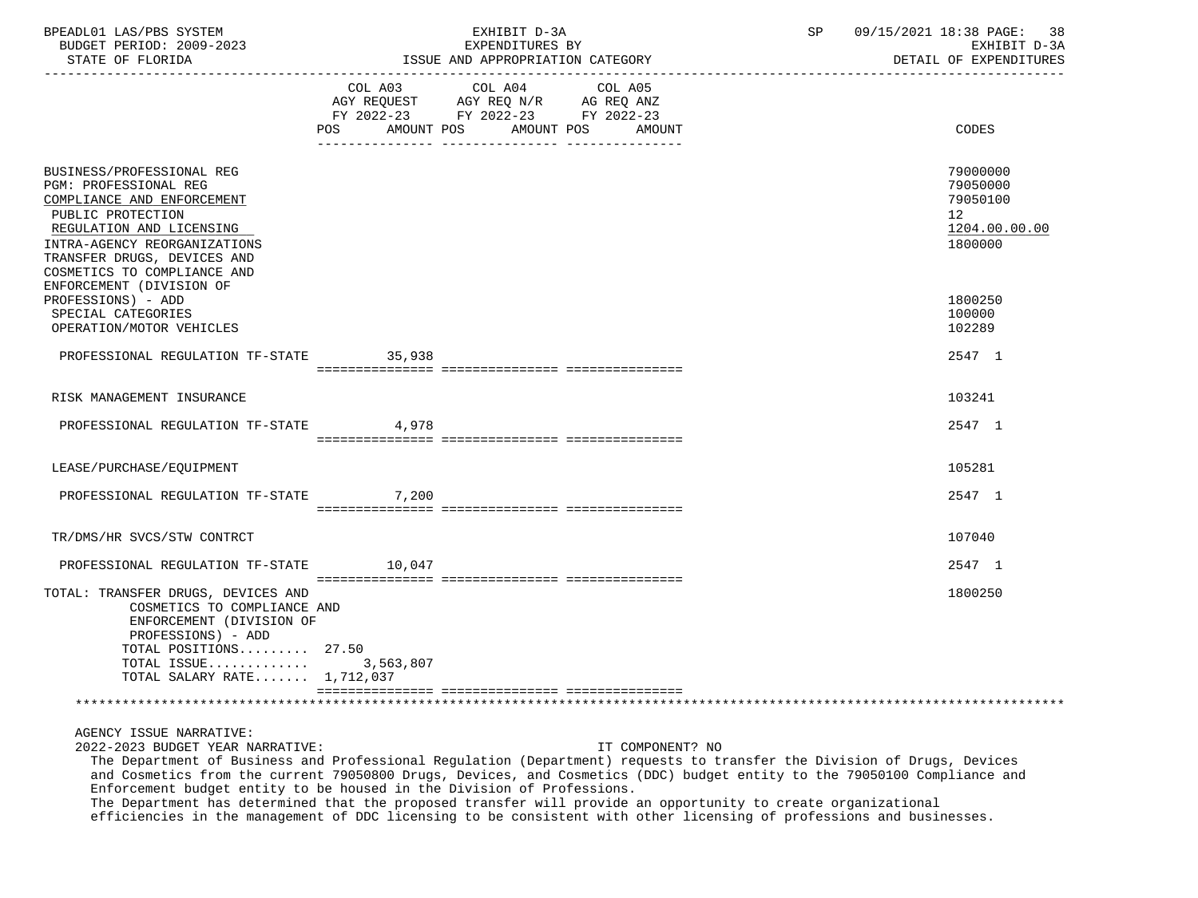| BPEADL01 LAS/PBS SYSTEM<br>BUDGET PERIOD: 2009-2023<br>STATE OF FLORIDA                                                                                                                                                                                     |                              | EXHIBIT D-3A<br>EXPENDITURES BY<br>ISSUE AND APPROPRIATION CATEGORY            | 09/15/2021 18:38 PAGE: 38<br>SP<br>EXHIBIT D-3A<br>DETAIL OF EXPENDITURES |
|-------------------------------------------------------------------------------------------------------------------------------------------------------------------------------------------------------------------------------------------------------------|------------------------------|--------------------------------------------------------------------------------|---------------------------------------------------------------------------|
|                                                                                                                                                                                                                                                             | COL A03<br>AMOUNT POS<br>POS | COL A04<br>COL A05<br>FY 2022-23 FY 2022-23 FY 2022-23<br>AMOUNT POS<br>AMOUNT | CODES                                                                     |
| BUSINESS/PROFESSIONAL REG<br>PGM: PROFESSIONAL REG<br>COMPLIANCE AND ENFORCEMENT<br>PUBLIC PROTECTION<br>REGULATION AND LICENSING<br>INTRA-AGENCY REORGANIZATIONS<br>TRANSFER DRUGS, DEVICES AND<br>COSMETICS TO COMPLIANCE AND<br>ENFORCEMENT (DIVISION OF |                              |                                                                                | 79000000<br>79050000<br>79050100<br>12<br>1204.00.00.00<br>1800000        |
| PROFESSIONS) - ADD<br>SPECIAL CATEGORIES<br>OPERATION/MOTOR VEHICLES                                                                                                                                                                                        |                              |                                                                                | 1800250<br>100000<br>102289                                               |
| PROFESSIONAL REGULATION TF-STATE                                                                                                                                                                                                                            | 35,938                       |                                                                                | 2547 1                                                                    |
| RISK MANAGEMENT INSURANCE                                                                                                                                                                                                                                   |                              |                                                                                | 103241                                                                    |
| PROFESSIONAL REGULATION TF-STATE                                                                                                                                                                                                                            | 4,978                        |                                                                                | 2547 1                                                                    |
| LEASE/PURCHASE/EQUIPMENT                                                                                                                                                                                                                                    |                              |                                                                                | 105281                                                                    |
| PROFESSIONAL REGULATION TF-STATE                                                                                                                                                                                                                            | 7,200                        |                                                                                | 2547 1                                                                    |
| TR/DMS/HR SVCS/STW CONTRCT                                                                                                                                                                                                                                  |                              |                                                                                | 107040                                                                    |
| PROFESSIONAL REGULATION TF-STATE                                                                                                                                                                                                                            | 10,047                       |                                                                                | 2547 1                                                                    |
| TOTAL: TRANSFER DRUGS, DEVICES AND<br>COSMETICS TO COMPLIANCE AND<br>ENFORCEMENT (DIVISION OF<br>PROFESSIONS) - ADD<br>TOTAL POSITIONS 27.50<br>TOTAL ISSUE<br>TOTAL SALARY RATE 1,712,037                                                                  | 3,563,807                    |                                                                                | 1800250                                                                   |
|                                                                                                                                                                                                                                                             |                              |                                                                                |                                                                           |

AGENCY ISSUE NARRATIVE:

2022-2023 BUDGET YEAR NARRATIVE: IT COMPONENT? NO

 The Department of Business and Professional Regulation (Department) requests to transfer the Division of Drugs, Devices and Cosmetics from the current 79050800 Drugs, Devices, and Cosmetics (DDC) budget entity to the 79050100 Compliance and Enforcement budget entity to be housed in the Division of Professions.

 The Department has determined that the proposed transfer will provide an opportunity to create organizational efficiencies in the management of DDC licensing to be consistent with other licensing of professions and businesses.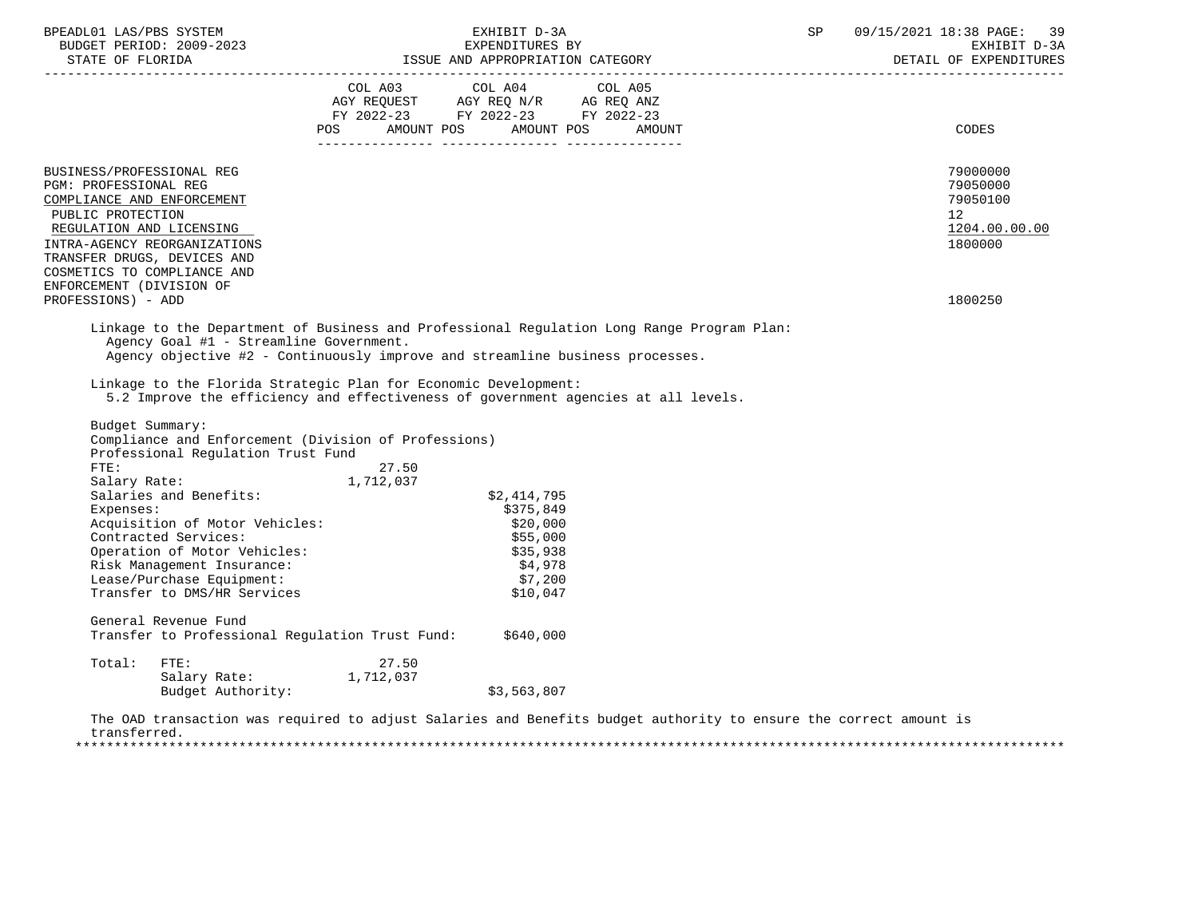| COL A03 COL A04 COL A05<br>AGY REQUEST AGY REQ N/R AG REQ ANZ<br>FY 2022-23 FY 2022-23 FY 2022-23<br>POS AMOUNT POS AMOUNT POS AMOUNT<br>BUSINESS/PROFESSIONAL REG<br>PGM: PROFESSIONAL REG<br>COMPLIANCE AND ENFORCEMENT<br>PUBLIC PROTECTION<br>REGULATION AND LICENSING<br>INTRA-AGENCY REORGANIZATIONS<br>TRANSFER DRUGS, DEVICES AND<br>COSMETICS TO COMPLIANCE AND<br>ENFORCEMENT (DIVISION OF<br>PROFESSIONS) - ADD<br>Linkage to the Department of Business and Professional Regulation Long Range Program Plan:<br>Agency Goal #1 - Streamline Government.<br>Agency objective #2 - Continuously improve and streamline business processes.<br>Linkage to the Florida Strategic Plan for Economic Development:<br>5.2 Improve the efficiency and effectiveness of government agencies at all levels.<br>Budget Summary:<br>Compliance and Enforcement (Division of Professions)<br>Professional Requlation Trust Fund<br>FTE:<br>27.50<br>FIE.<br>Salary Rate: 1,712,037<br>Salaries and Benefits:<br>\$2,414,795<br>Expenses:<br>\$375,849<br>Acquisition of Motor Vehicles:<br>\$20,000<br>Contracted Services:<br>\$55,000<br>Operation of Motor Vehicles:<br>\$35,938<br>\$4,978<br>Risk Management Insurance:<br>Lease/Purchase Equipment:<br>\$7,200<br>Transfer to DMS/HR Services<br>\$10,047<br>General Revenue Fund<br>Transfer to Professional Regulation Trust Fund: \$640,000<br>Total:<br>FTE:<br>27.50 | 09/15/2021 18:38 PAGE: 39<br>EXHIBIT D-3A<br>EARLBII UTSA<br>DETAIL OF EXPENDITURES        | SP |  | EXHIBIT D-3A |  |  | BPEADL01 LAS/PBS SYSTEM |
|--------------------------------------------------------------------------------------------------------------------------------------------------------------------------------------------------------------------------------------------------------------------------------------------------------------------------------------------------------------------------------------------------------------------------------------------------------------------------------------------------------------------------------------------------------------------------------------------------------------------------------------------------------------------------------------------------------------------------------------------------------------------------------------------------------------------------------------------------------------------------------------------------------------------------------------------------------------------------------------------------------------------------------------------------------------------------------------------------------------------------------------------------------------------------------------------------------------------------------------------------------------------------------------------------------------------------------------------------------------------------------------------------------------------------------|--------------------------------------------------------------------------------------------|----|--|--------------|--|--|-------------------------|
|                                                                                                                                                                                                                                                                                                                                                                                                                                                                                                                                                                                                                                                                                                                                                                                                                                                                                                                                                                                                                                                                                                                                                                                                                                                                                                                                                                                                                                | <b>CODES</b>                                                                               |    |  |              |  |  |                         |
|                                                                                                                                                                                                                                                                                                                                                                                                                                                                                                                                                                                                                                                                                                                                                                                                                                                                                                                                                                                                                                                                                                                                                                                                                                                                                                                                                                                                                                | 79000000<br>79050000<br>79050100<br>12 <sup>°</sup><br>1204.00.00.00<br>1800000<br>1800250 |    |  |              |  |  |                         |
|                                                                                                                                                                                                                                                                                                                                                                                                                                                                                                                                                                                                                                                                                                                                                                                                                                                                                                                                                                                                                                                                                                                                                                                                                                                                                                                                                                                                                                |                                                                                            |    |  |              |  |  |                         |
|                                                                                                                                                                                                                                                                                                                                                                                                                                                                                                                                                                                                                                                                                                                                                                                                                                                                                                                                                                                                                                                                                                                                                                                                                                                                                                                                                                                                                                |                                                                                            |    |  |              |  |  |                         |
|                                                                                                                                                                                                                                                                                                                                                                                                                                                                                                                                                                                                                                                                                                                                                                                                                                                                                                                                                                                                                                                                                                                                                                                                                                                                                                                                                                                                                                |                                                                                            |    |  |              |  |  |                         |
| Salary Rate: 1,712,037<br>\$3,563,807<br>Budget Authority:                                                                                                                                                                                                                                                                                                                                                                                                                                                                                                                                                                                                                                                                                                                                                                                                                                                                                                                                                                                                                                                                                                                                                                                                                                                                                                                                                                     |                                                                                            |    |  |              |  |  |                         |

 transferred. \*\*\*\*\*\*\*\*\*\*\*\*\*\*\*\*\*\*\*\*\*\*\*\*\*\*\*\*\*\*\*\*\*\*\*\*\*\*\*\*\*\*\*\*\*\*\*\*\*\*\*\*\*\*\*\*\*\*\*\*\*\*\*\*\*\*\*\*\*\*\*\*\*\*\*\*\*\*\*\*\*\*\*\*\*\*\*\*\*\*\*\*\*\*\*\*\*\*\*\*\*\*\*\*\*\*\*\*\*\*\*\*\*\*\*\*\*\*\*\*\*\*\*\*\*\*\*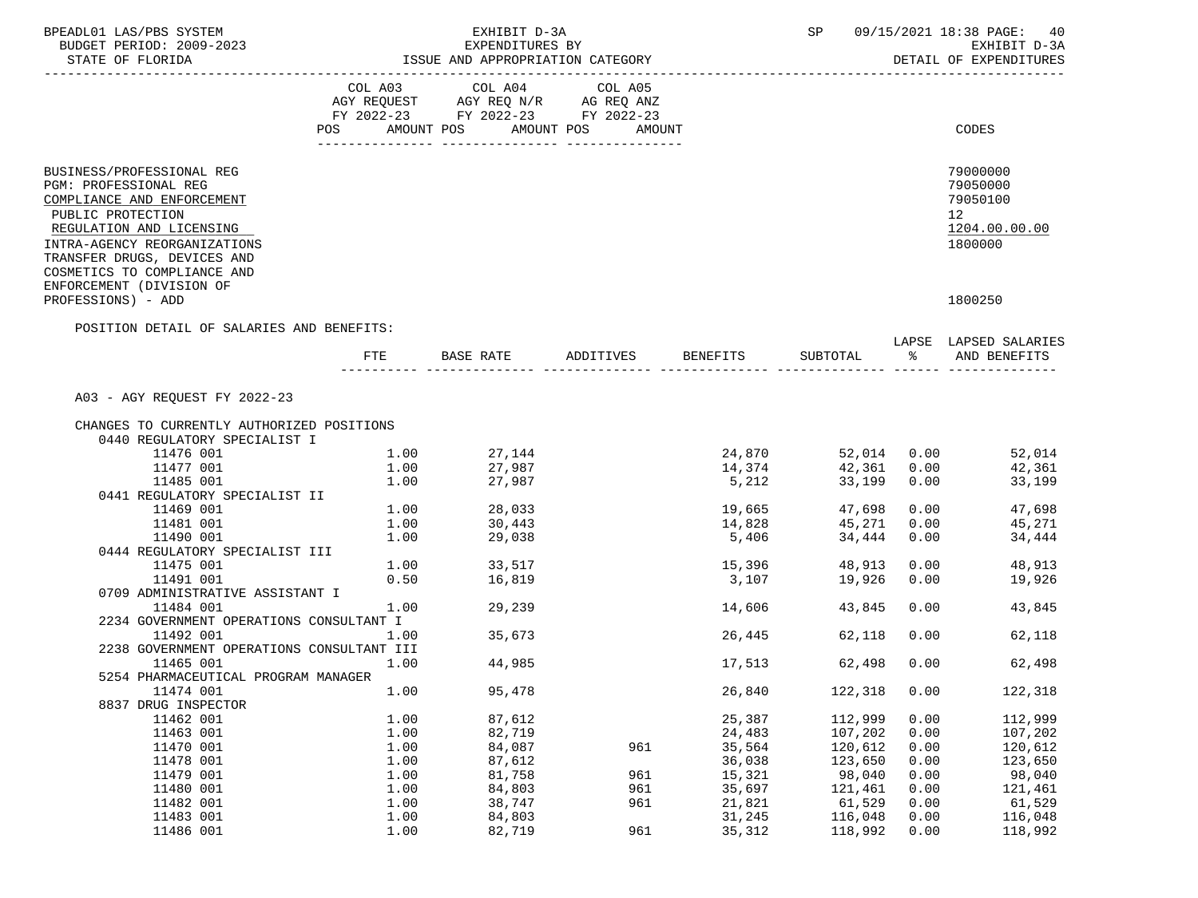| BPEADL01 LAS/PBS SYSTEM                                                                                                                                                                                                                                                                  |      | EXHIBIT D-3A                       |         |                 | SP                 |      | 09/15/2021 18:38 PAGE:<br>40                                                               |
|------------------------------------------------------------------------------------------------------------------------------------------------------------------------------------------------------------------------------------------------------------------------------------------|------|------------------------------------|---------|-----------------|--------------------|------|--------------------------------------------------------------------------------------------|
| BUDGET PERIOD: 2009-2023                                                                                                                                                                                                                                                                 |      | EXPENDITURES BY                    |         |                 |                    |      | EXHIBIT D-3A                                                                               |
| STATE OF FLORIDA                                                                                                                                                                                                                                                                         |      | ISSUE AND APPROPRIATION CATEGORY   |         |                 |                    |      | DETAIL OF EXPENDITURES                                                                     |
| ------------------                                                                                                                                                                                                                                                                       |      |                                    |         |                 |                    |      |                                                                                            |
|                                                                                                                                                                                                                                                                                          |      | COL A03 COL A04                    | COL A05 |                 |                    |      |                                                                                            |
|                                                                                                                                                                                                                                                                                          |      | AGY REQUEST AGY REQ N/R AG REQ ANZ |         |                 |                    |      |                                                                                            |
|                                                                                                                                                                                                                                                                                          |      | FY 2022-23 FY 2022-23 FY 2022-23   |         |                 |                    |      |                                                                                            |
|                                                                                                                                                                                                                                                                                          |      | POS AMOUNT POS AMOUNT POS          | AMOUNT  |                 |                    |      | CODES                                                                                      |
| BUSINESS/PROFESSIONAL REG<br><b>PGM: PROFESSIONAL REG</b><br>COMPLIANCE AND ENFORCEMENT<br>PUBLIC PROTECTION<br>REGULATION AND LICENSING<br>INTRA-AGENCY REORGANIZATIONS<br>TRANSFER DRUGS, DEVICES AND<br>COSMETICS TO COMPLIANCE AND<br>ENFORCEMENT (DIVISION OF<br>PROFESSIONS) - ADD |      |                                    |         |                 |                    |      | 79000000<br>79050000<br>79050100<br>12 <sup>°</sup><br>1204.00.00.00<br>1800000<br>1800250 |
| POSITION DETAIL OF SALARIES AND BENEFITS:                                                                                                                                                                                                                                                |      |                                    |         |                 |                    |      |                                                                                            |
|                                                                                                                                                                                                                                                                                          | FTE  | BASE RATE ADDITIVES BENEFITS       |         |                 |                    |      | LAPSE LAPSED SALARIES<br>SUBTOTAL % AND BENEFITS                                           |
|                                                                                                                                                                                                                                                                                          |      |                                    |         |                 |                    |      |                                                                                            |
| A03 - AGY REQUEST FY 2022-23                                                                                                                                                                                                                                                             |      |                                    |         |                 |                    |      |                                                                                            |
|                                                                                                                                                                                                                                                                                          |      |                                    |         |                 |                    |      |                                                                                            |
| CHANGES TO CURRENTLY AUTHORIZED POSITIONS                                                                                                                                                                                                                                                |      |                                    |         |                 |                    |      |                                                                                            |
| 0440 REGULATORY SPECIALIST I                                                                                                                                                                                                                                                             |      |                                    |         |                 |                    |      |                                                                                            |
| 11476 001                                                                                                                                                                                                                                                                                |      | $1.00$ $27,144$<br>$1.00$ $27,987$ |         |                 | 24,870 52,014 0.00 |      | 52,014                                                                                     |
| 11477 001                                                                                                                                                                                                                                                                                |      | 27,987                             |         | 14,374<br>5,212 | 42,361             | 0.00 | 42,361                                                                                     |
| 11485 001                                                                                                                                                                                                                                                                                | 1.00 |                                    |         |                 | 33,199             | 0.00 | 33,199                                                                                     |
| 0441 REGULATORY SPECIALIST II                                                                                                                                                                                                                                                            |      | $1.00$ 28,033                      |         |                 |                    |      |                                                                                            |
| 11469 001                                                                                                                                                                                                                                                                                |      |                                    |         | 19,665          | 47,698             |      | 0.00<br>47,698                                                                             |
| 11481 001                                                                                                                                                                                                                                                                                | 1.00 | 30,443                             |         | 14,828          | 45,271             | 0.00 | 45,271                                                                                     |
| 11490 001                                                                                                                                                                                                                                                                                | 1.00 | 29,038                             |         | 5,406           | 34,444             | 0.00 | 34,444                                                                                     |
| 0444 REGULATORY SPECIALIST III                                                                                                                                                                                                                                                           |      |                                    |         |                 |                    |      |                                                                                            |
| 11475 001                                                                                                                                                                                                                                                                                |      | $1.00$ $33,517$<br>0.50 $16.819$   |         | 15,396          | 48,913             | 0.00 | 48,913                                                                                     |
| 11491 001                                                                                                                                                                                                                                                                                | 0.50 | 16,819                             |         | 3,107           | 19,926             | 0.00 | 19,926                                                                                     |
| 0709 ADMINISTRATIVE ASSISTANT I                                                                                                                                                                                                                                                          |      |                                    |         |                 |                    |      |                                                                                            |
| 11484 001                                                                                                                                                                                                                                                                                | 1.00 | 29,239                             |         | 14,606          | 43,845             | 0.00 | 43,845                                                                                     |
| 2234 GOVERNMENT OPERATIONS CONSULTANT I                                                                                                                                                                                                                                                  |      |                                    |         |                 |                    |      |                                                                                            |
| 11492 001                                                                                                                                                                                                                                                                                | 1.00 | 35,673                             |         | 26,445          | 62,118             | 0.00 | 62,118                                                                                     |
| 2238 GOVERNMENT OPERATIONS CONSULTANT III                                                                                                                                                                                                                                                |      |                                    |         |                 |                    |      |                                                                                            |
| 11465 001                                                                                                                                                                                                                                                                                | 1.00 | 44,985                             |         | 17,513          | 62,498             | 0.00 | 62,498                                                                                     |
| 5254 PHARMACEUTICAL PROGRAM MANAGER                                                                                                                                                                                                                                                      |      |                                    |         |                 |                    |      |                                                                                            |
| 11474 001                                                                                                                                                                                                                                                                                | 1.00 | 95,478                             |         | 26,840          | 122,318            | 0.00 | 122,318                                                                                    |
| 8837 DRUG INSPECTOR                                                                                                                                                                                                                                                                      |      |                                    |         |                 |                    |      |                                                                                            |
| 11462 001                                                                                                                                                                                                                                                                                | 1.00 | 87,612                             |         | 25,387          | 112,999            | 0.00 | 112,999                                                                                    |
| 11463 001                                                                                                                                                                                                                                                                                | 1.00 | 82,719                             |         | 24,483          | 107,202            | 0.00 | 107,202                                                                                    |
| 11470 001                                                                                                                                                                                                                                                                                | 1.00 | 84,087                             | 961     | 35,564          | 120,612            | 0.00 | 120,612                                                                                    |
| 11478 001                                                                                                                                                                                                                                                                                | 1.00 | 87,612                             |         | 36,038          | 123,650            | 0.00 | 123,650                                                                                    |
| 11479 001                                                                                                                                                                                                                                                                                | 1.00 | 81,758                             | 961     | 15,321          | 98,040             | 0.00 | 98,040                                                                                     |
| 11480 001                                                                                                                                                                                                                                                                                | 1.00 | 84,803                             | 961     | 35,697          | 121,461            | 0.00 | 121,461                                                                                    |
| 11482 001                                                                                                                                                                                                                                                                                | 1.00 | 38,747                             | 961     | 21,821          | 61,529             | 0.00 | 61,529                                                                                     |
| 11483 001                                                                                                                                                                                                                                                                                | 1.00 | 84,803                             |         | 31,245          | 116,048            | 0.00 | 116,048                                                                                    |
| 11486 001                                                                                                                                                                                                                                                                                | 1.00 | 82,719                             | 961     | 35, 312         | 118,992            | 0.00 | 118,992                                                                                    |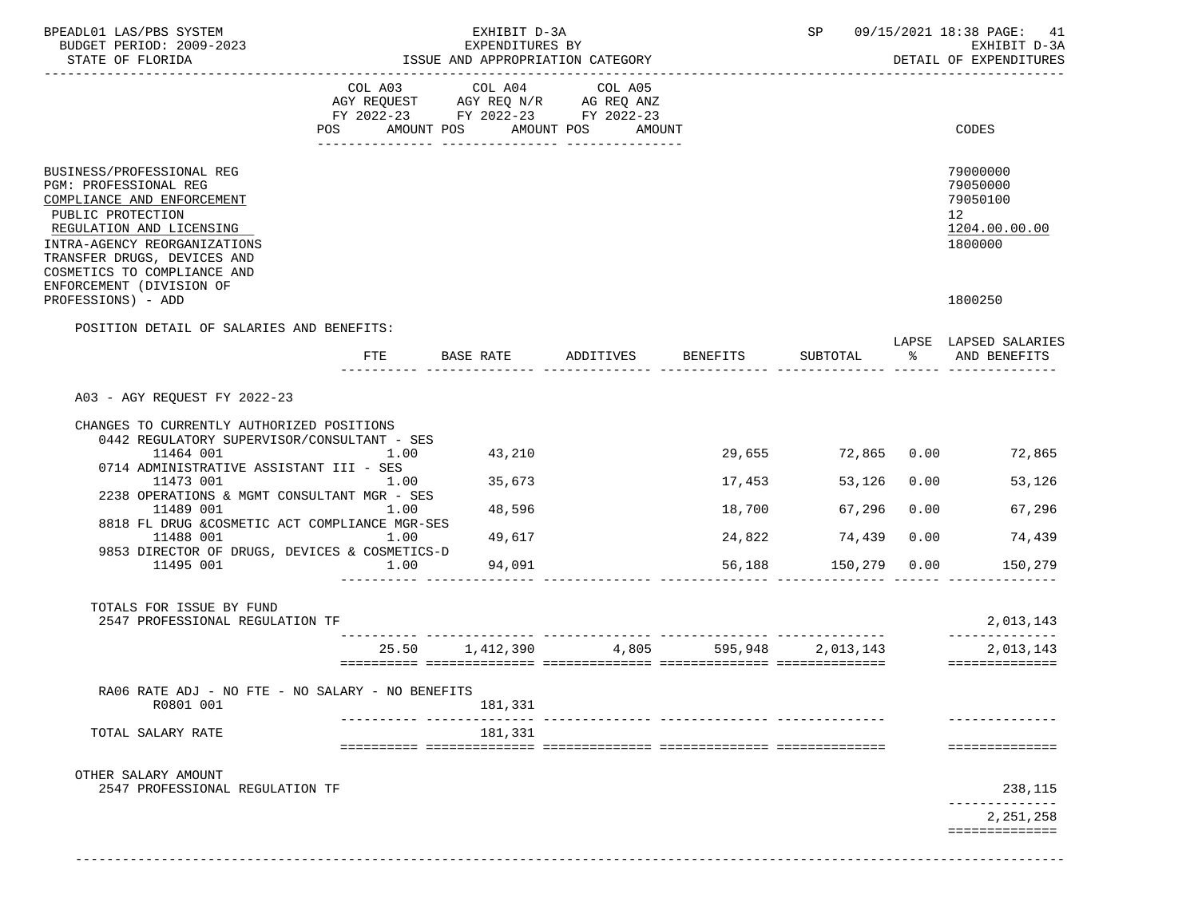| BPEADL01 LAS/PBS SYSTEM<br>BUDGET PERIOD: 2009-2023<br>STATE OF FLORIDA                                                                                                                                                                                     |            | EXHIBIT D-3A<br>EXPENDITURES BY<br>ISSUE AND APPROPRIATION CATEGORY                                                       |           |                                             | SP.<br>09/15/2021 18:38 PAGE: 41<br>EXHIBIT D-3A<br>DETAIL OF EXPENDITURES |      |                                                                    |  |
|-------------------------------------------------------------------------------------------------------------------------------------------------------------------------------------------------------------------------------------------------------------|------------|---------------------------------------------------------------------------------------------------------------------------|-----------|---------------------------------------------|----------------------------------------------------------------------------|------|--------------------------------------------------------------------|--|
|                                                                                                                                                                                                                                                             | POS        | COL A03 COL A04<br>AGY REQUEST AGY REQ N/R AG REQ ANZ<br>FY 2022-23 FY 2022-23 FY 2022-23<br>AMOUNT POS AMOUNT POS AMOUNT | COL A05   |                                             |                                                                            |      | CODES                                                              |  |
| BUSINESS/PROFESSIONAL REG<br>PGM: PROFESSIONAL REG<br>COMPLIANCE AND ENFORCEMENT<br>PUBLIC PROTECTION<br>REGULATION AND LICENSING<br>INTRA-AGENCY REORGANIZATIONS<br>TRANSFER DRUGS, DEVICES AND<br>COSMETICS TO COMPLIANCE AND<br>ENFORCEMENT (DIVISION OF |            |                                                                                                                           |           |                                             |                                                                            |      | 79000000<br>79050000<br>79050100<br>12<br>1204.00.00.00<br>1800000 |  |
| PROFESSIONS) - ADD                                                                                                                                                                                                                                          |            |                                                                                                                           |           |                                             |                                                                            |      | 1800250                                                            |  |
| POSITION DETAIL OF SALARIES AND BENEFITS:                                                                                                                                                                                                                   | <b>FTE</b> | BASE RATE                                                                                                                 | ADDITIVES | BENEFITS                                    | SUBTOTAL                                                                   | ိ    | LAPSE LAPSED SALARIES<br>AND BENEFITS                              |  |
|                                                                                                                                                                                                                                                             |            |                                                                                                                           |           |                                             |                                                                            |      |                                                                    |  |
| A03 - AGY REQUEST FY 2022-23                                                                                                                                                                                                                                |            |                                                                                                                           |           |                                             |                                                                            |      |                                                                    |  |
| CHANGES TO CURRENTLY AUTHORIZED POSITIONS                                                                                                                                                                                                                   |            |                                                                                                                           |           |                                             |                                                                            |      |                                                                    |  |
| 0442 REGULATORY SUPERVISOR/CONSULTANT - SES<br>11464 001                                                                                                                                                                                                    | 1.00       | 43,210                                                                                                                    |           |                                             | 29,655 72,865 0.00                                                         |      | 72,865                                                             |  |
| 0714 ADMINISTRATIVE ASSISTANT III - SES<br>11473 001                                                                                                                                                                                                        | 1.00       | 35,673                                                                                                                    |           | 17,453                                      | 53,126                                                                     | 0.00 | 53,126                                                             |  |
| 2238 OPERATIONS & MGMT CONSULTANT MGR - SES<br>11489 001<br>8818 FL DRUG &COSMETIC ACT COMPLIANCE MGR-SES                                                                                                                                                   | 1.00       | 48,596                                                                                                                    |           | 18,700                                      | 67,296                                                                     | 0.00 | 67,296                                                             |  |
| 11488 001                                                                                                                                                                                                                                                   | 1.00       | 49,617                                                                                                                    |           | 24,822                                      | 74,439                                                                     | 0.00 | 74,439                                                             |  |
| 9853 DIRECTOR OF DRUGS, DEVICES & COSMETICS-D<br>11495 001                                                                                                                                                                                                  | 1.00       | 94,091                                                                                                                    |           | 56,188                                      | 150,279 0.00                                                               |      | 150,279                                                            |  |
|                                                                                                                                                                                                                                                             |            |                                                                                                                           |           |                                             |                                                                            |      |                                                                    |  |
| TOTALS FOR ISSUE BY FUND<br>2547 PROFESSIONAL REGULATION TF                                                                                                                                                                                                 |            |                                                                                                                           |           |                                             |                                                                            |      | 2,013,143                                                          |  |
|                                                                                                                                                                                                                                                             |            |                                                                                                                           |           | <br>25.50 1,412,390 4,805 595,948 2,013,143 |                                                                            |      | 2,013,143                                                          |  |
|                                                                                                                                                                                                                                                             |            |                                                                                                                           |           |                                             |                                                                            |      |                                                                    |  |
| RA06 RATE ADJ - NO FTE - NO SALARY - NO BENEFITS<br>R0801 001                                                                                                                                                                                               |            | 181,331                                                                                                                   |           |                                             |                                                                            |      |                                                                    |  |
| TOTAL SALARY RATE                                                                                                                                                                                                                                           |            | 181,331                                                                                                                   |           |                                             |                                                                            |      |                                                                    |  |
|                                                                                                                                                                                                                                                             |            |                                                                                                                           |           |                                             |                                                                            |      | ==============                                                     |  |
|                                                                                                                                                                                                                                                             |            |                                                                                                                           |           |                                             |                                                                            |      |                                                                    |  |
| OTHER SALARY AMOUNT<br>2547 PROFESSIONAL REGULATION TF                                                                                                                                                                                                      |            |                                                                                                                           |           |                                             |                                                                            |      | 238,115                                                            |  |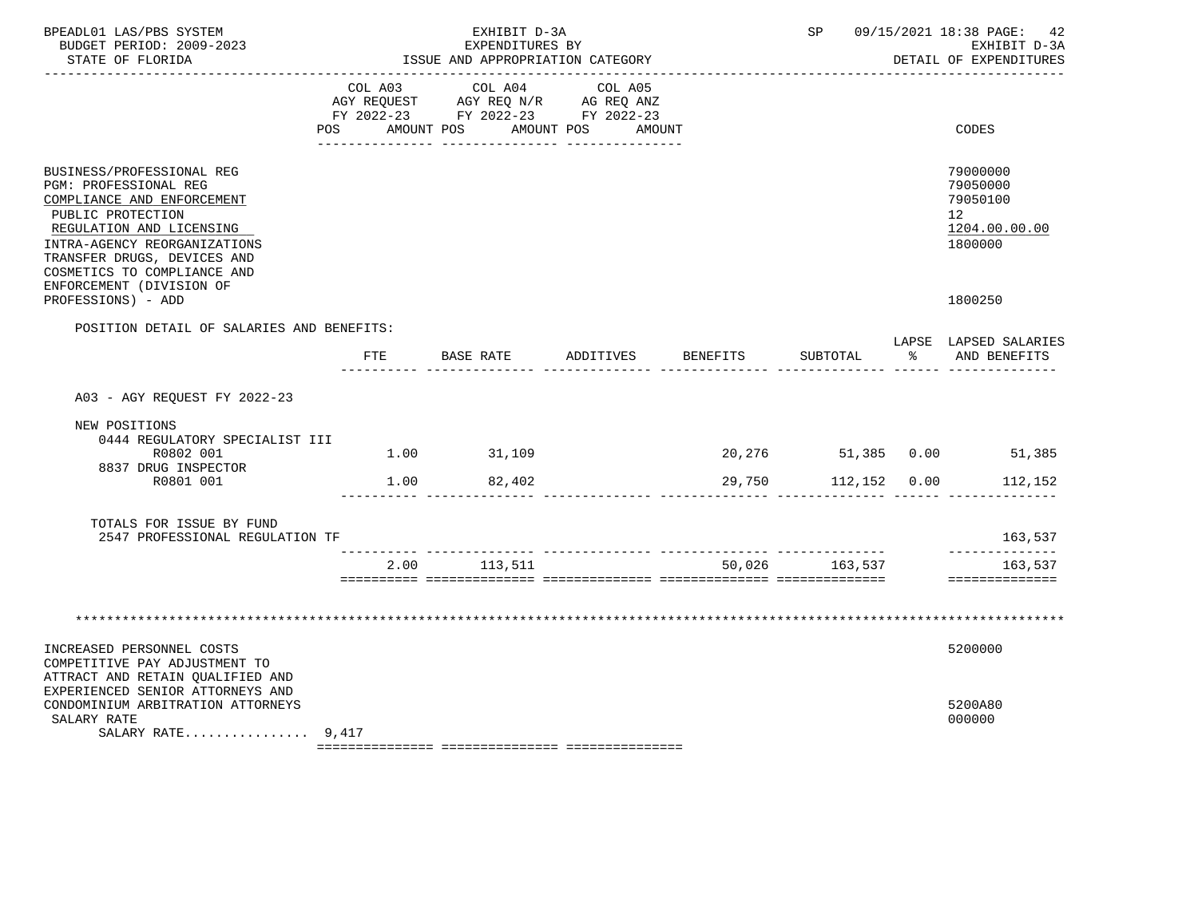| BPEADL01 LAS/PBS SYSTEM<br>BUDGET PERIOD: 2009-2023<br>STATE OF FLORIDA                                                                                                                                                                                     |                           | EXHIBIT D-3A<br>EXPENDITURES BY<br>ISSUE AND APPROPRIATION CATEGORY                             |                             | SP              |                     | 09/15/2021 18:38 PAGE: 42<br>EXHIBIT D-3A<br>DETAIL OF EXPENDITURES |                                                                    |
|-------------------------------------------------------------------------------------------------------------------------------------------------------------------------------------------------------------------------------------------------------------|---------------------------|-------------------------------------------------------------------------------------------------|-----------------------------|-----------------|---------------------|---------------------------------------------------------------------|--------------------------------------------------------------------|
|                                                                                                                                                                                                                                                             | COL A03<br>POS AMOUNT POS | COL A04<br>AGY REQUEST AGY REQ N/R AG REQ ANZ<br>FY 2022-23 FY 2022-23 FY 2022-23<br>AMOUNT POS | COL A05<br>AMOUNT           |                 |                     |                                                                     | CODES                                                              |
| BUSINESS/PROFESSIONAL REG<br>PGM: PROFESSIONAL REG<br>COMPLIANCE AND ENFORCEMENT<br>PUBLIC PROTECTION<br>REGULATION AND LICENSING<br>INTRA-AGENCY REORGANIZATIONS<br>TRANSFER DRUGS, DEVICES AND<br>COSMETICS TO COMPLIANCE AND<br>ENFORCEMENT (DIVISION OF |                           |                                                                                                 |                             |                 |                     |                                                                     | 79000000<br>79050000<br>79050100<br>12<br>1204.00.00.00<br>1800000 |
| PROFESSIONS) - ADD                                                                                                                                                                                                                                          |                           |                                                                                                 |                             |                 |                     |                                                                     | 1800250                                                            |
| POSITION DETAIL OF SALARIES AND BENEFITS:                                                                                                                                                                                                                   |                           |                                                                                                 |                             |                 |                     |                                                                     | LAPSE LAPSED SALARIES                                              |
|                                                                                                                                                                                                                                                             | FTE                       | BASE RATE                                                                                       | ADDITIVES                   | <b>BENEFITS</b> | SUBTOTAL            | ႜႂ                                                                  | AND BENEFITS                                                       |
| A03 - AGY REQUEST FY 2022-23                                                                                                                                                                                                                                |                           |                                                                                                 |                             |                 |                     |                                                                     |                                                                    |
| NEW POSITIONS<br>0444 REGULATORY SPECIALIST III<br>R0802 001                                                                                                                                                                                                |                           | 1.00 31,109                                                                                     |                             |                 |                     |                                                                     | 20,276 51,385 0.00 51,385                                          |
| 8837 DRUG INSPECTOR<br>R0801 001                                                                                                                                                                                                                            |                           | 1.00 82,402                                                                                     |                             |                 | 29,750 112,152 0.00 |                                                                     | 112,152                                                            |
| TOTALS FOR ISSUE BY FUND<br>2547 PROFESSIONAL REGULATION TF                                                                                                                                                                                                 |                           |                                                                                                 | --------------- ----------- |                 |                     |                                                                     | 163,537                                                            |
|                                                                                                                                                                                                                                                             |                           | 2.00 113,511                                                                                    |                             |                 | 50,026 163,537      |                                                                     | ______________<br>163,537                                          |
|                                                                                                                                                                                                                                                             |                           |                                                                                                 |                             |                 |                     |                                                                     | ==============                                                     |
|                                                                                                                                                                                                                                                             |                           |                                                                                                 |                             |                 |                     |                                                                     |                                                                    |
|                                                                                                                                                                                                                                                             |                           |                                                                                                 |                             |                 |                     |                                                                     |                                                                    |
| INCREASED PERSONNEL COSTS<br>COMPETITIVE PAY ADJUSTMENT TO<br>ATTRACT AND RETAIN QUALIFIED AND<br>EXPERIENCED SENIOR ATTORNEYS AND<br>CONDOMINIUM ARBITRATION ATTORNEYS<br>SALARY RATE                                                                      |                           |                                                                                                 |                             |                 |                     |                                                                     | 5200000<br>5200A80<br>000000                                       |
| SALARY RATE $9,417$                                                                                                                                                                                                                                         |                           |                                                                                                 |                             |                 |                     |                                                                     |                                                                    |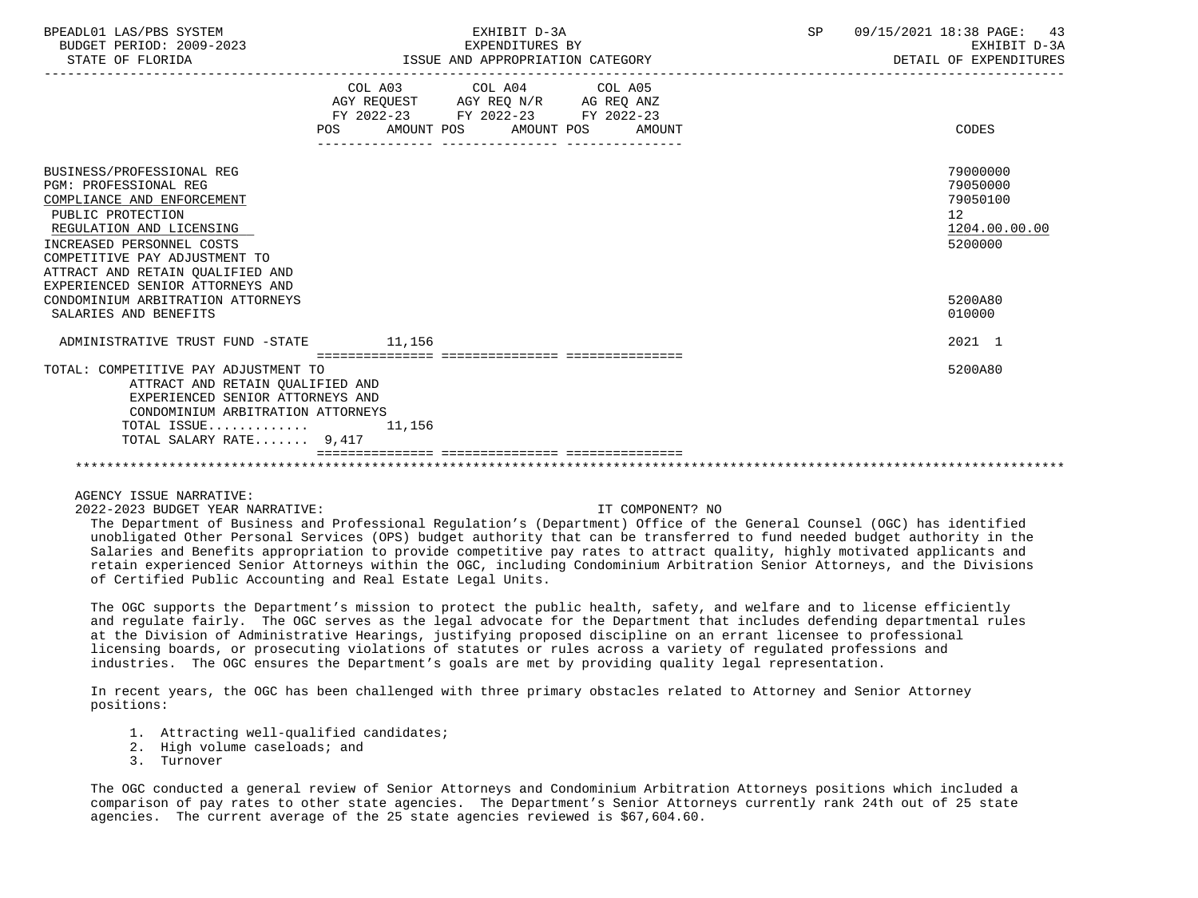| BPEADL01 LAS/PBS SYSTEM |                          |
|-------------------------|--------------------------|
|                         | BUDGET PERIOD: 2009-2023 |

STATE OF FLORIDA **ISSUE AND APPROPRIATION CATEGORY STATE OF FLORIDA** DETAIL OF EXPENDITURES ----------------------------------------------------------------------------------------------------------------------------------- COL A03 COL A04 AGY REQUEST AGY REQ N/R AG REQ ANZ FY 2022-23 FY 2022-23 FY 2022-23 POS AMOUNT POS AMOUNT POS AMOUNT CODES --------------- --------------- --------------- BUSINESS/PROFESSIONAL REG 79000000<br>PGM: PROFESSIONAL REG 790500000 79050000 79050000 79050000 79050000 79050000 79050000 79050000 79050000 79050 PGM: PROFESSIONAL REG 79050000<br>COMPLIANCE AND ENFORCEMENT COMPLIANCE AND ENFORCEMENT PUBLIC PROTECTION 12 REGULATION AND LICENSING 1204.00.<br>NCREASED PERSONNEL COSTS 5200000. INCREASED PERSONNEL COSTS COMPETITIVE PAY ADJUSTMENT TO ATTRACT AND RETAIN QUALIFIED AND EXPERIENCED SENIOR ATTORNEYS AND CONDOMINIUM ARBITRATION ATTORNEYS 5200A80 SALARIES AND BENEFITS ON A SALARIES AND SALARIES AND SALARIES AND SALARIES AND SALARIES AND SALARIES AND SALARIES AND SALARIES AND SALARIES AND SALARIES AND SALARIES AND SALARIES AND SALARIES AND SALARIES AND SALARIES AND ADMINISTRATIVE TRUST FUND -STATE 11,156 2021 1 =============== =============== =============== TOTAL: COMPETITIVE PAY ADJUSTMENT TO 5200A80 ATTRACT AND RETAIN QUALIFIED AND EXPERIENCED SENIOR ATTORNEYS AND CONDOMINIUM ARBITRATION ATTORNEYS TOTAL ISSUE............. 11,156 TOTAL SALARY RATE....... 9,417 =============== =============== =============== \*\*\*\*\*\*\*\*\*\*\*\*\*\*\*\*\*\*\*\*\*\*\*\*\*\*\*\*\*\*\*\*\*\*\*\*\*\*\*\*\*\*\*\*\*\*\*\*\*\*\*\*\*\*\*\*\*\*\*\*\*\*\*\*\*\*\*\*\*\*\*\*\*\*\*\*\*\*\*\*\*\*\*\*\*\*\*\*\*\*\*\*\*\*\*\*\*\*\*\*\*\*\*\*\*\*\*\*\*\*\*\*\*\*\*\*\*\*\*\*\*\*\*\*\*\*\*

## AGENCY ISSUE NARRATIVE:

2022-2023 BUDGET YEAR NARRATIVE: IT COMPONENT? NO

 The Department of Business and Professional Regulation's (Department) Office of the General Counsel (OGC) has identified unobligated Other Personal Services (OPS) budget authority that can be transferred to fund needed budget authority in the Salaries and Benefits appropriation to provide competitive pay rates to attract quality, highly motivated applicants and retain experienced Senior Attorneys within the OGC, including Condominium Arbitration Senior Attorneys, and the Divisions of Certified Public Accounting and Real Estate Legal Units.

 The OGC supports the Department's mission to protect the public health, safety, and welfare and to license efficiently and regulate fairly. The OGC serves as the legal advocate for the Department that includes defending departmental rules at the Division of Administrative Hearings, justifying proposed discipline on an errant licensee to professional licensing boards, or prosecuting violations of statutes or rules across a variety of regulated professions and industries. The OGC ensures the Department's goals are met by providing quality legal representation.

 In recent years, the OGC has been challenged with three primary obstacles related to Attorney and Senior Attorney positions:

- 1. Attracting well-qualified candidates;
- 2. High volume caseloads; and
- 3. Turnover

 The OGC conducted a general review of Senior Attorneys and Condominium Arbitration Attorneys positions which included a comparison of pay rates to other state agencies. The Department's Senior Attorneys currently rank 24th out of 25 state agencies. The current average of the 25 state agencies reviewed is \$67,604.60.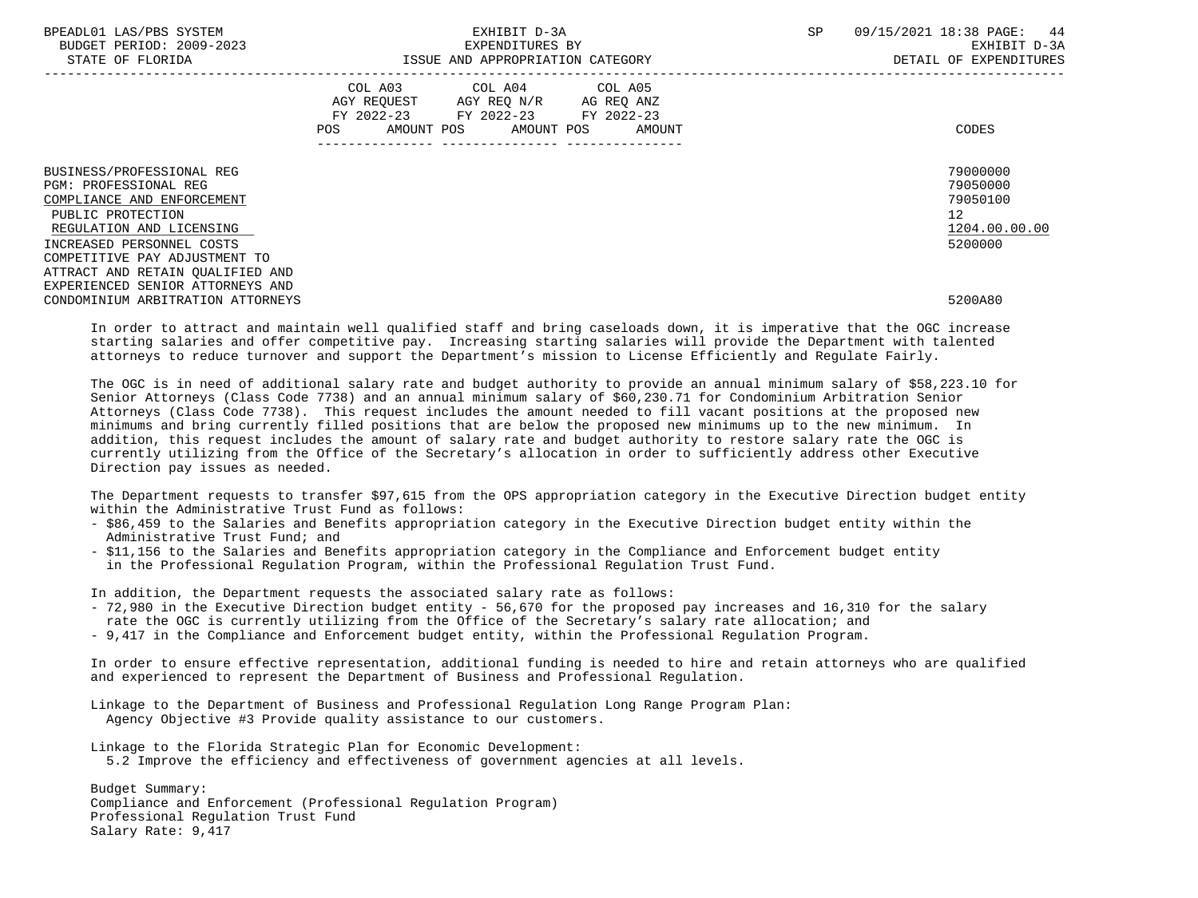| <b>CVSTEM</b><br>'DR C<br>RDFAP <sup>.</sup><br>. |                                                 | СE<br>عدب | PAGE<br>$\cap$<br>1 Y                    |
|---------------------------------------------------|-------------------------------------------------|-----------|------------------------------------------|
| $-202$<br>2009<br>TOTON<br><b>BUDGET</b>          | ITURES<br>----<br>END.<br>.ح∠ت                  |           |                                          |
| ᆩᅐᇭ<br>$\overline{\phantom{0}}$<br>PLURIDA        | ، با زاد،<br>AND<br>$\mathcal{L}$<br>. <i>.</i> |           | - TD F<br>OF<br><b>DELALL</b><br>$\pm 1$ |

 COMPETITIVE PAY ADJUSTMENT TO ATTRACT AND RETAIN QUALIFIED AND EXPERIENCED SENIOR ATTORNEYS AND

|                            |      | COL A03<br>AGY REOUEST<br>FY 2022-23 | COL A04<br>AGY REO N/R<br>FY 2022-23 | COL A05<br>AG REQ ANZ<br>FY 2022-23 |               |
|----------------------------|------|--------------------------------------|--------------------------------------|-------------------------------------|---------------|
|                            | POS. | AMOUNT POS                           | AMOUNT POS                           | AMOUNT                              | CODES         |
|                            |      |                                      |                                      |                                     |               |
| BUSINESS/PROFESSIONAL REG  |      |                                      |                                      |                                     | 79000000      |
| PGM: PROFESSIONAL REG      |      |                                      |                                      |                                     | 79050000      |
| COMPLIANCE AND ENFORCEMENT |      |                                      |                                      |                                     | 79050100      |
| PUBLIC PROTECTION          |      |                                      |                                      |                                     | 12            |
| REGULATION AND LICENSING   |      |                                      |                                      |                                     | 1204.00.00.00 |
| INCREASED PERSONNEL COSTS  |      |                                      |                                      |                                     | 5200000       |

CONDOMINIUM ARBITRATION ATTORNEYS 5200A80

 In order to attract and maintain well qualified staff and bring caseloads down, it is imperative that the OGC increase starting salaries and offer competitive pay. Increasing starting salaries will provide the Department with talented attorneys to reduce turnover and support the Department's mission to License Efficiently and Regulate Fairly.

 The OGC is in need of additional salary rate and budget authority to provide an annual minimum salary of \$58,223.10 for Senior Attorneys (Class Code 7738) and an annual minimum salary of \$60,230.71 for Condominium Arbitration Senior Attorneys (Class Code 7738). This request includes the amount needed to fill vacant positions at the proposed new minimums and bring currently filled positions that are below the proposed new minimums up to the new minimum. In addition, this request includes the amount of salary rate and budget authority to restore salary rate the OGC is currently utilizing from the Office of the Secretary's allocation in order to sufficiently address other Executive Direction pay issues as needed.

 The Department requests to transfer \$97,615 from the OPS appropriation category in the Executive Direction budget entity within the Administrative Trust Fund as follows:

- \$86,459 to the Salaries and Benefits appropriation category in the Executive Direction budget entity within the Administrative Trust Fund; and
- \$11,156 to the Salaries and Benefits appropriation category in the Compliance and Enforcement budget entity in the Professional Regulation Program, within the Professional Regulation Trust Fund.

In addition, the Department requests the associated salary rate as follows:

- 72,980 in the Executive Direction budget entity 56,670 for the proposed pay increases and 16,310 for the salary rate the OGC is currently utilizing from the Office of the Secretary's salary rate allocation; and
- 9,417 in the Compliance and Enforcement budget entity, within the Professional Regulation Program.

 In order to ensure effective representation, additional funding is needed to hire and retain attorneys who are qualified and experienced to represent the Department of Business and Professional Regulation.

 Linkage to the Department of Business and Professional Regulation Long Range Program Plan: Agency Objective #3 Provide quality assistance to our customers.

 Linkage to the Florida Strategic Plan for Economic Development: 5.2 Improve the efficiency and effectiveness of government agencies at all levels.

 Budget Summary: Compliance and Enforcement (Professional Regulation Program) Professional Regulation Trust Fund Salary Rate: 9,417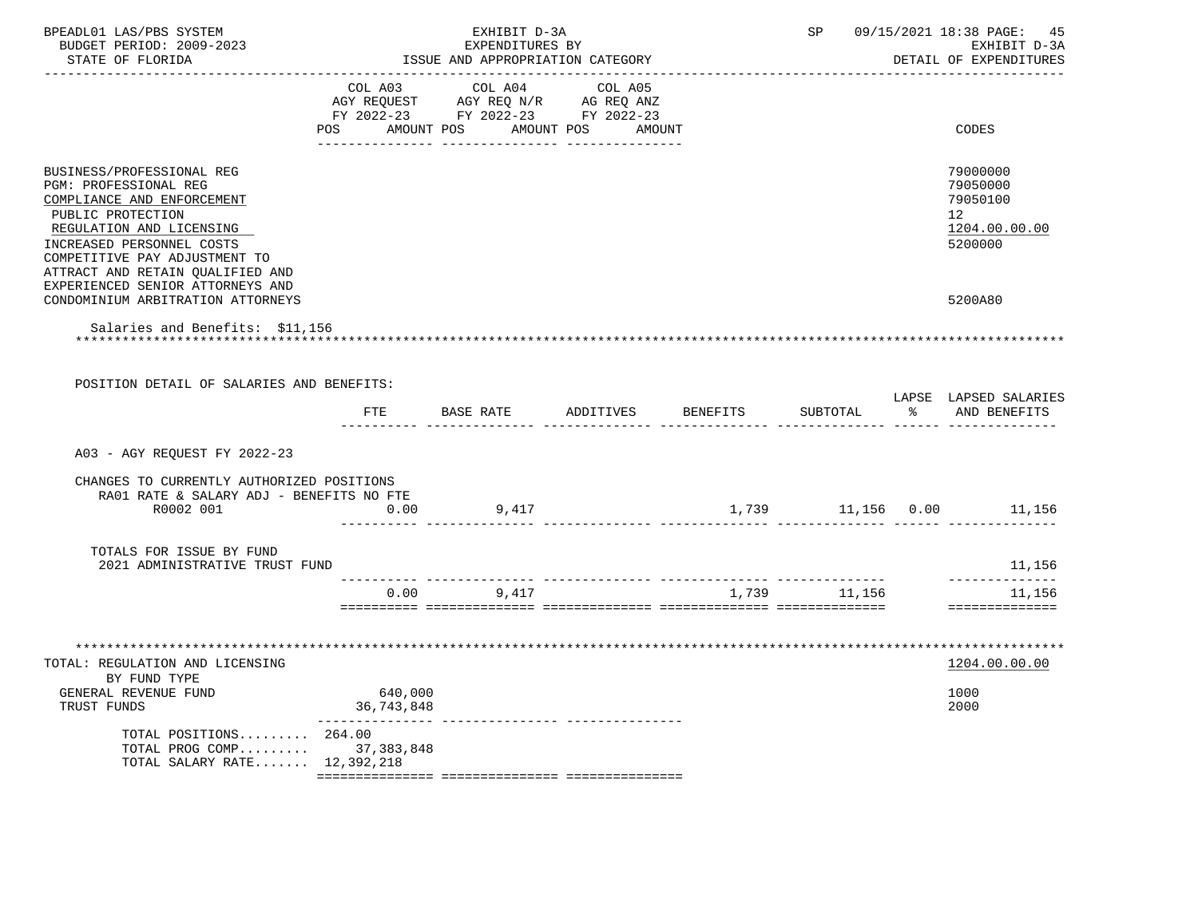| BPEADL01 LAS/PBS SYSTEM<br>BUDGET PERIOD: 2009-2023<br>STATE OF FLORIDA                                                                                                                                                                                                        | EXHIBIT D-3A<br>EXPENDITURES BY<br>ISSUE AND APPROPRIATION CATEGORY |                                                                                   |                              |                 |              |               | SP 09/15/2021 18:38 PAGE: 45<br>EXHIBIT D-3A<br>DETAIL OF EXPENDITURES |
|--------------------------------------------------------------------------------------------------------------------------------------------------------------------------------------------------------------------------------------------------------------------------------|---------------------------------------------------------------------|-----------------------------------------------------------------------------------|------------------------------|-----------------|--------------|---------------|------------------------------------------------------------------------|
|                                                                                                                                                                                                                                                                                | COL A03<br>POS<br>AMOUNT POS                                        | COL A04<br>AGY REQUEST AGY REQ N/R AG REQ ANZ<br>FY 2022-23 FY 2022-23 FY 2022-23 | COL A05<br>AMOUNT POS AMOUNT |                 |              |               | CODES                                                                  |
| BUSINESS/PROFESSIONAL REG<br><b>PGM: PROFESSIONAL REG</b><br>COMPLIANCE AND ENFORCEMENT<br>PUBLIC PROTECTION<br>REGULATION AND LICENSING<br>INCREASED PERSONNEL COSTS<br>COMPETITIVE PAY ADJUSTMENT TO<br>ATTRACT AND RETAIN QUALIFIED AND<br>EXPERIENCED SENIOR ATTORNEYS AND |                                                                     |                                                                                   |                              |                 |              |               | 79000000<br>79050000<br>79050100<br>12<br>1204.00.00.00<br>5200000     |
| CONDOMINIUM ARBITRATION ATTORNEYS<br>Salaries and Benefits: \$11,156                                                                                                                                                                                                           |                                                                     |                                                                                   |                              |                 |              |               | 5200A80                                                                |
| POSITION DETAIL OF SALARIES AND BENEFITS:                                                                                                                                                                                                                                      |                                                                     |                                                                                   |                              |                 |              |               | LAPSE LAPSED SALARIES                                                  |
|                                                                                                                                                                                                                                                                                | FTE                                                                 | BASE RATE                                                                         | ADDITIVES                    | <b>BENEFITS</b> | SUBTOTAL     | $\sim$ $\sim$ | AND BENEFITS                                                           |
| A03 - AGY REOUEST FY 2022-23<br>CHANGES TO CURRENTLY AUTHORIZED POSITIONS<br>RA01 RATE & SALARY ADJ - BENEFITS NO FTE                                                                                                                                                          |                                                                     |                                                                                   |                              |                 |              |               |                                                                        |
| R0002 001                                                                                                                                                                                                                                                                      | 0.00                                                                | 9,417                                                                             |                              |                 |              |               | 1,739 11,156 0.00 11,156                                               |
| TOTALS FOR ISSUE BY FUND<br>2021 ADMINISTRATIVE TRUST FUND                                                                                                                                                                                                                     |                                                                     |                                                                                   |                              |                 |              |               | 11,156<br>--------------                                               |
|                                                                                                                                                                                                                                                                                |                                                                     | $0.00$ 9,417                                                                      |                              |                 | 1,739 11,156 |               | 11,156<br>==============                                               |
| TOTAL: REGULATION AND LICENSING<br>BY FUND TYPE<br>GENERAL REVENUE FUND<br>TRUST FUNDS<br>TOTAL POSITIONS 264.00<br>TOTAL PROG COMP<br>TOTAL SALARY RATE 12,392,218                                                                                                            | 640,000<br>36,743,848<br>37,383,848                                 |                                                                                   |                              |                 |              |               | 1204.00.00.00<br>1000<br>2000                                          |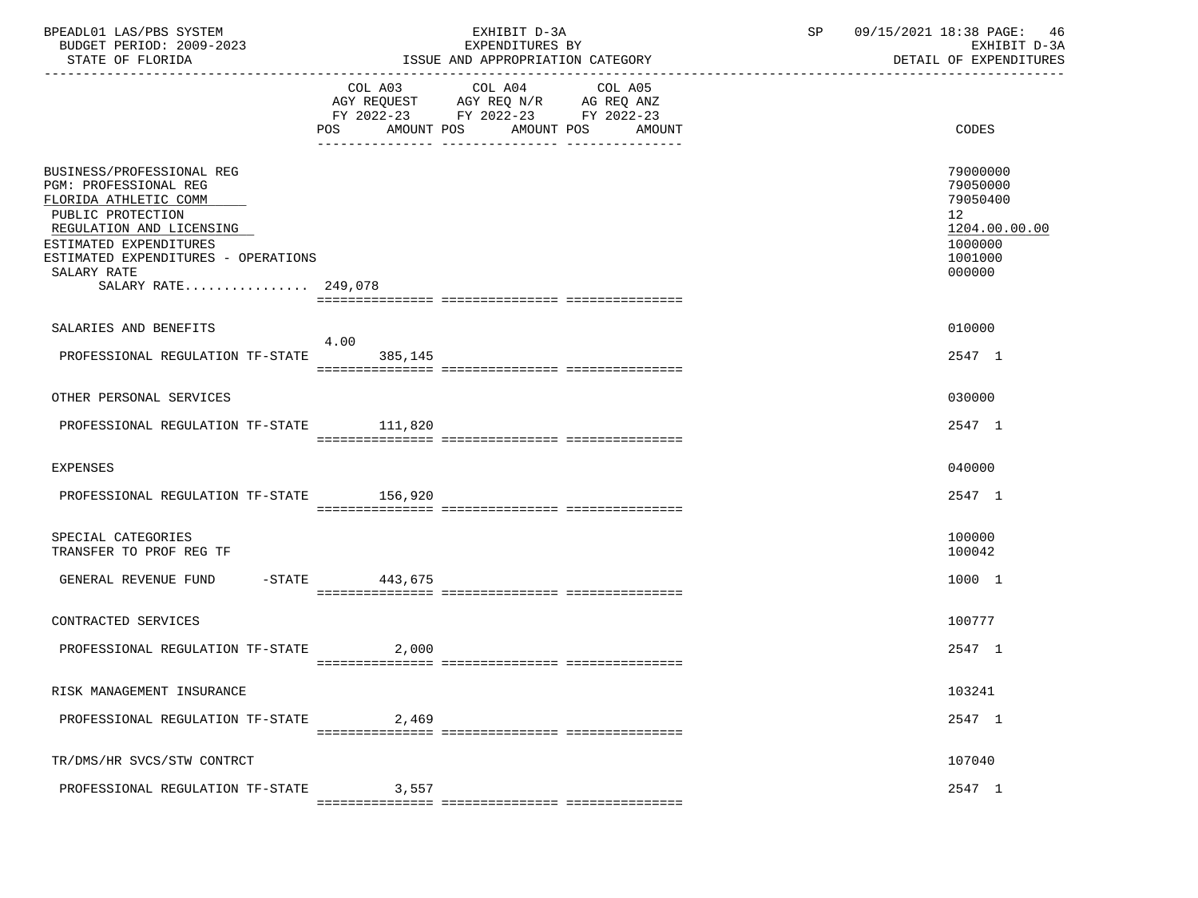| BPEADL01 LAS/PBS SYSTEM<br>BUDGET PERIOD: 2009-2023<br>STATE OF FLORIDA                                                                                                                                                             | EXHIBIT D-3A<br>EXPENDITURES BY<br>ISSUE AND APPROPRIATION CATEGORY                                                                   | 09/15/2021 18:38 PAGE:<br>SP<br>46<br>EXHIBIT D-3A<br>DETAIL OF EXPENDITURES                         |
|-------------------------------------------------------------------------------------------------------------------------------------------------------------------------------------------------------------------------------------|---------------------------------------------------------------------------------------------------------------------------------------|------------------------------------------------------------------------------------------------------|
|                                                                                                                                                                                                                                     | COL A03 COL A04 COL A05<br>AGY REQUEST AGY REQ N/R AG REQ ANZ<br>FY 2022-23 FY 2022-23 FY 2022-23<br>POS AMOUNT POS AMOUNT POS AMOUNT | CODES                                                                                                |
| BUSINESS/PROFESSIONAL REG<br>PGM: PROFESSIONAL REG<br>FLORIDA ATHLETIC COMM<br>PUBLIC PROTECTION<br>REGULATION AND LICENSING<br>ESTIMATED EXPENDITURES<br>ESTIMATED EXPENDITURES - OPERATIONS<br>SALARY RATE<br>SALARY RATE 249,078 |                                                                                                                                       | 79000000<br>79050000<br>79050400<br>12 <sup>°</sup><br>1204.00.00.00<br>1000000<br>1001000<br>000000 |
| SALARIES AND BENEFITS                                                                                                                                                                                                               |                                                                                                                                       | 010000                                                                                               |
| PROFESSIONAL REGULATION TF-STATE 385.145                                                                                                                                                                                            | 4.00                                                                                                                                  | 2547 1                                                                                               |
| OTHER PERSONAL SERVICES                                                                                                                                                                                                             |                                                                                                                                       | 030000                                                                                               |
| PROFESSIONAL REGULATION TF-STATE 111,820                                                                                                                                                                                            |                                                                                                                                       | 2547 1                                                                                               |
| EXPENSES                                                                                                                                                                                                                            |                                                                                                                                       | 040000                                                                                               |
| PROFESSIONAL REGULATION TF-STATE 156,920                                                                                                                                                                                            |                                                                                                                                       | 2547 1                                                                                               |
| SPECIAL CATEGORIES<br>TRANSFER TO PROF REG TF                                                                                                                                                                                       |                                                                                                                                       | 100000<br>100042                                                                                     |
| GENERAL REVENUE FUND -STATE 443,675                                                                                                                                                                                                 |                                                                                                                                       | 1000 1                                                                                               |
| CONTRACTED SERVICES                                                                                                                                                                                                                 |                                                                                                                                       | 100777                                                                                               |
| PROFESSIONAL REGULATION TF-STATE                                                                                                                                                                                                    | 2,000                                                                                                                                 | 2547 1                                                                                               |
| RISK MANAGEMENT INSURANCE                                                                                                                                                                                                           |                                                                                                                                       | 103241                                                                                               |
| PROFESSIONAL REGULATION TF-STATE                                                                                                                                                                                                    | 2,469                                                                                                                                 | 2547 1                                                                                               |
| TR/DMS/HR SVCS/STW CONTRCT                                                                                                                                                                                                          |                                                                                                                                       | 107040                                                                                               |
| PROFESSIONAL REGULATION TF-STATE                                                                                                                                                                                                    | 3,557                                                                                                                                 | 2547 1                                                                                               |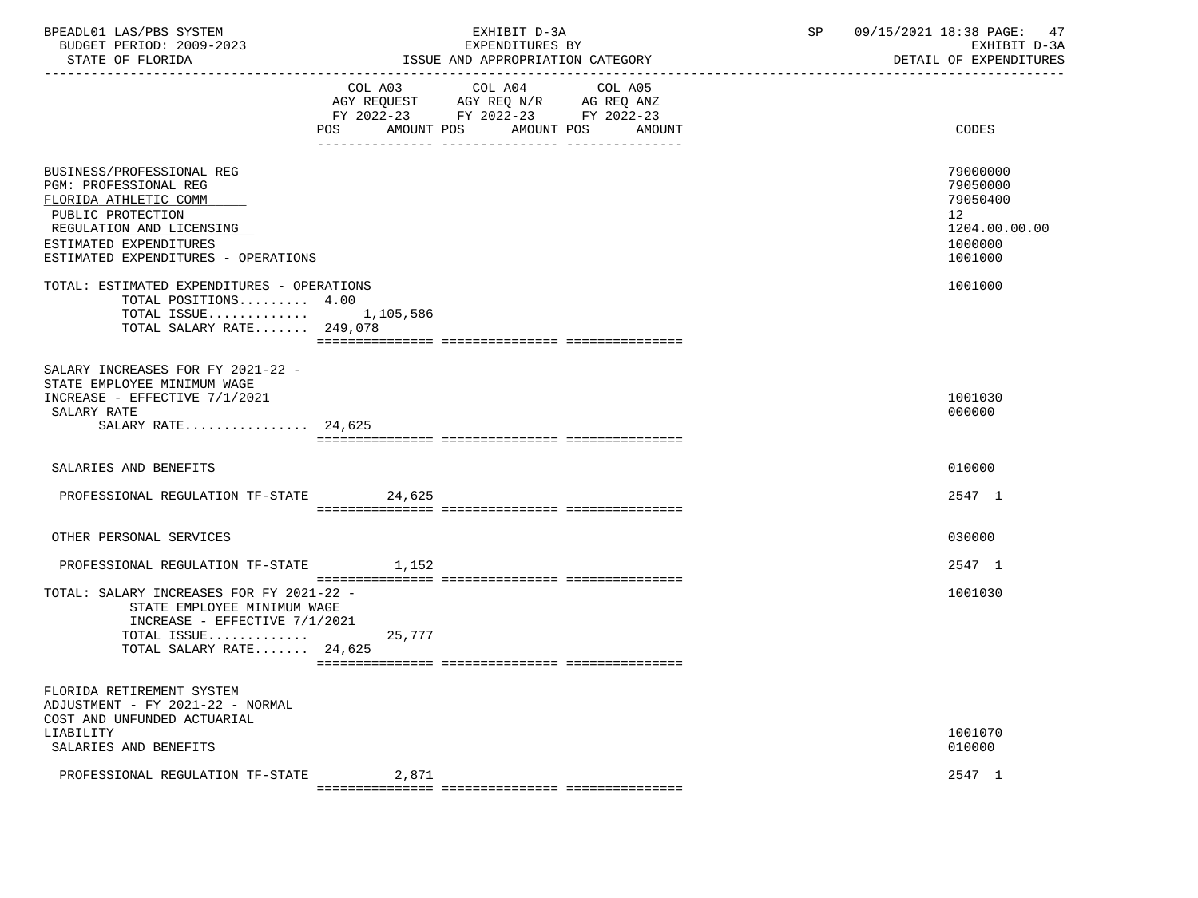| BPEADL01 LAS/PBS SYSTEM<br>BUDGET PERIOD: 2009-2023<br>STATE OF FLORIDA                                                                                                                                                                     |        | EXHIBIT D-3A<br>EXPENDITURES BY<br>ISSUE AND APPROPRIATION CATEGORY                                                               | 09/15/2021 18:38 PAGE: 47<br>SP<br>EXHIBIT D-3A<br>DETAIL OF EXPENDITURES                             |
|---------------------------------------------------------------------------------------------------------------------------------------------------------------------------------------------------------------------------------------------|--------|-----------------------------------------------------------------------------------------------------------------------------------|-------------------------------------------------------------------------------------------------------|
|                                                                                                                                                                                                                                             | POS    | COL A03 COL A04 COL A05<br>AGY REQUEST AGY REQ N/R AG REQ ANZ<br>FY 2022-23 FY 2022-23 FY 2022-23<br>AMOUNT POS AMOUNT POS AMOUNT | CODES                                                                                                 |
| BUSINESS/PROFESSIONAL REG<br>PGM: PROFESSIONAL REG<br>FLORIDA ATHLETIC COMM<br>PUBLIC PROTECTION<br>REGULATION AND LICENSING<br>ESTIMATED EXPENDITURES<br>ESTIMATED EXPENDITURES - OPERATIONS<br>TOTAL: ESTIMATED EXPENDITURES - OPERATIONS |        |                                                                                                                                   | 79000000<br>79050000<br>79050400<br>12 <sub>2</sub><br>1204.00.00.00<br>1000000<br>1001000<br>1001000 |
| TOTAL POSITIONS 4.00<br>TOTAL ISSUE 1,105,586<br>TOTAL SALARY RATE 249,078                                                                                                                                                                  |        |                                                                                                                                   |                                                                                                       |
| SALARY INCREASES FOR FY 2021-22 -<br>STATE EMPLOYEE MINIMUM WAGE<br>INCREASE - EFFECTIVE 7/1/2021<br>SALARY RATE<br>SALARY RATE 24,625                                                                                                      |        |                                                                                                                                   | 1001030<br>000000                                                                                     |
| SALARIES AND BENEFITS                                                                                                                                                                                                                       |        |                                                                                                                                   | 010000                                                                                                |
| PROFESSIONAL REGULATION TF-STATE 24,625                                                                                                                                                                                                     |        |                                                                                                                                   | 2547 1                                                                                                |
| OTHER PERSONAL SERVICES                                                                                                                                                                                                                     |        |                                                                                                                                   | 030000                                                                                                |
| PROFESSIONAL REGULATION TF-STATE 1,152                                                                                                                                                                                                      |        |                                                                                                                                   | 2547 1                                                                                                |
| TOTAL: SALARY INCREASES FOR FY 2021-22 -<br>STATE EMPLOYEE MINIMUM WAGE<br>INCREASE - EFFECTIVE 7/1/2021<br>TOTAL ISSUE<br>TOTAL SALARY RATE 24,625                                                                                         | 25,777 |                                                                                                                                   | 1001030                                                                                               |
| FLORIDA RETIREMENT SYSTEM<br>ADJUSTMENT - FY 2021-22 - NORMAL<br>COST AND UNFUNDED ACTUARIAL<br>LIABILITY                                                                                                                                   |        |                                                                                                                                   | 1001070                                                                                               |
| SALARIES AND BENEFITS                                                                                                                                                                                                                       |        |                                                                                                                                   | 010000                                                                                                |
| PROFESSIONAL REGULATION TF-STATE                                                                                                                                                                                                            | 2,871  |                                                                                                                                   | 2547 1                                                                                                |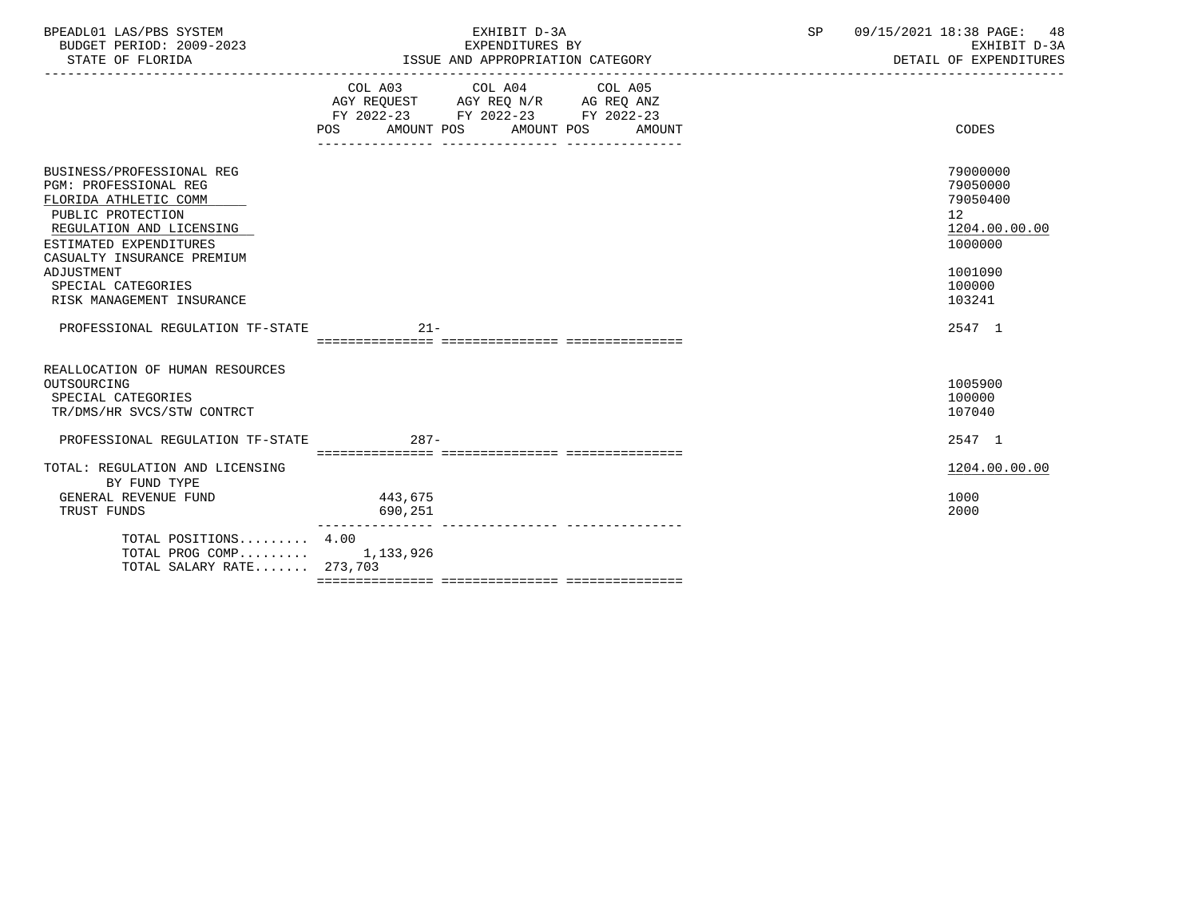| BPEADL01 LAS/PBS SYSTEM<br>BUDGET PERIOD: 2009-2023<br>STATE OF FLORIDA | EXHIBIT D-3A<br>EXPENDITURES BY<br>ISSUE AND APPROPRIATION CATEGORY                                                                   | SP<br>09/15/2021 18:38 PAGE: 48<br>EXHIBIT D-3A<br>DETAIL OF EXPENDITURES |
|-------------------------------------------------------------------------|---------------------------------------------------------------------------------------------------------------------------------------|---------------------------------------------------------------------------|
|                                                                         | COL A03 COL A04 COL A05<br>AGY REQUEST AGY REQ N/R AG REQ ANZ<br>FY 2022-23 FY 2022-23 FY 2022-23<br>POS AMOUNT POS AMOUNT POS AMOUNT | CODES                                                                     |
| BUSINESS/PROFESSIONAL REG                                               |                                                                                                                                       | 79000000                                                                  |
| <b>PGM: PROFESSIONAL REG</b>                                            |                                                                                                                                       | 79050000                                                                  |
| FLORIDA ATHLETIC COMM                                                   |                                                                                                                                       | 79050400                                                                  |
| PUBLIC PROTECTION                                                       |                                                                                                                                       | 12                                                                        |
| REGULATION AND LICENSING                                                |                                                                                                                                       | 1204.00.00.00                                                             |
| ESTIMATED EXPENDITURES                                                  |                                                                                                                                       | 1000000                                                                   |
| CASUALTY INSURANCE PREMIUM                                              |                                                                                                                                       |                                                                           |
| ADJUSTMENT                                                              |                                                                                                                                       | 1001090                                                                   |
| SPECIAL CATEGORIES                                                      |                                                                                                                                       | 100000<br>103241                                                          |
| RISK MANAGEMENT INSURANCE                                               |                                                                                                                                       |                                                                           |
| PROFESSIONAL REGULATION TF-STATE                                        | $21 -$                                                                                                                                | 2547 1                                                                    |
|                                                                         |                                                                                                                                       |                                                                           |
| REALLOCATION OF HUMAN RESOURCES                                         |                                                                                                                                       |                                                                           |
| OUTSOURCING                                                             |                                                                                                                                       | 1005900                                                                   |
| SPECIAL CATEGORIES                                                      |                                                                                                                                       | 100000                                                                    |
| TR/DMS/HR SVCS/STW CONTRCT                                              |                                                                                                                                       | 107040                                                                    |

| PROFESSIONAL REGULATION TF-STATE | $287-$    | 2547 1        |
|----------------------------------|-----------|---------------|
|                                  |           |               |
| TOTAL: REGULATION AND LICENSING  |           | 1204.00.00.00 |
| BY FUND TYPE                     |           |               |
| GENERAL REVENUE FUND             | 443,675   | 1000          |
| TRUST FUNDS                      | 690,251   | 2000          |
| TOTAL POSITIONS 4.00             |           |               |
| TOTAL PROG COMP                  | 1,133,926 |               |

TOTAL SALARY RATE....... 273,703

=============== =============== ===============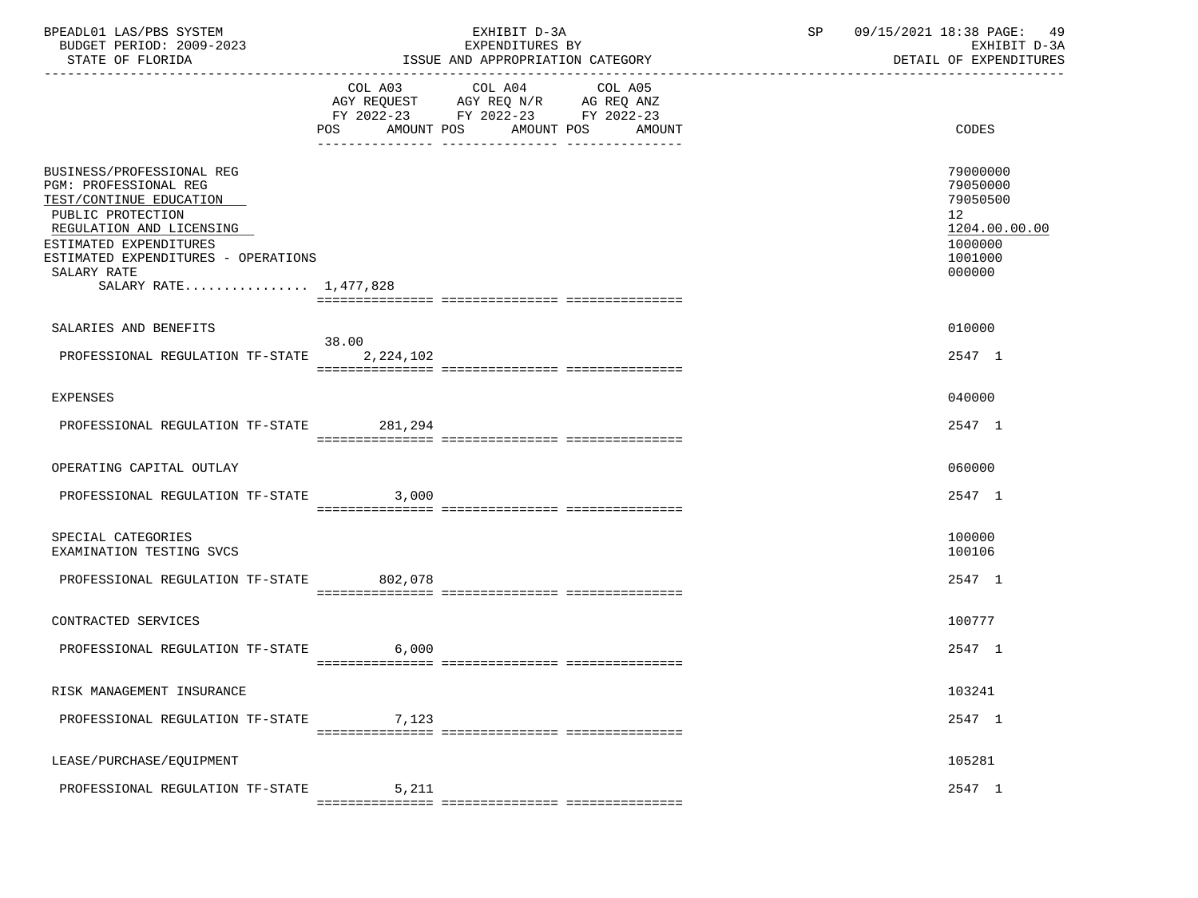| BPEADL01 LAS/PBS SYSTEM<br>BUDGET PERIOD: 2009-2023<br>STATE OF FLORIDA                                                                                                                                                                        |                       | EXHIBIT D-3A<br>EXPENDITURES BY<br>ISSUE AND APPROPRIATION CATEGORY                                                                   | SP | 09/15/2021 18:38 PAGE: 49<br>EXHIBIT D-3A<br>DETAIL OF EXPENDITURES                                  |
|------------------------------------------------------------------------------------------------------------------------------------------------------------------------------------------------------------------------------------------------|-----------------------|---------------------------------------------------------------------------------------------------------------------------------------|----|------------------------------------------------------------------------------------------------------|
|                                                                                                                                                                                                                                                |                       | COL A03 COL A04 COL A05<br>AGY REQUEST AGY REQ N/R AG REQ ANZ<br>FY 2022-23 FY 2022-23 FY 2022-23<br>POS AMOUNT POS AMOUNT POS AMOUNT |    | <b>CODES</b>                                                                                         |
| BUSINESS/PROFESSIONAL REG<br><b>PGM: PROFESSIONAL REG</b><br>TEST/CONTINUE EDUCATION<br>PUBLIC PROTECTION<br>REGULATION AND LICENSING<br>ESTIMATED EXPENDITURES<br>ESTIMATED EXPENDITURES - OPERATIONS<br>SALARY RATE<br>SALARY RATE 1,477,828 |                       |                                                                                                                                       |    | 79000000<br>79050000<br>79050500<br>12 <sub>2</sub><br>1204.00.00.00<br>1000000<br>1001000<br>000000 |
| SALARIES AND BENEFITS                                                                                                                                                                                                                          |                       |                                                                                                                                       |    | 010000                                                                                               |
| PROFESSIONAL REGULATION TF-STATE 2,224,102                                                                                                                                                                                                     | 38.00                 |                                                                                                                                       |    | 2547 1                                                                                               |
| EXPENSES                                                                                                                                                                                                                                       |                       |                                                                                                                                       |    | 040000                                                                                               |
| PROFESSIONAL REGULATION TF-STATE 281,294                                                                                                                                                                                                       |                       |                                                                                                                                       |    | 2547 1                                                                                               |
| OPERATING CAPITAL OUTLAY                                                                                                                                                                                                                       |                       |                                                                                                                                       |    | 060000                                                                                               |
| PROFESSIONAL REGULATION TF-STATE 3,000                                                                                                                                                                                                         |                       |                                                                                                                                       |    | 2547 1                                                                                               |
| SPECIAL CATEGORIES<br>EXAMINATION TESTING SVCS                                                                                                                                                                                                 |                       |                                                                                                                                       |    | 100000<br>100106                                                                                     |
| PROFESSIONAL REGULATION TF-STATE 802,078                                                                                                                                                                                                       |                       |                                                                                                                                       |    | 2547 1                                                                                               |
| CONTRACTED SERVICES                                                                                                                                                                                                                            |                       |                                                                                                                                       |    | 100777                                                                                               |
| PROFESSIONAL REGULATION TF-STATE 6,000                                                                                                                                                                                                         |                       |                                                                                                                                       |    | 2547 1                                                                                               |
| RISK MANAGEMENT INSURANCE                                                                                                                                                                                                                      |                       |                                                                                                                                       |    | 103241                                                                                               |
| PROFESSIONAL REGULATION TF-STATE                                                                                                                                                                                                               | 7,123                 |                                                                                                                                       |    | 2547 1                                                                                               |
| LEASE/PURCHASE/EQUIPMENT                                                                                                                                                                                                                       |                       |                                                                                                                                       |    | 105281                                                                                               |
| PROFESSIONAL REGULATION TF-STATE                                                                                                                                                                                                               | 5,211<br>============ |                                                                                                                                       |    | 2547 1                                                                                               |
|                                                                                                                                                                                                                                                |                       |                                                                                                                                       |    |                                                                                                      |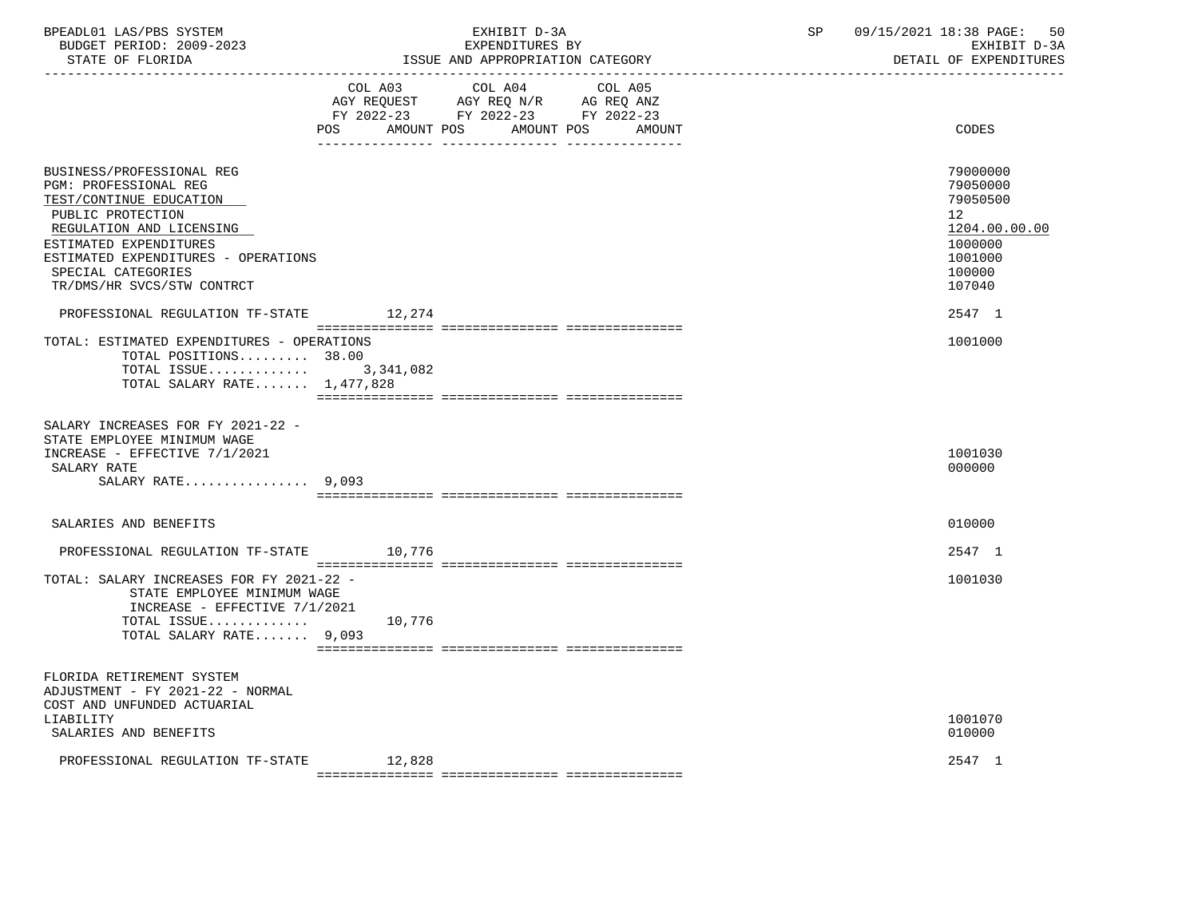| BPEADL01 LAS/PBS SYSTEM  | EXHIBIT                                | SΡ | 09/15/2021<br>18:38 PAGE:<br>50 |
|--------------------------|----------------------------------------|----|---------------------------------|
| BUDGET PERIOD: 2009-2023 | EXPENDITURES BY                        |    | EXHIBIT D-3A                    |
| STATE OF FLORIDA         | : AND APPROPRIATION CATEGORY<br>'SSUE- |    | DETAIL OF EXPENDITURES          |

|                                                                                                                                                                                                                                                     | COL A03           | COL A04<br>AGY REQUEST AGY REQ N/R AG REQ ANZ<br>FY 2022-23 FY 2022-23 FY 2022-23 | COL A05 |                                                                                                                |
|-----------------------------------------------------------------------------------------------------------------------------------------------------------------------------------------------------------------------------------------------------|-------------------|-----------------------------------------------------------------------------------|---------|----------------------------------------------------------------------------------------------------------------|
|                                                                                                                                                                                                                                                     | AMOUNT POS<br>POS | AMOUNT POS                                                                        | AMOUNT  | CODES                                                                                                          |
| BUSINESS/PROFESSIONAL REG<br>PGM: PROFESSIONAL REG<br>TEST/CONTINUE EDUCATION<br>PUBLIC PROTECTION<br>REGULATION AND LICENSING<br>ESTIMATED EXPENDITURES<br>ESTIMATED EXPENDITURES - OPERATIONS<br>SPECIAL CATEGORIES<br>TR/DMS/HR SVCS/STW CONTRCT |                   |                                                                                   |         | 79000000<br>79050000<br>79050500<br>12 <sup>°</sup><br>1204.00.00.00<br>1000000<br>1001000<br>100000<br>107040 |
| PROFESSIONAL REGULATION TF-STATE                                                                                                                                                                                                                    | 12,274            |                                                                                   |         | 2547 1                                                                                                         |
| TOTAL: ESTIMATED EXPENDITURES - OPERATIONS<br>TOTAL POSITIONS 38.00<br>TOTAL ISSUE $3,341,082$<br>TOTAL SALARY RATE 1,477,828                                                                                                                       |                   |                                                                                   |         | 1001000                                                                                                        |
| SALARY INCREASES FOR FY 2021-22 -<br>STATE EMPLOYEE MINIMUM WAGE<br>INCREASE - EFFECTIVE 7/1/2021<br>SALARY RATE<br>SALARY RATE $9,093$                                                                                                             |                   |                                                                                   |         | 1001030<br>000000                                                                                              |
| SALARIES AND BENEFITS                                                                                                                                                                                                                               |                   |                                                                                   |         | 010000                                                                                                         |
| PROFESSIONAL REGULATION TF-STATE                                                                                                                                                                                                                    | 10,776            |                                                                                   |         | 2547 1                                                                                                         |
| TOTAL: SALARY INCREASES FOR FY 2021-22 -<br>STATE EMPLOYEE MINIMUM WAGE<br>INCREASE - EFFECTIVE 7/1/2021<br>TOTAL ISSUE<br>TOTAL SALARY RATE 9,093                                                                                                  | 10,776            |                                                                                   |         | 1001030                                                                                                        |
| FLORIDA RETIREMENT SYSTEM<br>ADJUSTMENT - FY 2021-22 - NORMAL<br>COST AND UNFUNDED ACTUARIAL<br>LIABILITY<br>SALARIES AND BENEFITS                                                                                                                  |                   |                                                                                   |         | 1001070<br>010000                                                                                              |
| PROFESSIONAL REGULATION TF-STATE                                                                                                                                                                                                                    | 12,828            |                                                                                   |         | 2547 1                                                                                                         |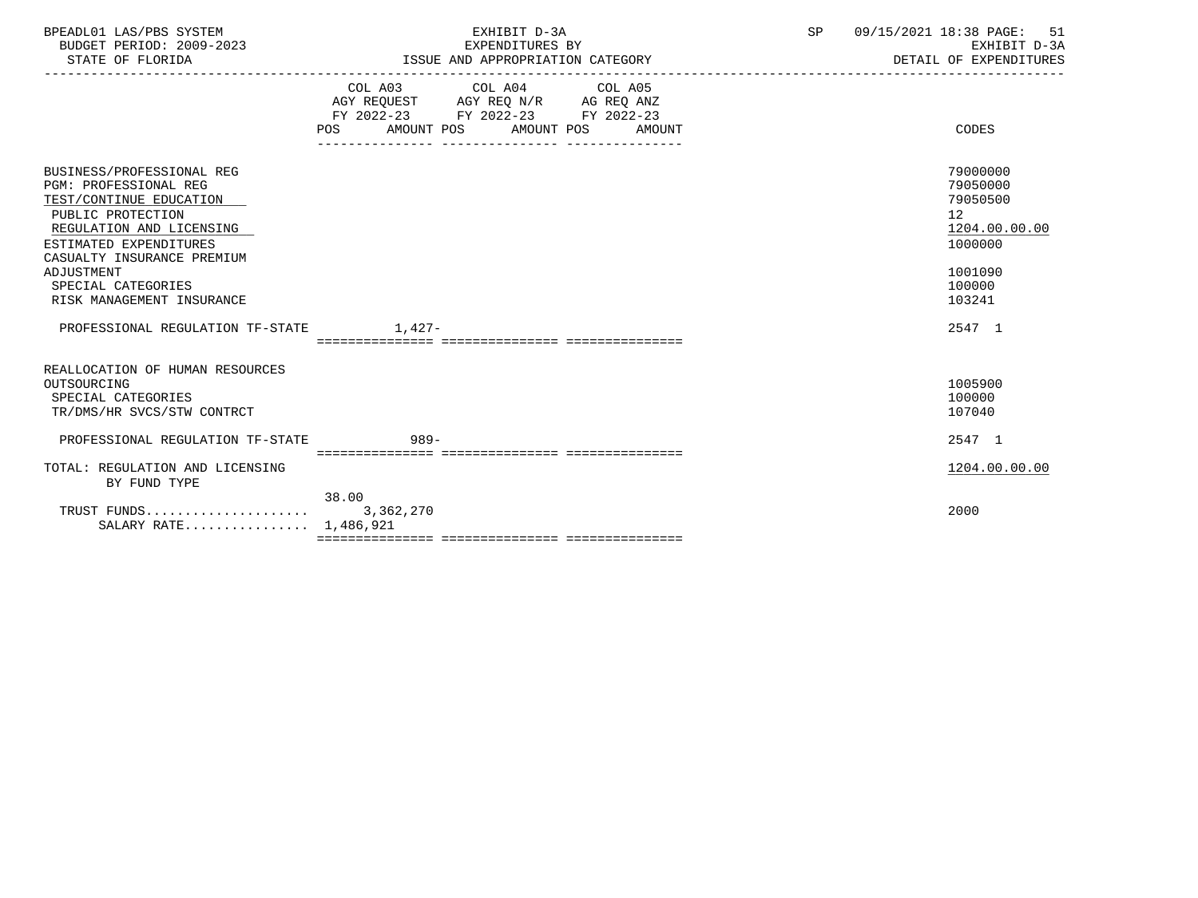| BPEADL01 LAS/PBS SYSTEM  | <b>EXH</b><br>חדםי               | сn | 09/15/2021<br>18:38 PAGE: |
|--------------------------|----------------------------------|----|---------------------------|
| BUDGET PERIOD: 2009-2023 | EXPENDITURES BY                  |    | EXHIBIT D-3A              |
| STATE OF FLORIDA         | ISSUE AND APPROPRIATION CATEGORY |    | DETAIL OF EXPENDITURES    |

|                                                                                                                                                                                                                                                                | POS AMOUNT POS AMOUNT POS | COL A03 COL A04 COL A05<br>AGY REQUEST AGY REQ N/R AG REQ ANZ<br>FY 2022-23 FY 2022-23 FY 2022-23<br>________________ | _______________ | AMOUNT | CODES                                                                                                          |
|----------------------------------------------------------------------------------------------------------------------------------------------------------------------------------------------------------------------------------------------------------------|---------------------------|-----------------------------------------------------------------------------------------------------------------------|-----------------|--------|----------------------------------------------------------------------------------------------------------------|
| BUSINESS/PROFESSIONAL REG<br><b>PGM: PROFESSIONAL REG</b><br>TEST/CONTINUE EDUCATION<br>PUBLIC PROTECTION<br>REGULATION AND LICENSING<br>ESTIMATED EXPENDITURES<br>CASUALTY INSURANCE PREMIUM<br>ADJUSTMENT<br>SPECIAL CATEGORIES<br>RISK MANAGEMENT INSURANCE |                           |                                                                                                                       |                 |        | 79000000<br>79050000<br>79050500<br>12 <sup>°</sup><br>1204.00.00.00<br>1000000<br>1001090<br>100000<br>103241 |
| PROFESSIONAL REGULATION TF-STATE                                                                                                                                                                                                                               | $1,427-$                  |                                                                                                                       |                 |        | 2547 1                                                                                                         |
| REALLOCATION OF HUMAN RESOURCES<br>OUTSOURCING<br>SPECIAL CATEGORIES<br>TR/DMS/HR SVCS/STW CONTRCT                                                                                                                                                             |                           |                                                                                                                       |                 |        | 1005900<br>100000<br>107040                                                                                    |
| PROFESSIONAL REGULATION TF-STATE                                                                                                                                                                                                                               | 989-                      |                                                                                                                       |                 |        | 2547 1                                                                                                         |
| TOTAL: REGULATION AND LICENSING<br>BY FUND TYPE                                                                                                                                                                                                                |                           |                                                                                                                       |                 |        | 1204.00.00.00                                                                                                  |
| SALARY RATE 1,486,921                                                                                                                                                                                                                                          | 38.00                     |                                                                                                                       |                 |        | 2000                                                                                                           |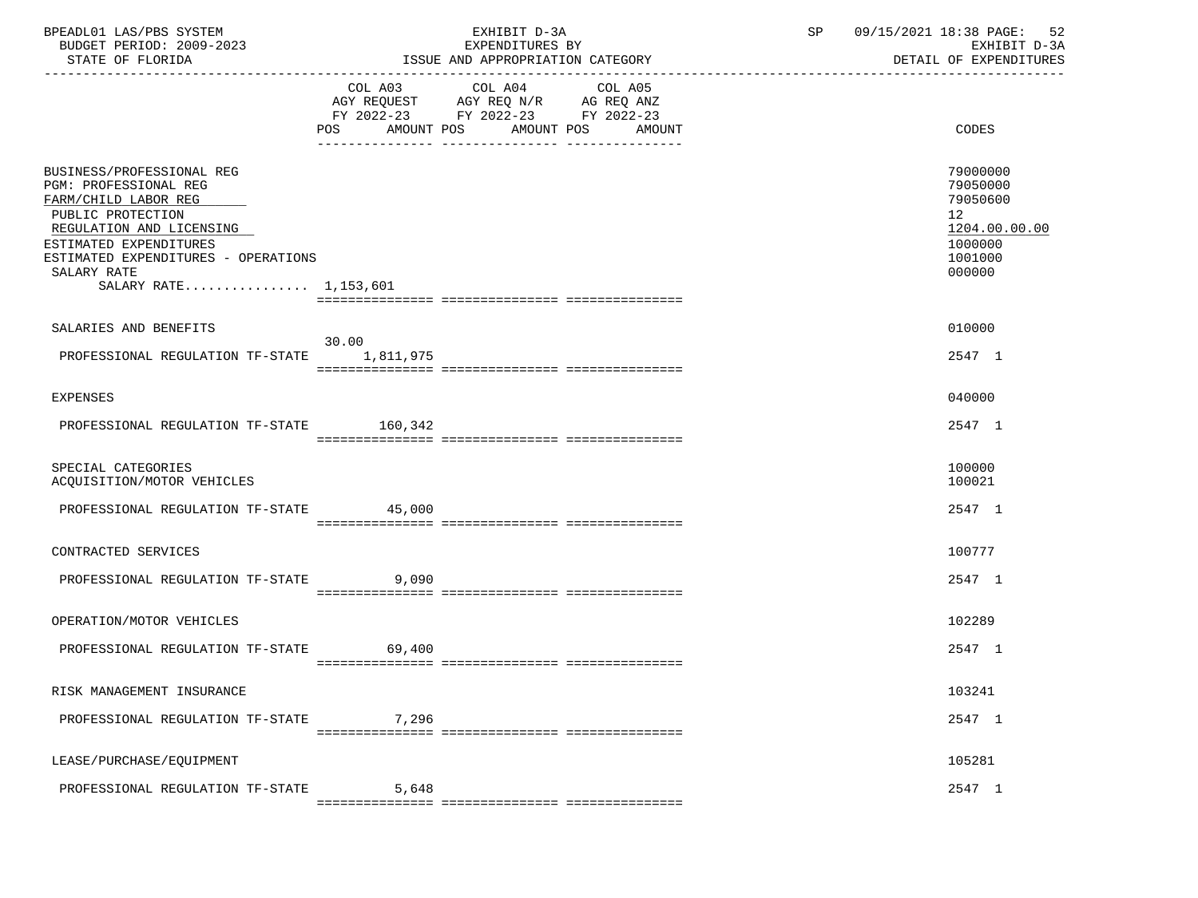| BPEADL01 LAS/PBS SYSTEM<br>BUDGET PERIOD: 2009-2023<br>STATE OF FLORIDA                                                                                                                                                              | EXHIBIT D-3A<br>EXPENDITURES BY<br>ISSUE AND APPROPRIATION CATEGORY                                                                   | 09/15/2021 18:38 PAGE: 52<br>$\mathsf{SP}^-$<br>EXHIBIT D-3A<br>DETAIL OF EXPENDITURES  |
|--------------------------------------------------------------------------------------------------------------------------------------------------------------------------------------------------------------------------------------|---------------------------------------------------------------------------------------------------------------------------------------|-----------------------------------------------------------------------------------------|
|                                                                                                                                                                                                                                      | COL A03 COL A04 COL A05<br>AGY REQUEST AGY REQ N/R AG REQ ANZ<br>FY 2022-23 FY 2022-23 FY 2022-23<br>POS AMOUNT POS AMOUNT POS AMOUNT | <b>CODES</b>                                                                            |
| BUSINESS/PROFESSIONAL REG<br>PGM: PROFESSIONAL REG<br>FARM/CHILD LABOR REG<br>PUBLIC PROTECTION<br>REGULATION AND LICENSING<br>ESTIMATED EXPENDITURES<br>ESTIMATED EXPENDITURES - OPERATIONS<br>SALARY RATE<br>SALARY RATE 1,153,601 |                                                                                                                                       | 79000000<br>79050000<br>79050600<br>12<br>1204.00.00.00<br>1000000<br>1001000<br>000000 |
| SALARIES AND BENEFITS                                                                                                                                                                                                                |                                                                                                                                       | 010000                                                                                  |
| PROFESSIONAL REGULATION TF-STATE 1.811.975                                                                                                                                                                                           | 30.00                                                                                                                                 | 2547 1                                                                                  |
| EXPENSES                                                                                                                                                                                                                             |                                                                                                                                       | 040000                                                                                  |
| PROFESSIONAL REGULATION TF-STATE 160,342                                                                                                                                                                                             |                                                                                                                                       | 2547 1                                                                                  |
| SPECIAL CATEGORIES<br>ACQUISITION/MOTOR VEHICLES                                                                                                                                                                                     |                                                                                                                                       | 100000<br>100021                                                                        |
| PROFESSIONAL REGULATION TF-STATE 45,000                                                                                                                                                                                              |                                                                                                                                       | 2547 1                                                                                  |
| CONTRACTED SERVICES                                                                                                                                                                                                                  |                                                                                                                                       | 100777                                                                                  |
| PROFESSIONAL REGULATION TF-STATE 9,090                                                                                                                                                                                               |                                                                                                                                       | 2547 1                                                                                  |
| OPERATION/MOTOR VEHICLES                                                                                                                                                                                                             |                                                                                                                                       | 102289                                                                                  |
| PROFESSIONAL REGULATION TF-STATE                                                                                                                                                                                                     | 69,400                                                                                                                                | 2547 1                                                                                  |
| RISK MANAGEMENT INSURANCE                                                                                                                                                                                                            |                                                                                                                                       | 103241                                                                                  |
| PROFESSIONAL REGULATION TF-STATE                                                                                                                                                                                                     | 7,296                                                                                                                                 | 2547 1                                                                                  |
| LEASE/PURCHASE/EQUIPMENT                                                                                                                                                                                                             |                                                                                                                                       | 105281                                                                                  |
| PROFESSIONAL REGULATION TF-STATE                                                                                                                                                                                                     | 5,648                                                                                                                                 | 2547 1                                                                                  |
|                                                                                                                                                                                                                                      |                                                                                                                                       |                                                                                         |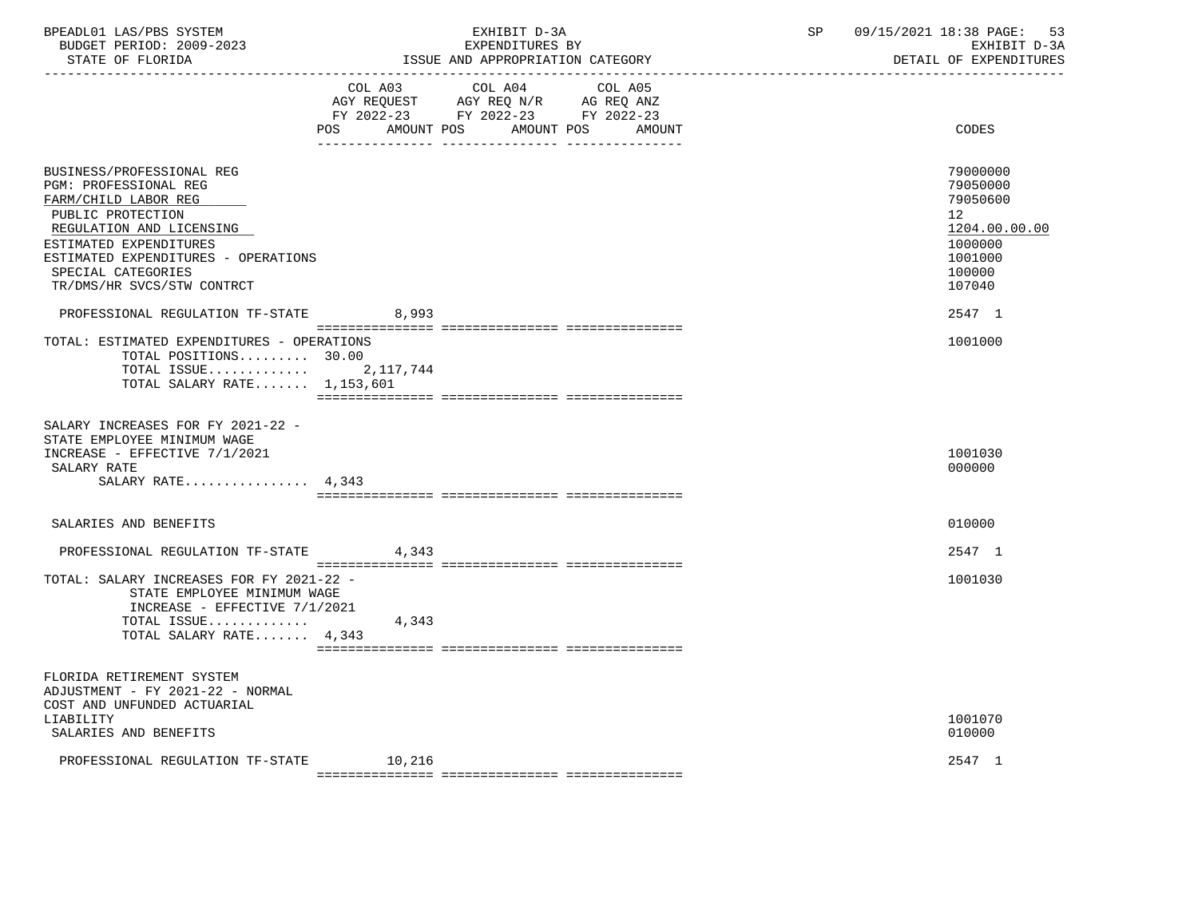| BPEADL01 LAS/PBS SYSTEM |                          |
|-------------------------|--------------------------|
|                         | BUDGET PERIOD: 2009-2023 |

|                                                                                                                                                                                                                                                  | COL A03                                        | COL A04<br>AGY REQUEST AGY REQ N/R AG REQ ANZ<br>FY 2022-23 FY 2022-23 FY 2022-23 | COL A05    |        |                                                                                                                |
|--------------------------------------------------------------------------------------------------------------------------------------------------------------------------------------------------------------------------------------------------|------------------------------------------------|-----------------------------------------------------------------------------------|------------|--------|----------------------------------------------------------------------------------------------------------------|
|                                                                                                                                                                                                                                                  | POS AMOUNT POS                                 |                                                                                   | AMOUNT POS | AMOUNT | CODES                                                                                                          |
| BUSINESS/PROFESSIONAL REG<br>PGM: PROFESSIONAL REG<br>FARM/CHILD LABOR REG<br>PUBLIC PROTECTION<br>REGULATION AND LICENSING<br>ESTIMATED EXPENDITURES<br>ESTIMATED EXPENDITURES - OPERATIONS<br>SPECIAL CATEGORIES<br>TR/DMS/HR SVCS/STW CONTRCT |                                                |                                                                                   |            |        | 79000000<br>79050000<br>79050600<br>12 <sup>°</sup><br>1204.00.00.00<br>1000000<br>1001000<br>100000<br>107040 |
| PROFESSIONAL REGULATION TF-STATE                                                                                                                                                                                                                 | 8,993                                          |                                                                                   |            |        | 2547 1                                                                                                         |
| TOTAL: ESTIMATED EXPENDITURES - OPERATIONS<br>TOTAL POSITIONS 30.00<br>TOTAL ISSUE $2,117,744$<br>TOTAL SALARY RATE 1,153,601                                                                                                                    |                                                |                                                                                   |            |        | 1001000                                                                                                        |
| SALARY INCREASES FOR FY 2021-22 -<br>STATE EMPLOYEE MINIMUM WAGE<br>INCREASE - EFFECTIVE 7/1/2021<br>SALARY RATE<br>SALARY RATE $4,343$                                                                                                          |                                                |                                                                                   |            |        | 1001030<br>000000                                                                                              |
| SALARIES AND BENEFITS                                                                                                                                                                                                                            |                                                |                                                                                   |            |        | 010000                                                                                                         |
| PROFESSIONAL REGULATION TF-STATE                                                                                                                                                                                                                 | 4,343                                          |                                                                                   |            |        | 2547 1                                                                                                         |
| TOTAL: SALARY INCREASES FOR FY 2021-22 -<br>STATE EMPLOYEE MINIMUM WAGE<br>INCREASE - EFFECTIVE 7/1/2021<br>TOTAL ISSUE<br>TOTAL SALARY RATE 4,343                                                                                               | 4,343                                          |                                                                                   |            |        | 1001030                                                                                                        |
| FLORIDA RETIREMENT SYSTEM<br>ADJUSTMENT - FY 2021-22 - NORMAL<br>COST AND UNFUNDED ACTUARIAL<br>LIABILITY<br>SALARIES AND BENEFITS                                                                                                               |                                                |                                                                                   |            |        | 1001070<br>010000                                                                                              |
| PROFESSIONAL REGULATION TF-STATE 10,216                                                                                                                                                                                                          | . seseeseseseses seseeseseseses seseeseseseses |                                                                                   |            |        | 2547 1                                                                                                         |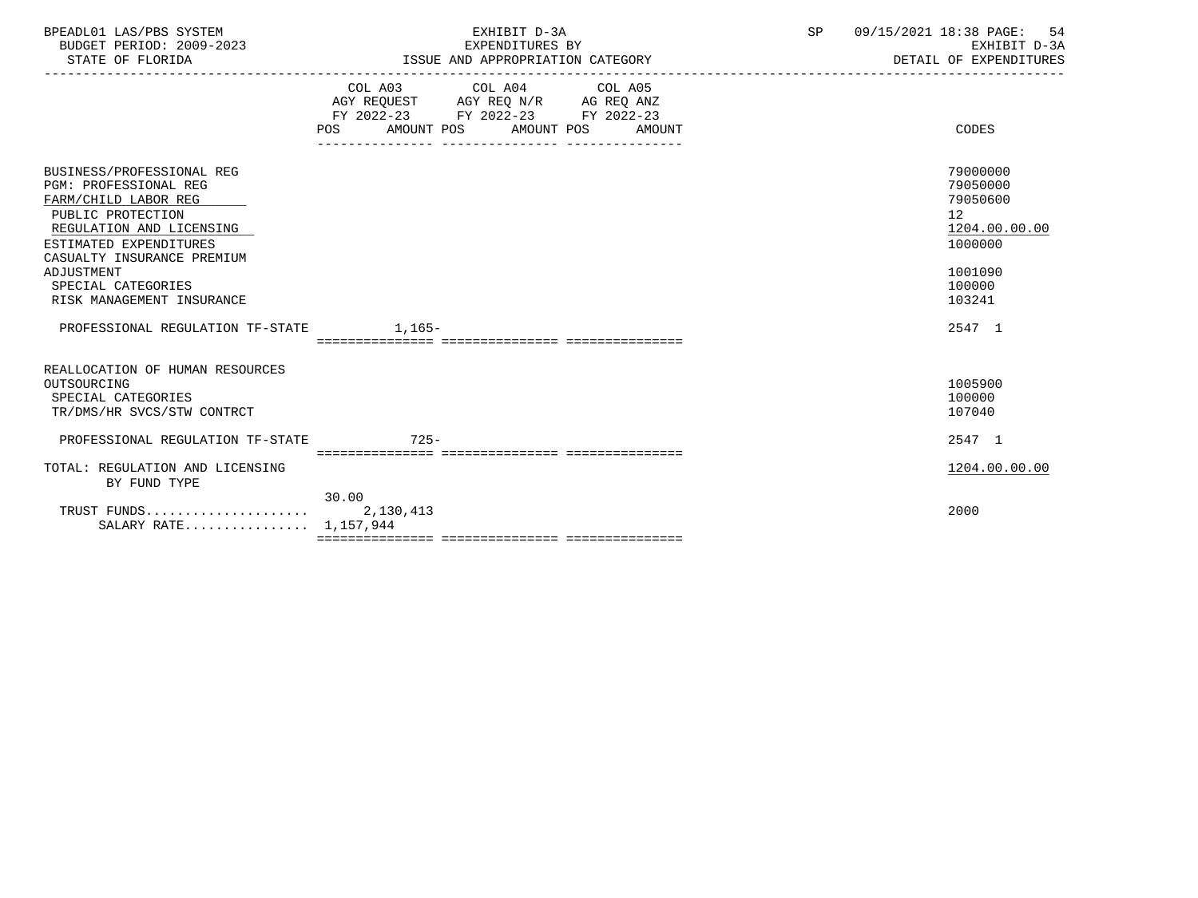| BPEADL01 LAS/PBS SYSTEM  | EXHIBIT D                             | $\cap$ $\Gamma$ | 09/15/2021 18:38 PAGE:<br>54 |
|--------------------------|---------------------------------------|-----------------|------------------------------|
| BUDGET PERIOD: 2009-2023 | EXPENDITURES BY                       |                 | EXHIBIT D-3A                 |
| STATE OF FLORIDA         | : AND APPROPRIATION CATEGORY<br>"SSUE |                 | DETAIL OF EXPENDITURES       |

|                                                                                                                                                                                                                                | COL A03                                        | COL A04<br>AGY REQUEST AGY REQ N/R AG REQ ANZ | COL A05              |                                                                                         |
|--------------------------------------------------------------------------------------------------------------------------------------------------------------------------------------------------------------------------------|------------------------------------------------|-----------------------------------------------|----------------------|-----------------------------------------------------------------------------------------|
|                                                                                                                                                                                                                                | AMOUNT POS<br>POS                              | FY 2022-23 FY 2022-23<br>AMOUNT POS           | FY 2022-23<br>AMOUNT | CODES                                                                                   |
| BUSINESS/PROFESSIONAL REG<br><b>PGM: PROFESSIONAL REG</b><br>FARM/CHILD LABOR REG<br>PUBLIC PROTECTION<br>REGULATION AND LICENSING<br>ESTIMATED EXPENDITURES<br>CASUALTY INSURANCE PREMIUM<br>ADJUSTMENT<br>SPECIAL CATEGORIES |                                                |                                               |                      | 79000000<br>79050000<br>79050600<br>12<br>1204.00.00.00<br>1000000<br>1001090<br>100000 |
| RISK MANAGEMENT INSURANCE                                                                                                                                                                                                      |                                                |                                               |                      | 103241                                                                                  |
| PROFESSIONAL REGULATION TF-STATE                                                                                                                                                                                               | 1,165-<br>____________________________________ |                                               |                      | 2547 1                                                                                  |
| REALLOCATION OF HUMAN RESOURCES<br>OUTSOURCING<br>SPECIAL CATEGORIES<br>TR/DMS/HR SVCS/STW CONTRCT                                                                                                                             |                                                |                                               |                      | 1005900<br>100000<br>107040                                                             |
| PROFESSIONAL REGULATION TF-STATE                                                                                                                                                                                               | $725 -$<br>==================================  |                                               | ----------           | 2547 1                                                                                  |
| TOTAL: REGULATION AND LICENSING<br>BY FUND TYPE                                                                                                                                                                                |                                                |                                               |                      | 1204.00.00.00                                                                           |
| TRUST FUNDS<br>SALARY RATE 1,157,944                                                                                                                                                                                           | 30.00<br>2,130,413                             |                                               |                      | 2000                                                                                    |

-----------------------------------------------------------------------------------------------------------------------------------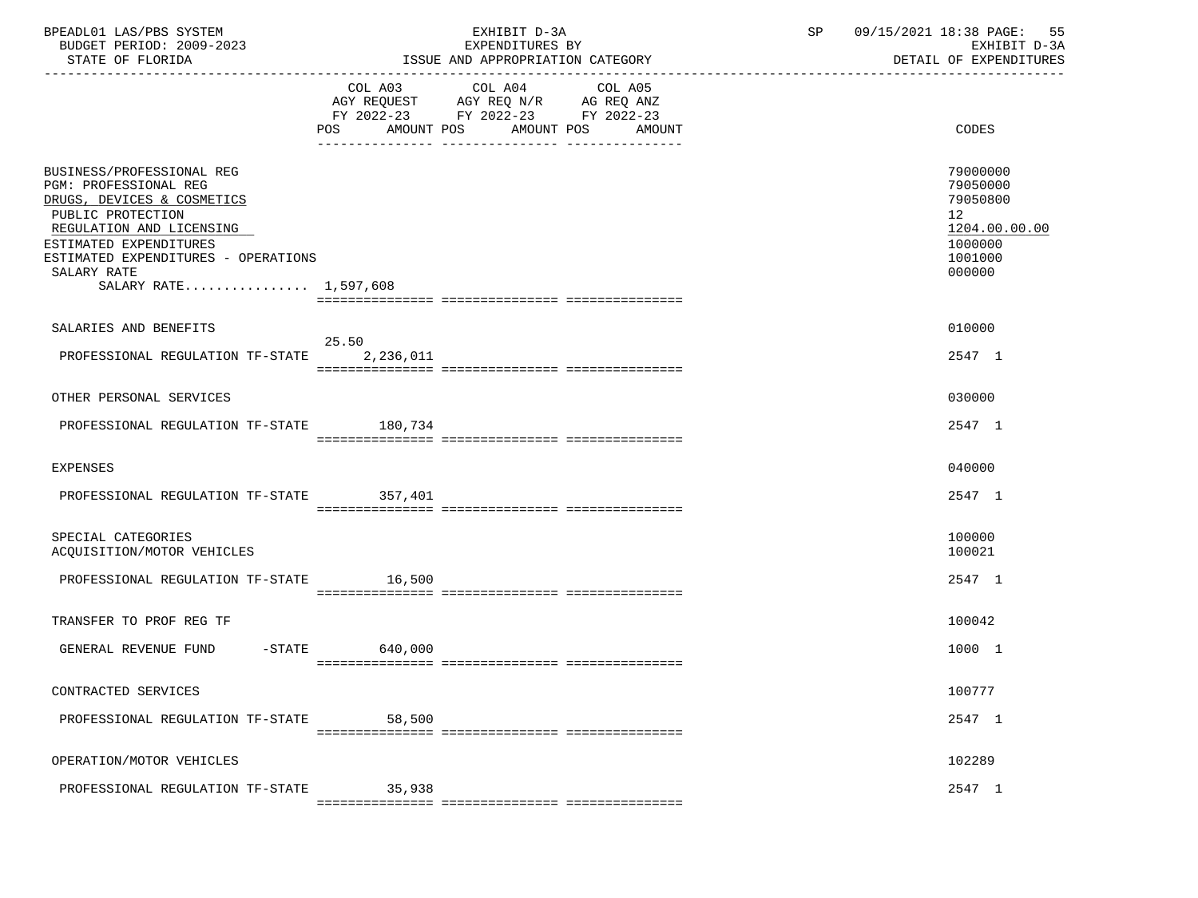| BPEADL01 LAS/PBS SYSTEM<br>BUDGET PERIOD: 2009-2023<br>STATE OF FLORIDA                                                                                                                                                                    | EXHIBIT D-3A<br>EXPENDITURES BY<br>ISSUE AND APPROPRIATION CATEGORY                                                                      | SP | 09/15/2021 18:38 PAGE: 55<br>EXHIBIT D-3A<br>DETAIL OF EXPENDITURES                     |  |
|--------------------------------------------------------------------------------------------------------------------------------------------------------------------------------------------------------------------------------------------|------------------------------------------------------------------------------------------------------------------------------------------|----|-----------------------------------------------------------------------------------------|--|
|                                                                                                                                                                                                                                            | COL A03 COL A04<br>COL A05<br>AGY REQUEST AGY REQ N/R AG REQ ANZ<br>FY 2022-23 FY 2022-23 FY 2022-23<br>POS AMOUNT POS AMOUNT POS AMOUNT |    | <b>CODES</b>                                                                            |  |
| BUSINESS/PROFESSIONAL REG<br>PGM: PROFESSIONAL REG<br>DRUGS, DEVICES & COSMETICS<br>PUBLIC PROTECTION<br>REGULATION AND LICENSING<br>ESTIMATED EXPENDITURES<br>ESTIMATED EXPENDITURES - OPERATIONS<br>SALARY RATE<br>SALARY RATE 1,597,608 |                                                                                                                                          |    | 79000000<br>79050000<br>79050800<br>12<br>1204.00.00.00<br>1000000<br>1001000<br>000000 |  |
| SALARIES AND BENEFITS                                                                                                                                                                                                                      | 25.50                                                                                                                                    |    | 010000                                                                                  |  |
| PROFESSIONAL REGULATION TF-STATE 2,236,011                                                                                                                                                                                                 |                                                                                                                                          |    | 2547 1                                                                                  |  |
| OTHER PERSONAL SERVICES                                                                                                                                                                                                                    |                                                                                                                                          |    | 030000                                                                                  |  |
| PROFESSIONAL REGULATION TF-STATE 180,734                                                                                                                                                                                                   |                                                                                                                                          |    | 2547 1                                                                                  |  |
| EXPENSES                                                                                                                                                                                                                                   |                                                                                                                                          |    | 040000                                                                                  |  |
| PROFESSIONAL REGULATION TF-STATE 357,401                                                                                                                                                                                                   |                                                                                                                                          |    | 2547 1                                                                                  |  |
| SPECIAL CATEGORIES<br>ACQUISITION/MOTOR VEHICLES                                                                                                                                                                                           |                                                                                                                                          |    | 100000<br>100021                                                                        |  |
| PROFESSIONAL REGULATION TF-STATE 16,500                                                                                                                                                                                                    |                                                                                                                                          |    | 2547 1                                                                                  |  |
| TRANSFER TO PROF REG TF                                                                                                                                                                                                                    |                                                                                                                                          |    | 100042                                                                                  |  |
| GENERAL REVENUE FUND                                                                                                                                                                                                                       | $-STATE$ 640,000                                                                                                                         |    | 1000 1                                                                                  |  |
| CONTRACTED SERVICES                                                                                                                                                                                                                        |                                                                                                                                          |    | 100777                                                                                  |  |
| PROFESSIONAL REGULATION TF-STATE                                                                                                                                                                                                           | 58,500                                                                                                                                   |    | 2547 1                                                                                  |  |
| OPERATION/MOTOR VEHICLES                                                                                                                                                                                                                   |                                                                                                                                          |    | 102289                                                                                  |  |
| PROFESSIONAL REGULATION TF-STATE                                                                                                                                                                                                           | 35,938                                                                                                                                   |    | 2547 1                                                                                  |  |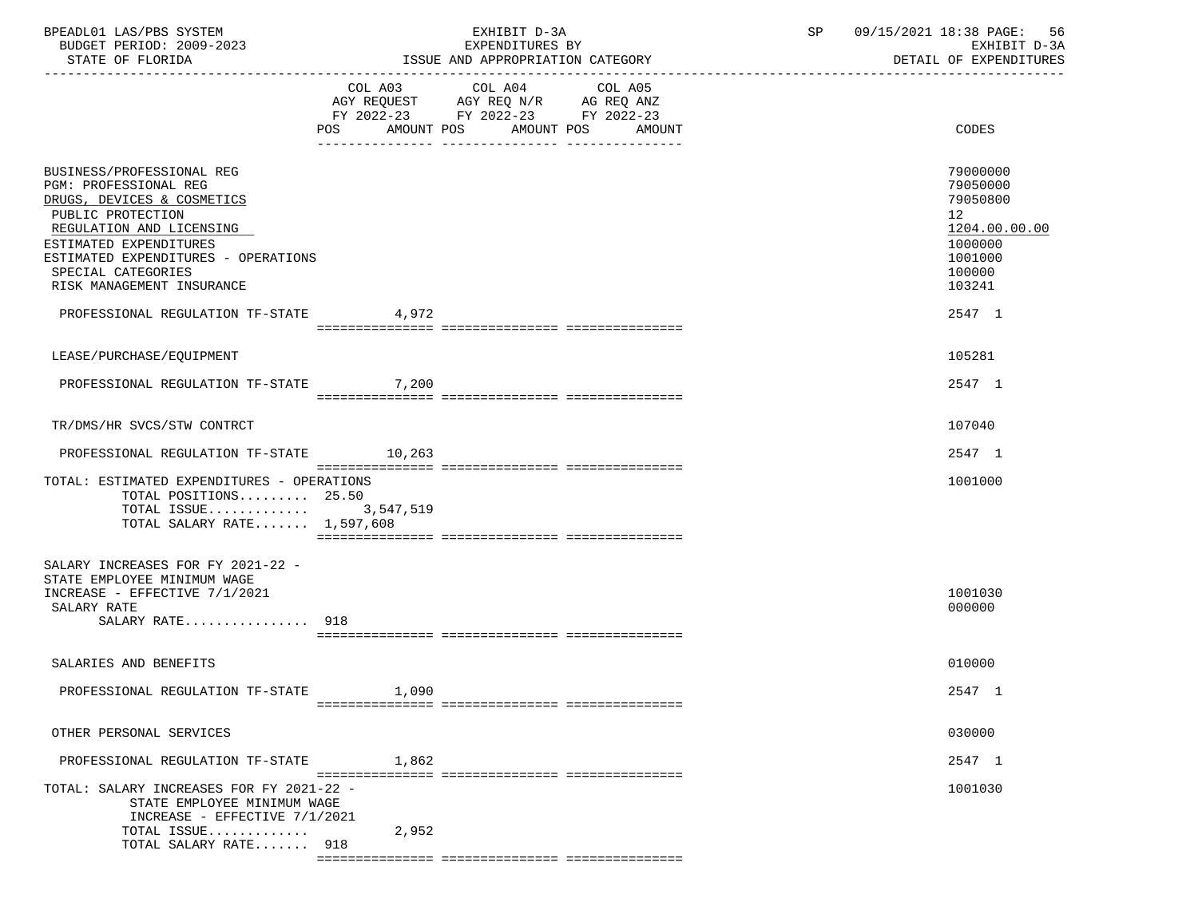| BPEADL01 LAS/PBS SYSTEM<br>BUDGET PERIOD: 2009-2023<br>STATE OF FLORIDA                                                                                                                                                                               |                       | EXHIBIT D-3A<br>EXPENDITURES BY<br>ISSUE AND APPROPRIATION CATEGORY                                               | SP | 09/15/2021 18:38 PAGE: 56<br>EXHIBIT D-3A<br>DETAIL OF EXPENDITURES                               |
|-------------------------------------------------------------------------------------------------------------------------------------------------------------------------------------------------------------------------------------------------------|-----------------------|-------------------------------------------------------------------------------------------------------------------|----|---------------------------------------------------------------------------------------------------|
|                                                                                                                                                                                                                                                       | COL A03<br>AMOUNT POS | COL A04 COL A05<br>AGY REQUEST AGY REQ N/R AG REQ ANZ<br>FY 2022-23 FY 2022-23 FY 2022-23<br>AMOUNT POS<br>AMOUNT |    | <b>CODES</b>                                                                                      |
| BUSINESS/PROFESSIONAL REG<br>PGM: PROFESSIONAL REG<br>DRUGS, DEVICES & COSMETICS<br>PUBLIC PROTECTION<br>REGULATION AND LICENSING<br>ESTIMATED EXPENDITURES<br>ESTIMATED EXPENDITURES - OPERATIONS<br>SPECIAL CATEGORIES<br>RISK MANAGEMENT INSURANCE |                       |                                                                                                                   |    | 79000000<br>79050000<br>79050800<br>12<br>1204.00.00.00<br>1000000<br>1001000<br>100000<br>103241 |
| PROFESSIONAL REGULATION TF-STATE                                                                                                                                                                                                                      | 4,972                 |                                                                                                                   |    | 2547 1                                                                                            |
| LEASE/PURCHASE/EQUIPMENT                                                                                                                                                                                                                              |                       |                                                                                                                   |    | 105281                                                                                            |
| PROFESSIONAL REGULATION TF-STATE 7,200                                                                                                                                                                                                                |                       |                                                                                                                   |    | 2547 1                                                                                            |
| TR/DMS/HR SVCS/STW CONTRCT                                                                                                                                                                                                                            |                       |                                                                                                                   |    | 107040                                                                                            |
| PROFESSIONAL REGULATION TF-STATE 10,263                                                                                                                                                                                                               |                       |                                                                                                                   |    | 2547 1                                                                                            |
| TOTAL: ESTIMATED EXPENDITURES - OPERATIONS<br>TOTAL POSITIONS 25.50<br>TOTAL ISSUE<br>TOTAL SALARY RATE 1,597,608                                                                                                                                     | 3,547,519             |                                                                                                                   |    | 1001000                                                                                           |
|                                                                                                                                                                                                                                                       |                       |                                                                                                                   |    |                                                                                                   |
| SALARY INCREASES FOR FY 2021-22 -<br>STATE EMPLOYEE MINIMUM WAGE<br>INCREASE - EFFECTIVE 7/1/2021<br>SALARY RATE<br>SALARY RATE 918                                                                                                                   |                       |                                                                                                                   |    | 1001030<br>000000                                                                                 |
|                                                                                                                                                                                                                                                       |                       |                                                                                                                   |    | 010000                                                                                            |
| SALARIES AND BENEFITS                                                                                                                                                                                                                                 |                       |                                                                                                                   |    |                                                                                                   |
| PROFESSIONAL REGULATION TF-STATE                                                                                                                                                                                                                      | 1,090                 |                                                                                                                   |    | 2547 1                                                                                            |
| OTHER PERSONAL SERVICES                                                                                                                                                                                                                               |                       |                                                                                                                   |    | 030000                                                                                            |
| PROFESSIONAL REGULATION TF-STATE                                                                                                                                                                                                                      | 1,862                 |                                                                                                                   |    | 2547 1                                                                                            |
| TOTAL: SALARY INCREASES FOR FY 2021-22 -<br>STATE EMPLOYEE MINIMUM WAGE<br>INCREASE - EFFECTIVE 7/1/2021<br>TOTAL ISSUE<br>TOTAL SALARY RATE 918                                                                                                      | 2,952                 |                                                                                                                   |    | 1001030                                                                                           |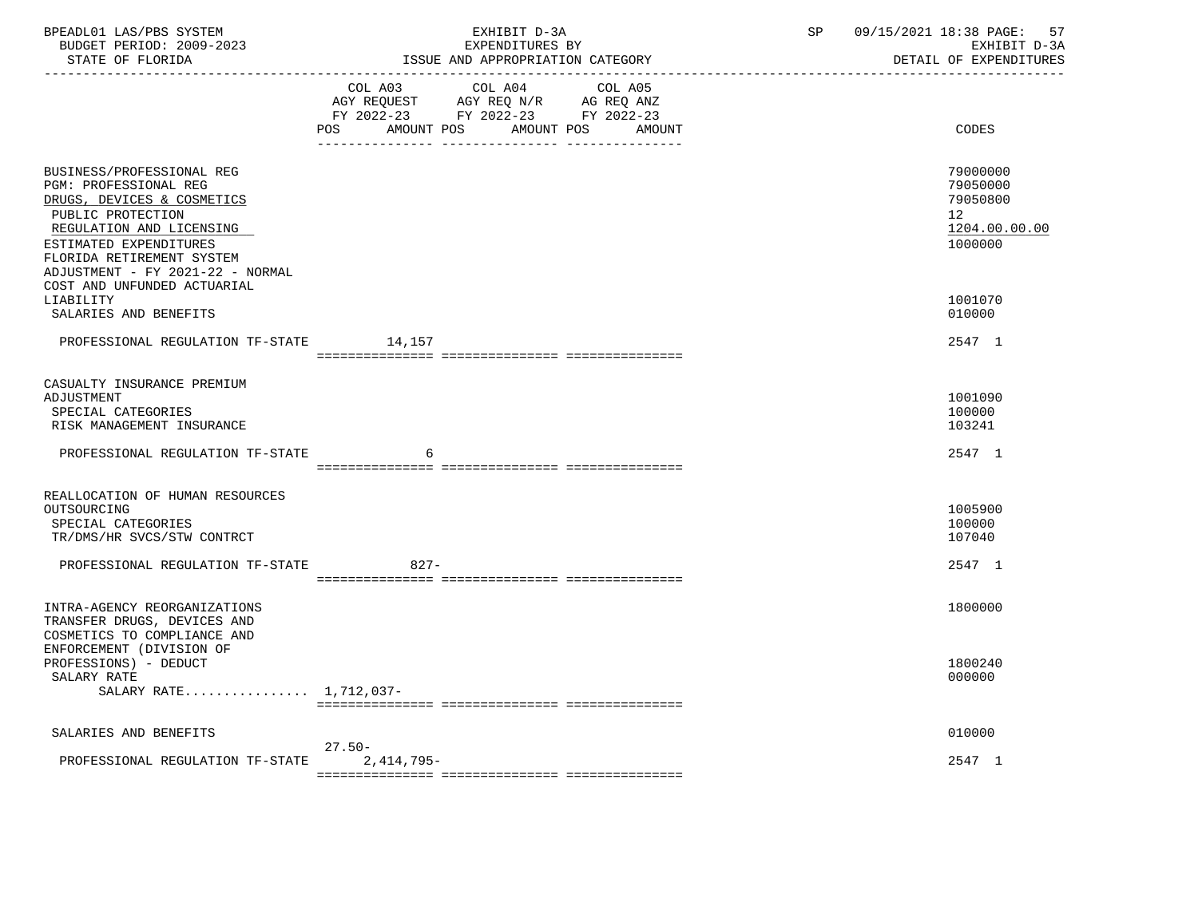| COL A03 COL A04 COL A05<br>AGY REQUEST AGY REQ N/R AG REQ ANZ<br>FY 2022-23 FY 2022-23 FY 2022-23<br>AMOUNT POS AMOUNT POS<br>CODES<br>POS<br>AMOUNT<br>79000000<br>BUSINESS/PROFESSIONAL REG<br>PGM: PROFESSIONAL REG<br>79050000<br>79050800<br>DRUGS, DEVICES & COSMETICS<br>PUBLIC PROTECTION<br>12 <sub>2</sub><br>1204.00.00.00<br>REGULATION AND LICENSING<br>1000000<br>ESTIMATED EXPENDITURES<br>FLORIDA RETIREMENT SYSTEM<br>ADJUSTMENT - FY 2021-22 - NORMAL<br>COST AND UNFUNDED ACTUARIAL<br>LIABILITY<br>1001070<br>010000<br>SALARIES AND BENEFITS<br>PROFESSIONAL REGULATION TF-STATE 14,157<br>2547 1<br>CASUALTY INSURANCE PREMIUM<br>ADJUSTMENT<br>1001090<br>SPECIAL CATEGORIES<br>100000<br>RISK MANAGEMENT INSURANCE<br>103241<br>2547 1<br>PROFESSIONAL REGULATION TF-STATE<br>6<br>REALLOCATION OF HUMAN RESOURCES<br>OUTSOURCING<br>1005900<br>SPECIAL CATEGORIES<br>100000<br>TR/DMS/HR SVCS/STW CONTRCT<br>107040<br>PROFESSIONAL REGULATION TF-STATE<br>$827 -$<br>2547 1<br>INTRA-AGENCY REORGANIZATIONS<br>1800000<br>TRANSFER DRUGS, DEVICES AND<br>COSMETICS TO COMPLIANCE AND<br>ENFORCEMENT (DIVISION OF<br>PROFESSIONS) - DEDUCT<br>1800240<br>SALARY RATE<br>000000<br>SALARY RATE 1,712,037-<br>010000<br>SALARIES AND BENEFITS<br>$27.50 -$<br>2547 1<br>$2,414,795-$<br>PROFESSIONAL REGULATION TF-STATE | BPEADL01 LAS/PBS SYSTEM<br>BUDGET PERIOD: 2009-2023 | EXHIBIT D-3A<br>EXPENDITURES BY | 09/15/2021 18:38 PAGE: 57<br>SP<br>EXHIBIT D-3A<br>DETAIL OF EXPENDITURES |
|-------------------------------------------------------------------------------------------------------------------------------------------------------------------------------------------------------------------------------------------------------------------------------------------------------------------------------------------------------------------------------------------------------------------------------------------------------------------------------------------------------------------------------------------------------------------------------------------------------------------------------------------------------------------------------------------------------------------------------------------------------------------------------------------------------------------------------------------------------------------------------------------------------------------------------------------------------------------------------------------------------------------------------------------------------------------------------------------------------------------------------------------------------------------------------------------------------------------------------------------------------------------------------------------------------------------------------------------------|-----------------------------------------------------|---------------------------------|---------------------------------------------------------------------------|
|                                                                                                                                                                                                                                                                                                                                                                                                                                                                                                                                                                                                                                                                                                                                                                                                                                                                                                                                                                                                                                                                                                                                                                                                                                                                                                                                                 |                                                     |                                 |                                                                           |
|                                                                                                                                                                                                                                                                                                                                                                                                                                                                                                                                                                                                                                                                                                                                                                                                                                                                                                                                                                                                                                                                                                                                                                                                                                                                                                                                                 |                                                     |                                 |                                                                           |
|                                                                                                                                                                                                                                                                                                                                                                                                                                                                                                                                                                                                                                                                                                                                                                                                                                                                                                                                                                                                                                                                                                                                                                                                                                                                                                                                                 |                                                     |                                 |                                                                           |
|                                                                                                                                                                                                                                                                                                                                                                                                                                                                                                                                                                                                                                                                                                                                                                                                                                                                                                                                                                                                                                                                                                                                                                                                                                                                                                                                                 |                                                     |                                 |                                                                           |
|                                                                                                                                                                                                                                                                                                                                                                                                                                                                                                                                                                                                                                                                                                                                                                                                                                                                                                                                                                                                                                                                                                                                                                                                                                                                                                                                                 |                                                     |                                 |                                                                           |
|                                                                                                                                                                                                                                                                                                                                                                                                                                                                                                                                                                                                                                                                                                                                                                                                                                                                                                                                                                                                                                                                                                                                                                                                                                                                                                                                                 |                                                     |                                 |                                                                           |
|                                                                                                                                                                                                                                                                                                                                                                                                                                                                                                                                                                                                                                                                                                                                                                                                                                                                                                                                                                                                                                                                                                                                                                                                                                                                                                                                                 |                                                     |                                 |                                                                           |
|                                                                                                                                                                                                                                                                                                                                                                                                                                                                                                                                                                                                                                                                                                                                                                                                                                                                                                                                                                                                                                                                                                                                                                                                                                                                                                                                                 |                                                     |                                 |                                                                           |
|                                                                                                                                                                                                                                                                                                                                                                                                                                                                                                                                                                                                                                                                                                                                                                                                                                                                                                                                                                                                                                                                                                                                                                                                                                                                                                                                                 |                                                     |                                 |                                                                           |
|                                                                                                                                                                                                                                                                                                                                                                                                                                                                                                                                                                                                                                                                                                                                                                                                                                                                                                                                                                                                                                                                                                                                                                                                                                                                                                                                                 |                                                     |                                 |                                                                           |
|                                                                                                                                                                                                                                                                                                                                                                                                                                                                                                                                                                                                                                                                                                                                                                                                                                                                                                                                                                                                                                                                                                                                                                                                                                                                                                                                                 |                                                     |                                 |                                                                           |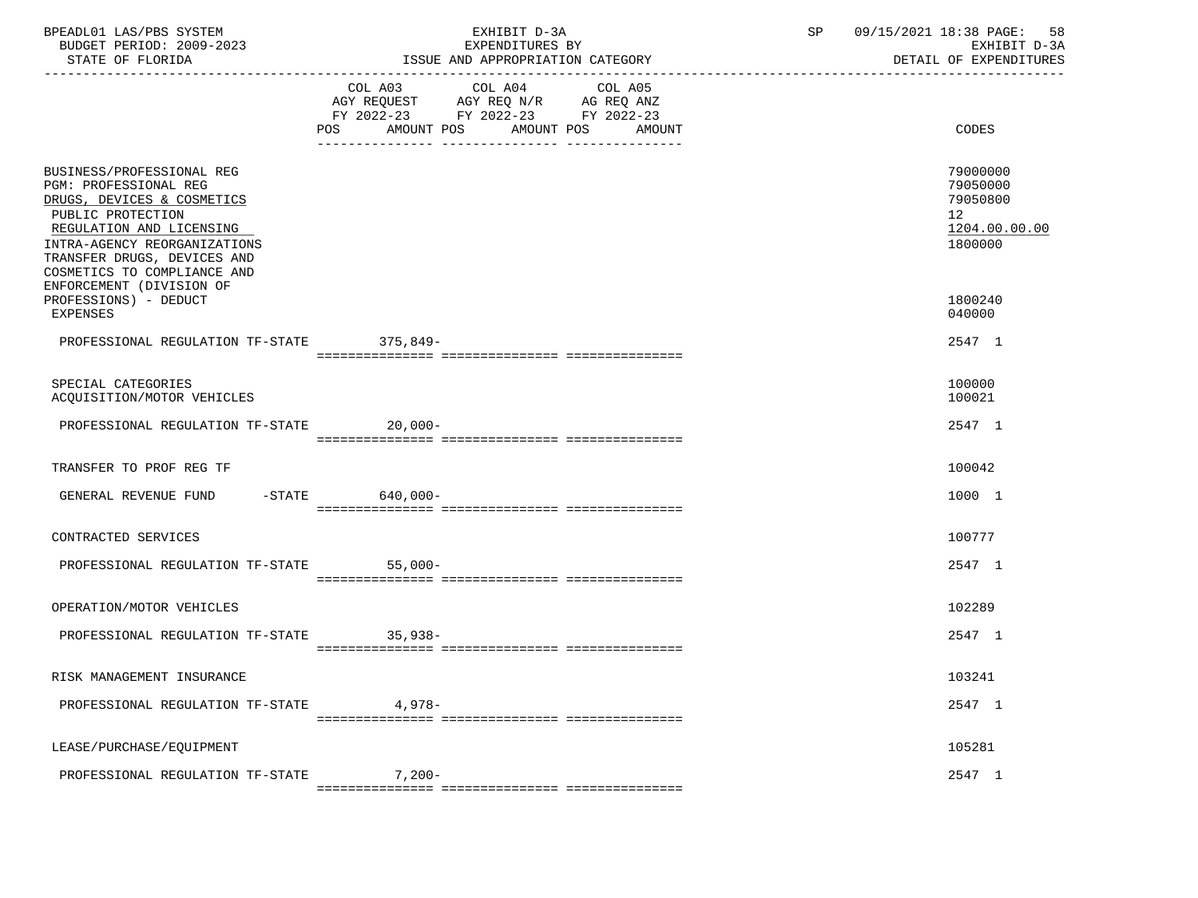| BPEADL01 LAS/PBS SYSTEM<br>BUDGET PERIOD: 2009-2023<br>STATE OF FLORIDA                                                                                                                                                         | EXHIBIT D-3A<br>EXPENDITURES BY<br>ISSUE AND APPROPRIATION CATEGORY                                                                               | 09/15/2021 18:38 PAGE: 58<br>SP<br>EXHIBIT D-3A<br>DETAIL OF EXPENDITURES       |
|---------------------------------------------------------------------------------------------------------------------------------------------------------------------------------------------------------------------------------|---------------------------------------------------------------------------------------------------------------------------------------------------|---------------------------------------------------------------------------------|
|                                                                                                                                                                                                                                 | COL A03<br>COL A04<br>COL A05<br>AGY REQUEST AGY REQ N/R AG REQ ANZ<br>FY 2022-23 FY 2022-23 FY 2022-23<br>POS<br>AMOUNT POS AMOUNT POS<br>AMOUNT | CODES                                                                           |
| BUSINESS/PROFESSIONAL REG<br>PGM: PROFESSIONAL REG<br>DRUGS, DEVICES & COSMETICS<br>PUBLIC PROTECTION<br>REGULATION AND LICENSING<br>INTRA-AGENCY REORGANIZATIONS<br>TRANSFER DRUGS, DEVICES AND<br>COSMETICS TO COMPLIANCE AND |                                                                                                                                                   | 79000000<br>79050000<br>79050800<br>12 <sup>7</sup><br>1204.00.00.00<br>1800000 |
| ENFORCEMENT (DIVISION OF<br>PROFESSIONS) - DEDUCT<br>EXPENSES                                                                                                                                                                   |                                                                                                                                                   | 1800240<br>040000                                                               |
| PROFESSIONAL REGULATION TF-STATE 375,849-                                                                                                                                                                                       |                                                                                                                                                   | 2547 1                                                                          |
| SPECIAL CATEGORIES<br>ACQUISITION/MOTOR VEHICLES                                                                                                                                                                                |                                                                                                                                                   | 100000<br>100021                                                                |
| PROFESSIONAL REGULATION TF-STATE 20,000-                                                                                                                                                                                        |                                                                                                                                                   | 2547 1                                                                          |
| TRANSFER TO PROF REG TF                                                                                                                                                                                                         |                                                                                                                                                   | 100042                                                                          |
| GENERAL REVENUE FUND -STATE 640,000-                                                                                                                                                                                            |                                                                                                                                                   | 1000 1                                                                          |
| CONTRACTED SERVICES                                                                                                                                                                                                             |                                                                                                                                                   | 100777                                                                          |
| PROFESSIONAL REGULATION TF-STATE 55,000-                                                                                                                                                                                        |                                                                                                                                                   | 2547 1                                                                          |
| OPERATION/MOTOR VEHICLES                                                                                                                                                                                                        |                                                                                                                                                   | 102289                                                                          |
| PROFESSIONAL REGULATION TF-STATE 35,938-                                                                                                                                                                                        |                                                                                                                                                   | 2547 1                                                                          |
| RISK MANAGEMENT INSURANCE                                                                                                                                                                                                       |                                                                                                                                                   | 103241                                                                          |
| PROFESSIONAL REGULATION TF-STATE                                                                                                                                                                                                | $4.978-$                                                                                                                                          | 2547 1                                                                          |
| LEASE/PURCHASE/EQUIPMENT                                                                                                                                                                                                        |                                                                                                                                                   | 105281                                                                          |
| PROFESSIONAL REGULATION TF-STATE                                                                                                                                                                                                | $7,200-$                                                                                                                                          | 2547 1                                                                          |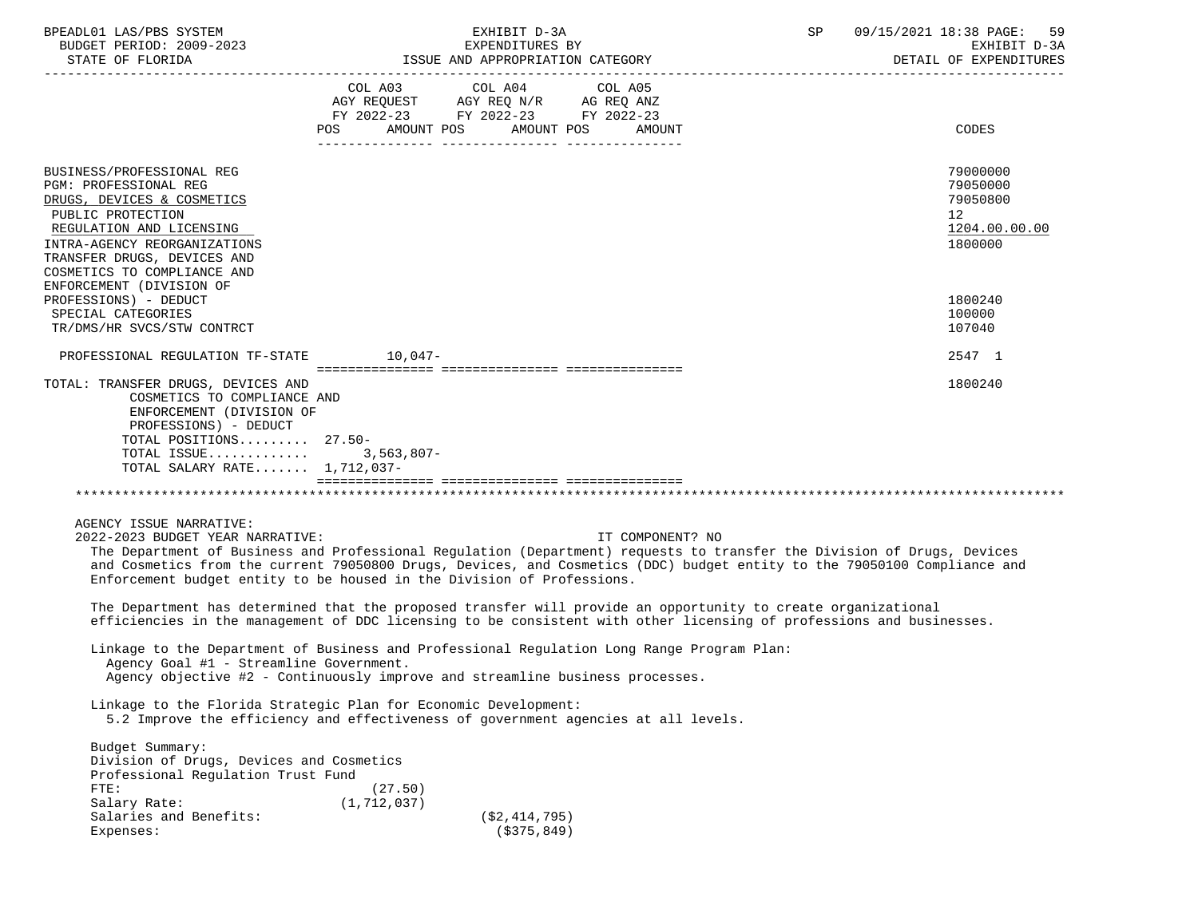| BPEADL01 LAS/PBS SYSTEM |                          |
|-------------------------|--------------------------|
|                         | BUDGET PERIOD: 2009-2023 |

| LORIDA<br>סחמחים | TEGORY<br>ISSUE<br>AND<br>APPROPRIATION | <u>nizn</u><br>$-111$<br>איה רדד<br>$^{\cdot \cdot}$ $\Delta$ .<br>◡・<br>" ہے کہ س<br>المحالفة |
|------------------|-----------------------------------------|------------------------------------------------------------------------------------------------|
|                  |                                         |                                                                                                |

|                                                                                                                                                                                                                                 | COL A03<br>POS           | COL A04<br>FY 2022-23 FY 2022-23 FY 2022-23<br>AMOUNT POS | COL A05<br>AMOUNT POS<br>AMOUNT | CODES                                                                                                                                                                                                                                               |
|---------------------------------------------------------------------------------------------------------------------------------------------------------------------------------------------------------------------------------|--------------------------|-----------------------------------------------------------|---------------------------------|-----------------------------------------------------------------------------------------------------------------------------------------------------------------------------------------------------------------------------------------------------|
|                                                                                                                                                                                                                                 |                          |                                                           |                                 |                                                                                                                                                                                                                                                     |
| BUSINESS/PROFESSIONAL REG<br>PGM: PROFESSIONAL REG<br>DRUGS, DEVICES & COSMETICS<br>PUBLIC PROTECTION<br>REGULATION AND LICENSING<br>INTRA-AGENCY REORGANIZATIONS<br>TRANSFER DRUGS, DEVICES AND<br>COSMETICS TO COMPLIANCE AND |                          |                                                           |                                 | 79000000<br>79050000<br>79050800<br>12<br>1204.00.00.00<br>1800000                                                                                                                                                                                  |
| ENFORCEMENT (DIVISION OF<br>PROFESSIONS) - DEDUCT<br>SPECIAL CATEGORIES<br>TR/DMS/HR SVCS/STW CONTRCT                                                                                                                           |                          |                                                           |                                 | 1800240<br>100000<br>107040                                                                                                                                                                                                                         |
| PROFESSIONAL REGULATION TF-STATE 10,047-                                                                                                                                                                                        |                          |                                                           |                                 | 2547 1                                                                                                                                                                                                                                              |
| TOTAL: TRANSFER DRUGS, DEVICES AND<br>COSMETICS TO COMPLIANCE AND<br>ENFORCEMENT (DIVISION OF<br>PROFESSIONS) - DEDUCT<br>TOTAL POSITIONS 27.50-<br>TOTAL ISSUE<br>TOTAL SALARY RATE 1,712,037-                                 | $3,563,807-$             |                                                           |                                 | 1800240                                                                                                                                                                                                                                             |
|                                                                                                                                                                                                                                 |                          |                                                           |                                 |                                                                                                                                                                                                                                                     |
| AGENCY ISSUE NARRATIVE:<br>2022-2023 BUDGET YEAR NARRATIVE:<br>Enforcement budget entity to be housed in the Division of Professions.                                                                                           |                          |                                                           | IT COMPONENT? NO                | The Department of Business and Professional Regulation (Department) requests to transfer the Division of Drugs, Devices<br>and Cosmetics from the current 79050800 Drugs, Devices, and Cosmetics (DDC) budget entity to the 79050100 Compliance and |
| The Department has determined that the proposed transfer will provide an opportunity to create organizational                                                                                                                   |                          |                                                           |                                 | efficiencies in the management of DDC licensing to be consistent with other licensing of professions and businesses.                                                                                                                                |
| Linkage to the Department of Business and Professional Regulation Long Range Program Plan:<br>Agency Goal #1 - Streamline Government.<br>Agency objective #2 - Continuously improve and streamline business processes.          |                          |                                                           |                                 |                                                                                                                                                                                                                                                     |
| Linkage to the Florida Strategic Plan for Economic Development:<br>5.2 Improve the efficiency and effectiveness of government agencies at all levels.                                                                           |                          |                                                           |                                 |                                                                                                                                                                                                                                                     |
| Budget Summary:<br>Division of Drugs, Devices and Cosmetics<br>Professional Requlation Trust Fund<br>FTE:<br>Salary Rate:                                                                                                       | (27.50)<br>(1, 712, 037) |                                                           |                                 |                                                                                                                                                                                                                                                     |

 $(S375,849)$ 

Salaries and Benefits: (\$2,414,795)<br>Expenses: (\$375,849)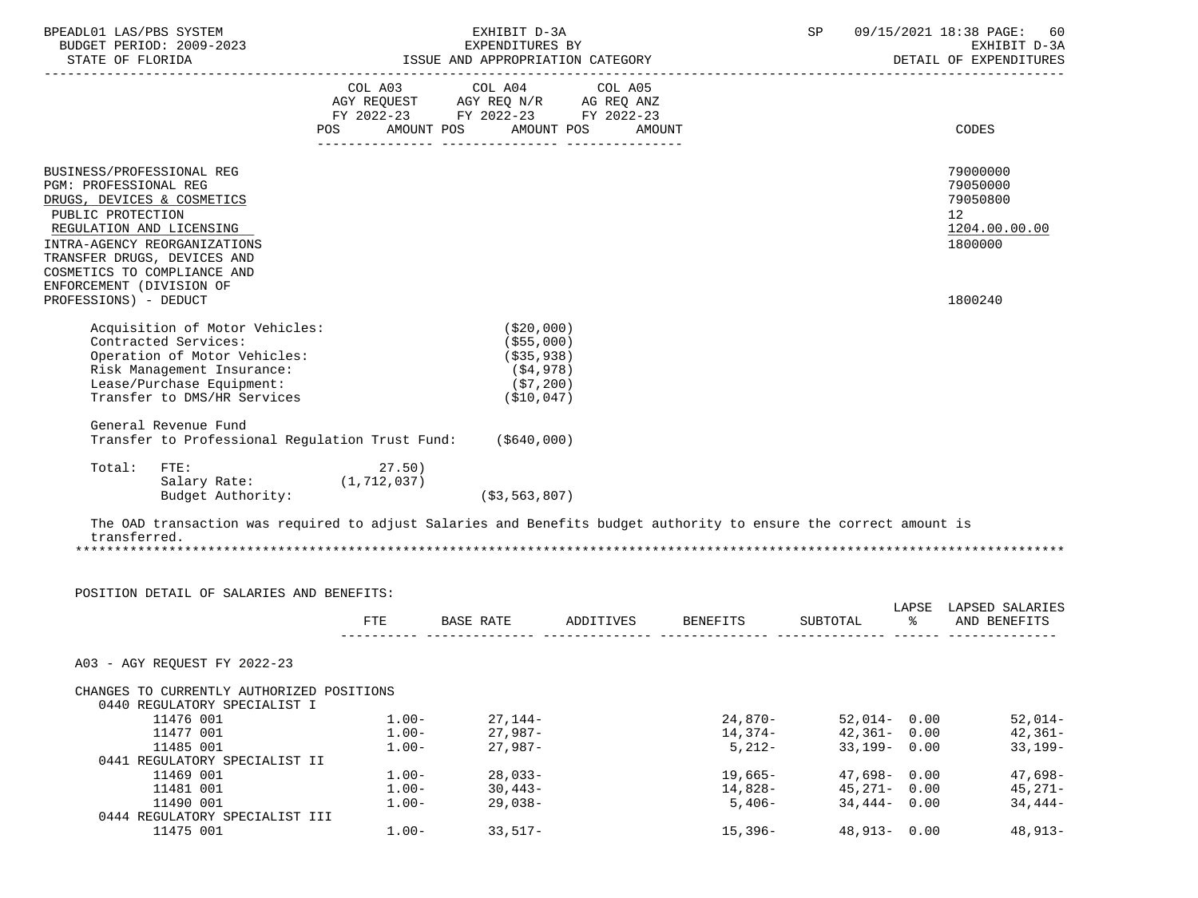| BPEADL01 LAS/PBS SYSTEM<br>BUDGET PERIOD: 2009-2023<br>STATE OF FLORIDA                                                                                                                                                                                     | EXHIBIT D-3A<br>EXPENDITURES BY<br>ISSUE AND APPROPRIATION CATEGORY                                                                                                                                                                                                                                                                                                                                                                                                                                                                                     |          |    |                                                                    |
|-------------------------------------------------------------------------------------------------------------------------------------------------------------------------------------------------------------------------------------------------------------|---------------------------------------------------------------------------------------------------------------------------------------------------------------------------------------------------------------------------------------------------------------------------------------------------------------------------------------------------------------------------------------------------------------------------------------------------------------------------------------------------------------------------------------------------------|----------|----|--------------------------------------------------------------------|
|                                                                                                                                                                                                                                                             | $\begin{tabular}{lllllllllll} \multicolumn{4}{l} \multicolumn{4}{c}{} & \multicolumn{4}{c}{} & \multicolumn{4}{c}{} & \multicolumn{4}{c}{} & \multicolumn{4}{c}{} & \multicolumn{4}{c}{} & \multicolumn{4}{c}{} & \multicolumn{4}{c}{} & \multicolumn{4}{c}{} & \multicolumn{4}{c}{} & \multicolumn{4}{c}{} & \multicolumn{4}{c}{} & \multicolumn{4}{c}{} & \multicolumn{4}{c}{} & \multicolumn{4}{c}{} & \multicolumn{4}{c}{} & \multicolumn{4}{c}{} & \multicolumn{4}{c}{} &$<br>FY 2022-23 FY 2022-23 FY 2022-23<br>POS AMOUNT POS AMOUNT POS AMOUNT |          |    | <b>CODES</b>                                                       |
| BUSINESS/PROFESSIONAL REG<br>PGM: PROFESSIONAL REG<br>DRUGS, DEVICES & COSMETICS<br>PUBLIC PROTECTION<br>REGULATION AND LICENSING<br>INTRA-AGENCY REORGANIZATIONS<br>TRANSFER DRUGS, DEVICES AND<br>COSMETICS TO COMPLIANCE AND<br>ENFORCEMENT (DIVISION OF |                                                                                                                                                                                                                                                                                                                                                                                                                                                                                                                                                         |          |    | 79000000<br>79050000<br>79050800<br>12<br>1204.00.00.00<br>1800000 |
| PROFESSIONS) - DEDUCT                                                                                                                                                                                                                                       |                                                                                                                                                                                                                                                                                                                                                                                                                                                                                                                                                         |          |    | 1800240                                                            |
| Acquisition of Motor Vehicles:<br>Contracted Services:<br>Operation of Motor Vehicles:<br>Risk Management Insurance:<br>Lease/Purchase Equipment:<br>Transfer to DMS/HR Services                                                                            | (\$20,000)<br>( \$55,000)<br>( \$35, 938)<br>(\$4,978)<br>(\$7,200)<br>( \$10,047)                                                                                                                                                                                                                                                                                                                                                                                                                                                                      |          |    |                                                                    |
| General Revenue Fund                                                                                                                                                                                                                                        | Transfer to Professional Regulation Trust Fund: (\$640,000)                                                                                                                                                                                                                                                                                                                                                                                                                                                                                             |          |    |                                                                    |
| FTE:<br>Total:<br>Salary Rate: (1,712,037)<br>Budget Authority:                                                                                                                                                                                             | 27.50)<br>( \$3, 563, 807)                                                                                                                                                                                                                                                                                                                                                                                                                                                                                                                              |          |    |                                                                    |
| transferred.                                                                                                                                                                                                                                                | The OAD transaction was required to adjust Salaries and Benefits budget authority to ensure the correct amount is                                                                                                                                                                                                                                                                                                                                                                                                                                       |          |    |                                                                    |
|                                                                                                                                                                                                                                                             |                                                                                                                                                                                                                                                                                                                                                                                                                                                                                                                                                         |          |    |                                                                    |
| POSITION DETAIL OF SALARIES AND BENEFITS:                                                                                                                                                                                                                   | BASE RATE ADDITIVES BENEFITS<br>FTE                                                                                                                                                                                                                                                                                                                                                                                                                                                                                                                     | SUBTOTAL | န္ | LAPSE LAPSED SALARIES<br>AND BENEFITS                              |
| A03 - AGY REQUEST FY 2022-23                                                                                                                                                                                                                                |                                                                                                                                                                                                                                                                                                                                                                                                                                                                                                                                                         |          |    |                                                                    |

| CHANGES TO CURRENTLY AUTHORIZED POSITIONS |          |            |            |                 |           |
|-------------------------------------------|----------|------------|------------|-----------------|-----------|
| 0440 REGULATORY SPECIALIST I              |          |            |            |                 |           |
| 11476 001                                 | $1.00 -$ | $27.144-$  | $24.870-$  | $52.014 - 0.00$ | $52,014-$ |
| 11477 001                                 | $1.00 -$ | 27,987-    | 14,374-    | $42.361 - 0.00$ | $42,361-$ |
| 11485 001                                 | $1.00 -$ | $27.987-$  | $5,212-$   | $33.199 - 0.00$ | $33,199-$ |
| 0441 REGULATORY SPECIALIST II             |          |            |            |                 |           |
| 11469 001                                 | $1.00 -$ | $28.033 -$ | $19,665-$  | $47.698 - 0.00$ | $47,698-$ |
| 11481 001                                 | $1.00 -$ | $30,443-$  | 14,828-    | $45.271 - 0.00$ | $45.271-$ |
| 11490 001                                 | $1.00 -$ | $29.038-$  | $5,406-$   | $34,444 - 0.00$ | 34,444-   |
| 0444 REGULATORY SPECIALIST III            |          |            |            |                 |           |
| 11475 001                                 | $1.00 -$ | $33.517-$  | $15.396 -$ | $48.913 - 0.00$ | 48,913-   |
|                                           |          |            |            |                 |           |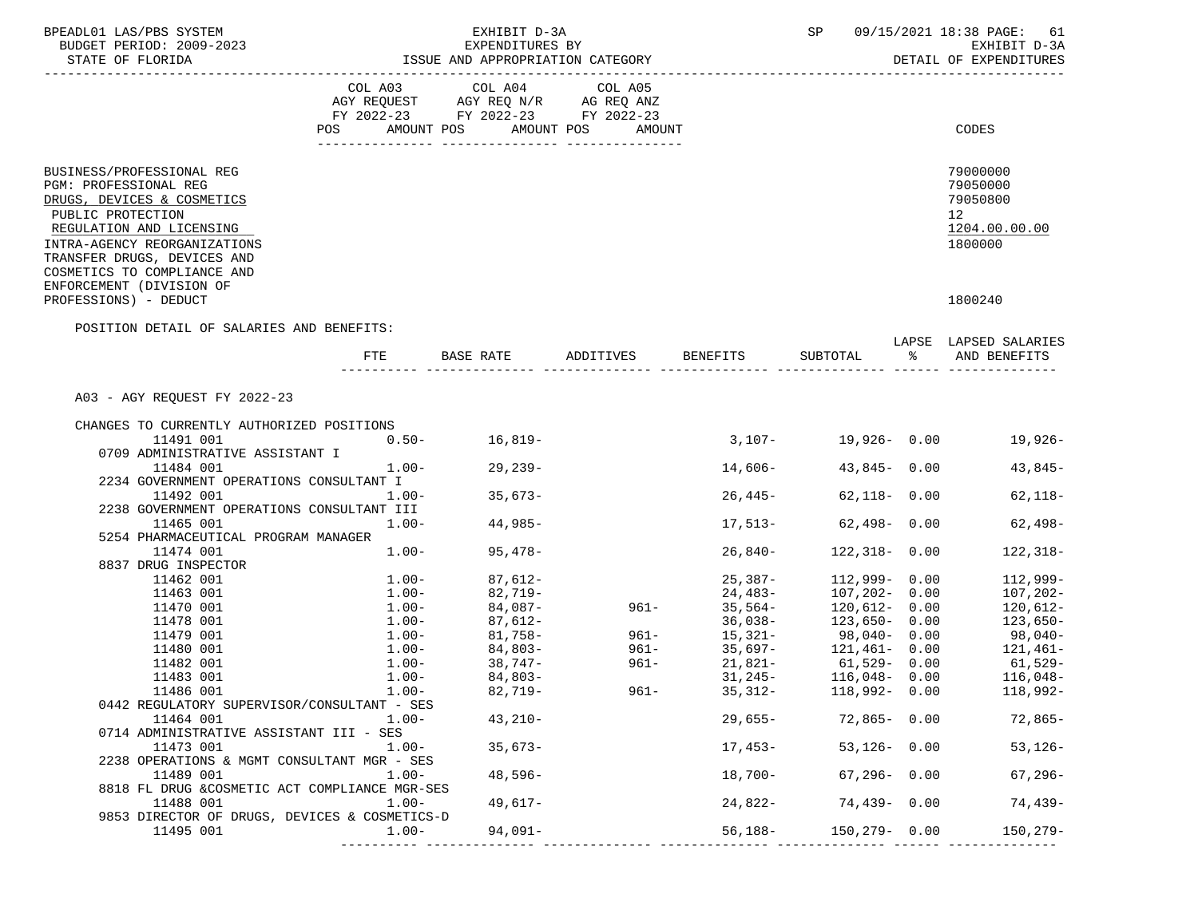| BUDGET PERIOD: 2009-2023<br>STATE OF FLORIDA                                                                                                                                                                                                                | ISSUE AND APPROPRIATION CATEGORY | SP                                                                                                                         | 09/15/2021 18:38 PAGE:<br>61<br>EXHIBIT D-3A<br>DETAIL OF EXPENDITURES |            |                                                                             |        |                                                                                 |
|-------------------------------------------------------------------------------------------------------------------------------------------------------------------------------------------------------------------------------------------------------------|----------------------------------|----------------------------------------------------------------------------------------------------------------------------|------------------------------------------------------------------------|------------|-----------------------------------------------------------------------------|--------|---------------------------------------------------------------------------------|
|                                                                                                                                                                                                                                                             | POS FOR                          | COL A03 COL A04 COL A05<br>AGY REQUEST AGY REQ N/R AG REQ ANZ<br>FY 2022-23 FY 2022-23 FY 2022-23<br>AMOUNT POS AMOUNT POS | AMOUNT                                                                 |            |                                                                             |        | CODES                                                                           |
|                                                                                                                                                                                                                                                             |                                  |                                                                                                                            |                                                                        |            |                                                                             |        |                                                                                 |
| BUSINESS/PROFESSIONAL REG<br>PGM: PROFESSIONAL REG<br>DRUGS, DEVICES & COSMETICS<br>PUBLIC PROTECTION<br>REGULATION AND LICENSING<br>INTRA-AGENCY REORGANIZATIONS<br>TRANSFER DRUGS, DEVICES AND<br>COSMETICS TO COMPLIANCE AND<br>ENFORCEMENT (DIVISION OF |                                  |                                                                                                                            |                                                                        |            |                                                                             |        | 79000000<br>79050000<br>79050800<br>12 <sup>°</sup><br>1204.00.00.00<br>1800000 |
| PROFESSIONS) - DEDUCT                                                                                                                                                                                                                                       |                                  |                                                                                                                            |                                                                        |            |                                                                             |        | 1800240                                                                         |
| POSITION DETAIL OF SALARIES AND BENEFITS:                                                                                                                                                                                                                   |                                  |                                                                                                                            |                                                                        |            |                                                                             |        | LAPSE LAPSED SALARIES                                                           |
|                                                                                                                                                                                                                                                             | FTE                              | BASE RATE ADDITIVES BENEFITS                                                                                               |                                                                        |            | SUBTOTAL                                                                    | ု့ အား | AND BENEFITS                                                                    |
| A03 - AGY REQUEST FY 2022-23                                                                                                                                                                                                                                |                                  |                                                                                                                            |                                                                        |            |                                                                             |        |                                                                                 |
|                                                                                                                                                                                                                                                             |                                  |                                                                                                                            |                                                                        |            |                                                                             |        |                                                                                 |
| CHANGES TO CURRENTLY AUTHORIZED POSITIONS<br>11491 001                                                                                                                                                                                                      |                                  |                                                                                                                            |                                                                        |            |                                                                             |        |                                                                                 |
| 0709 ADMINISTRATIVE ASSISTANT I                                                                                                                                                                                                                             | $0.50 - 16,819 -$                |                                                                                                                            |                                                                        |            |                                                                             |        | $3,107 - 19,926 - 0.00$ 19,926-                                                 |
| 11484 001                                                                                                                                                                                                                                                   | $1.00-$                          | $29,239-$                                                                                                                  |                                                                        | 14,606-    | $43,845 - 0.00$                                                             |        | 43,845-                                                                         |
| 2234 GOVERNMENT OPERATIONS CONSULTANT I                                                                                                                                                                                                                     |                                  |                                                                                                                            |                                                                        |            |                                                                             |        |                                                                                 |
| 11492 001<br>2238 GOVERNMENT OPERATIONS CONSULTANT III                                                                                                                                                                                                      | $1.00-$                          | $35,673-$                                                                                                                  |                                                                        | 26,445-    | 62,118- 0.00                                                                |        | $62,118-$                                                                       |
| 11465 001                                                                                                                                                                                                                                                   | $1.00-$                          | 44,985-                                                                                                                    |                                                                        |            | $17,513-$ 62,498- 0.00                                                      |        | $62,498-$                                                                       |
| 5254 PHARMACEUTICAL PROGRAM MANAGER                                                                                                                                                                                                                         |                                  |                                                                                                                            |                                                                        |            |                                                                             |        |                                                                                 |
| 11474 001                                                                                                                                                                                                                                                   | $1.00-$                          | 95,478-                                                                                                                    |                                                                        | $26,840-$  | $122,318 - 0.00$                                                            |        | $122, 318-$                                                                     |
| 8837 DRUG INSPECTOR                                                                                                                                                                                                                                         |                                  |                                                                                                                            |                                                                        |            |                                                                             |        |                                                                                 |
| 11462 001                                                                                                                                                                                                                                                   | $1.00-$                          | 87,612-                                                                                                                    |                                                                        | 25,387-    | 112,999-0.00                                                                |        | $112,999-$                                                                      |
| 11463 001                                                                                                                                                                                                                                                   | $1.00-$                          | 82,719-                                                                                                                    |                                                                        | $24, 483-$ | $107,202 - 0.00$                                                            |        | $107, 202 -$                                                                    |
| 11470 001<br>11478 001                                                                                                                                                                                                                                      | $1.00-$<br>$1.00-$               | 84,087-                                                                                                                    | $961 -$                                                                |            |                                                                             |        | 120,612-                                                                        |
| 11479 001                                                                                                                                                                                                                                                   | $1.00-$                          | 87,612-                                                                                                                    | 961-                                                                   |            | 35,564- 120,612- 0.00<br>36,038- 123,650- 0.00                              |        | 123,650-                                                                        |
| 11480 001                                                                                                                                                                                                                                                   |                                  | $81,758-$                                                                                                                  | 961-                                                                   | $15,321-$  | 98,040- 0.00                                                                |        | $98,040-$                                                                       |
|                                                                                                                                                                                                                                                             | $1.00-$                          | 84,803-                                                                                                                    |                                                                        | 35,697-    | $121,461 - 0.00$                                                            |        | 121,461–                                                                        |
| 11482 001                                                                                                                                                                                                                                                   | $1.00-$                          | 38,747-                                                                                                                    | 961-                                                                   |            | $21,821-$ 61,529- 0.00                                                      |        | $61,529-$                                                                       |
| 11483 001                                                                                                                                                                                                                                                   | $1.00-$                          | 84,803-                                                                                                                    |                                                                        |            |                                                                             |        | 116,048-                                                                        |
| 11486 001                                                                                                                                                                                                                                                   | $1.00-$                          | 82,719-                                                                                                                    | $961 -$                                                                |            | $31, 245 - 116, 048 - 0.00$<br>$35, 312 - 118, 992 - 0.00$<br>118,992- 0.00 |        | 118,992-                                                                        |
| 0442 REGULATORY SUPERVISOR/CONSULTANT - SES<br>11464 001                                                                                                                                                                                                    | $1.00-$                          | 43,210-                                                                                                                    |                                                                        | 29,655-    | $72,865 - 0.00$                                                             |        | 72,865-                                                                         |
| 0714 ADMINISTRATIVE ASSISTANT III - SES<br>11473 001                                                                                                                                                                                                        | $1.00-$                          | $35,673-$                                                                                                                  |                                                                        | 17,453-    | $53,126 - 0.00$                                                             |        | $53,126-$                                                                       |
| 2238 OPERATIONS & MGMT CONSULTANT MGR - SES                                                                                                                                                                                                                 |                                  |                                                                                                                            |                                                                        |            |                                                                             |        |                                                                                 |
| 11489 001<br>8818 FL DRUG &COSMETIC ACT COMPLIANCE MGR-SES                                                                                                                                                                                                  | $1.00-$                          | $48,596-$                                                                                                                  |                                                                        |            | 18,700- 67,296- 0.00                                                        |        | 67,296-                                                                         |
| 11488 001<br>9853 DIRECTOR OF DRUGS, DEVICES & COSMETICS-D                                                                                                                                                                                                  | $1.00-$                          | 49,617-                                                                                                                    |                                                                        |            | $24,822-74,439-0.00$                                                        |        | $74,439-$                                                                       |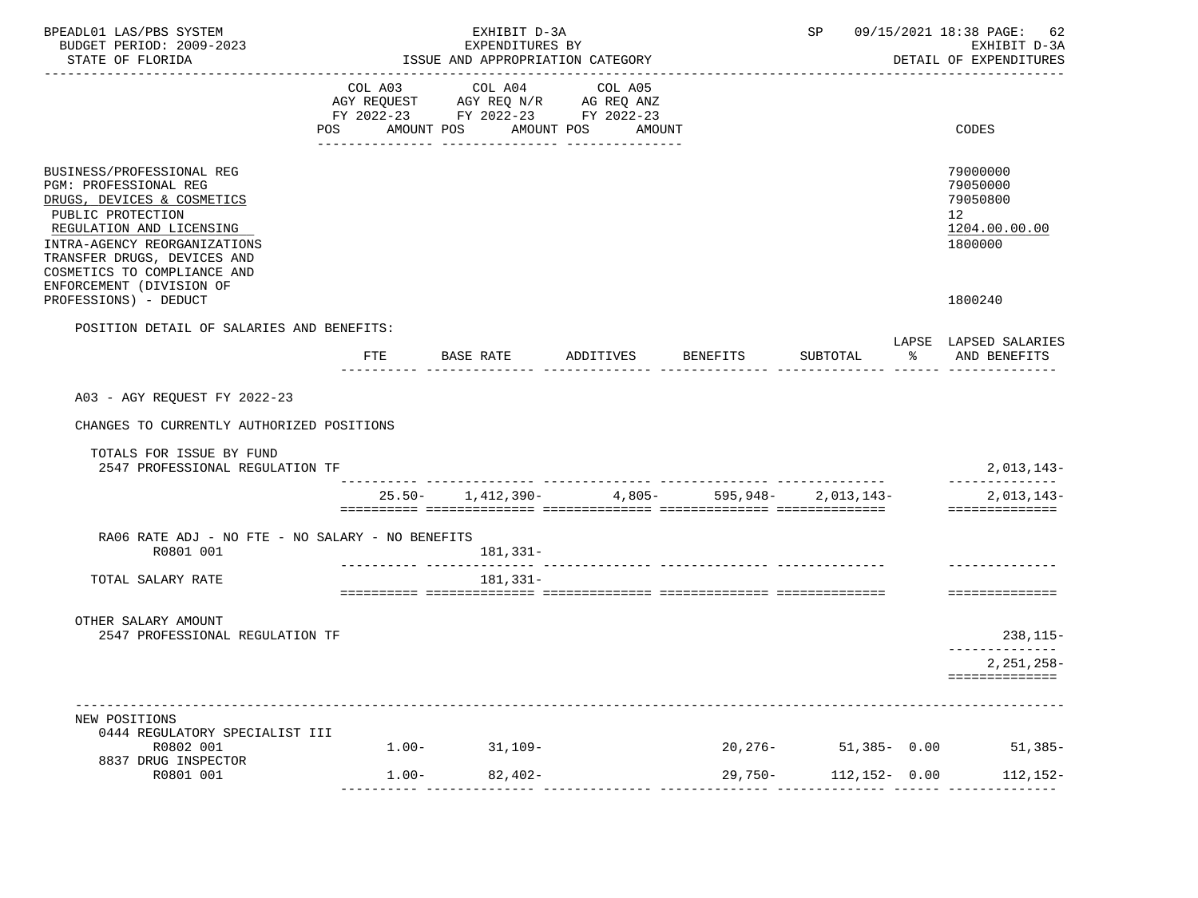| BPEADL01 LAS/PBS SYSTEM<br>BUDGET PERIOD: 2009-2023<br>STATE OF FLORIDA                                                                                                                                                                                            | ISSUE AND APPROPRIATION CATEGORY |                                                                                   |                              | SP 09/15/2021 18:38 PAGE: 62<br>EXHIBIT D-3A<br>DETAIL OF EXPENDITURES |                   |                                                                    |
|--------------------------------------------------------------------------------------------------------------------------------------------------------------------------------------------------------------------------------------------------------------------|----------------------------------|-----------------------------------------------------------------------------------|------------------------------|------------------------------------------------------------------------|-------------------|--------------------------------------------------------------------|
|                                                                                                                                                                                                                                                                    | COL A03<br>POS AMOUNT POS        | COL A04<br>AGY REQUEST AGY REQ N/R AG REQ ANZ<br>FY 2022-23 FY 2022-23 FY 2022-23 | COL A05<br>AMOUNT POS AMOUNT |                                                                        |                   | CODES                                                              |
|                                                                                                                                                                                                                                                                    |                                  |                                                                                   |                              |                                                                        |                   |                                                                    |
| BUSINESS/PROFESSIONAL REG<br><b>PGM: PROFESSIONAL REG</b><br>DRUGS, DEVICES & COSMETICS<br>PUBLIC PROTECTION<br>REGULATION AND LICENSING<br>INTRA-AGENCY REORGANIZATIONS<br>TRANSFER DRUGS, DEVICES AND<br>COSMETICS TO COMPLIANCE AND<br>ENFORCEMENT (DIVISION OF |                                  |                                                                                   |                              |                                                                        |                   | 79000000<br>79050000<br>79050800<br>12<br>1204.00.00.00<br>1800000 |
| PROFESSIONS) - DEDUCT                                                                                                                                                                                                                                              |                                  |                                                                                   |                              |                                                                        |                   | 1800240                                                            |
| POSITION DETAIL OF SALARIES AND BENEFITS:                                                                                                                                                                                                                          | <b>FTE</b>                       | BASE RATE                                                                         | ADDITIVES                    | BENEFITS                                                               | SUBTOTAL          | LAPSE LAPSED SALARIES<br>% AND BENEFITS                            |
|                                                                                                                                                                                                                                                                    |                                  |                                                                                   |                              |                                                                        |                   |                                                                    |
| A03 - AGY REQUEST FY 2022-23<br>CHANGES TO CURRENTLY AUTHORIZED POSITIONS<br>TOTALS FOR ISSUE BY FUND<br>2547 PROFESSIONAL REGULATION TF                                                                                                                           |                                  |                                                                                   |                              |                                                                        |                   | $2,013,143-$                                                       |
|                                                                                                                                                                                                                                                                    |                                  | $25.50 - 1,412,390 - 4,805 - 595,948 - 2,013,143 -$                               |                              |                                                                        |                   | $2,013,143-$<br>==============                                     |
| RA06 RATE ADJ - NO FTE - NO SALARY - NO BENEFITS<br>R0801 001                                                                                                                                                                                                      |                                  | 181,331-                                                                          |                              |                                                                        |                   |                                                                    |
| TOTAL SALARY RATE                                                                                                                                                                                                                                                  |                                  | 181,331-                                                                          |                              |                                                                        |                   |                                                                    |
| OTHER SALARY AMOUNT<br>2547 PROFESSIONAL REGULATION TF                                                                                                                                                                                                             |                                  |                                                                                   |                              |                                                                        |                   | 238,115-                                                           |
|                                                                                                                                                                                                                                                                    |                                  |                                                                                   |                              |                                                                        |                   | $2,251,258-$<br>==============                                     |
|                                                                                                                                                                                                                                                                    |                                  |                                                                                   |                              |                                                                        |                   |                                                                    |
| NEW POSITIONS<br>0444 REGULATORY SPECIALIST III<br>R0802 001                                                                                                                                                                                                       | $1.00 -$                         | $31,109-$                                                                         |                              | 20,276-                                                                | $51.385 - 0.00$   | $51,385-$                                                          |
| 8837 DRUG INSPECTOR<br>R0801 001                                                                                                                                                                                                                                   | $1.00 -$                         | $82,402-$                                                                         |                              | 29,750-                                                                | $112, 152 - 0.00$ | 112,152-                                                           |
|                                                                                                                                                                                                                                                                    |                                  |                                                                                   |                              |                                                                        |                   |                                                                    |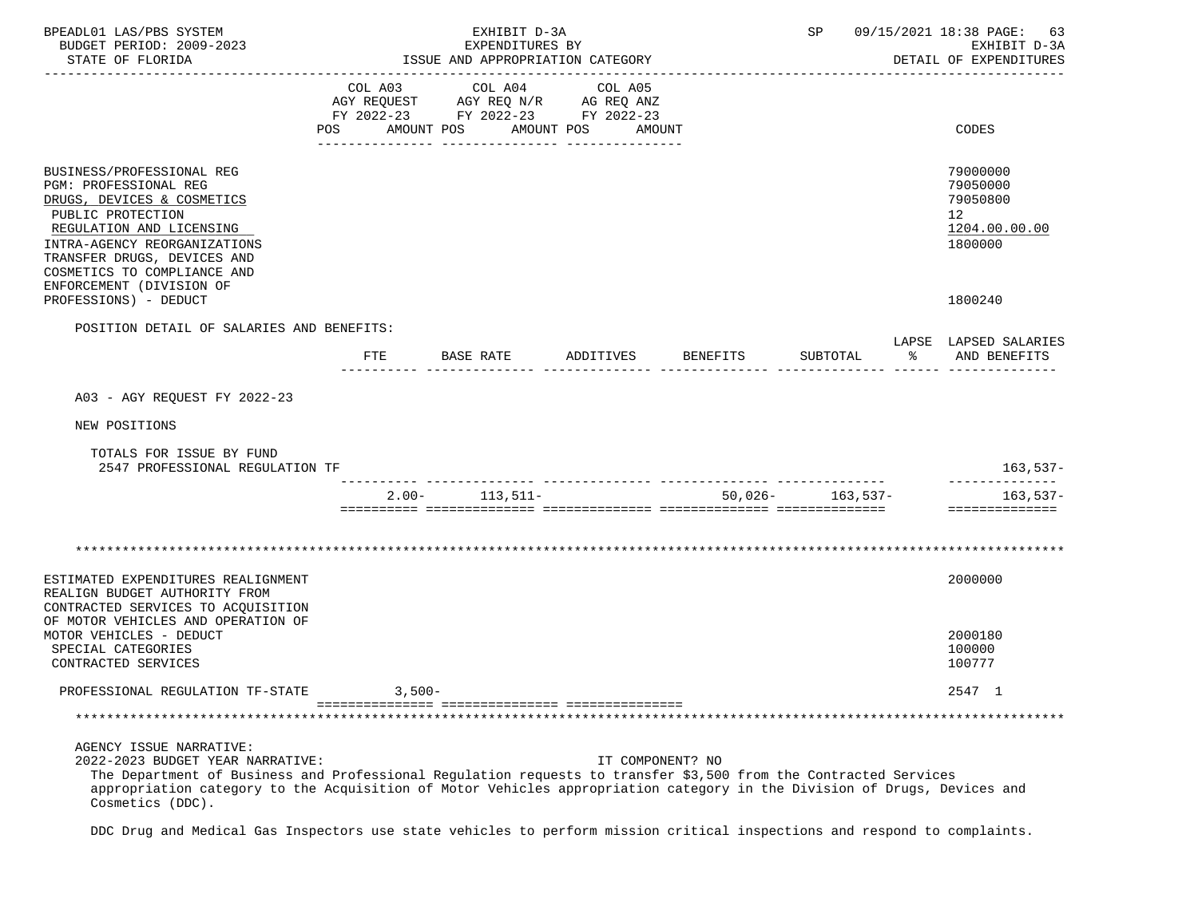| BPEADL01 LAS/PBS SYSTEM<br>BUDGET PERIOD: 2009-2023<br>STATE OF FLORIDA                                                                                                                                                                                                                                                         | EXHIBIT D-3A<br>EXPENDITURES BY<br>ISSUE AND APPROPRIATION CATEGORY |                       |           |                                                                                   | SP                           |                  | 09/15/2021 18:38 PAGE: 63<br>EXHIBIT D-3A<br>DETAIL OF EXPENDITURES |    |                                                                                 |
|---------------------------------------------------------------------------------------------------------------------------------------------------------------------------------------------------------------------------------------------------------------------------------------------------------------------------------|---------------------------------------------------------------------|-----------------------|-----------|-----------------------------------------------------------------------------------|------------------------------|------------------|---------------------------------------------------------------------|----|---------------------------------------------------------------------------------|
|                                                                                                                                                                                                                                                                                                                                 | POS                                                                 | COL A03<br>AMOUNT POS |           | COL A04<br>AGY REQUEST AGY REQ N/R AG REQ ANZ<br>FY 2022-23 FY 2022-23 FY 2022-23 | COL A05<br>AMOUNT POS AMOUNT |                  |                                                                     |    | CODES                                                                           |
| BUSINESS/PROFESSIONAL REG<br>PGM: PROFESSIONAL REG<br>DRUGS, DEVICES & COSMETICS<br>PUBLIC PROTECTION<br>REGULATION AND LICENSING<br>INTRA-AGENCY REORGANIZATIONS<br>TRANSFER DRUGS, DEVICES AND<br>COSMETICS TO COMPLIANCE AND                                                                                                 |                                                                     |                       |           |                                                                                   |                              |                  |                                                                     |    | 79000000<br>79050000<br>79050800<br>12 <sup>°</sup><br>1204.00.00.00<br>1800000 |
| ENFORCEMENT (DIVISION OF<br>PROFESSIONS) - DEDUCT                                                                                                                                                                                                                                                                               |                                                                     |                       |           |                                                                                   |                              |                  |                                                                     |    | 1800240                                                                         |
| POSITION DETAIL OF SALARIES AND BENEFITS:                                                                                                                                                                                                                                                                                       | FTE                                                                 |                       | BASE RATE |                                                                                   | ADDITIVES                    | BENEFITS         | SUBTOTAL                                                            | န္ | LAPSE LAPSED SALARIES<br>AND BENEFITS                                           |
| A03 - AGY REQUEST FY 2022-23                                                                                                                                                                                                                                                                                                    |                                                                     |                       |           |                                                                                   |                              |                  |                                                                     |    |                                                                                 |
| NEW POSITIONS                                                                                                                                                                                                                                                                                                                   |                                                                     |                       |           |                                                                                   |                              |                  |                                                                     |    |                                                                                 |
| TOTALS FOR ISSUE BY FUND<br>2547 PROFESSIONAL REGULATION TF                                                                                                                                                                                                                                                                     |                                                                     |                       |           |                                                                                   |                              |                  |                                                                     |    | $163,537-$                                                                      |
|                                                                                                                                                                                                                                                                                                                                 |                                                                     |                       |           | $2.00 - 113,511 -$                                                                |                              |                  | $50,026 - 163,537 -$                                                |    | 163,537-<br>==============                                                      |
|                                                                                                                                                                                                                                                                                                                                 |                                                                     |                       |           |                                                                                   |                              |                  |                                                                     |    |                                                                                 |
| ESTIMATED EXPENDITURES REALIGNMENT<br>REALIGN BUDGET AUTHORITY FROM<br>CONTRACTED SERVICES TO ACQUISITION                                                                                                                                                                                                                       |                                                                     |                       |           |                                                                                   |                              |                  |                                                                     |    | 2000000                                                                         |
| OF MOTOR VEHICLES AND OPERATION OF<br>MOTOR VEHICLES - DEDUCT<br>SPECIAL CATEGORIES<br>CONTRACTED SERVICES                                                                                                                                                                                                                      |                                                                     |                       |           |                                                                                   |                              |                  |                                                                     |    | 2000180<br>100000<br>100777                                                     |
| PROFESSIONAL REGULATION TF-STATE                                                                                                                                                                                                                                                                                                |                                                                     | $3,500-$              |           |                                                                                   |                              |                  |                                                                     |    | 2547 1                                                                          |
|                                                                                                                                                                                                                                                                                                                                 |                                                                     |                       |           |                                                                                   |                              |                  |                                                                     |    |                                                                                 |
| AGENCY ISSUE NARRATIVE:<br>2022-2023 BUDGET YEAR NARRATIVE:<br>The Department of Business and Professional Regulation requests to transfer \$3,500 from the Contracted Services<br>appropriation category to the Acquisition of Motor Vehicles appropriation category in the Division of Drugs, Devices and<br>Cosmetics (DDC). |                                                                     |                       |           |                                                                                   |                              | IT COMPONENT? NO |                                                                     |    |                                                                                 |

DDC Drug and Medical Gas Inspectors use state vehicles to perform mission critical inspections and respond to complaints.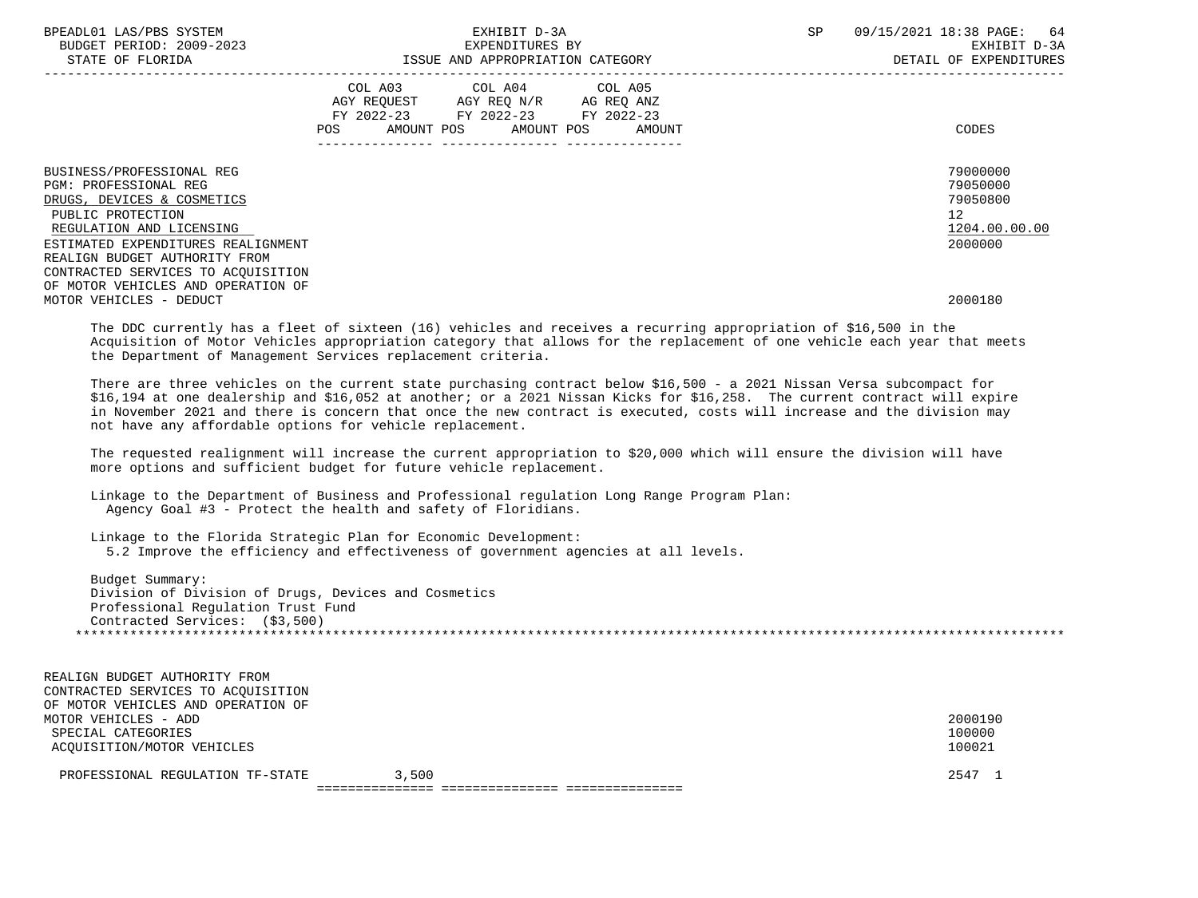| BPEADL01 LAS/PBS SYSTEM<br>BUDGET PERIOD: 2009-2023<br>STATE OF FLORIDA                                                                                                                                         | EXHIBIT D-3A<br>EXPENDITURES BY<br>ISSUE AND APPROPRIATION CATEGORY |                                                                                                                                   |  | SP | 09/15/2021 18:38 PAGE: 64<br>EXHIBIT D-3A<br>DETAIL OF EXPENDITURES             |
|-----------------------------------------------------------------------------------------------------------------------------------------------------------------------------------------------------------------|---------------------------------------------------------------------|-----------------------------------------------------------------------------------------------------------------------------------|--|----|---------------------------------------------------------------------------------|
|                                                                                                                                                                                                                 | POS FOR                                                             | COL A03 COL A04 COL A05<br>AGY REOUEST AGY REO N/R AG REO ANZ<br>FY 2022-23 FY 2022-23 FY 2022-23<br>AMOUNT POS AMOUNT POS AMOUNT |  |    | CODES                                                                           |
| BUSINESS/PROFESSIONAL REG<br><b>PGM: PROFESSIONAL REG</b><br>DRUGS, DEVICES & COSMETICS<br>PUBLIC PROTECTION<br>REGULATION AND LICENSING<br>ESTIMATED EXPENDITURES REALIGNMENT<br>REALIGN BUDGET AUTHORITY FROM |                                                                     |                                                                                                                                   |  |    | 79000000<br>79050000<br>79050800<br>12 <sup>7</sup><br>1204.00.00.00<br>2000000 |
| CONTRACTED SERVICES TO ACOUISITION<br>OF MOTOR VEHICLES AND OPERATION OF<br>MOTOR VEHICLES - DEDUCT                                                                                                             |                                                                     |                                                                                                                                   |  |    | 2000180                                                                         |

 The DDC currently has a fleet of sixteen (16) vehicles and receives a recurring appropriation of \$16,500 in the Acquisition of Motor Vehicles appropriation category that allows for the replacement of one vehicle each year that meets the Department of Management Services replacement criteria.

 There are three vehicles on the current state purchasing contract below \$16,500 - a 2021 Nissan Versa subcompact for \$16,194 at one dealership and \$16,052 at another; or a 2021 Nissan Kicks for \$16,258. The current contract will expire in November 2021 and there is concern that once the new contract is executed, costs will increase and the division may not have any affordable options for vehicle replacement.

 The requested realignment will increase the current appropriation to \$20,000 which will ensure the division will have more options and sufficient budget for future vehicle replacement.

 Linkage to the Department of Business and Professional regulation Long Range Program Plan: Agency Goal #3 - Protect the health and safety of Floridians.

 Linkage to the Florida Strategic Plan for Economic Development: 5.2 Improve the efficiency and effectiveness of government agencies at all levels.

 Budget Summary: Division of Division of Drugs, Devices and Cosmetics Professional Regulation Trust Fund Contracted Services: (\$3,500) \*\*\*\*\*\*\*\*\*\*\*\*\*\*\*\*\*\*\*\*\*\*\*\*\*\*\*\*\*\*\*\*\*\*\*\*\*\*\*\*\*\*\*\*\*\*\*\*\*\*\*\*\*\*\*\*\*\*\*\*\*\*\*\*\*\*\*\*\*\*\*\*\*\*\*\*\*\*\*\*\*\*\*\*\*\*\*\*\*\*\*\*\*\*\*\*\*\*\*\*\*\*\*\*\*\*\*\*\*\*\*\*\*\*\*\*\*\*\*\*\*\*\*\*\*\*\*

| REALIGN BUDGET AUTHORITY FROM      |       |         |
|------------------------------------|-------|---------|
| CONTRACTED SERVICES TO ACOUISITION |       |         |
| OF MOTOR VEHICLES AND OPERATION OF |       |         |
| MOTOR VEHICLES - ADD               |       | 2000190 |
| SPECIAL CATEGORIES                 |       | 100000  |
| ACOUISITION/MOTOR VEHICLES         |       | 100021  |
|                                    |       |         |
| PROFESSIONAL REGULATION TF-STATE   | 3,500 | 2547 1  |
|                                    |       |         |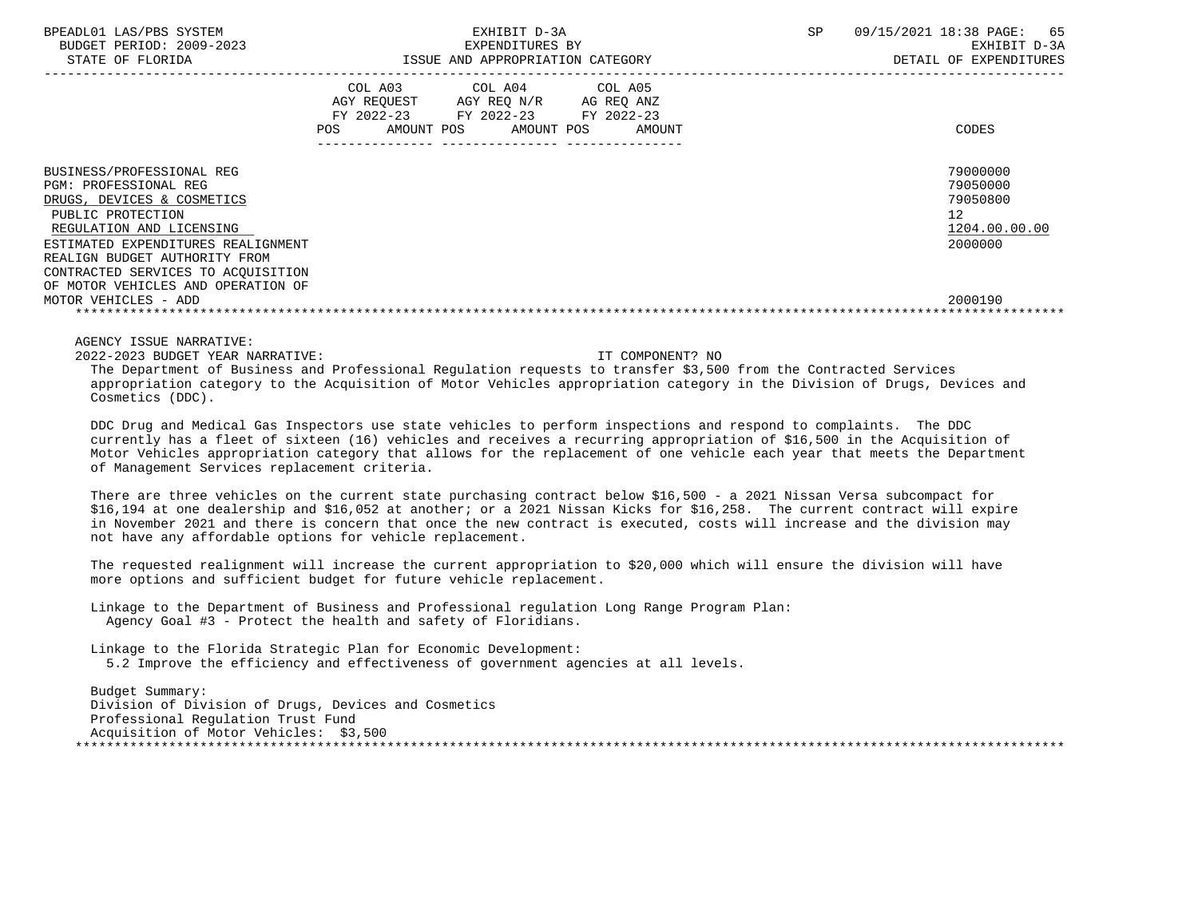| BPEADL01 LAS/PBS SYSTEM |     |                          |
|-------------------------|-----|--------------------------|
|                         |     | BUDGET PERIOD: 2009-2023 |
|                         | CDR |                          |

|                                                                                                                                                                                                                                                                                                              | COL A03<br>AGY REQUEST<br>AMOUNT POS<br><b>POS</b> | COL A04<br>AGY REQ N/R<br>FY 2022-23 FY 2022-23 FY 2022-23<br>AMOUNT POS | COL A05<br>AG REQ ANZ<br>AMOUNT | CODES                                                                         |  |
|--------------------------------------------------------------------------------------------------------------------------------------------------------------------------------------------------------------------------------------------------------------------------------------------------------------|----------------------------------------------------|--------------------------------------------------------------------------|---------------------------------|-------------------------------------------------------------------------------|--|
| BUSINESS/PROFESSIONAL REG<br>PGM: PROFESSIONAL REG<br>DRUGS, DEVICES & COSMETICS<br>PUBLIC PROTECTION<br>REGULATION AND LICENSING<br>ESTIMATED EXPENDITURES REALIGNMENT<br>REALIGN BUDGET AUTHORITY FROM<br>CONTRACTED SERVICES TO ACOUISITION<br>OF MOTOR VEHICLES AND OPERATION OF<br>MOTOR VEHICLES - ADD |                                                    |                                                                          |                                 | 79000000<br>79050000<br>79050800<br>12<br>1204.00.00.00<br>2000000<br>2000190 |  |
|                                                                                                                                                                                                                                                                                                              |                                                    |                                                                          |                                 |                                                                               |  |

AGENCY ISSUE NARRATIVE:

2022-2023 BUDGET YEAR NARRATIVE: IT COMPONENT? NO

 The Department of Business and Professional Regulation requests to transfer \$3,500 from the Contracted Services appropriation category to the Acquisition of Motor Vehicles appropriation category in the Division of Drugs, Devices and Cosmetics (DDC).

 DDC Drug and Medical Gas Inspectors use state vehicles to perform inspections and respond to complaints. The DDC currently has a fleet of sixteen (16) vehicles and receives a recurring appropriation of \$16,500 in the Acquisition of Motor Vehicles appropriation category that allows for the replacement of one vehicle each year that meets the Department of Management Services replacement criteria.

 There are three vehicles on the current state purchasing contract below \$16,500 - a 2021 Nissan Versa subcompact for \$16,194 at one dealership and \$16,052 at another; or a 2021 Nissan Kicks for \$16,258. The current contract will expire in November 2021 and there is concern that once the new contract is executed, costs will increase and the division may not have any affordable options for vehicle replacement.

 The requested realignment will increase the current appropriation to \$20,000 which will ensure the division will have more options and sufficient budget for future vehicle replacement.

 Linkage to the Department of Business and Professional regulation Long Range Program Plan: Agency Goal #3 - Protect the health and safety of Floridians.

 Linkage to the Florida Strategic Plan for Economic Development: 5.2 Improve the efficiency and effectiveness of government agencies at all levels.

 Budget Summary: Division of Division of Drugs, Devices and Cosmetics Professional Regulation Trust Fund Acquisition of Motor Vehicles: \$3,500 \*\*\*\*\*\*\*\*\*\*\*\*\*\*\*\*\*\*\*\*\*\*\*\*\*\*\*\*\*\*\*\*\*\*\*\*\*\*\*\*\*\*\*\*\*\*\*\*\*\*\*\*\*\*\*\*\*\*\*\*\*\*\*\*\*\*\*\*\*\*\*\*\*\*\*\*\*\*\*\*\*\*\*\*\*\*\*\*\*\*\*\*\*\*\*\*\*\*\*\*\*\*\*\*\*\*\*\*\*\*\*\*\*\*\*\*\*\*\*\*\*\*\*\*\*\*\*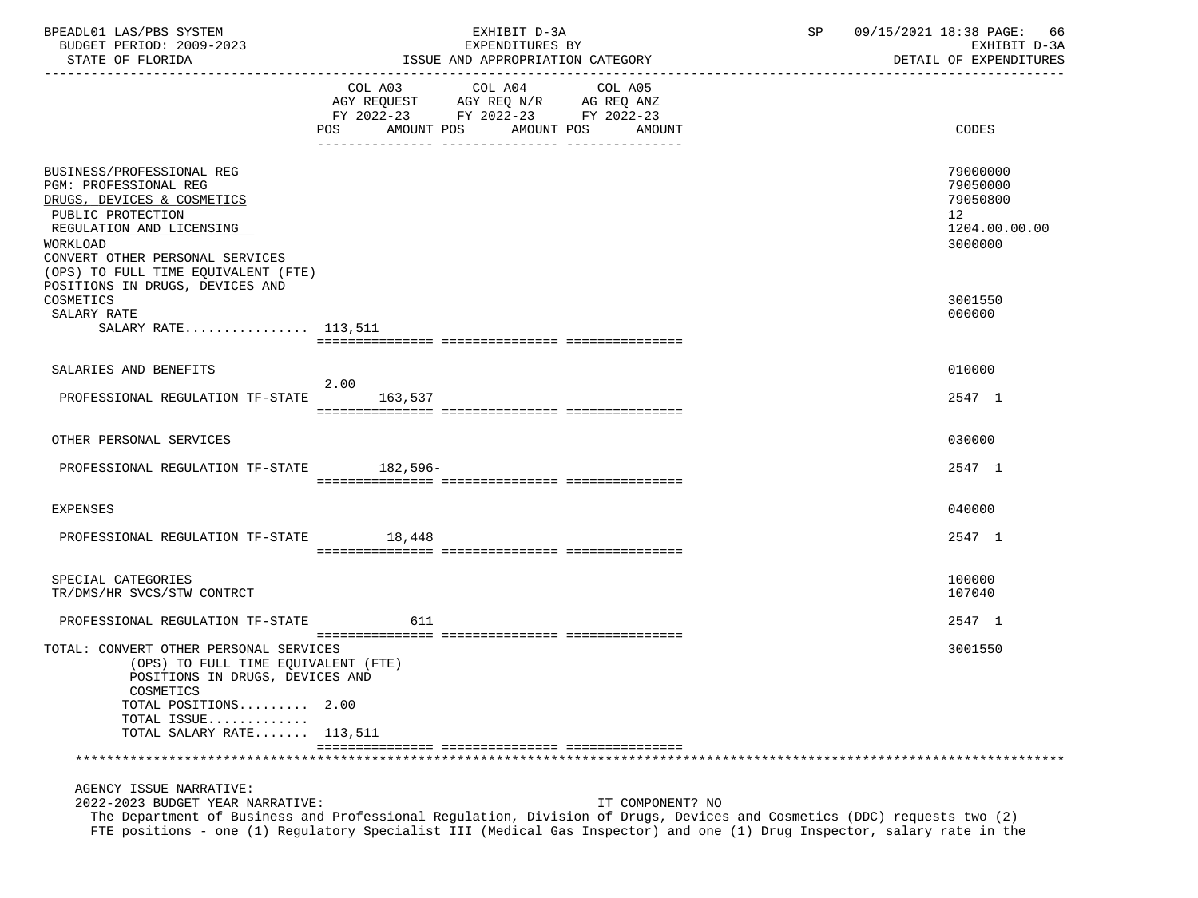| BPEADL01 LAS/PBS SYSTEM                                                                                                                                                                                                 | EXHIBIT D-3A                                                                                                                                                                                                                                                            | 09/15/2021 18:38 PAGE:<br>SP<br>66                                              |
|-------------------------------------------------------------------------------------------------------------------------------------------------------------------------------------------------------------------------|-------------------------------------------------------------------------------------------------------------------------------------------------------------------------------------------------------------------------------------------------------------------------|---------------------------------------------------------------------------------|
| BUDGET PERIOD: 2009-2023                                                                                                                                                                                                | EXPENDITURES BY                                                                                                                                                                                                                                                         | EXHIBIT D-3A                                                                    |
| STATE OF FLORIDA                                                                                                                                                                                                        | ISSUE AND APPROPRIATION CATEGORY                                                                                                                                                                                                                                        | DETAIL OF EXPENDITURES                                                          |
|                                                                                                                                                                                                                         | COL A03<br>COL A04<br>COL A05<br>AGY REQUEST AGY REQ N/R AG REQ ANZ<br>FY 2022-23 FY 2022-23 FY 2022-23                                                                                                                                                                 |                                                                                 |
|                                                                                                                                                                                                                         | AMOUNT POS<br>AMOUNT POS<br>POS<br>AMOUNT                                                                                                                                                                                                                               | CODES                                                                           |
| BUSINESS/PROFESSIONAL REG<br>PGM: PROFESSIONAL REG<br>DRUGS, DEVICES & COSMETICS<br>PUBLIC PROTECTION<br>REGULATION AND LICENSING<br>WORKLOAD<br>CONVERT OTHER PERSONAL SERVICES<br>(OPS) TO FULL TIME EQUIVALENT (FTE) |                                                                                                                                                                                                                                                                         | 79000000<br>79050000<br>79050800<br>12 <sup>°</sup><br>1204.00.00.00<br>3000000 |
| POSITIONS IN DRUGS, DEVICES AND<br>COSMETICS<br>SALARY RATE                                                                                                                                                             |                                                                                                                                                                                                                                                                         | 3001550<br>000000                                                               |
| SALARY RATE 113,511                                                                                                                                                                                                     |                                                                                                                                                                                                                                                                         |                                                                                 |
| SALARIES AND BENEFITS                                                                                                                                                                                                   |                                                                                                                                                                                                                                                                         | 010000                                                                          |
| PROFESSIONAL REGULATION TF-STATE                                                                                                                                                                                        | 2.00<br>163,537                                                                                                                                                                                                                                                         | 2547 1                                                                          |
| OTHER PERSONAL SERVICES                                                                                                                                                                                                 |                                                                                                                                                                                                                                                                         | 030000                                                                          |
| PROFESSIONAL REGULATION TF-STATE 182,596-                                                                                                                                                                               |                                                                                                                                                                                                                                                                         | 2547 1                                                                          |
| EXPENSES                                                                                                                                                                                                                |                                                                                                                                                                                                                                                                         | 040000                                                                          |
| PROFESSIONAL REGULATION TF-STATE                                                                                                                                                                                        | 18,448                                                                                                                                                                                                                                                                  | 2547 1                                                                          |
| SPECIAL CATEGORIES<br>TR/DMS/HR SVCS/STW CONTRCT                                                                                                                                                                        |                                                                                                                                                                                                                                                                         | 100000<br>107040                                                                |
| PROFESSIONAL REGULATION TF-STATE                                                                                                                                                                                        | 611                                                                                                                                                                                                                                                                     | 2547 1                                                                          |
| TOTAL: CONVERT OTHER PERSONAL SERVICES<br>(OPS) TO FULL TIME EOUIVALENT (FTE)<br>POSITIONS IN DRUGS, DEVICES AND<br>COSMETICS<br>TOTAL POSITIONS 2.00<br>TOTAL ISSUE<br>TOTAL SALARY RATE 113,511                       |                                                                                                                                                                                                                                                                         | 3001550                                                                         |
|                                                                                                                                                                                                                         |                                                                                                                                                                                                                                                                         |                                                                                 |
| AGENCY ISSUE NARRATIVE:<br>2022-2023 BUDGET YEAR NARRATIVE:                                                                                                                                                             | IT COMPONENT? NO<br>The Department of Business and Professional Regulation, Division of Drugs, Devices and Cosmetics (DDC) requests two (2)<br>FTE positions - one (1) Regulatory Specialist III (Medical Gas Inspector) and one (1) Drug Inspector, salary rate in the |                                                                                 |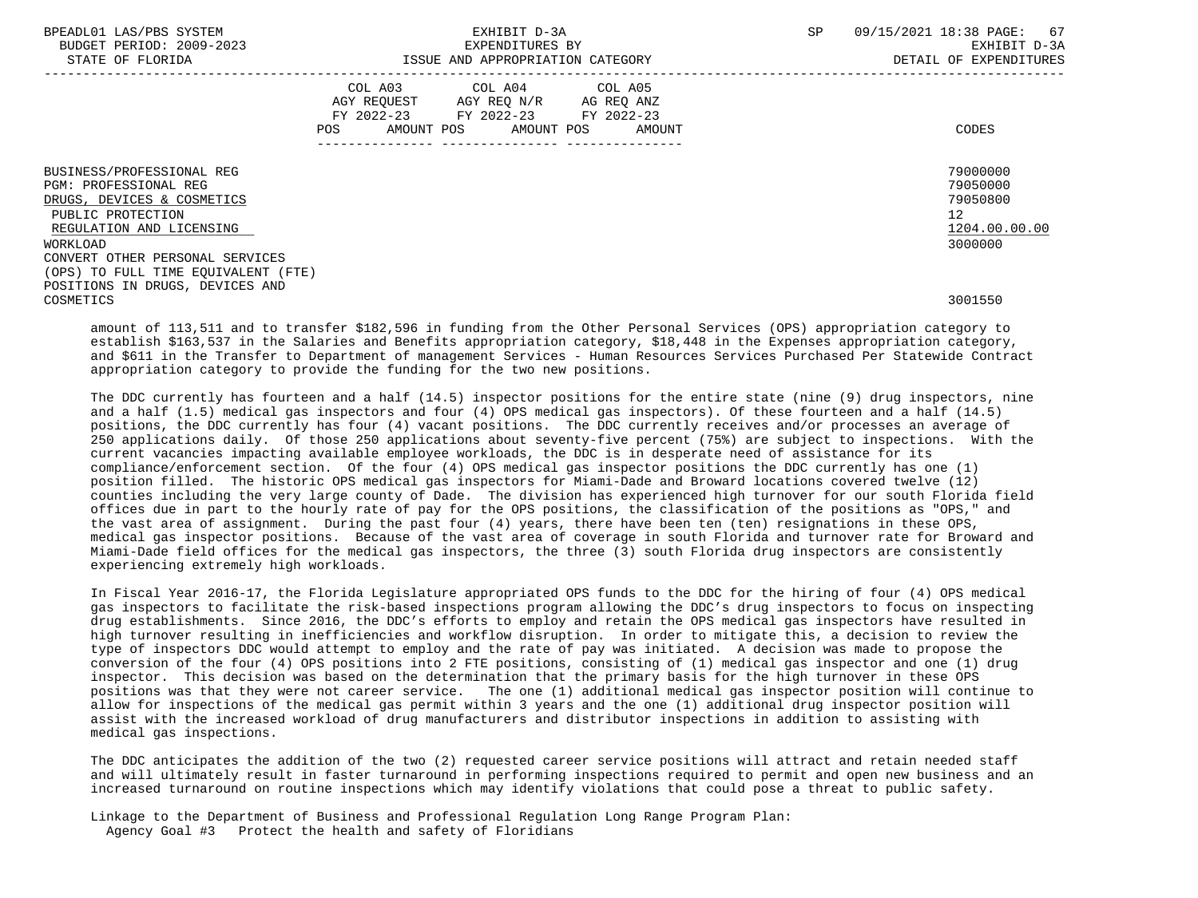| BPEADL01 LAS/PBS SYSTEM |                   |                          |
|-------------------------|-------------------|--------------------------|
|                         |                   | BUDGET PERIOD: 2009-2023 |
|                         | גתדכת זה הת היהיה |                          |

|                                                                                                                                                                                         | COL A03<br>AGY REQUEST<br>AMOUNT POS<br>POS | COL A04<br>AGY REQ N/R<br>FY 2022-23 FY 2022-23 FY 2022-23<br>AMOUNT POS | COL A05<br>AG REQ ANZ<br>AMOUNT | CODES                                                              |
|-----------------------------------------------------------------------------------------------------------------------------------------------------------------------------------------|---------------------------------------------|--------------------------------------------------------------------------|---------------------------------|--------------------------------------------------------------------|
| BUSINESS/PROFESSIONAL REG<br><b>PGM: PROFESSIONAL REG</b><br>DRUGS, DEVICES & COSMETICS<br>PUBLIC PROTECTION<br>REGULATION AND LICENSING<br>WORKLOAD<br>CONVERT OTHER PERSONAL SERVICES |                                             |                                                                          |                                 | 79000000<br>79050000<br>79050800<br>12<br>1204.00.00.00<br>3000000 |
| (OPS) TO FULL TIME EQUIVALENT (FTE)<br>POSITIONS IN DRUGS, DEVICES AND<br>COSMETICS                                                                                                     |                                             |                                                                          |                                 | 3001550                                                            |

 amount of 113,511 and to transfer \$182,596 in funding from the Other Personal Services (OPS) appropriation category to establish \$163,537 in the Salaries and Benefits appropriation category, \$18,448 in the Expenses appropriation category, and \$611 in the Transfer to Department of management Services - Human Resources Services Purchased Per Statewide Contract appropriation category to provide the funding for the two new positions.

 The DDC currently has fourteen and a half (14.5) inspector positions for the entire state (nine (9) drug inspectors, nine and a half (1.5) medical gas inspectors and four (4) OPS medical gas inspectors). Of these fourteen and a half (14.5) positions, the DDC currently has four (4) vacant positions. The DDC currently receives and/or processes an average of 250 applications daily. Of those 250 applications about seventy-five percent (75%) are subject to inspections. With the current vacancies impacting available employee workloads, the DDC is in desperate need of assistance for its compliance/enforcement section. Of the four (4) OPS medical gas inspector positions the DDC currently has one (1) position filled. The historic OPS medical gas inspectors for Miami-Dade and Broward locations covered twelve (12) counties including the very large county of Dade. The division has experienced high turnover for our south Florida field offices due in part to the hourly rate of pay for the OPS positions, the classification of the positions as "OPS," and the vast area of assignment. During the past four (4) years, there have been ten (ten) resignations in these OPS, medical gas inspector positions. Because of the vast area of coverage in south Florida and turnover rate for Broward and Miami-Dade field offices for the medical gas inspectors, the three (3) south Florida drug inspectors are consistently experiencing extremely high workloads.

 In Fiscal Year 2016-17, the Florida Legislature appropriated OPS funds to the DDC for the hiring of four (4) OPS medical gas inspectors to facilitate the risk-based inspections program allowing the DDC's drug inspectors to focus on inspecting drug establishments. Since 2016, the DDC's efforts to employ and retain the OPS medical gas inspectors have resulted in high turnover resulting in inefficiencies and workflow disruption. In order to mitigate this, a decision to review the type of inspectors DDC would attempt to employ and the rate of pay was initiated. A decision was made to propose the conversion of the four (4) OPS positions into 2 FTE positions, consisting of (1) medical gas inspector and one (1) drug inspector. This decision was based on the determination that the primary basis for the high turnover in these OPS positions was that they were not career service. The one (1) additional medical gas inspector position will continue to allow for inspections of the medical gas permit within 3 years and the one (1) additional drug inspector position will assist with the increased workload of drug manufacturers and distributor inspections in addition to assisting with medical gas inspections.

 The DDC anticipates the addition of the two (2) requested career service positions will attract and retain needed staff and will ultimately result in faster turnaround in performing inspections required to permit and open new business and an increased turnaround on routine inspections which may identify violations that could pose a threat to public safety.

 Linkage to the Department of Business and Professional Regulation Long Range Program Plan: Agency Goal #3 Protect the health and safety of Floridians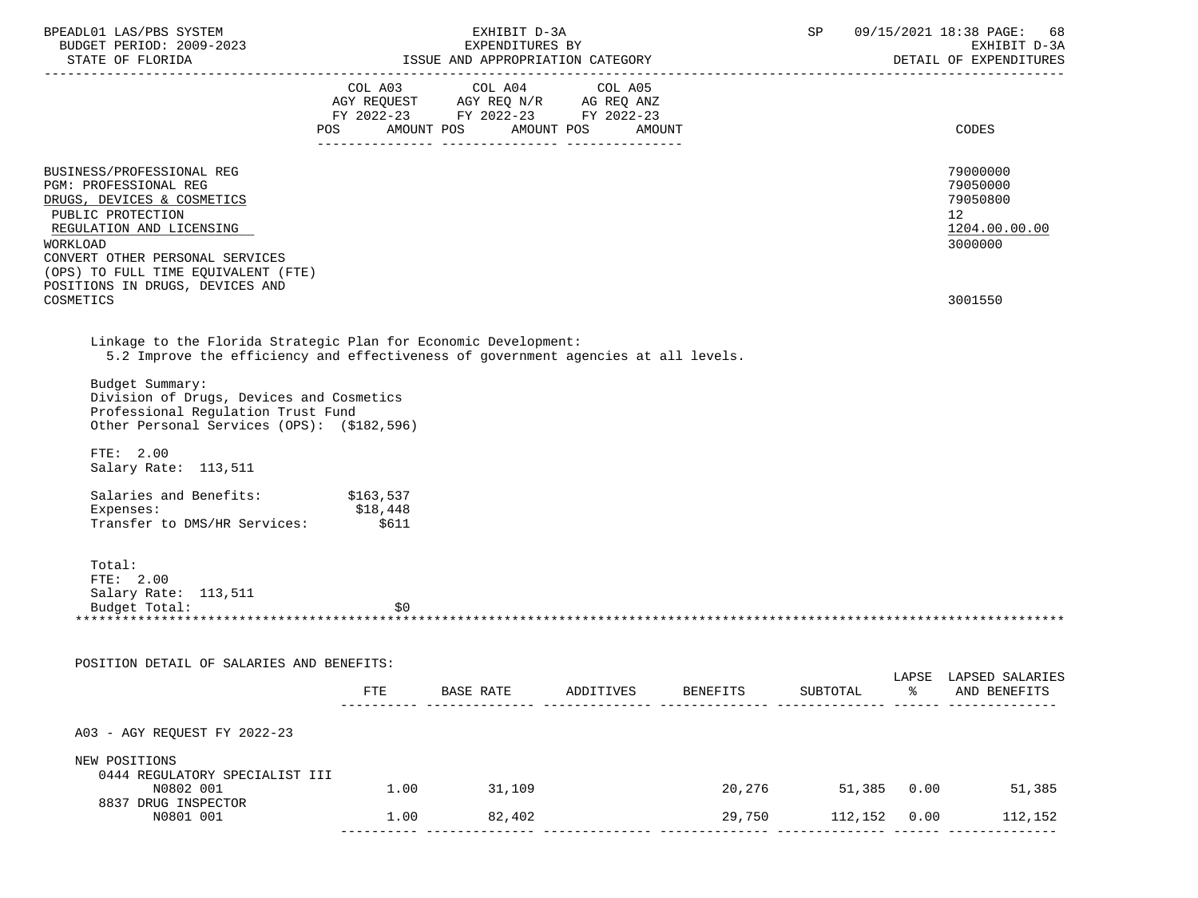| BPEADL01 LAS/PBS SYSTEM<br>BUDGET PERIOD: 2009-2023                                                                                                                                                                                                                                                                                           | EXHIBIT D-3A<br>EXPENDITURES BY |                                                                                                                                       |           |          | 09/15/2021 18:38 PAGE: 68<br>SP<br>EXHIBIT D-3A |    |                                                                    |
|-----------------------------------------------------------------------------------------------------------------------------------------------------------------------------------------------------------------------------------------------------------------------------------------------------------------------------------------------|---------------------------------|---------------------------------------------------------------------------------------------------------------------------------------|-----------|----------|-------------------------------------------------|----|--------------------------------------------------------------------|
|                                                                                                                                                                                                                                                                                                                                               |                                 |                                                                                                                                       |           |          |                                                 |    | DETAIL OF EXPENDITURES                                             |
|                                                                                                                                                                                                                                                                                                                                               |                                 | COL A03 COL A04 COL A05<br>AGY REQUEST AGY REQ N/R AG REQ ANZ<br>FY 2022-23 FY 2022-23 FY 2022-23<br>POS AMOUNT POS AMOUNT POS AMOUNT |           |          |                                                 |    | CODES                                                              |
| BUSINESS/PROFESSIONAL REG<br>PGM: PROFESSIONAL REG<br>DRUGS, DEVICES & COSMETICS<br>PUBLIC PROTECTION<br>REGULATION AND LICENSING<br>WORKLOAD<br>CONVERT OTHER PERSONAL SERVICES<br>(OPS) TO FULL TIME EQUIVALENT (FTE)<br>POSITIONS IN DRUGS, DEVICES AND                                                                                    |                                 |                                                                                                                                       |           |          |                                                 |    | 79000000<br>79050000<br>79050800<br>12<br>1204.00.00.00<br>3000000 |
| COSMETICS                                                                                                                                                                                                                                                                                                                                     |                                 |                                                                                                                                       |           |          |                                                 |    | 3001550                                                            |
| Linkage to the Florida Strategic Plan for Economic Development:<br>5.2 Improve the efficiency and effectiveness of government agencies at all levels.<br>Budget Summary:<br>Division of Drugs, Devices and Cosmetics<br>Professional Requlation Trust Fund<br>Other Personal Services (OPS): (\$182,596)<br>FTE: 2.00<br>Salary Rate: 113,511 |                                 |                                                                                                                                       |           |          |                                                 |    |                                                                    |
| Salaries and Benefits: \$163,537                                                                                                                                                                                                                                                                                                              |                                 |                                                                                                                                       |           |          |                                                 |    |                                                                    |
| Expenses: \$18,448<br>Transfer to DMS/HR Services: \$18,448                                                                                                                                                                                                                                                                                   |                                 |                                                                                                                                       |           |          |                                                 |    |                                                                    |
| Total:<br>FTE: 2.00<br>Salary Rate: 113,511<br>Budget Total:                                                                                                                                                                                                                                                                                  | \$0                             |                                                                                                                                       |           |          |                                                 |    |                                                                    |
| POSITION DETAIL OF SALARIES AND BENEFITS:                                                                                                                                                                                                                                                                                                     |                                 |                                                                                                                                       |           |          |                                                 |    |                                                                    |
|                                                                                                                                                                                                                                                                                                                                               | FTE                             | BASE RATE                                                                                                                             | ADDITIVES | BENEFITS | SUBTOTAL                                        | ిన | LAPSE LAPSED SALARIES<br>AND BENEFITS                              |
| A03 - AGY REQUEST FY 2022-23                                                                                                                                                                                                                                                                                                                  |                                 |                                                                                                                                       |           |          |                                                 |    |                                                                    |
| NEW POSITIONS                                                                                                                                                                                                                                                                                                                                 |                                 |                                                                                                                                       |           |          |                                                 |    |                                                                    |
| 0444 REGULATORY SPECIALIST III<br>N0802 001                                                                                                                                                                                                                                                                                                   |                                 | 1.00 31,109                                                                                                                           |           |          |                                                 |    | 20,276 51,385 0.00 51,385                                          |
| 8837 DRUG INSPECTOR<br>N0801 001                                                                                                                                                                                                                                                                                                              | 1.00                            | 82,402                                                                                                                                |           | 29,750   | 112,152 0.00                                    |    | 112,152                                                            |
|                                                                                                                                                                                                                                                                                                                                               |                                 |                                                                                                                                       |           |          |                                                 |    |                                                                    |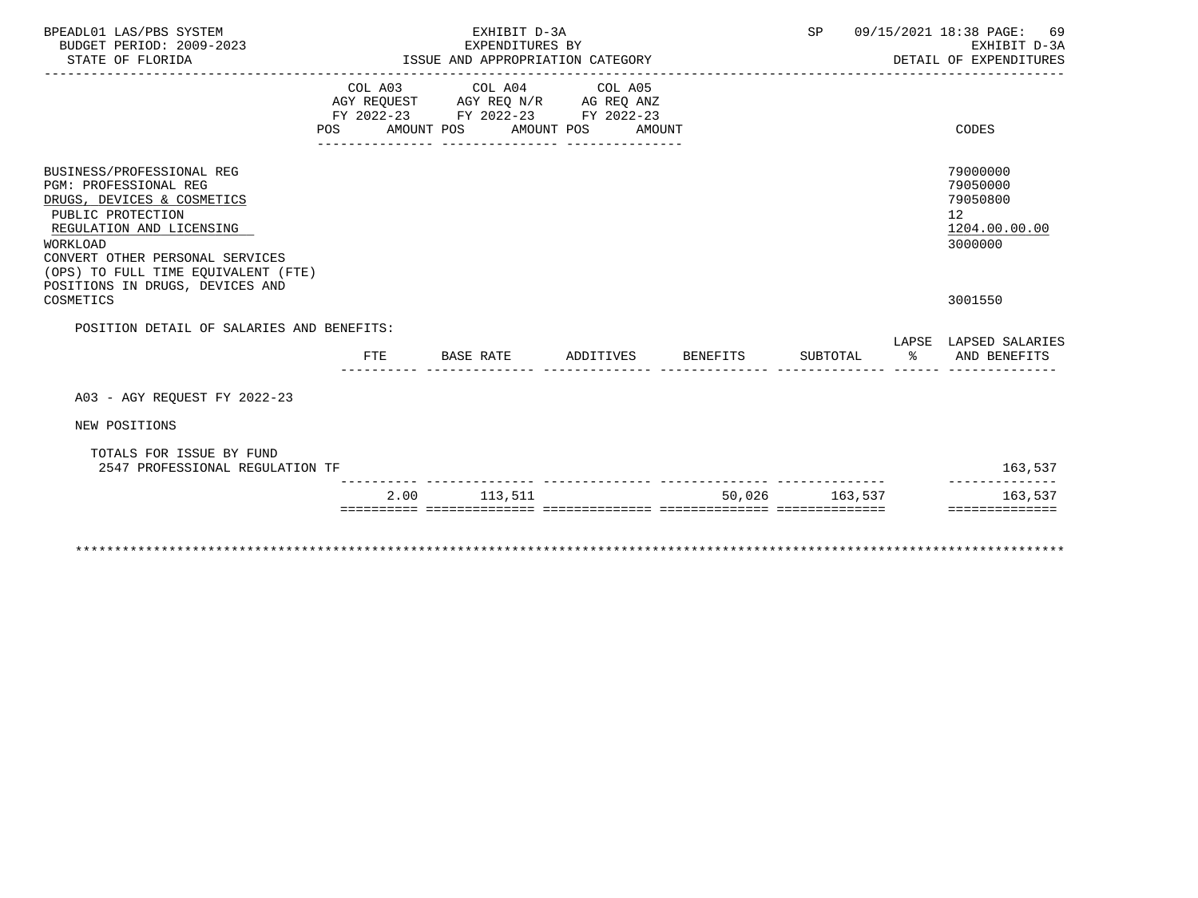| BPEADL01 LAS/PBS SYSTEM<br>BUDGET PERIOD: 2009-2023<br>STATE OF FLORIDA                                                                                                                                                 |            | EXHIBIT D-3A<br>EXPENDITURES BY<br>ISSUE AND APPROPRIATION CATEGORY                                                           |                    | SP             |    | 09/15/2021 18:38 PAGE: 69<br>EXHIBIT D-3A<br>DETAIL OF EXPENDITURES             |
|-------------------------------------------------------------------------------------------------------------------------------------------------------------------------------------------------------------------------|------------|-------------------------------------------------------------------------------------------------------------------------------|--------------------|----------------|----|---------------------------------------------------------------------------------|
|                                                                                                                                                                                                                         | <b>POS</b> | COL A03 COL A04 COL A05<br>AGY REQUEST AGY REQ N/R AG REQ ANZ<br>FY 2022-23 FY 2022-23 FY 2022-23<br>AMOUNT POS<br>AMOUNT POS | AMOUNT             |                |    | CODES                                                                           |
| BUSINESS/PROFESSIONAL REG<br>PGM: PROFESSIONAL REG<br>DRUGS, DEVICES & COSMETICS<br>PUBLIC PROTECTION<br>REGULATION AND LICENSING<br>WORKLOAD<br>CONVERT OTHER PERSONAL SERVICES<br>(OPS) TO FULL TIME EOUIVALENT (FTE) |            |                                                                                                                               |                    |                |    | 79000000<br>79050000<br>79050800<br>12 <sup>°</sup><br>1204.00.00.00<br>3000000 |
| POSITIONS IN DRUGS, DEVICES AND<br>COSMETICS                                                                                                                                                                            |            |                                                                                                                               |                    |                |    | 3001550                                                                         |
| POSITION DETAIL OF SALARIES AND BENEFITS:                                                                                                                                                                               |            |                                                                                                                               |                    |                |    | LAPSE LAPSED SALARIES                                                           |
|                                                                                                                                                                                                                         | FTE        | BASE RATE                                                                                                                     | ADDITIVES BENEFITS | SUBTOTAL       | န္ | AND BENEFITS                                                                    |
| A03 - AGY REOUEST FY 2022-23                                                                                                                                                                                            |            |                                                                                                                               |                    |                |    |                                                                                 |
| NEW POSITIONS                                                                                                                                                                                                           |            |                                                                                                                               |                    |                |    |                                                                                 |
| TOTALS FOR ISSUE BY FUND<br>2547 PROFESSIONAL REGULATION TF                                                                                                                                                             |            |                                                                                                                               |                    |                |    | 163,537                                                                         |
|                                                                                                                                                                                                                         |            | 2.00 113.511                                                                                                                  |                    | 50,026 163,537 |    | 163,537<br>==============                                                       |
|                                                                                                                                                                                                                         |            |                                                                                                                               |                    |                |    |                                                                                 |
|                                                                                                                                                                                                                         |            |                                                                                                                               |                    |                |    |                                                                                 |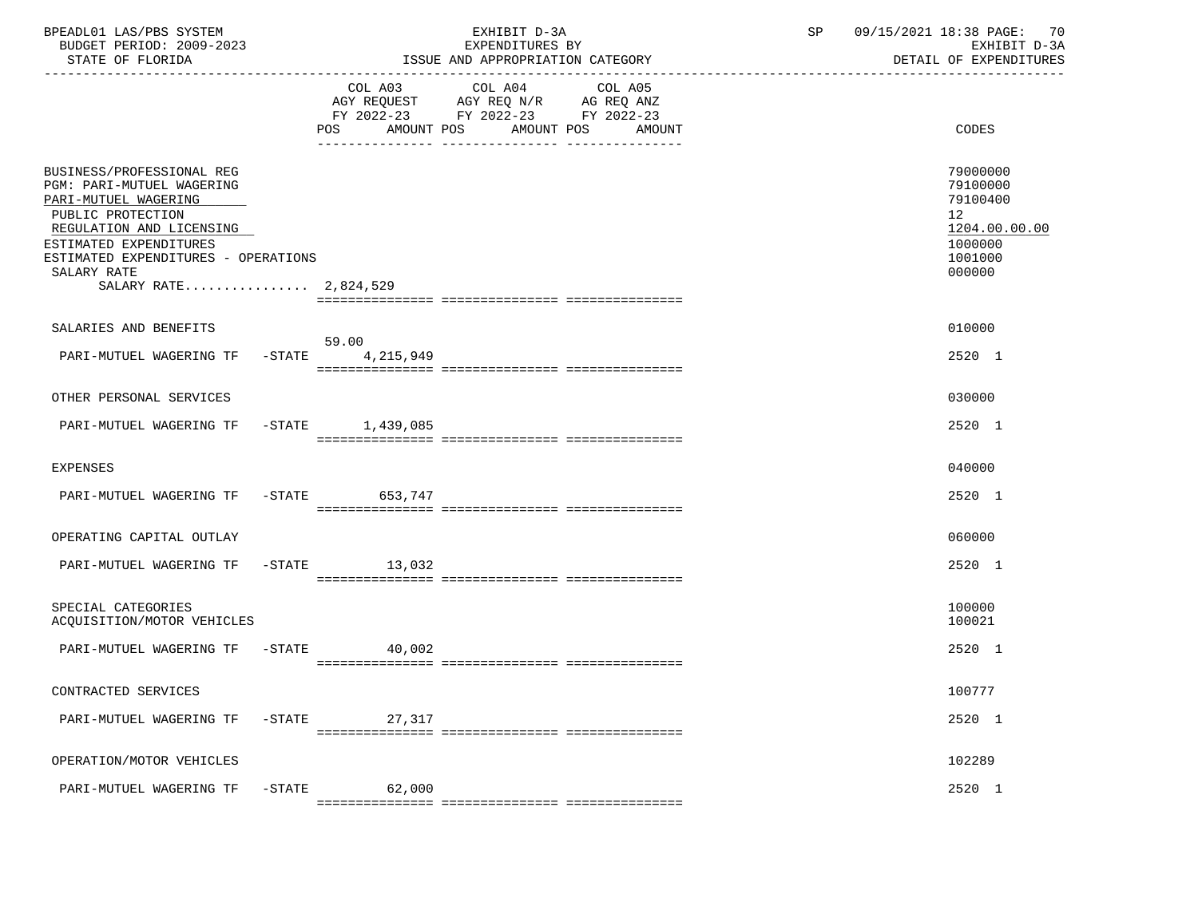| BPEADL01 LAS/PBS SYSTEM<br>BUDGET PERIOD: 2009-2023<br>STATE OF FLORIDA                                                                                                                                                                         |           |                                                                                                                                          | EXHIBIT D-3A<br>EXPENDITURES BY<br>ISSUE AND APPROPRIATION CATEGORY | 09/15/2021 18:38 PAGE: 70<br>SP<br>EXHIBIT D-3A<br>DETAIL OF EXPENDITURES |                                                                                                      |  |
|-------------------------------------------------------------------------------------------------------------------------------------------------------------------------------------------------------------------------------------------------|-----------|------------------------------------------------------------------------------------------------------------------------------------------|---------------------------------------------------------------------|---------------------------------------------------------------------------|------------------------------------------------------------------------------------------------------|--|
|                                                                                                                                                                                                                                                 |           | COL A03 COL A04 COL A05<br>AGY REQUEST AGY REQ N/R AG REQ ANZ<br>FY 2022-23 FY 2022-23 FY 2022-23<br>POS AMOUNT POS AMOUNT POS<br>AMOUNT |                                                                     | CODES                                                                     |                                                                                                      |  |
| BUSINESS/PROFESSIONAL REG<br><b>PGM: PARI-MUTUEL WAGERING</b><br>PARI-MUTUEL WAGERING<br>PUBLIC PROTECTION<br>REGULATION AND LICENSING<br>ESTIMATED EXPENDITURES<br>ESTIMATED EXPENDITURES - OPERATIONS<br>SALARY RATE<br>SALARY RATE 2,824,529 |           |                                                                                                                                          |                                                                     |                                                                           | 79000000<br>79100000<br>79100400<br>12 <sup>°</sup><br>1204.00.00.00<br>1000000<br>1001000<br>000000 |  |
| SALARIES AND BENEFITS                                                                                                                                                                                                                           |           |                                                                                                                                          |                                                                     |                                                                           | 010000                                                                                               |  |
| PARI-MUTUEL WAGERING TF -STATE 4,215,949                                                                                                                                                                                                        |           | 59.00                                                                                                                                    |                                                                     |                                                                           | 2520 1                                                                                               |  |
| OTHER PERSONAL SERVICES                                                                                                                                                                                                                         |           |                                                                                                                                          |                                                                     |                                                                           | 030000                                                                                               |  |
| PARI-MUTUEL WAGERING TF -STATE 1,439,085                                                                                                                                                                                                        |           |                                                                                                                                          |                                                                     |                                                                           | 2520 1                                                                                               |  |
| <b>EXPENSES</b>                                                                                                                                                                                                                                 |           |                                                                                                                                          |                                                                     |                                                                           | 040000                                                                                               |  |
| PARI-MUTUEL WAGERING TF -STATE 653,747                                                                                                                                                                                                          |           |                                                                                                                                          |                                                                     |                                                                           | 2520 1                                                                                               |  |
| OPERATING CAPITAL OUTLAY                                                                                                                                                                                                                        |           |                                                                                                                                          |                                                                     |                                                                           | 060000                                                                                               |  |
| PARI-MUTUEL WAGERING TF -STATE 13,032                                                                                                                                                                                                           |           |                                                                                                                                          |                                                                     |                                                                           | 2520 1                                                                                               |  |
| SPECIAL CATEGORIES<br>ACQUISITION/MOTOR VEHICLES                                                                                                                                                                                                |           |                                                                                                                                          |                                                                     |                                                                           | 100000<br>100021                                                                                     |  |
| PARI-MUTUEL WAGERING TF                                                                                                                                                                                                                         |           | $-STATE$<br>40,002                                                                                                                       |                                                                     |                                                                           | 2520 1                                                                                               |  |
| CONTRACTED SERVICES                                                                                                                                                                                                                             |           |                                                                                                                                          |                                                                     |                                                                           | 100777                                                                                               |  |
| PARI-MUTUEL WAGERING TF                                                                                                                                                                                                                         | $-$ STATE | 27,317                                                                                                                                   |                                                                     |                                                                           | 2520 1                                                                                               |  |
| OPERATION/MOTOR VEHICLES                                                                                                                                                                                                                        |           |                                                                                                                                          |                                                                     |                                                                           | 102289                                                                                               |  |
| PARI-MUTUEL WAGERING TF                                                                                                                                                                                                                         | $-$ STATE | 62,000                                                                                                                                   |                                                                     |                                                                           | 2520 1                                                                                               |  |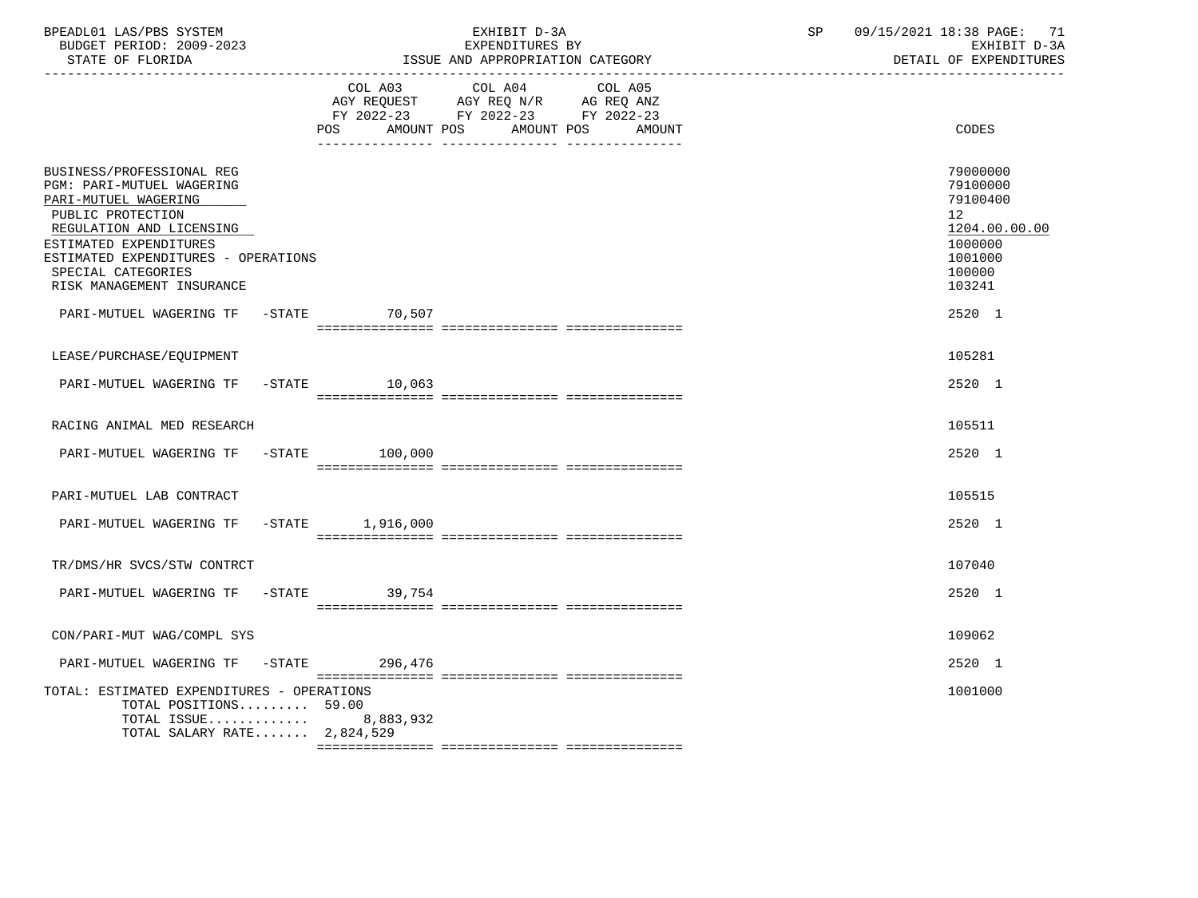| BPEADL01 LAS/PBS SYSTEM<br>BUDGET PERIOD: 2009-2023<br>STATE OF FLORIDA                                                                                                                                                                             |                       | EXHIBIT D-3A<br>EXPENDITURES BY<br>ISSUE AND APPROPRIATION CATEGORY                                                                     | SP and the set of the set of the set of the set of the set of the set of the set of the set of the set of the set of the set of the set of the set of the set of the set of the set of the set of the set of the set of the se | 09/15/2021 18:38 PAGE: 71<br>EXHIBIT D-3A<br>DETAIL OF EXPENDITURES                                            |
|-----------------------------------------------------------------------------------------------------------------------------------------------------------------------------------------------------------------------------------------------------|-----------------------|-----------------------------------------------------------------------------------------------------------------------------------------|--------------------------------------------------------------------------------------------------------------------------------------------------------------------------------------------------------------------------------|----------------------------------------------------------------------------------------------------------------|
|                                                                                                                                                                                                                                                     | POS                   | COL A03 COL A04 COL A05<br>AGY REQUEST AGY REQ N/R AG REQ ANZ<br>FY 2022-23 FY 2022-23 FY 2022-23<br>AMOUNT POS<br>AMOUNT POS<br>AMOUNT |                                                                                                                                                                                                                                | CODES                                                                                                          |
| BUSINESS/PROFESSIONAL REG<br>PGM: PARI-MUTUEL WAGERING<br>PARI-MUTUEL WAGERING<br>PUBLIC PROTECTION<br>REGULATION AND LICENSING<br>ESTIMATED EXPENDITURES<br>ESTIMATED EXPENDITURES - OPERATIONS<br>SPECIAL CATEGORIES<br>RISK MANAGEMENT INSURANCE |                       |                                                                                                                                         |                                                                                                                                                                                                                                | 79000000<br>79100000<br>79100400<br>12 <sup>°</sup><br>1204.00.00.00<br>1000000<br>1001000<br>100000<br>103241 |
| PARI-MUTUEL WAGERING TF -STATE 70,507                                                                                                                                                                                                               |                       |                                                                                                                                         |                                                                                                                                                                                                                                | 2520 1                                                                                                         |
| LEASE/PURCHASE/EQUIPMENT                                                                                                                                                                                                                            |                       |                                                                                                                                         |                                                                                                                                                                                                                                | 105281                                                                                                         |
| PARI-MUTUEL WAGERING TF -STATE 10,063                                                                                                                                                                                                               |                       |                                                                                                                                         |                                                                                                                                                                                                                                | 2520 1                                                                                                         |
| RACING ANIMAL MED RESEARCH                                                                                                                                                                                                                          |                       |                                                                                                                                         |                                                                                                                                                                                                                                | 105511                                                                                                         |
| PARI-MUTUEL WAGERING TF -STATE 100,000                                                                                                                                                                                                              |                       |                                                                                                                                         |                                                                                                                                                                                                                                | 2520 1                                                                                                         |
| PARI-MUTUEL LAB CONTRACT                                                                                                                                                                                                                            |                       |                                                                                                                                         |                                                                                                                                                                                                                                | 105515                                                                                                         |
| PARI-MUTUEL WAGERING TF                                                                                                                                                                                                                             | -STATE 1,916,000      |                                                                                                                                         |                                                                                                                                                                                                                                | 2520 1                                                                                                         |
| TR/DMS/HR SVCS/STW CONTRCT                                                                                                                                                                                                                          |                       |                                                                                                                                         |                                                                                                                                                                                                                                | 107040                                                                                                         |
| PARI-MUTUEL WAGERING TF -STATE 39,754                                                                                                                                                                                                               |                       |                                                                                                                                         |                                                                                                                                                                                                                                | 2520 1                                                                                                         |
| CON/PARI-MUT WAG/COMPL SYS                                                                                                                                                                                                                          |                       |                                                                                                                                         |                                                                                                                                                                                                                                | 109062                                                                                                         |
| PARI-MUTUEL WAGERING TF -STATE 296,476                                                                                                                                                                                                              |                       |                                                                                                                                         |                                                                                                                                                                                                                                | 2520 1                                                                                                         |
| TOTAL: ESTIMATED EXPENDITURES - OPERATIONS<br>TOTAL POSITIONS 59.00<br>TOTAL SALARY RATE $2,824,529$                                                                                                                                                | TOTAL ISSUE 8,883,932 |                                                                                                                                         |                                                                                                                                                                                                                                | 1001000                                                                                                        |
|                                                                                                                                                                                                                                                     |                       |                                                                                                                                         |                                                                                                                                                                                                                                |                                                                                                                |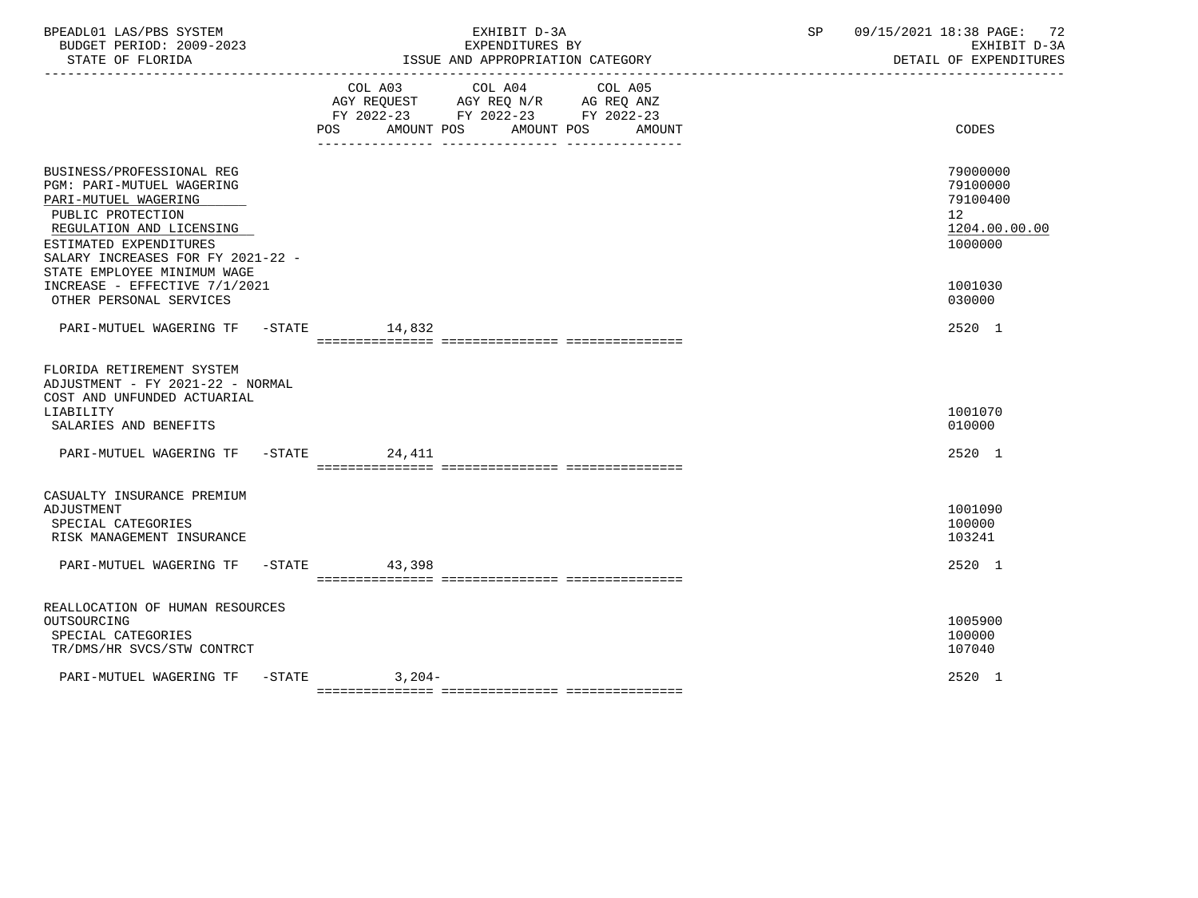| BPEADL01 LAS/PBS SYSTEM<br>BUDGET PERIOD: 2009-2023                                                                                                                                                                                                                                       | EXHIBIT D-3A<br>EXPENDITURES BY                                                                                                          | 09/15/2021 18:38 PAGE: 72<br>SP and the set of the set of the set of the set of the set of the set of the set of the set of the set of the s<br>EXHIBIT D-3A<br>DETAIL OF EXPENDITURES |
|-------------------------------------------------------------------------------------------------------------------------------------------------------------------------------------------------------------------------------------------------------------------------------------------|------------------------------------------------------------------------------------------------------------------------------------------|----------------------------------------------------------------------------------------------------------------------------------------------------------------------------------------|
|                                                                                                                                                                                                                                                                                           | COL A03 COL A04 COL A05<br>AGY REQUEST AGY REQ N/R AG REQ ANZ<br>FY 2022-23 FY 2022-23 FY 2022-23<br>POS AMOUNT POS AMOUNT POS<br>AMOUNT | CODES                                                                                                                                                                                  |
| BUSINESS/PROFESSIONAL REG<br>PGM: PARI-MUTUEL WAGERING<br>PARI-MUTUEL WAGERING<br>PUBLIC PROTECTION<br>REGULATION AND LICENSING<br>ESTIMATED EXPENDITURES<br>SALARY INCREASES FOR FY 2021-22 -<br>STATE EMPLOYEE MINIMUM WAGE<br>INCREASE - EFFECTIVE 7/1/2021<br>OTHER PERSONAL SERVICES |                                                                                                                                          | 79000000<br>79100000<br>79100400<br>12 <sup>12</sup><br>1204.00.00.00<br>1000000<br>1001030<br>030000                                                                                  |
| PARI-MUTUEL WAGERING TF -STATE 14,832                                                                                                                                                                                                                                                     |                                                                                                                                          | 2520 1                                                                                                                                                                                 |
| FLORIDA RETIREMENT SYSTEM<br>ADJUSTMENT - FY 2021-22 - NORMAL<br>COST AND UNFUNDED ACTUARIAL<br>LIABILITY<br>SALARIES AND BENEFITS                                                                                                                                                        |                                                                                                                                          | 1001070<br>010000                                                                                                                                                                      |
| PARI-MUTUEL WAGERING TF -STATE 24,411                                                                                                                                                                                                                                                     |                                                                                                                                          | 2520 1                                                                                                                                                                                 |
| CASUALTY INSURANCE PREMIUM<br>ADJUSTMENT<br>SPECIAL CATEGORIES<br>RISK MANAGEMENT INSURANCE<br>PARI-MUTUEL WAGERING TF -STATE 43,398                                                                                                                                                      |                                                                                                                                          | 1001090<br>100000<br>103241<br>2520 1                                                                                                                                                  |
| REALLOCATION OF HUMAN RESOURCES<br>OUTSOURCING<br>SPECIAL CATEGORIES<br>TR/DMS/HR SVCS/STW CONTRCT                                                                                                                                                                                        |                                                                                                                                          | 1005900<br>100000<br>107040                                                                                                                                                            |
| PARI-MUTUEL WAGERING TF -STATE 3,204-                                                                                                                                                                                                                                                     |                                                                                                                                          | 2520 1                                                                                                                                                                                 |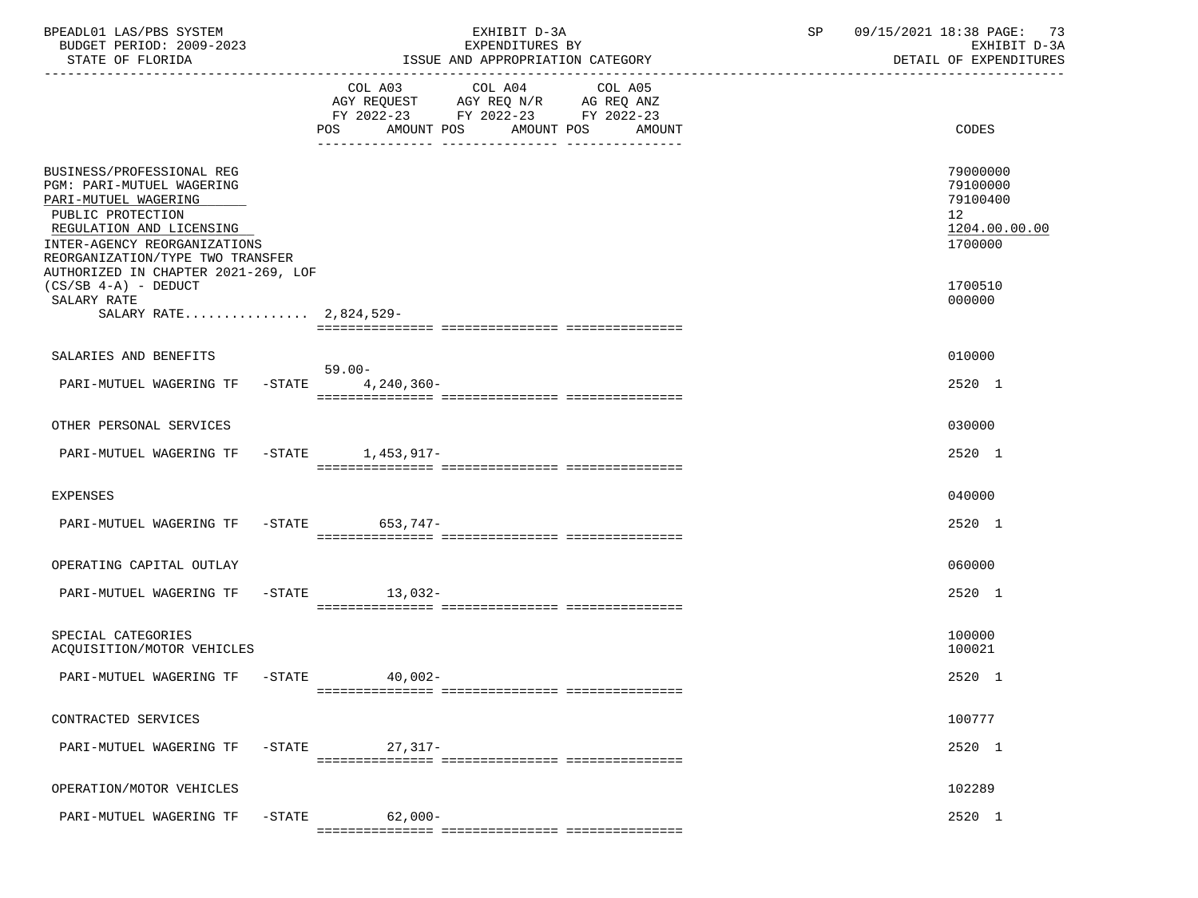| BPEADL01 LAS/PBS SYSTEM<br>BUDGET PERIOD: 2009-2023<br>STATE OF FLORIDA                                                                                                                                                                           |                                                                                                                | EXHIBIT D-3A<br>EXPENDITURES BY<br>ISSUE AND APPROPRIATION CATEGORY | SP | 09/15/2021 18:38 PAGE: 73<br>EXHIBIT D-3A<br>DETAIL OF EXPENDITURES             |
|---------------------------------------------------------------------------------------------------------------------------------------------------------------------------------------------------------------------------------------------------|----------------------------------------------------------------------------------------------------------------|---------------------------------------------------------------------|----|---------------------------------------------------------------------------------|
|                                                                                                                                                                                                                                                   | COL A03<br>COL A04<br>AGY REQUEST AGY REQ N/R AG REQ ANZ<br>FY 2022-23 FY 2022-23 FY 2022-23<br>POS AMOUNT POS | COL A05<br>AMOUNT POS<br>AMOUNT                                     |    | CODES                                                                           |
| BUSINESS/PROFESSIONAL REG<br><b>PGM: PARI-MUTUEL WAGERING</b><br>PARI-MUTUEL WAGERING<br>PUBLIC PROTECTION<br>REGULATION AND LICENSING<br>INTER-AGENCY REORGANIZATIONS<br>REORGANIZATION/TYPE TWO TRANSFER<br>AUTHORIZED IN CHAPTER 2021-269, LOF |                                                                                                                |                                                                     |    | 79000000<br>79100000<br>79100400<br>12 <sup>°</sup><br>1204.00.00.00<br>1700000 |
| $(CS/SB 4-A)$ - DEDUCT<br>SALARY RATE<br>SALARY RATE 2,824,529-                                                                                                                                                                                   |                                                                                                                |                                                                     |    | 1700510<br>000000                                                               |
|                                                                                                                                                                                                                                                   |                                                                                                                |                                                                     |    |                                                                                 |
| SALARIES AND BENEFITS<br>PARI-MUTUEL WAGERING TF -STATE                                                                                                                                                                                           | 59.00-<br>4,240,360-                                                                                           |                                                                     |    | 010000<br>2520 1                                                                |
| OTHER PERSONAL SERVICES                                                                                                                                                                                                                           |                                                                                                                |                                                                     |    | 030000                                                                          |
| PARI-MUTUEL WAGERING TF -STATE 1,453,917-                                                                                                                                                                                                         |                                                                                                                |                                                                     |    | 2520 1                                                                          |
| EXPENSES                                                                                                                                                                                                                                          |                                                                                                                |                                                                     |    | 040000                                                                          |
| PARI-MUTUEL WAGERING TF -STATE 653,747-                                                                                                                                                                                                           |                                                                                                                |                                                                     |    | 2520 1                                                                          |
| OPERATING CAPITAL OUTLAY                                                                                                                                                                                                                          |                                                                                                                |                                                                     |    | 060000                                                                          |
| PARI-MUTUEL WAGERING TF -STATE 13,032-                                                                                                                                                                                                            |                                                                                                                |                                                                     |    | 2520 1                                                                          |
| SPECIAL CATEGORIES<br>ACQUISITION/MOTOR VEHICLES                                                                                                                                                                                                  |                                                                                                                |                                                                     |    | 100000<br>100021                                                                |
| PARI-MUTUEL WAGERING TF -STATE                                                                                                                                                                                                                    | 40,002-                                                                                                        |                                                                     |    | 2520 1                                                                          |
| CONTRACTED SERVICES                                                                                                                                                                                                                               |                                                                                                                |                                                                     |    | 100777                                                                          |
| PARI-MUTUEL WAGERING TF                                                                                                                                                                                                                           | 27,317-<br>$-STATE$                                                                                            |                                                                     |    | 2520 1                                                                          |
| OPERATION/MOTOR VEHICLES                                                                                                                                                                                                                          |                                                                                                                |                                                                     |    | 102289                                                                          |
| PARI-MUTUEL WAGERING TF                                                                                                                                                                                                                           | $62,000-$<br>$-$ STATE                                                                                         |                                                                     |    | 2520 1                                                                          |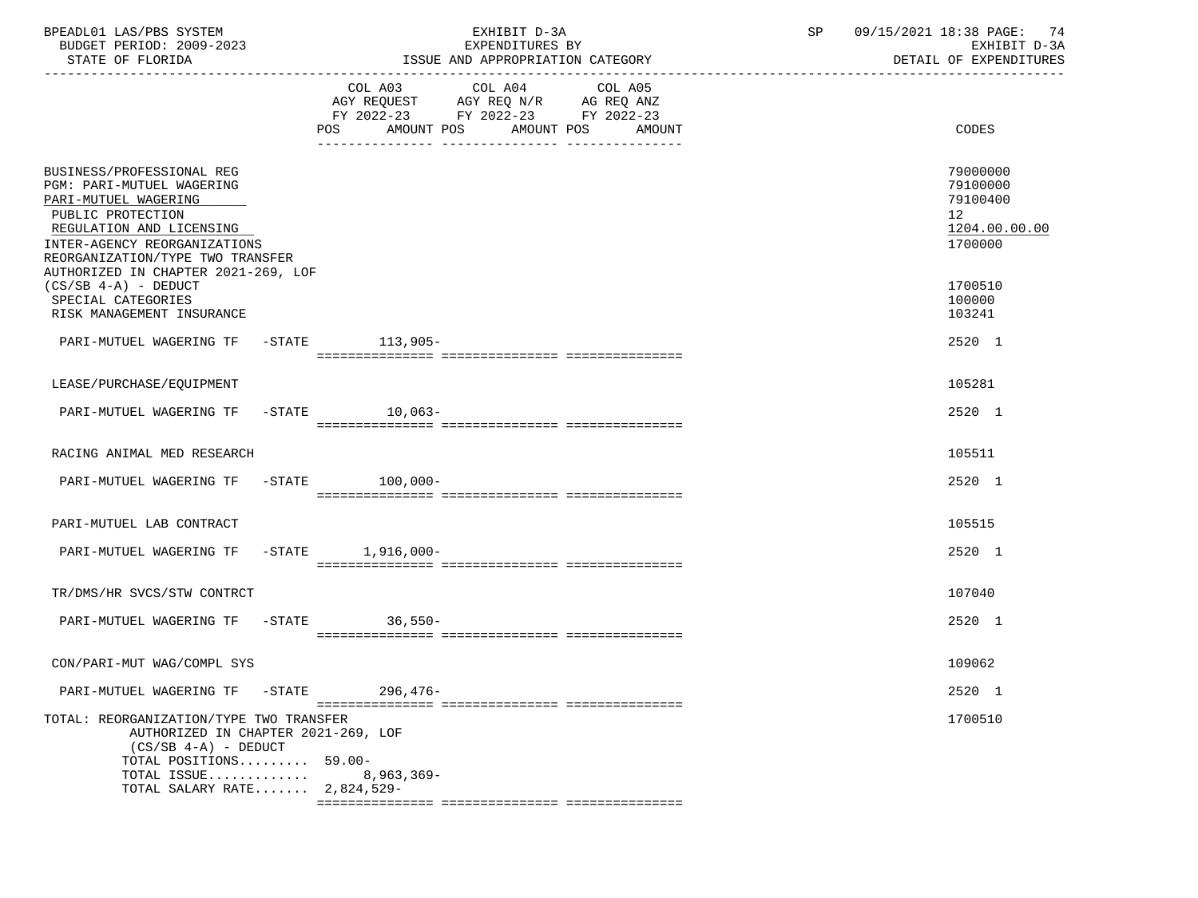| BPEADL01 LAS/PBS SYSTEM<br>BUDGET PERIOD: 2009-2023<br>STATE OF FLORIDA                                                                                                                                                                           | EXHIBIT D-3A<br>EXPENDITURES BY<br>ISSUE AND APPROPRIATION CATEGORY                                                                      | 09/15/2021 18:38 PAGE: 74<br>SP<br>EXHIBIT D-3A<br>DETAIL OF EXPENDITURES       |
|---------------------------------------------------------------------------------------------------------------------------------------------------------------------------------------------------------------------------------------------------|------------------------------------------------------------------------------------------------------------------------------------------|---------------------------------------------------------------------------------|
|                                                                                                                                                                                                                                                   | COL A03 COL A04<br>COL A05<br>AGY REQUEST AGY REQ N/R AG REQ ANZ<br>FY 2022-23 FY 2022-23 FY 2022-23<br>POS AMOUNT POS AMOUNT POS AMOUNT | CODES                                                                           |
| BUSINESS/PROFESSIONAL REG<br><b>PGM: PARI-MUTUEL WAGERING</b><br>PARI-MUTUEL WAGERING<br>PUBLIC PROTECTION<br>REGULATION AND LICENSING<br>INTER-AGENCY REORGANIZATIONS<br>REORGANIZATION/TYPE TWO TRANSFER<br>AUTHORIZED IN CHAPTER 2021-269, LOF |                                                                                                                                          | 79000000<br>79100000<br>79100400<br>12 <sup>°</sup><br>1204.00.00.00<br>1700000 |
| $(CS/SB 4-A)$ - DEDUCT<br>SPECIAL CATEGORIES<br>RISK MANAGEMENT INSURANCE                                                                                                                                                                         |                                                                                                                                          | 1700510<br>100000<br>103241                                                     |
| PARI-MUTUEL WAGERING TF -STATE 113,905-                                                                                                                                                                                                           |                                                                                                                                          | 2520 1                                                                          |
| LEASE/PURCHASE/EQUIPMENT                                                                                                                                                                                                                          |                                                                                                                                          | 105281                                                                          |
| PARI-MUTUEL WAGERING TF -STATE 10.063-                                                                                                                                                                                                            |                                                                                                                                          | 2520 1                                                                          |
| RACING ANIMAL MED RESEARCH                                                                                                                                                                                                                        |                                                                                                                                          | 105511                                                                          |
| PARI-MUTUEL WAGERING TF -STATE 100,000-                                                                                                                                                                                                           |                                                                                                                                          | 2520 1                                                                          |
| PARI-MUTUEL LAB CONTRACT                                                                                                                                                                                                                          |                                                                                                                                          | 105515                                                                          |
| PARI-MUTUEL WAGERING TF -STATE 1,916,000-                                                                                                                                                                                                         |                                                                                                                                          | 2520 1                                                                          |
| TR/DMS/HR SVCS/STW CONTRCT                                                                                                                                                                                                                        |                                                                                                                                          | 107040                                                                          |
| PARI-MUTUEL WAGERING TF -STATE                                                                                                                                                                                                                    | 36,550-                                                                                                                                  | 2520 1                                                                          |
| CON/PARI-MUT WAG/COMPL SYS                                                                                                                                                                                                                        |                                                                                                                                          | 109062                                                                          |
| PARI-MUTUEL WAGERING TF<br>$-\mathtt{STATE}$                                                                                                                                                                                                      | $296, 476 -$                                                                                                                             | 2520 1                                                                          |
| TOTAL: REORGANIZATION/TYPE TWO TRANSFER<br>AUTHORIZED IN CHAPTER 2021-269, LOF<br>$(CS/SB 4-A)$ - DEDUCT<br>TOTAL POSITIONS 59.00-<br>TOTAL ISSUE<br>TOTAL SALARY RATE 2,824,529-                                                                 | $8,963,369-$                                                                                                                             | 1700510                                                                         |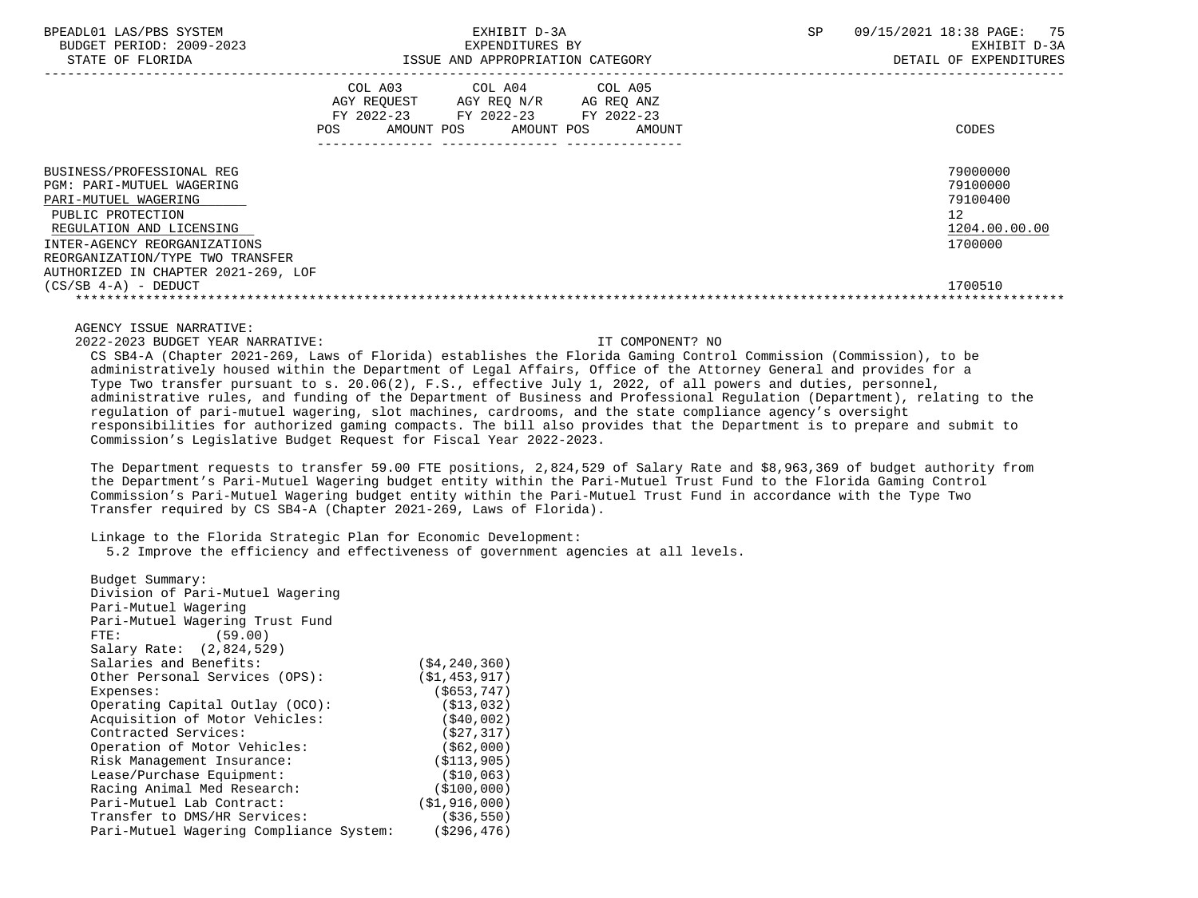| BPEADL01 LAS/PBS SYSTEM |                                                         |                          |
|-------------------------|---------------------------------------------------------|--------------------------|
|                         |                                                         | BUDGET PERIOD: 2009-2023 |
|                         | $\sim$ $\sim$ $\sim$ $\sim$ $\sim$ $\sim$ $\sim$ $\sim$ |                          |

|                                                                                                                                                                                                                                            | FY 2022-23<br>POS. | COL A03<br>AGY REQUEST<br>AMOUNT POS | COL A04<br>AGY REQ N/R<br>FY 2022-23<br>AMOUNT POS | COL A05<br>AG REQ ANZ<br>FY 2022-23<br>AMOUNT | CODES                                                              |
|--------------------------------------------------------------------------------------------------------------------------------------------------------------------------------------------------------------------------------------------|--------------------|--------------------------------------|----------------------------------------------------|-----------------------------------------------|--------------------------------------------------------------------|
| BUSINESS/PROFESSIONAL REG<br>PGM: PARI-MUTUEL WAGERING<br>PARI-MUTUEL WAGERING<br>PUBLIC PROTECTION<br>REGULATION AND LICENSING<br>INTER-AGENCY REORGANIZATIONS<br>REORGANIZATION/TYPE TWO TRANSFER<br>AUTHORIZED IN CHAPTER 2021-269, LOF |                    |                                      |                                                    |                                               | 79000000<br>79100000<br>79100400<br>12<br>1204.00.00.00<br>1700000 |
| $(CS/SB 4-A) - DEDUCT$                                                                                                                                                                                                                     |                    |                                      |                                                    |                                               | 1700510                                                            |

## AGENCY ISSUE NARRATIVE:

2022-2023 BUDGET YEAR NARRATIVE: IT COMPONENT? NO

 CS SB4-A (Chapter 2021-269, Laws of Florida) establishes the Florida Gaming Control Commission (Commission), to be administratively housed within the Department of Legal Affairs, Office of the Attorney General and provides for a Type Two transfer pursuant to s. 20.06(2), F.S., effective July 1, 2022, of all powers and duties, personnel, administrative rules, and funding of the Department of Business and Professional Regulation (Department), relating to the regulation of pari-mutuel wagering, slot machines, cardrooms, and the state compliance agency's oversight responsibilities for authorized gaming compacts. The bill also provides that the Department is to prepare and submit to Commission's Legislative Budget Request for Fiscal Year 2022-2023.

 The Department requests to transfer 59.00 FTE positions, 2,824,529 of Salary Rate and \$8,963,369 of budget authority from the Department's Pari-Mutuel Wagering budget entity within the Pari-Mutuel Trust Fund to the Florida Gaming Control Commission's Pari-Mutuel Wagering budget entity within the Pari-Mutuel Trust Fund in accordance with the Type Two Transfer required by CS SB4-A (Chapter 2021-269, Laws of Florida).

Linkage to the Florida Strategic Plan for Economic Development:

5.2 Improve the efficiency and effectiveness of government agencies at all levels.

| Budget Summary:                         |                   |
|-----------------------------------------|-------------------|
| Division of Pari-Mutuel Wagering        |                   |
| Pari-Mutuel Wagering                    |                   |
| Pari-Mutuel Wagering Trust Fund         |                   |
| (59.00)<br>FTE:                         |                   |
| Salary Rate: (2,824,529)                |                   |
| Salaries and Benefits:                  | ( \$4, 240, 360)  |
| Other Personal Services (OPS):          | (S1, 453, 917)    |
| Expenses:                               | $($ \$653,747)    |
| Operating Capital Outlay (OCO):         | (S13, 032)        |
| Acquisition of Motor Vehicles:          | (S40, 002)        |
| Contracted Services:                    | (S27, 317)        |
| Operation of Motor Vehicles:            | ( \$62,000)       |
| Risk Management Insurance:              | (S113, 905)       |
| Lease/Purchase Equipment:               | (S10, 063)        |
| Racing Animal Med Research:             | (S100, 000)       |
| Pari-Mutuel Lab Contract:               | ( \$1, 916, 000 ) |
| Transfer to DMS/HR Services:            | ( \$36, 550)      |
| Pari-Mutuel Wagering Compliance System: | ( \$296, 476)     |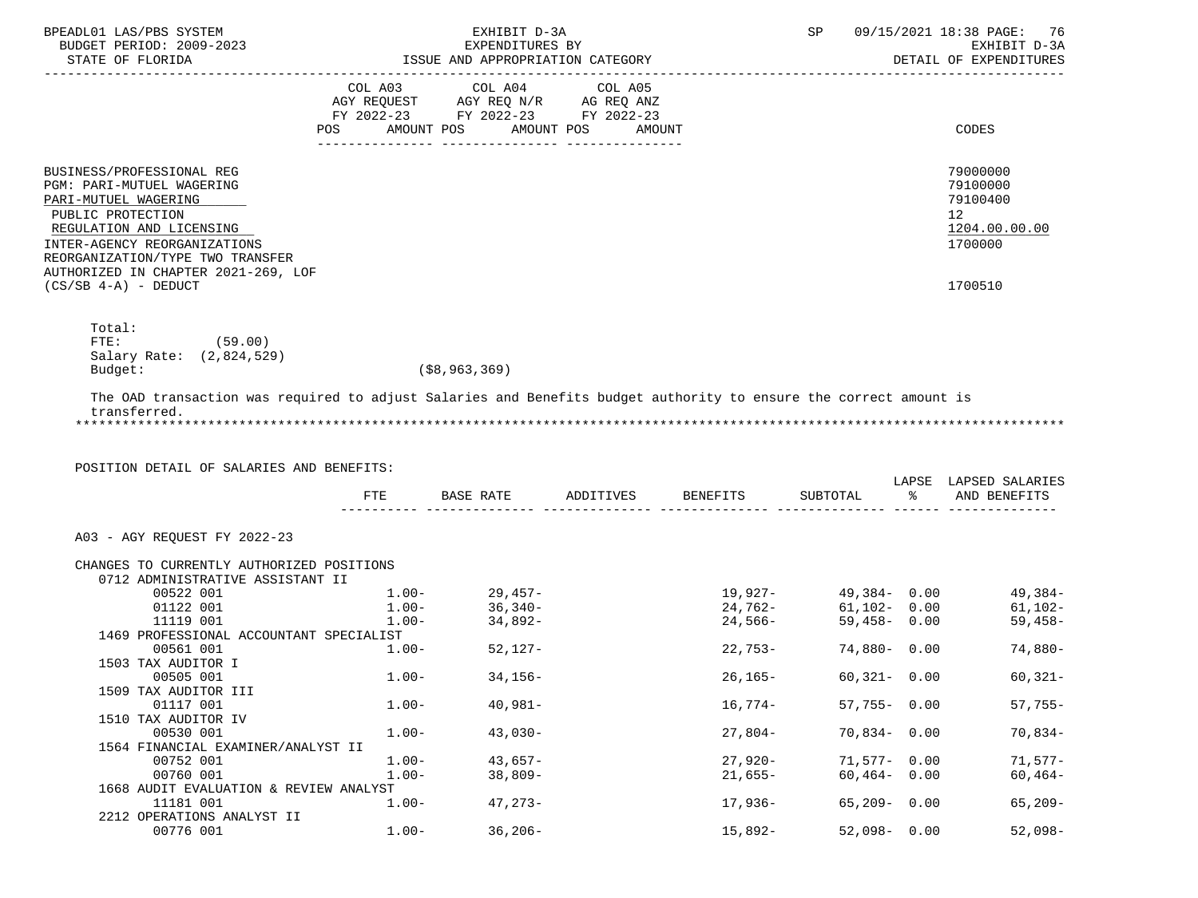| BPEADL01 LAS/PBS SYSTEM<br>BUDGET PERIOD: 2009-2023<br>STATE OF FLORIDA                                                                                                                                                                                              | EXHIBIT D-3A<br>EXPENDITURES BY<br>ISSUE AND APPROPRIATION CATEGORY |                                                                                                 |                                 |             |                                                                                                 |                 | 09/15/2021 18:38 PAGE:<br>-76<br>EXHIBIT D-3A<br>DETAIL OF EXPENDITURES       |
|----------------------------------------------------------------------------------------------------------------------------------------------------------------------------------------------------------------------------------------------------------------------|---------------------------------------------------------------------|-------------------------------------------------------------------------------------------------|---------------------------------|-------------|-------------------------------------------------------------------------------------------------|-----------------|-------------------------------------------------------------------------------|
|                                                                                                                                                                                                                                                                      | COL A03<br>POS                                                      | COL A04<br>AGY REQUEST AGY REQ N/R AG REQ ANZ<br>FY 2022-23 FY 2022-23 FY 2022-23<br>AMOUNT POS | COL A05<br>AMOUNT POS<br>AMOUNT |             |                                                                                                 |                 | CODES                                                                         |
| BUSINESS/PROFESSIONAL REG<br>PGM: PARI-MUTUEL WAGERING<br>PARI-MUTUEL WAGERING<br>PUBLIC PROTECTION<br>REGULATION AND LICENSING<br>INTER-AGENCY REORGANIZATIONS<br>REORGANIZATION/TYPE TWO TRANSFER<br>AUTHORIZED IN CHAPTER 2021-269, LOF<br>$(CS/SB 4-A)$ - DEDUCT |                                                                     |                                                                                                 |                                 |             |                                                                                                 |                 | 79000000<br>79100000<br>79100400<br>12<br>1204.00.00.00<br>1700000<br>1700510 |
| Total:<br>FTE:<br>(59.00)<br>Salary Rate: (2,824,529)<br>Budget:                                                                                                                                                                                                     |                                                                     | ( \$8, 963, 369)                                                                                |                                 |             |                                                                                                 |                 |                                                                               |
| The OAD transaction was required to adjust Salaries and Benefits budget authority to ensure the correct amount is<br>transferred.                                                                                                                                    |                                                                     |                                                                                                 |                                 |             |                                                                                                 |                 |                                                                               |
| POSITION DETAIL OF SALARIES AND BENEFITS:                                                                                                                                                                                                                            | FTE                                                                 | BASE RATE                                                                                       | ADDITIVES                       | BENEFITS    | SUBTOTAL                                                                                        | ႜ               | LAPSE LAPSED SALARIES<br>AND BENEFITS                                         |
| A03 - AGY REQUEST FY 2022-23                                                                                                                                                                                                                                         |                                                                     |                                                                                                 |                                 |             |                                                                                                 |                 |                                                                               |
| CHANGES TO CURRENTLY AUTHORIZED POSITIONS<br>0712 ADMINISTRATIVE ASSISTANT II                                                                                                                                                                                        |                                                                     |                                                                                                 |                                 |             |                                                                                                 |                 |                                                                               |
| 00522 001<br>01122 001                                                                                                                                                                                                                                               | $1.00 -$                                                            | $1.00 - 29.457 -$<br>$36,340-$                                                                  |                                 |             | 19,927-                          49,384-     0.00<br>24,762-                   61,102-     0.00 |                 | 49,384-<br>61,102- 0.00<br>61,102-                                            |
| 11119 001                                                                                                                                                                                                                                                            | $1.00-$                                                             | 34,892-                                                                                         |                                 | 24,566-     | $59.458 - 0.00$                                                                                 |                 | $59,458-$                                                                     |
| 1469 PROFESSIONAL ACCOUNTANT SPECIALIST<br>00561 001                                                                                                                                                                                                                 | $1.00 -$                                                            | 52,127-                                                                                         |                                 | $22,753-$   | 74,880- 0.00                                                                                    |                 | 74,880-                                                                       |
| 1503 TAX AUDITOR I<br>00505 001                                                                                                                                                                                                                                      | $1.00 -$                                                            | $34,156-$                                                                                       |                                 | $26, 165 -$ |                                                                                                 | $60,321 - 0.00$ | $60,321-$                                                                     |
| 1509 TAX AUDITOR III<br>01117 001                                                                                                                                                                                                                                    | $1.00 -$                                                            | $40,981-$                                                                                       |                                 | 16,774–     |                                                                                                 | $57,755 - 0.00$ | $57,755-$                                                                     |
| 1510 TAX AUDITOR IV<br>00530 001                                                                                                                                                                                                                                     | $1.00 -$                                                            | $43,030-$                                                                                       |                                 | $27,804-$   |                                                                                                 | $70,834 - 0.00$ | $70,834-$                                                                     |
| 1564 FINANCIAL EXAMINER/ANALYST II                                                                                                                                                                                                                                   |                                                                     |                                                                                                 |                                 |             |                                                                                                 |                 |                                                                               |
| 00752 001                                                                                                                                                                                                                                                            | $1.00 -$                                                            | $43,657-$                                                                                       |                                 | $27,920-$   | 71,577–                                                                                         | 0.00            | $71,577-$                                                                     |
| 00760 001                                                                                                                                                                                                                                                            | $1.00 -$                                                            | $38,809-$                                                                                       |                                 | $21,655-$   |                                                                                                 | $60,464 - 0.00$ | $60, 464-$                                                                    |
| 1668 AUDIT EVALUATION & REVIEW ANALYST<br>11181 001                                                                                                                                                                                                                  | $1.00-$                                                             | $47,273-$                                                                                       |                                 | 17,936-     |                                                                                                 | $65,209 - 0.00$ | $65,209-$                                                                     |
| 2212 OPERATIONS ANALYST II<br>00776 001                                                                                                                                                                                                                              | $1.00-$                                                             | $36, 206 -$                                                                                     |                                 | $15,892-$   |                                                                                                 | $52,098 - 0.00$ | $52,098-$                                                                     |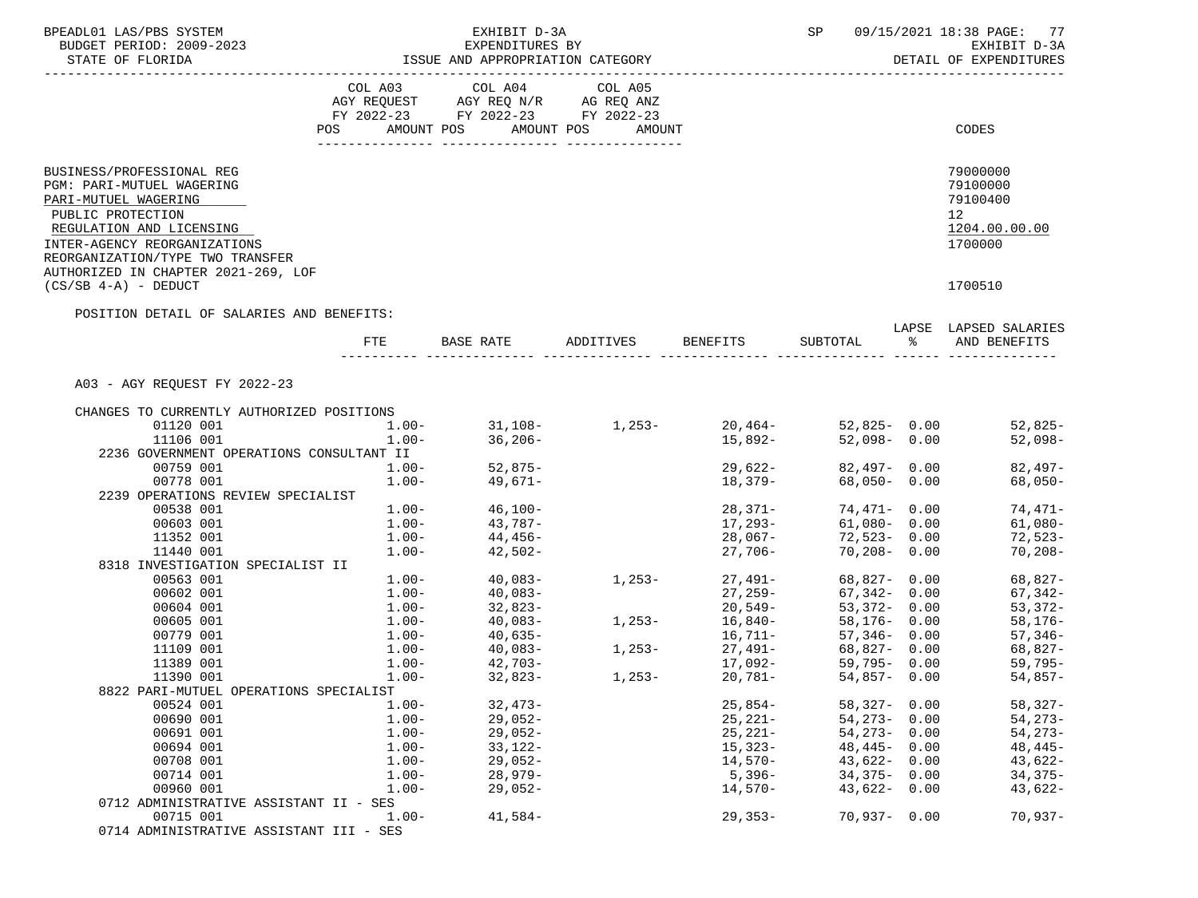| BPEADL01 LAS/PBS SYSTEM                   |                   | 09/15/2021 18:38 PAGE: 77<br>SP                                                                                                                                                                                             |          |                     |                              |  |                                                                                                |
|-------------------------------------------|-------------------|-----------------------------------------------------------------------------------------------------------------------------------------------------------------------------------------------------------------------------|----------|---------------------|------------------------------|--|------------------------------------------------------------------------------------------------|
| BUDGET PERIOD: 2009-2023                  |                   | EXPENDITURES BY                                                                                                                                                                                                             |          |                     |                              |  | EXHIBIT D-3A                                                                                   |
|                                           |                   | ISSUE AND APPROPRIATION CATEGORY                                                                                                                                                                                            |          |                     |                              |  | DETAIL OF EXPENDITURES                                                                         |
|                                           |                   |                                                                                                                                                                                                                             |          |                     |                              |  |                                                                                                |
|                                           |                   | $\begin{tabular}{lllllllll} COL & A03 & \multicolumn{2}{l}COL & A04 & \multicolumn{2}{l}COL & A05 \\ AGY & REQUEST & \multicolumn{2}{l}AGY & REQ & N/R & \multicolumn{2}{l}AG REQ & \multicolumn{2}{l}AMZ \\ \end{tabular}$ |          |                     |                              |  |                                                                                                |
|                                           |                   | FY 2022-23 FY 2022-23 FY 2022-23                                                                                                                                                                                            |          |                     |                              |  |                                                                                                |
|                                           |                   | POS AMOUNT POS AMOUNT POS AMOUNT                                                                                                                                                                                            |          |                     |                              |  | CODES                                                                                          |
|                                           |                   |                                                                                                                                                                                                                             |          |                     |                              |  |                                                                                                |
| BUSINESS/PROFESSIONAL REG                 |                   |                                                                                                                                                                                                                             |          |                     |                              |  | 79000000                                                                                       |
| PGM: PARI-MUTUEL WAGERING                 |                   |                                                                                                                                                                                                                             |          |                     |                              |  | 79100000                                                                                       |
| PARI-MUTUEL WAGERING                      |                   |                                                                                                                                                                                                                             |          |                     |                              |  | 79100400                                                                                       |
| PUBLIC PROTECTION                         |                   |                                                                                                                                                                                                                             |          |                     |                              |  | 12                                                                                             |
| REGULATION AND LICENSING                  |                   |                                                                                                                                                                                                                             |          |                     |                              |  | 1204.00.00.00                                                                                  |
| INTER-AGENCY REORGANIZATIONS              |                   |                                                                                                                                                                                                                             |          |                     |                              |  | 1700000                                                                                        |
| REORGANIZATION/TYPE TWO TRANSFER          |                   |                                                                                                                                                                                                                             |          |                     |                              |  |                                                                                                |
| AUTHORIZED IN CHAPTER 2021-269, LOF       |                   |                                                                                                                                                                                                                             |          |                     |                              |  |                                                                                                |
| $(CS/SB 4-A) - DEDUCT$                    |                   |                                                                                                                                                                                                                             |          |                     |                              |  | 1700510                                                                                        |
| POSITION DETAIL OF SALARIES AND BENEFITS: |                   |                                                                                                                                                                                                                             |          |                     |                              |  |                                                                                                |
|                                           |                   | FTE BASE RATE ADDITIVES BENEFITS SUBTOTAL % AND BENEFITS                                                                                                                                                                    |          |                     |                              |  | LAPSE LAPSED SALARIES                                                                          |
|                                           |                   |                                                                                                                                                                                                                             |          |                     |                              |  |                                                                                                |
|                                           |                   |                                                                                                                                                                                                                             |          |                     |                              |  |                                                                                                |
| A03 - AGY REQUEST FY 2022-23              |                   |                                                                                                                                                                                                                             |          |                     |                              |  |                                                                                                |
| CHANGES TO CURRENTLY AUTHORIZED POSITIONS |                   |                                                                                                                                                                                                                             |          |                     |                              |  |                                                                                                |
| 01120 001                                 |                   |                                                                                                                                                                                                                             |          |                     |                              |  | $1.00 31,108 1,253 20,464 52,825 0.00$ $52,825-$<br>$1.00 36,206 15,892 52,098 0.00$ $52,098-$ |
| 11106 001                                 |                   |                                                                                                                                                                                                                             |          |                     |                              |  |                                                                                                |
| 2236 GOVERNMENT OPERATIONS CONSULTANT II  |                   |                                                                                                                                                                                                                             |          |                     |                              |  |                                                                                                |
| 00759 001<br>00778 001                    |                   | $1.00 - 52,875 - 1.00 - 49,671 -$                                                                                                                                                                                           |          | 29,622-<br>18,379-  | 82,497- 0.00<br>68,050- 0.00 |  | 82,497-<br>68,050-                                                                             |
| 2239 OPERATIONS REVIEW SPECIALIST         |                   |                                                                                                                                                                                                                             |          |                     |                              |  |                                                                                                |
| 00538 001                                 |                   | $1.00 - 46,100 -$                                                                                                                                                                                                           |          | $28,371-$           | 74,471- 0.00                 |  | 74,471-                                                                                        |
| 00603 001                                 | $1.00 - 43,787 -$ |                                                                                                                                                                                                                             |          | $17,293-$           | 61,080- 0.00                 |  | 61,080-                                                                                        |
| 11352 001                                 |                   |                                                                                                                                                                                                                             |          |                     | 72,523-0.00                  |  | 72,523-                                                                                        |
| 11440 001                                 |                   | $1.00 44,456-$<br>$1.00 42,502-$                                                                                                                                                                                            |          | 28,067-<br>27,706-  | 70,208-0.00                  |  | $70,208-$                                                                                      |
| 8318 INVESTIGATION SPECIALIST II          |                   |                                                                                                                                                                                                                             |          |                     |                              |  |                                                                                                |
| 00563 001                                 |                   | $1.00 - 40,083 -$                                                                                                                                                                                                           | $1,253-$ | 27,491-             | 68,827- 0.00                 |  | 68,827-                                                                                        |
| 00602 001                                 |                   | $1.00 - 40,083 -$                                                                                                                                                                                                           |          | $27,259-$           | 67,342- 0.00                 |  | 67,342-                                                                                        |
| 00604 001                                 |                   | $1.00 - 32,823 - 1.00 - 40,083 -$                                                                                                                                                                                           | $1,253-$ | 20,549-             | 53,372- 0.00                 |  | 53,372-                                                                                        |
| 00605 001                                 |                   |                                                                                                                                                                                                                             |          | $20,349$<br>16,840- | 58,176- 0.00                 |  | 58,176-                                                                                        |
| 00779 001                                 |                   | $1.00 - 40,635 -$                                                                                                                                                                                                           | $1,253-$ | $16,711-$           | 57,346- 0.00                 |  | 57,346-                                                                                        |
| 11109 001                                 | $1.00-$           | 40,083-                                                                                                                                                                                                                     |          | $27,491-$           | 68,827- 0.00                 |  | 68,827-                                                                                        |
| 11389 001                                 |                   | $1.00 - 42,703 -$                                                                                                                                                                                                           |          | 27,491–<br>17,092–  | 59,795- 0.00                 |  | 59,795-                                                                                        |
| 11390 001                                 | $1.00-$           | $32,823-$                                                                                                                                                                                                                   | $1,253-$ | $20,781-$           | 54,857- 0.00                 |  | 54,857-                                                                                        |
| 8822 PARI-MUTUEL OPERATIONS SPECIALIST    |                   |                                                                                                                                                                                                                             |          |                     |                              |  |                                                                                                |
| 00524 001                                 | $1.00 -$          | $32,473-$                                                                                                                                                                                                                   |          | $25,854-$           | $58,327 - 0.00$              |  | $58,327-$                                                                                      |
| 00690 001                                 | $1.00 -$          | $29,052-$                                                                                                                                                                                                                   |          | $25, 221 -$         | $54,273 - 0.00$              |  | $54, 273 -$                                                                                    |
| 00691 001                                 | $1.00-$           | $29,052-$                                                                                                                                                                                                                   |          | $25, 221 -$         | $54,273 - 0.00$              |  | $54,273-$                                                                                      |
| 00694 001                                 | $1.00-$           | $33,122-$                                                                                                                                                                                                                   |          | $15,323-$           | $48,445 - 0.00$              |  | $48,445-$                                                                                      |
| 00708 001                                 | $1.00 -$          | $29,052-$                                                                                                                                                                                                                   |          | $14,570-$           | $43,622 - 0.00$              |  | 43,622-                                                                                        |
| 00714 001                                 | $1.00 -$          | $28,979-$                                                                                                                                                                                                                   |          | $5,396-$            | $34,375 - 0.00$              |  | $34,375-$                                                                                      |
| 00960 001                                 | $1.00-$           | $29,052-$                                                                                                                                                                                                                   |          | $14,570-$           | $43,622 - 0.00$              |  | $43,622-$                                                                                      |
| 0712 ADMINISTRATIVE ASSISTANT II - SES    |                   |                                                                                                                                                                                                                             |          |                     |                              |  |                                                                                                |
| 00715 001                                 | $1.00 -$          | $41,584-$                                                                                                                                                                                                                   |          | $29,353-$           | $70,937 - 0.00$              |  | $70,937-$                                                                                      |
| 0714 ADMINISTRATIVE ASSISTANT III - SES   |                   |                                                                                                                                                                                                                             |          |                     |                              |  |                                                                                                |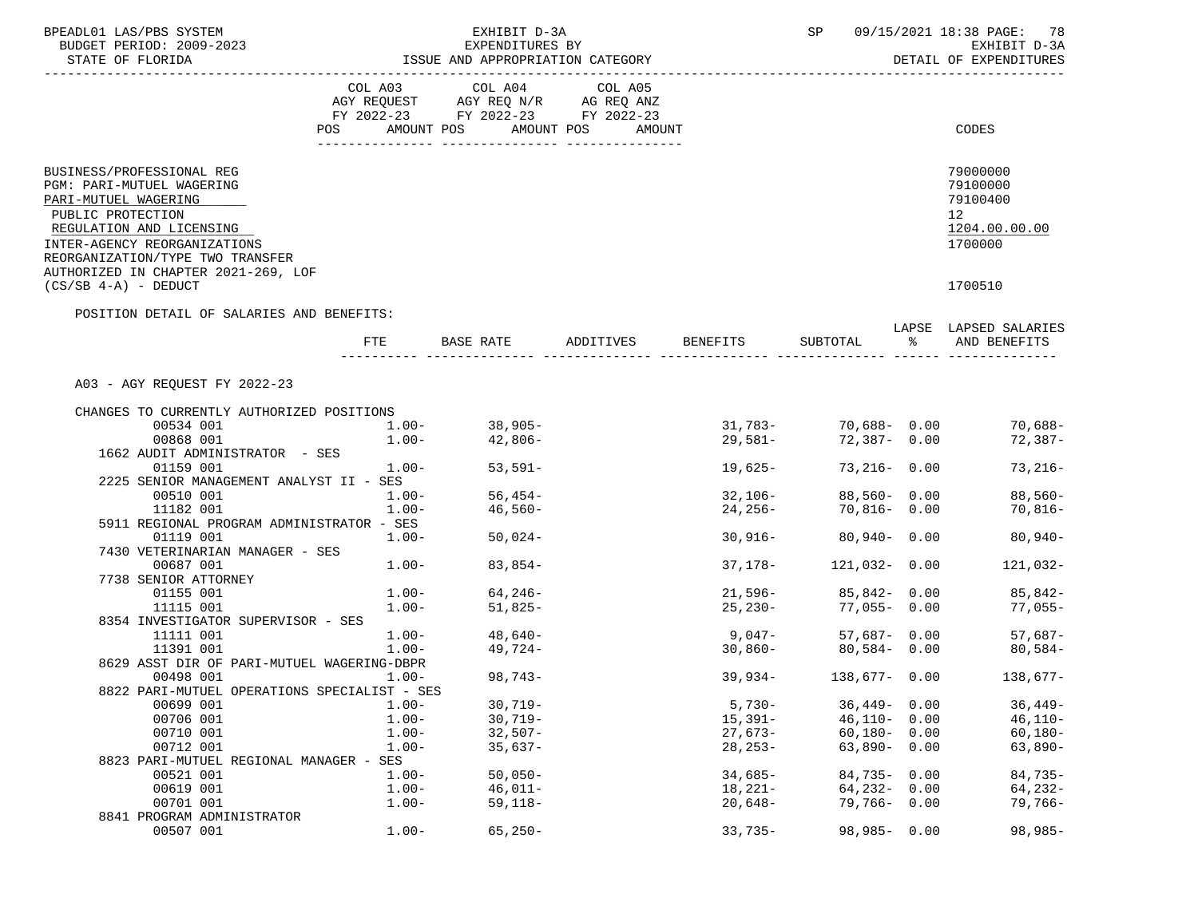| BPEADL01 LAS/PBS SYSTEM                                                                                                         |                                 | EXHIBIT D-3A                                                                                                                                                                                                  |        |             |                  |               | SP 09/15/2021 18:38 PAGE: 78                                          |
|---------------------------------------------------------------------------------------------------------------------------------|---------------------------------|---------------------------------------------------------------------------------------------------------------------------------------------------------------------------------------------------------------|--------|-------------|------------------|---------------|-----------------------------------------------------------------------|
| BUDGET PERIOD: 2009-2023                                                                                                        |                                 | EXPENDITURES BY                                                                                                                                                                                               |        |             |                  |               | EXHIBIT D-3A<br>DETAIL OF EXPENDITURES                                |
|                                                                                                                                 |                                 |                                                                                                                                                                                                               |        |             |                  |               |                                                                       |
|                                                                                                                                 |                                 | $\begin{tabular}{lllllllllll} COL & A03 & \multicolumn{2}{l}COL & A04 & \multicolumn{2}{l}COL & A05 \\ AGY & REQUEST & \multicolumn{2}{l}AGY & REQ & N/R & \multicolumn{2}{l}AG & REQ & ANZ \\ \end{tabular}$ |        |             |                  |               |                                                                       |
|                                                                                                                                 |                                 | FY 2022-23 FY 2022-23 FY 2022-23                                                                                                                                                                              |        |             |                  |               |                                                                       |
|                                                                                                                                 | POS                             | AMOUNT POS AMOUNT POS                                                                                                                                                                                         | AMOUNT |             |                  |               | CODES                                                                 |
|                                                                                                                                 |                                 |                                                                                                                                                                                                               |        |             |                  |               |                                                                       |
| BUSINESS/PROFESSIONAL REG<br>PGM: PARI-MUTUEL WAGERING<br>PARI-MUTUEL WAGERING<br>PUBLIC PROTECTION<br>REGULATION AND LICENSING |                                 |                                                                                                                                                                                                               |        |             |                  |               | 79000000<br>79100000<br>79100400<br>12 <sup>12</sup><br>1204.00.00.00 |
| INTER-AGENCY REORGANIZATIONS                                                                                                    |                                 |                                                                                                                                                                                                               |        |             |                  |               | 1700000                                                               |
| REORGANIZATION/TYPE TWO TRANSFER<br>AUTHORIZED IN CHAPTER 2021-269, LOF<br>$(CS/SB 4-A)$ - DEDUCT                               |                                 |                                                                                                                                                                                                               |        |             |                  |               | 1700510                                                               |
| POSITION DETAIL OF SALARIES AND BENEFITS:                                                                                       |                                 |                                                                                                                                                                                                               |        |             |                  |               |                                                                       |
|                                                                                                                                 |                                 | FTE BASE RATE ADDITIVES BENEFITS                                                                                                                                                                              |        |             | SUBTOTAL         | $\frac{1}{6}$ | LAPSE LAPSED SALARIES<br>AND BENEFITS                                 |
| A03 - AGY REQUEST FY 2022-23                                                                                                    |                                 |                                                                                                                                                                                                               |        |             |                  |               |                                                                       |
|                                                                                                                                 |                                 |                                                                                                                                                                                                               |        |             |                  |               |                                                                       |
| CHANGES TO CURRENTLY AUTHORIZED POSITIONS                                                                                       |                                 |                                                                                                                                                                                                               |        |             |                  |               |                                                                       |
| 00534 001                                                                                                                       | $1.00 -$                        | $1.00 - 38,905 -$                                                                                                                                                                                             |        |             |                  |               | $31,783 - 70,688 - 0.00$ 70,688-                                      |
| 00868 001                                                                                                                       |                                 | 42,806-                                                                                                                                                                                                       |        | 29,581-     | 72,387-0.00      |               | $72,387-$                                                             |
| 1662 AUDIT ADMINISTRATOR - SES<br>01159 001                                                                                     | $1.00-$                         | 53,591-                                                                                                                                                                                                       |        | 19,625-     | 73,216- 0.00     |               | $73,216-$                                                             |
| 2225 SENIOR MANAGEMENT ANALYST II - SES                                                                                         |                                 |                                                                                                                                                                                                               |        |             |                  |               |                                                                       |
| 00510 001                                                                                                                       |                                 | $56,454-$                                                                                                                                                                                                     |        | $32,106-$   | 88,560- 0.00     |               | 88,560-                                                               |
| 11182 001                                                                                                                       | $1.00 -$<br>$1.00 -$<br>$1.00-$ | 46,560-                                                                                                                                                                                                       |        | 24,256-     | $70,816 - 0.00$  |               | 70,816-                                                               |
| 5911 REGIONAL PROGRAM ADMINISTRATOR - SES                                                                                       |                                 |                                                                                                                                                                                                               |        |             |                  |               |                                                                       |
| 01119 001                                                                                                                       | $1.00-$                         | $50,024-$                                                                                                                                                                                                     |        | $30,916-$   | 80,940- 0.00     |               | $80,940-$                                                             |
| 7430 VETERINARIAN MANAGER - SES                                                                                                 |                                 |                                                                                                                                                                                                               |        |             |                  |               |                                                                       |
| 00687 001                                                                                                                       |                                 | $1.00 - 83,854 -$                                                                                                                                                                                             |        | 37,178-     | $121,032 - 0.00$ |               | 121,032-                                                              |
| 7738 SENIOR ATTORNEY                                                                                                            |                                 |                                                                                                                                                                                                               |        |             |                  |               |                                                                       |
| 01155 001                                                                                                                       | $1.00 -$                        | $64, 246-$                                                                                                                                                                                                    |        | $21,596-$   | 85,842- 0.00     |               | 85,842-                                                               |
| 11115 001                                                                                                                       | $1.00-$                         | 51,825-                                                                                                                                                                                                       |        | $25,230-$   | 77,055-0.00      |               | 77,055-                                                               |
| 8354 INVESTIGATOR SUPERVISOR - SES                                                                                              |                                 |                                                                                                                                                                                                               |        |             |                  |               |                                                                       |
| 11111 001                                                                                                                       |                                 | $1.00 - 48,640 -$                                                                                                                                                                                             |        | $9,047-$    |                  |               | $57,687 - 0.00$ $57,687 -$                                            |
| 11391 001<br>8629 ASST DIR OF PARI-MUTUEL WAGERING-DBPR                                                                         | $1.00-$                         | 49,724-                                                                                                                                                                                                       |        | 30,860-     | $80,584 - 0.00$  |               | 80,584-                                                               |
|                                                                                                                                 | $1.00-$                         | $98,743-$                                                                                                                                                                                                     |        | $39,934-$   | $138,677 - 0.00$ |               | $138,677-$                                                            |
| 00498 001<br>8822 PARI-MUTUEL OPERATIONS SPECIALIST - SES                                                                       |                                 |                                                                                                                                                                                                               |        |             |                  |               |                                                                       |
| 00699 001                                                                                                                       | $1.00 -$                        | $30,719-$                                                                                                                                                                                                     |        | $5,730-$    | $36,449 - 0.00$  |               | $36,449-$                                                             |
| 00706 001                                                                                                                       | $1.00 -$                        | $30,719-$                                                                                                                                                                                                     |        | $15,391-$   | $46,110 - 0.00$  |               | $46,110-$                                                             |
| 00710 001                                                                                                                       | $1.00 -$                        | $32,507-$                                                                                                                                                                                                     |        | $27,673-$   | $60,180 - 0.00$  |               | $60,180-$                                                             |
| 00712 001                                                                                                                       | $1.00 -$                        | $35,637-$                                                                                                                                                                                                     |        | $28, 253 -$ | $63,890 - 0.00$  |               | $63,890-$                                                             |
| 8823 PARI-MUTUEL REGIONAL MANAGER - SES                                                                                         |                                 |                                                                                                                                                                                                               |        |             |                  |               |                                                                       |
| 00521 001                                                                                                                       | $1.00 -$                        | $50,050-$                                                                                                                                                                                                     |        | $34,685-$   | $84,735 - 0.00$  |               | $84,735-$                                                             |
| 00619 001                                                                                                                       | $1.00 -$                        | $46,011-$                                                                                                                                                                                                     |        | 18,221-     | $64,232 - 0.00$  |               | 64,232-                                                               |
| 00701 001                                                                                                                       | $1.00 -$                        | $59,118-$                                                                                                                                                                                                     |        | $20,648-$   | $79,766 - 0.00$  |               | 79,766-                                                               |
| 8841 PROGRAM ADMINISTRATOR                                                                                                      |                                 |                                                                                                                                                                                                               |        |             |                  |               |                                                                       |
| 00507 001                                                                                                                       | $1.00 -$                        | $65, 250 -$                                                                                                                                                                                                   |        | $33,735-$   | $98,985 - 0.00$  |               | $98,985-$                                                             |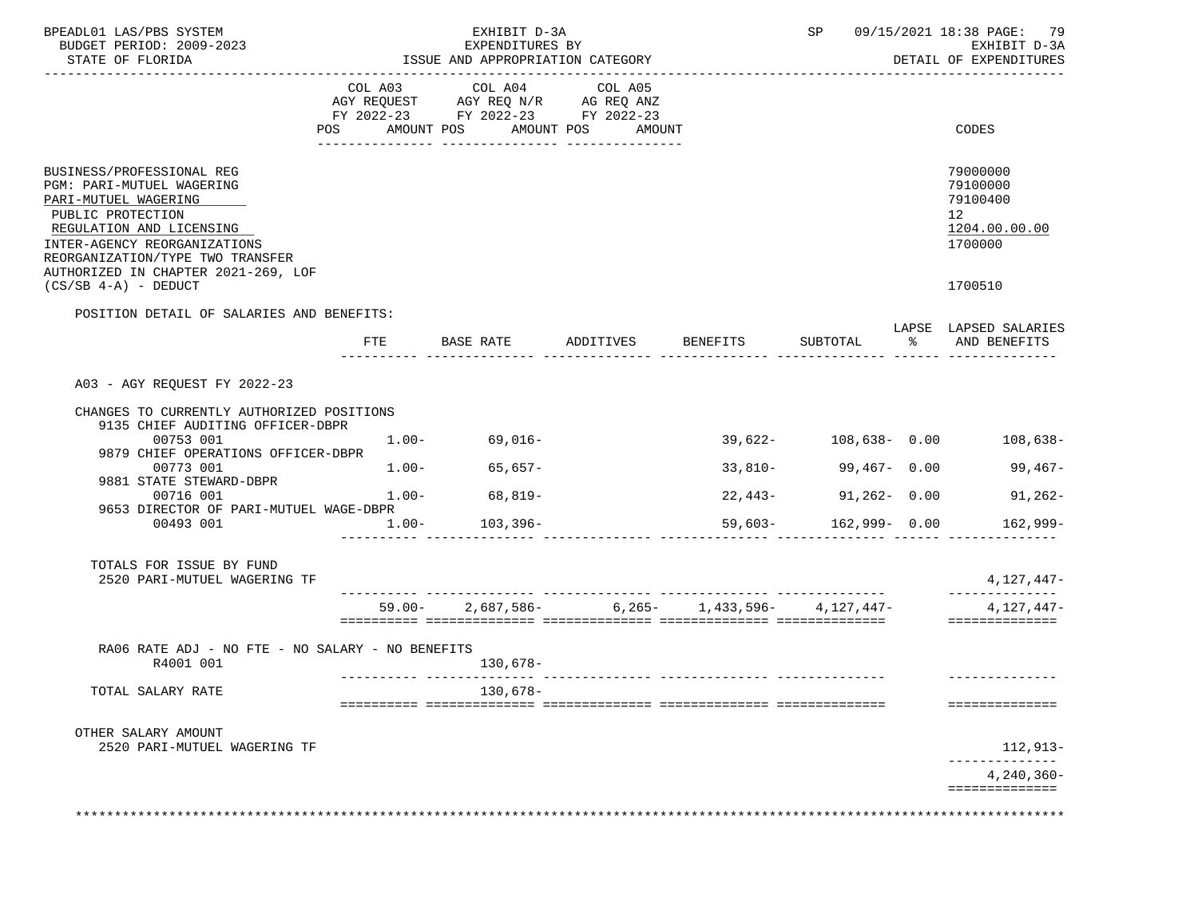| BPEADL01 LAS/PBS SYSTEM<br>BUDGET PERIOD: 2009-2023<br>STATE OF FLORIDA<br>----------------------                                                                                                                                          |                | EXHIBIT D-3A<br>EXPENDITURES BY<br>ISSUE AND APPROPRIATION CATEGORY                             |                                 |           |                           |     | SP 09/15/2021 18:38 PAGE: 79<br>EXHIBIT D-3A<br>DETAIL OF EXPENDITURES          |
|--------------------------------------------------------------------------------------------------------------------------------------------------------------------------------------------------------------------------------------------|----------------|-------------------------------------------------------------------------------------------------|---------------------------------|-----------|---------------------------|-----|---------------------------------------------------------------------------------|
|                                                                                                                                                                                                                                            | COL A03<br>POS | COL A04<br>AGY REQUEST AGY REQ N/R AG REQ ANZ<br>FY 2022-23 FY 2022-23 FY 2022-23<br>AMOUNT POS | COL A05<br>AMOUNT POS<br>AMOUNT |           |                           |     | CODES                                                                           |
| BUSINESS/PROFESSIONAL REG<br>PGM: PARI-MUTUEL WAGERING<br>PARI-MUTUEL WAGERING<br>PUBLIC PROTECTION<br>REGULATION AND LICENSING<br>INTER-AGENCY REORGANIZATIONS<br>REORGANIZATION/TYPE TWO TRANSFER<br>AUTHORIZED IN CHAPTER 2021-269, LOF |                |                                                                                                 |                                 |           |                           |     | 79000000<br>79100000<br>79100400<br>12 <sup>7</sup><br>1204.00.00.00<br>1700000 |
| $(CS/SB 4-A)$ - DEDUCT                                                                                                                                                                                                                     |                |                                                                                                 |                                 |           |                           |     | 1700510                                                                         |
| POSITION DETAIL OF SALARIES AND BENEFITS:                                                                                                                                                                                                  | FTE            | BASE RATE                                                                                       | ADDITIVES BENEFITS SUBTOTAL     |           |                           | — န | LAPSE LAPSED SALARIES<br>AND BENEFITS                                           |
|                                                                                                                                                                                                                                            |                |                                                                                                 |                                 |           |                           |     |                                                                                 |
| A03 - AGY REQUEST FY 2022-23                                                                                                                                                                                                               |                |                                                                                                 |                                 |           |                           |     |                                                                                 |
| CHANGES TO CURRENTLY AUTHORIZED POSITIONS<br>9135 CHIEF AUDITING OFFICER-DBPR                                                                                                                                                              |                |                                                                                                 |                                 |           |                           |     |                                                                                 |
| 00753 001<br>9879 CHIEF OPERATIONS OFFICER-DBPR                                                                                                                                                                                            | $1.00 -$       | 69,016-                                                                                         |                                 |           | $39.622 - 108.638 - 0.00$ |     | 108,638-                                                                        |
| 00773 001<br>9881 STATE STEWARD-DBPR                                                                                                                                                                                                       | $1.00-$        | $65,657-$                                                                                       |                                 | $33,810-$ | 99,467- 0.00              |     | $99,467-$                                                                       |
| 00716 001                                                                                                                                                                                                                                  |                | $1.00 - 68,819 -$                                                                               |                                 |           | $22,443-91,262-0.00$      |     | $91,262-$                                                                       |
| 9653 DIRECTOR OF PARI-MUTUEL WAGE-DBPR<br>00493 001                                                                                                                                                                                        | $1.00-$        | $103, 396 -$                                                                                    |                                 |           | 59,603- 162,999- 0.00     |     | 162,999-                                                                        |
| TOTALS FOR ISSUE BY FUND<br>2520 PARI-MUTUEL WAGERING TF                                                                                                                                                                                   |                |                                                                                                 |                                 |           |                           |     | 4,127,447-                                                                      |
|                                                                                                                                                                                                                                            |                | $59.00 - 2,687,586 - 6,265 - 1,433,596 - 4,127,447 -$                                           |                                 |           |                           |     | $4,127,447-$                                                                    |
|                                                                                                                                                                                                                                            |                |                                                                                                 |                                 |           |                           |     | ==============                                                                  |
| RA06 RATE ADJ - NO FTE - NO SALARY - NO BENEFITS<br>R4001 001                                                                                                                                                                              |                | 130,678-                                                                                        |                                 |           |                           |     | -----------                                                                     |
| TOTAL SALARY RATE                                                                                                                                                                                                                          |                | 130,678-                                                                                        |                                 |           |                           |     | ==============                                                                  |
| OTHER SALARY AMOUNT<br>2520 PARI-MUTUEL WAGERING TF                                                                                                                                                                                        |                |                                                                                                 |                                 |           |                           |     | 112,913-                                                                        |
|                                                                                                                                                                                                                                            |                |                                                                                                 |                                 |           |                           |     | $4,240,360-$                                                                    |
|                                                                                                                                                                                                                                            |                |                                                                                                 |                                 |           |                           |     | ==============                                                                  |
|                                                                                                                                                                                                                                            |                |                                                                                                 |                                 |           |                           |     |                                                                                 |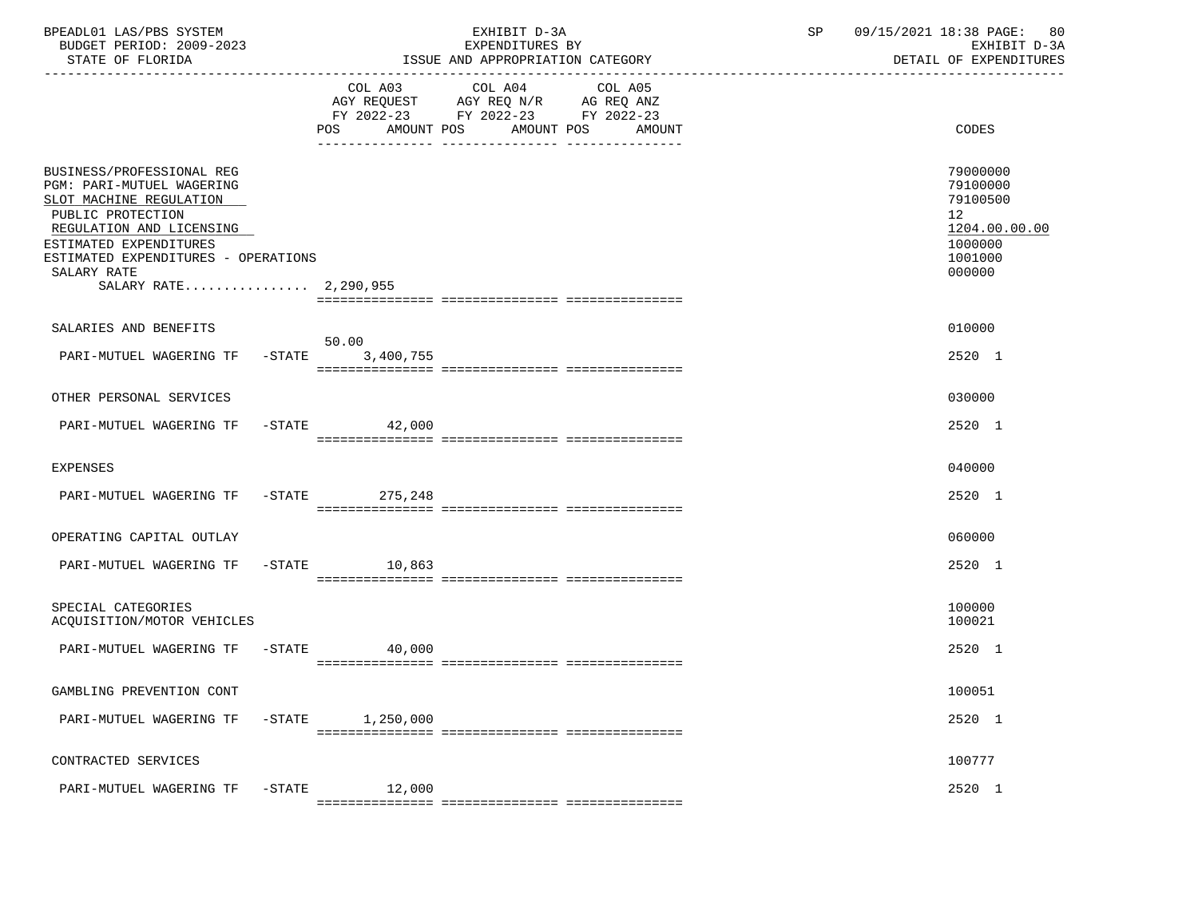| BPEADL01 LAS/PBS SYSTEM<br>BUDGET PERIOD: 2009-2023<br>STATE OF FLORIDA                                                                                                                                                                            |           |                                                                                                                                          | EXHIBIT D-3A<br>EXPENDITURES BY<br>ISSUE AND APPROPRIATION CATEGORY | SP    | 09/15/2021 18:38 PAGE: 80<br>EXHIBIT D-3A<br>DETAIL OF EXPENDITURES                                  |  |
|----------------------------------------------------------------------------------------------------------------------------------------------------------------------------------------------------------------------------------------------------|-----------|------------------------------------------------------------------------------------------------------------------------------------------|---------------------------------------------------------------------|-------|------------------------------------------------------------------------------------------------------|--|
|                                                                                                                                                                                                                                                    |           | COL A03 COL A04 COL A05<br>AGY REQUEST AGY REQ N/R AG REQ ANZ<br>FY 2022-23 FY 2022-23 FY 2022-23<br>POS AMOUNT POS AMOUNT POS<br>AMOUNT |                                                                     | CODES |                                                                                                      |  |
| BUSINESS/PROFESSIONAL REG<br><b>PGM: PARI-MUTUEL WAGERING</b><br>SLOT MACHINE REGULATION<br>PUBLIC PROTECTION<br>REGULATION AND LICENSING<br>ESTIMATED EXPENDITURES<br>ESTIMATED EXPENDITURES - OPERATIONS<br>SALARY RATE<br>SALARY RATE 2,290,955 |           |                                                                                                                                          |                                                                     |       | 79000000<br>79100000<br>79100500<br>12 <sup>°</sup><br>1204.00.00.00<br>1000000<br>1001000<br>000000 |  |
| SALARIES AND BENEFITS                                                                                                                                                                                                                              |           |                                                                                                                                          |                                                                     |       | 010000                                                                                               |  |
| PARI-MUTUEL WAGERING TF -STATE 3,400,755                                                                                                                                                                                                           |           | 50.00                                                                                                                                    |                                                                     |       | 2520 1                                                                                               |  |
| OTHER PERSONAL SERVICES                                                                                                                                                                                                                            |           |                                                                                                                                          |                                                                     |       | 030000                                                                                               |  |
| PARI-MUTUEL WAGERING TF -STATE 42,000                                                                                                                                                                                                              |           |                                                                                                                                          |                                                                     |       | 2520 1                                                                                               |  |
| <b>EXPENSES</b>                                                                                                                                                                                                                                    |           |                                                                                                                                          |                                                                     |       | 040000                                                                                               |  |
| PARI-MUTUEL WAGERING TF -STATE 275,248                                                                                                                                                                                                             |           |                                                                                                                                          |                                                                     |       | 2520 1                                                                                               |  |
| OPERATING CAPITAL OUTLAY                                                                                                                                                                                                                           |           |                                                                                                                                          |                                                                     |       | 060000                                                                                               |  |
| PARI-MUTUEL WAGERING TF -STATE 10,863                                                                                                                                                                                                              |           |                                                                                                                                          |                                                                     |       | 2520 1                                                                                               |  |
| SPECIAL CATEGORIES<br>ACQUISITION/MOTOR VEHICLES                                                                                                                                                                                                   |           |                                                                                                                                          |                                                                     |       | 100000<br>100021                                                                                     |  |
| PARI-MUTUEL WAGERING TF                                                                                                                                                                                                                            |           | $-STATE$<br>40,000                                                                                                                       |                                                                     |       | 2520 1                                                                                               |  |
| GAMBLING PREVENTION CONT                                                                                                                                                                                                                           |           |                                                                                                                                          |                                                                     |       | 100051                                                                                               |  |
| PARI-MUTUEL WAGERING TF                                                                                                                                                                                                                            | $-$ STATE | 1,250,000                                                                                                                                |                                                                     |       | 2520 1                                                                                               |  |
| CONTRACTED SERVICES                                                                                                                                                                                                                                |           |                                                                                                                                          |                                                                     |       | 100777                                                                                               |  |
| PARI-MUTUEL WAGERING TF                                                                                                                                                                                                                            | $-$ STATE | 12,000                                                                                                                                   |                                                                     |       | 2520 1                                                                                               |  |
|                                                                                                                                                                                                                                                    |           |                                                                                                                                          |                                                                     |       |                                                                                                      |  |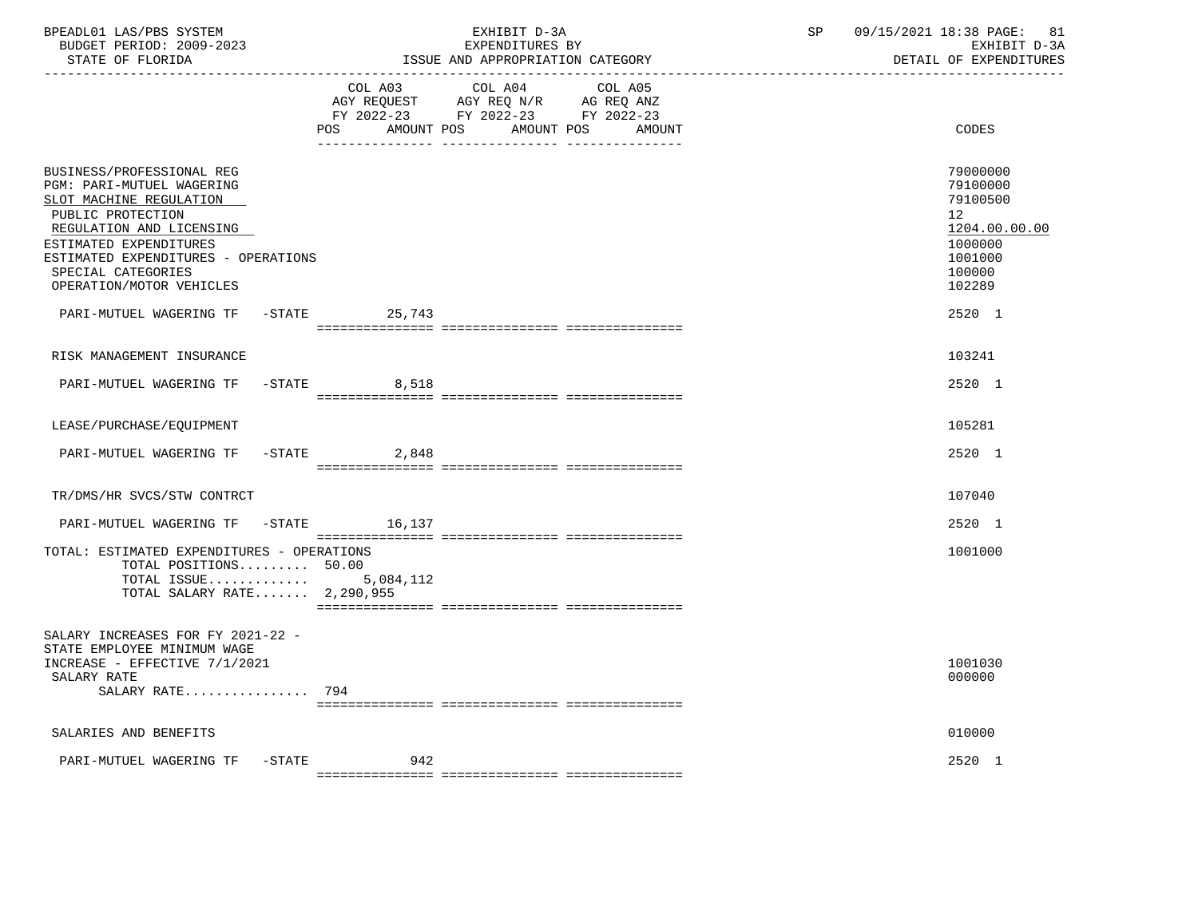| BPEADL01 LAS/PBS SYSTEM<br>BUDGET PERIOD: 2009-2023<br>STATE OF FLORIDA                                                                                                                                                                               |                                     | EXHIBIT D-3A<br>EXPENDITURES BY<br>ISSUE AND APPROPRIATION CATEGORY                                               | 09/15/2021 18:38 PAGE:<br>SP<br>81<br>EXHIBIT D-3A<br>DETAIL OF EXPENDITURES                                   |
|-------------------------------------------------------------------------------------------------------------------------------------------------------------------------------------------------------------------------------------------------------|-------------------------------------|-------------------------------------------------------------------------------------------------------------------|----------------------------------------------------------------------------------------------------------------|
|                                                                                                                                                                                                                                                       | COL A03<br>AMOUNT POS<br><b>POS</b> | COL A04<br>COL A05<br>AGY REQUEST AGY REQ N/R AG REQ ANZ<br>FY 2022-23 FY 2022-23 FY 2022-23<br>AMOUNT POS AMOUNT | CODES                                                                                                          |
| BUSINESS/PROFESSIONAL REG<br>PGM: PARI-MUTUEL WAGERING<br>SLOT MACHINE REGULATION<br>PUBLIC PROTECTION<br>REGULATION AND LICENSING<br>ESTIMATED EXPENDITURES<br>ESTIMATED EXPENDITURES - OPERATIONS<br>SPECIAL CATEGORIES<br>OPERATION/MOTOR VEHICLES |                                     |                                                                                                                   | 79000000<br>79100000<br>79100500<br>12 <sub>2</sub><br>1204.00.00.00<br>1000000<br>1001000<br>100000<br>102289 |
| PARI-MUTUEL WAGERING TF                                                                                                                                                                                                                               | $-STATE$<br>25,743                  |                                                                                                                   | $2520 - 1$                                                                                                     |
| RISK MANAGEMENT INSURANCE                                                                                                                                                                                                                             |                                     |                                                                                                                   | 103241                                                                                                         |
| PARI-MUTUEL WAGERING TF -STATE                                                                                                                                                                                                                        | 8,518                               |                                                                                                                   | 2520 1                                                                                                         |
| LEASE/PURCHASE/EQUIPMENT                                                                                                                                                                                                                              |                                     |                                                                                                                   | 105281                                                                                                         |
| PARI-MUTUEL WAGERING TF                                                                                                                                                                                                                               | $-STATE$ 2,848                      |                                                                                                                   | 2520 1                                                                                                         |
| TR/DMS/HR SVCS/STW CONTRCT                                                                                                                                                                                                                            |                                     |                                                                                                                   | 107040                                                                                                         |
| PARI-MUTUEL WAGERING TF -STATE 16,137                                                                                                                                                                                                                 |                                     |                                                                                                                   | 2520 1                                                                                                         |
| TOTAL: ESTIMATED EXPENDITURES - OPERATIONS<br>TOTAL POSITIONS $50.00$<br>TOTAL ISSUE<br>TOTAL SALARY RATE 2,290,955                                                                                                                                   | 5,084,112                           |                                                                                                                   | 1001000                                                                                                        |
| SALARY INCREASES FOR FY 2021-22 -<br>STATE EMPLOYEE MINIMUM WAGE<br>INCREASE - EFFECTIVE 7/1/2021<br>SALARY RATE<br>SALARY RATE 794                                                                                                                   |                                     |                                                                                                                   | 1001030<br>000000                                                                                              |
| SALARIES AND BENEFITS                                                                                                                                                                                                                                 |                                     |                                                                                                                   | 010000                                                                                                         |
| PARI-MUTUEL WAGERING TF<br>$-$ STATE                                                                                                                                                                                                                  | 942                                 |                                                                                                                   | 2520 1                                                                                                         |
|                                                                                                                                                                                                                                                       |                                     |                                                                                                                   |                                                                                                                |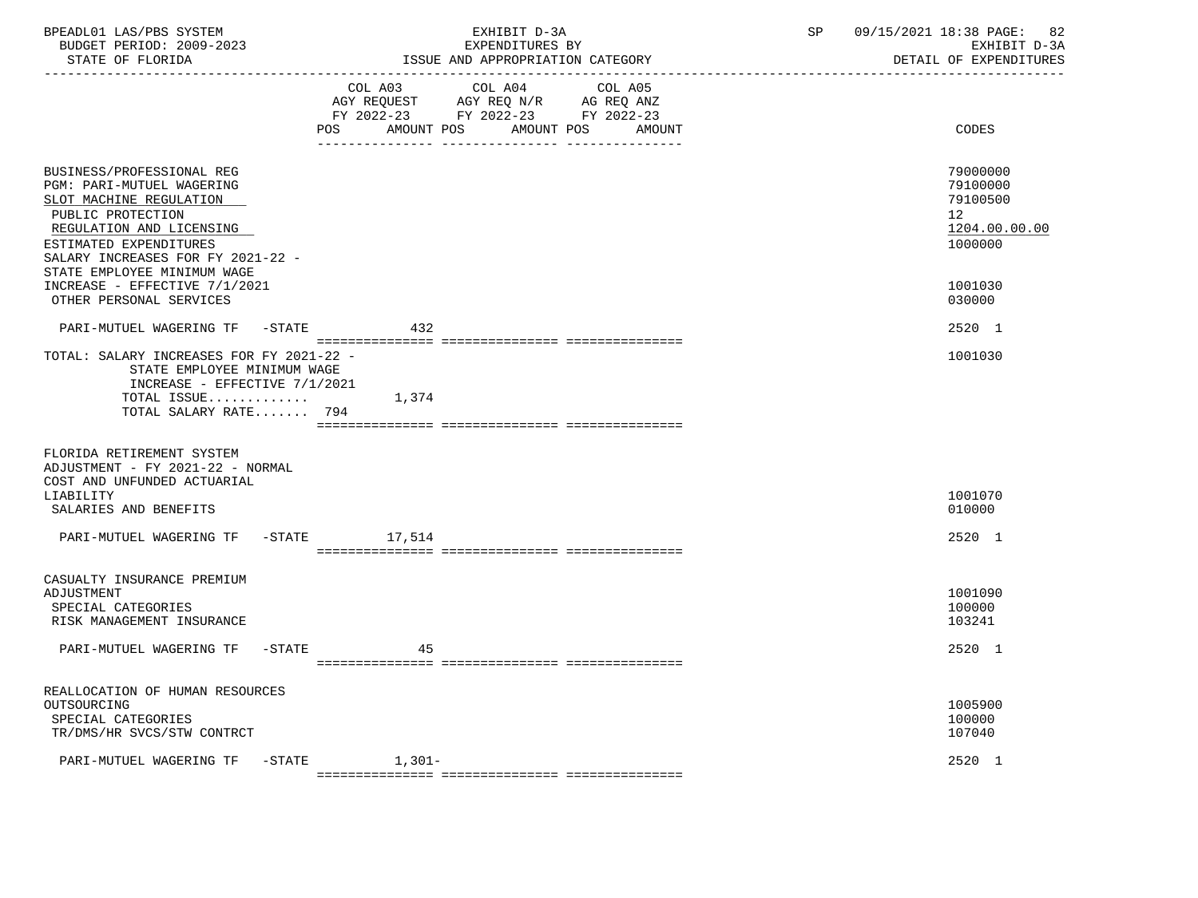| BPEADL01 LAS/PBS SYSTEM<br>BUDGET PERIOD: 2009-2023<br>STATE OF FLORIDA<br>----------------                                                                                                                                      |                    | EXHIBIT D-3A<br>EXPENDITURES BY<br>ISSUE AND APPROPRIATION CATEGORY                                                       | SP<br>09/15/2021 18:38 PAGE: | 82<br>EXHIBIT D-3A<br>DETAIL OF EXPENDITURES      |  |
|----------------------------------------------------------------------------------------------------------------------------------------------------------------------------------------------------------------------------------|--------------------|---------------------------------------------------------------------------------------------------------------------------|------------------------------|---------------------------------------------------|--|
|                                                                                                                                                                                                                                  | AMOUNT POS<br>POS  | COL A03 COL A04 COL A05<br>AGY REQUEST AGY REQ N/R AG REQ ANZ<br>FY 2022-23 FY 2022-23 FY 2022-23<br>AMOUNT POS<br>AMOUNT |                              | CODES                                             |  |
| BUSINESS/PROFESSIONAL REG<br>PGM: PARI-MUTUEL WAGERING<br>SLOT MACHINE REGULATION<br>PUBLIC PROTECTION<br>REGULATION AND LICENSING<br>ESTIMATED EXPENDITURES<br>SALARY INCREASES FOR FY 2021-22 -<br>STATE EMPLOYEE MINIMUM WAGE |                    |                                                                                                                           | 12 <sup>°</sup><br>1000000   | 79000000<br>79100000<br>79100500<br>1204.00.00.00 |  |
| INCREASE - EFFECTIVE 7/1/2021<br>OTHER PERSONAL SERVICES                                                                                                                                                                         |                    |                                                                                                                           | 1001030<br>030000            |                                                   |  |
| PARI-MUTUEL WAGERING TF -STATE                                                                                                                                                                                                   | 432                |                                                                                                                           | 2520 1                       |                                                   |  |
| TOTAL: SALARY INCREASES FOR FY 2021-22 -<br>STATE EMPLOYEE MINIMUM WAGE<br>INCREASE - EFFECTIVE 7/1/2021<br>TOTAL ISSUE<br>TOTAL SALARY RATE 794                                                                                 | 1,374              |                                                                                                                           | 1001030                      |                                                   |  |
| FLORIDA RETIREMENT SYSTEM<br>ADJUSTMENT - FY 2021-22 - NORMAL<br>COST AND UNFUNDED ACTUARIAL<br>LIABILITY<br>SALARIES AND BENEFITS                                                                                               |                    |                                                                                                                           | 1001070<br>010000            |                                                   |  |
| PARI-MUTUEL WAGERING TF                                                                                                                                                                                                          | -STATE 17,514      |                                                                                                                           |                              | 2520 1                                            |  |
| CASUALTY INSURANCE PREMIUM<br>ADJUSTMENT<br>SPECIAL CATEGORIES<br>RISK MANAGEMENT INSURANCE                                                                                                                                      |                    |                                                                                                                           | 1001090<br>100000<br>103241  |                                                   |  |
| PARI-MUTUEL WAGERING TF -STATE                                                                                                                                                                                                   | 45                 |                                                                                                                           | 2520 1                       |                                                   |  |
| REALLOCATION OF HUMAN RESOURCES<br>OUTSOURCING<br>SPECIAL CATEGORIES<br>TR/DMS/HR SVCS/STW CONTRCT                                                                                                                               |                    |                                                                                                                           | 1005900<br>100000<br>107040  |                                                   |  |
| PARI-MUTUEL WAGERING TF                                                                                                                                                                                                          | $-$ STATE $1,301-$ |                                                                                                                           | 2520 1                       |                                                   |  |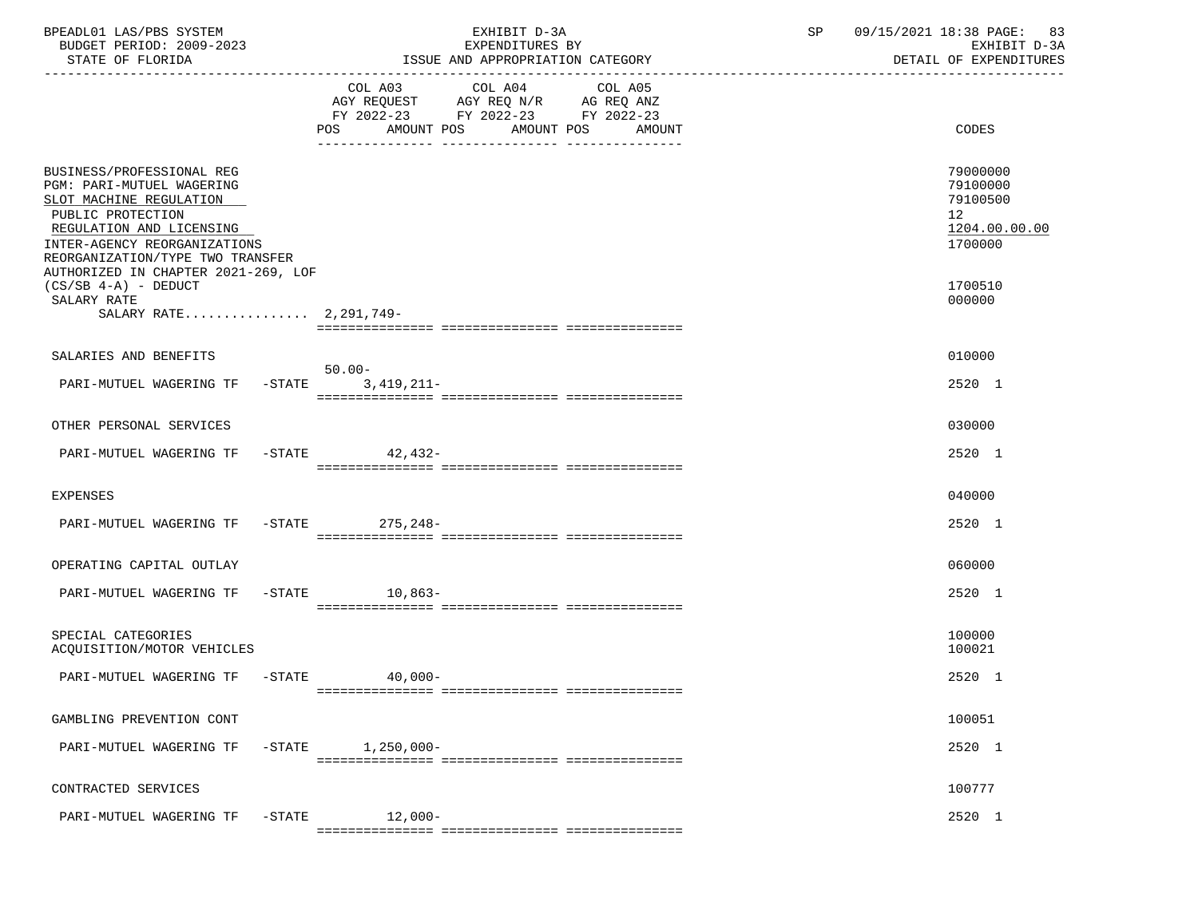| BPEADL01 LAS/PBS SYSTEM<br>BUDGET PERIOD: 2009-2023<br>STATE OF FLORIDA                                                                                                                                                                              |        |                                                                                                     | EXHIBIT D-3A<br>EXPENDITURES BY<br>ISSUE AND APPROPRIATION CATEGORY | $\operatorname{SP}$          | 09/15/2021 18:38 PAGE: 83<br>EXHIBIT D-3A<br>DETAIL OF EXPENDITURES |                                                                                 |
|------------------------------------------------------------------------------------------------------------------------------------------------------------------------------------------------------------------------------------------------------|--------|-----------------------------------------------------------------------------------------------------|---------------------------------------------------------------------|------------------------------|---------------------------------------------------------------------|---------------------------------------------------------------------------------|
|                                                                                                                                                                                                                                                      |        | COL A03<br>AGY REQUEST AGY REQ N/R AG REQ ANZ<br>FY 2022-23 FY 2022-23 FY 2022-23<br>POS AMOUNT POS | COL A04                                                             | COL A05<br>AMOUNT POS AMOUNT |                                                                     | CODES                                                                           |
| BUSINESS/PROFESSIONAL REG<br><b>PGM: PARI-MUTUEL WAGERING</b><br>SLOT MACHINE REGULATION<br>PUBLIC PROTECTION<br>REGULATION AND LICENSING<br>INTER-AGENCY REORGANIZATIONS<br>REORGANIZATION/TYPE TWO TRANSFER<br>AUTHORIZED IN CHAPTER 2021-269, LOF |        |                                                                                                     |                                                                     |                              |                                                                     | 79000000<br>79100000<br>79100500<br>12 <sup>°</sup><br>1204.00.00.00<br>1700000 |
| $(CS/SB 4-A)$ - DEDUCT<br>SALARY RATE<br>SALARY RATE 2.291.749-                                                                                                                                                                                      |        |                                                                                                     |                                                                     |                              |                                                                     | 1700510<br>000000                                                               |
| SALARIES AND BENEFITS                                                                                                                                                                                                                                |        |                                                                                                     |                                                                     |                              |                                                                     | 010000                                                                          |
| PARI-MUTUEL WAGERING TF -STATE 3,419,211-                                                                                                                                                                                                            |        | 50.00-                                                                                              |                                                                     |                              |                                                                     | 2520 1                                                                          |
| OTHER PERSONAL SERVICES                                                                                                                                                                                                                              |        |                                                                                                     |                                                                     |                              |                                                                     | 030000                                                                          |
| PARI-MUTUEL WAGERING TF                                                                                                                                                                                                                              |        | -STATE 42,432-                                                                                      |                                                                     |                              |                                                                     | 2520 1                                                                          |
| EXPENSES                                                                                                                                                                                                                                             |        |                                                                                                     |                                                                     |                              |                                                                     | 040000                                                                          |
| PARI-MUTUEL WAGERING TF -STATE 275,248-                                                                                                                                                                                                              |        |                                                                                                     |                                                                     |                              |                                                                     | 2520 1                                                                          |
| OPERATING CAPITAL OUTLAY                                                                                                                                                                                                                             |        |                                                                                                     |                                                                     |                              |                                                                     | 060000                                                                          |
| PARI-MUTUEL WAGERING TF -STATE 10,863-                                                                                                                                                                                                               |        |                                                                                                     |                                                                     |                              |                                                                     | 2520 1                                                                          |
| SPECIAL CATEGORIES<br>ACQUISITION/MOTOR VEHICLES                                                                                                                                                                                                     |        |                                                                                                     |                                                                     |                              |                                                                     | 100000<br>100021                                                                |
| PARI-MUTUEL WAGERING TF -STATE                                                                                                                                                                                                                       |        | $40,000-$                                                                                           |                                                                     |                              |                                                                     | 2520 1                                                                          |
| GAMBLING PREVENTION CONT                                                                                                                                                                                                                             |        |                                                                                                     |                                                                     |                              |                                                                     | 100051                                                                          |
| PARI-MUTUEL WAGERING TF                                                                                                                                                                                                                              | -STATE | 1,250,000-                                                                                          |                                                                     |                              |                                                                     | 2520 1                                                                          |
| CONTRACTED SERVICES                                                                                                                                                                                                                                  |        |                                                                                                     |                                                                     |                              |                                                                     | 100777                                                                          |
| PARI-MUTUEL WAGERING TF                                                                                                                                                                                                                              | -STATE | 12,000-                                                                                             |                                                                     |                              |                                                                     | 2520 1                                                                          |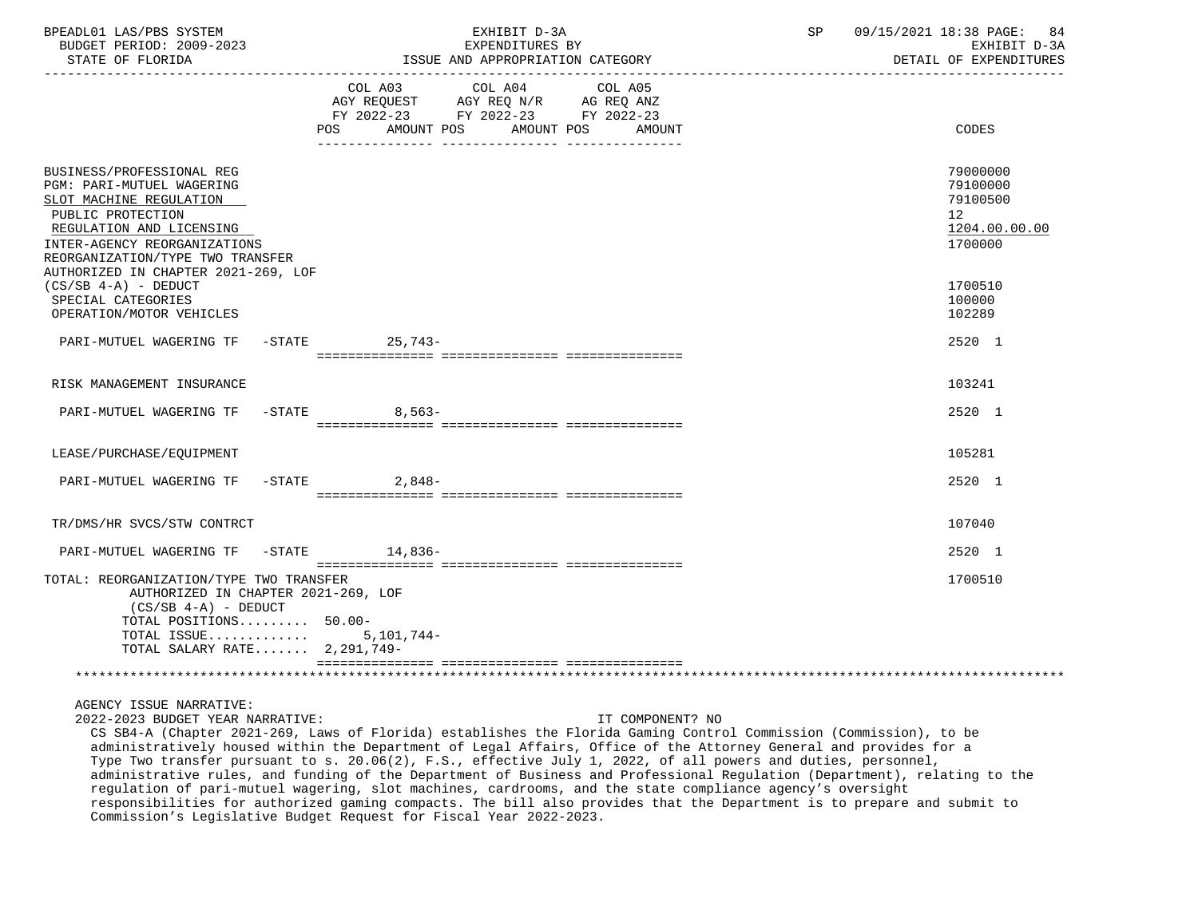| BPEADL01 LAS/PBS SYSTEM<br>BUDGET PERIOD: 2009-2023<br>STATE OF FLORIDA<br>-----------------                                                                                                                                                  |                                                                                                                        | EXHIBIT D-3A<br>EXPENDITURES BY<br>ISSUE AND APPROPRIATION CATEGORY                                                                                                                                                                                         | SP | 09/15/2021 18:38 PAGE: 84<br>EXHIBIT D-3A<br>DETAIL OF EXPENDITURES             |
|-----------------------------------------------------------------------------------------------------------------------------------------------------------------------------------------------------------------------------------------------|------------------------------------------------------------------------------------------------------------------------|-------------------------------------------------------------------------------------------------------------------------------------------------------------------------------------------------------------------------------------------------------------|----|---------------------------------------------------------------------------------|
|                                                                                                                                                                                                                                               | COL A03 COL A04 COL A05<br>AGY REQUEST AGY REQ N/R AG REQ ANZ<br>FY 2022-23 FY 2022-23 FY 2022-23<br>AMOUNT POS<br>POS | AMOUNT POS<br>AMOUNT                                                                                                                                                                                                                                        |    | CODES                                                                           |
| BUSINESS/PROFESSIONAL REG<br>PGM: PARI-MUTUEL WAGERING<br>SLOT MACHINE REGULATION<br>PUBLIC PROTECTION<br>REGULATION AND LICENSING<br>INTER-AGENCY REORGANIZATIONS<br>REORGANIZATION/TYPE TWO TRANSFER<br>AUTHORIZED IN CHAPTER 2021-269, LOF |                                                                                                                        |                                                                                                                                                                                                                                                             |    | 79000000<br>79100000<br>79100500<br>12 <sup>°</sup><br>1204.00.00.00<br>1700000 |
| $(CS/SB 4-A)$ - DEDUCT<br>SPECIAL CATEGORIES<br>OPERATION/MOTOR VEHICLES                                                                                                                                                                      |                                                                                                                        |                                                                                                                                                                                                                                                             |    | 1700510<br>100000<br>102289                                                     |
| PARI-MUTUEL WAGERING TF -STATE 25,743-                                                                                                                                                                                                        |                                                                                                                        |                                                                                                                                                                                                                                                             |    | 2520 1                                                                          |
| RISK MANAGEMENT INSURANCE                                                                                                                                                                                                                     |                                                                                                                        |                                                                                                                                                                                                                                                             |    | 103241                                                                          |
| PARI-MUTUEL WAGERING TF                                                                                                                                                                                                                       | $-$ STATE<br>8,563-                                                                                                    |                                                                                                                                                                                                                                                             |    | 2520 1                                                                          |
| LEASE/PURCHASE/EQUIPMENT                                                                                                                                                                                                                      |                                                                                                                        |                                                                                                                                                                                                                                                             |    | 105281                                                                          |
| PARI-MUTUEL WAGERING TF -STATE                                                                                                                                                                                                                | 2,848-                                                                                                                 |                                                                                                                                                                                                                                                             |    | 2520 1                                                                          |
| TR/DMS/HR SVCS/STW CONTRCT                                                                                                                                                                                                                    |                                                                                                                        |                                                                                                                                                                                                                                                             |    | 107040                                                                          |
| PARI-MUTUEL WAGERING TF -STATE 14,836-                                                                                                                                                                                                        |                                                                                                                        |                                                                                                                                                                                                                                                             |    | 2520 1                                                                          |
| TOTAL: REORGANIZATION/TYPE TWO TRANSFER<br>AUTHORIZED IN CHAPTER 2021-269, LOF<br>$(CS/SB 4-A) - DEDUCT$<br>TOTAL POSITIONS 50.00-<br>TOTAL ISSUE $5,101,744-$<br>TOTAL SALARY RATE 2,291,749-                                                |                                                                                                                        |                                                                                                                                                                                                                                                             |    | 1700510                                                                         |
|                                                                                                                                                                                                                                               |                                                                                                                        |                                                                                                                                                                                                                                                             |    |                                                                                 |
| AGENCY ISSUE NARRATIVE:<br>2022-2023 BUDGET YEAR NARRATIVE:                                                                                                                                                                                   |                                                                                                                        | IT COMPONENT? NO<br>CS SB4-A (Chapter 2021-269, Laws of Florida) establishes the Florida Gaming Control Commission (Commission), to be<br>administratively housed within the Department of Legal Affairs. Office of the Attorney General and provides for a |    |                                                                                 |

 administratively housed within the Department of Legal Affairs, Office of the Attorney General and provides for a Type Two transfer pursuant to s. 20.06(2), F.S., effective July 1, 2022, of all powers and duties, personnel, administrative rules, and funding of the Department of Business and Professional Regulation (Department), relating to the regulation of pari-mutuel wagering, slot machines, cardrooms, and the state compliance agency's oversight responsibilities for authorized gaming compacts. The bill also provides that the Department is to prepare and submit to Commission's Legislative Budget Request for Fiscal Year 2022-2023.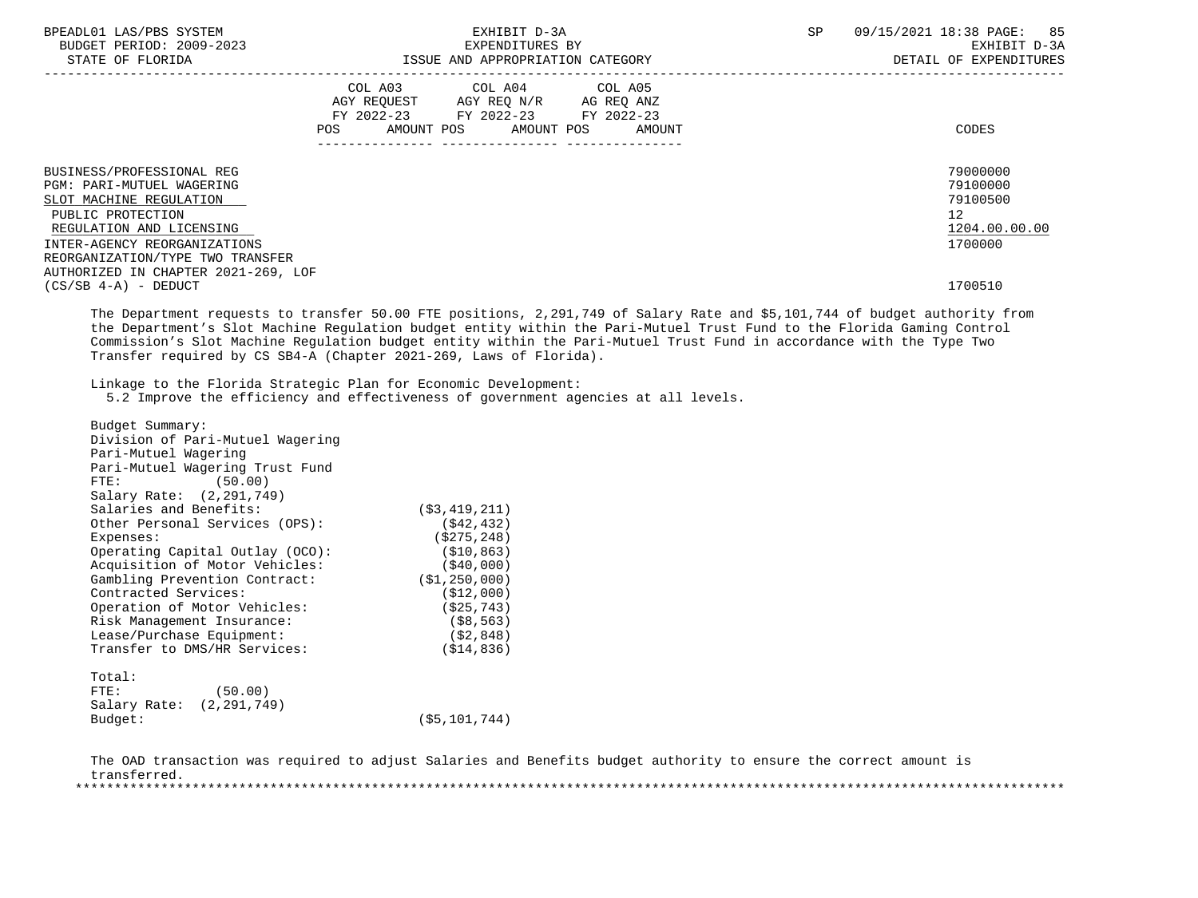| BPEADL01 LAS/PBS SYSTEM<br>BUDGET PERIOD: 2009-2023<br>STATE OF FLORIDA                                                                                                                                                                       | EXHIBIT D-3A<br>EXPENDITURES BY<br>ISSUE AND APPROPRIATION CATEGORY                                                                   | 09/15/2021 18:38 PAGE: 85<br>SP<br>EXHIBIT D-3A<br>DETAIL OF EXPENDITURES |
|-----------------------------------------------------------------------------------------------------------------------------------------------------------------------------------------------------------------------------------------------|---------------------------------------------------------------------------------------------------------------------------------------|---------------------------------------------------------------------------|
|                                                                                                                                                                                                                                               | COL A03 COL A04 COL A05<br>AGY REQUEST AGY REQ N/R AG REQ ANZ<br>FY 2022-23 FY 2022-23 FY 2022-23<br>POS AMOUNT POS AMOUNT POS AMOUNT | CODES                                                                     |
| BUSINESS/PROFESSIONAL REG<br>PGM: PARI-MUTUEL WAGERING<br>SLOT MACHINE REGULATION<br>PUBLIC PROTECTION<br>REGULATION AND LICENSING<br>INTER-AGENCY REORGANIZATIONS<br>REORGANIZATION/TYPE TWO TRANSFER<br>AUTHORIZED IN CHAPTER 2021-269, LOF |                                                                                                                                       | 79000000<br>79100000<br>79100500<br>12<br>1204.00.00.00<br>1700000        |
| $(CS/SB 4-A) - DEDUCT$                                                                                                                                                                                                                        |                                                                                                                                       | 1700510                                                                   |

 The Department requests to transfer 50.00 FTE positions, 2,291,749 of Salary Rate and \$5,101,744 of budget authority from the Department's Slot Machine Regulation budget entity within the Pari-Mutuel Trust Fund to the Florida Gaming Control Commission's Slot Machine Regulation budget entity within the Pari-Mutuel Trust Fund in accordance with the Type Two Transfer required by CS SB4-A (Chapter 2021-269, Laws of Florida).

Linkage to the Florida Strategic Plan for Economic Development:

5.2 Improve the efficiency and effectiveness of government agencies at all levels.

| Budget Summary:            |                                  |                |
|----------------------------|----------------------------------|----------------|
|                            | Division of Pari-Mutuel Wagering |                |
| Pari-Mutuel Wagering       |                                  |                |
|                            | Pari-Mutuel Wagering Trust Fund  |                |
| FTE:                       | (50.00)                          |                |
| Salary Rate: (2,291,749)   |                                  |                |
| Salaries and Benefits:     |                                  | (53, 419, 211) |
|                            | Other Personal Services (OPS):   | ( \$42, 432)   |
| Expenses:                  |                                  | (S275, 248)    |
|                            | Operating Capital Outlay (OCO):  | (S10, 863)     |
|                            | Acquisition of Motor Vehicles:   | ( \$40,000)    |
|                            | Gambling Prevention Contract:    | (S1, 250, 000) |
| Contracted Services:       |                                  | ( \$12,000)    |
|                            | Operation of Motor Vehicles:     | (S25, 743)     |
| Risk Management Insurance: |                                  | ( \$8, 563)    |
| Lease/Purchase Equipment:  |                                  | ( \$2, 848)    |
|                            | Transfer to DMS/HR Services:     | (S14, 836)     |
| Total:                     |                                  |                |
| FTE:                       | (50.00)                          |                |
|                            |                                  |                |

| Salary Rate: (2,291,749) |               |
|--------------------------|---------------|
| Budget:                  | (\$5,101,744) |

 The OAD transaction was required to adjust Salaries and Benefits budget authority to ensure the correct amount is transferred.<br>\*\*\*\*\*\*\*\*\*\*\*\*\*\*\*\*\*\*\* \*\*\*\*\*\*\*\*\*\*\*\*\*\*\*\*\*\*\*\*\*\*\*\*\*\*\*\*\*\*\*\*\*\*\*\*\*\*\*\*\*\*\*\*\*\*\*\*\*\*\*\*\*\*\*\*\*\*\*\*\*\*\*\*\*\*\*\*\*\*\*\*\*\*\*\*\*\*\*\*\*\*\*\*\*\*\*\*\*\*\*\*\*\*\*\*\*\*\*\*\*\*\*\*\*\*\*\*\*\*\*\*\*\*\*\*\*\*\*\*\*\*\*\*\*\*\*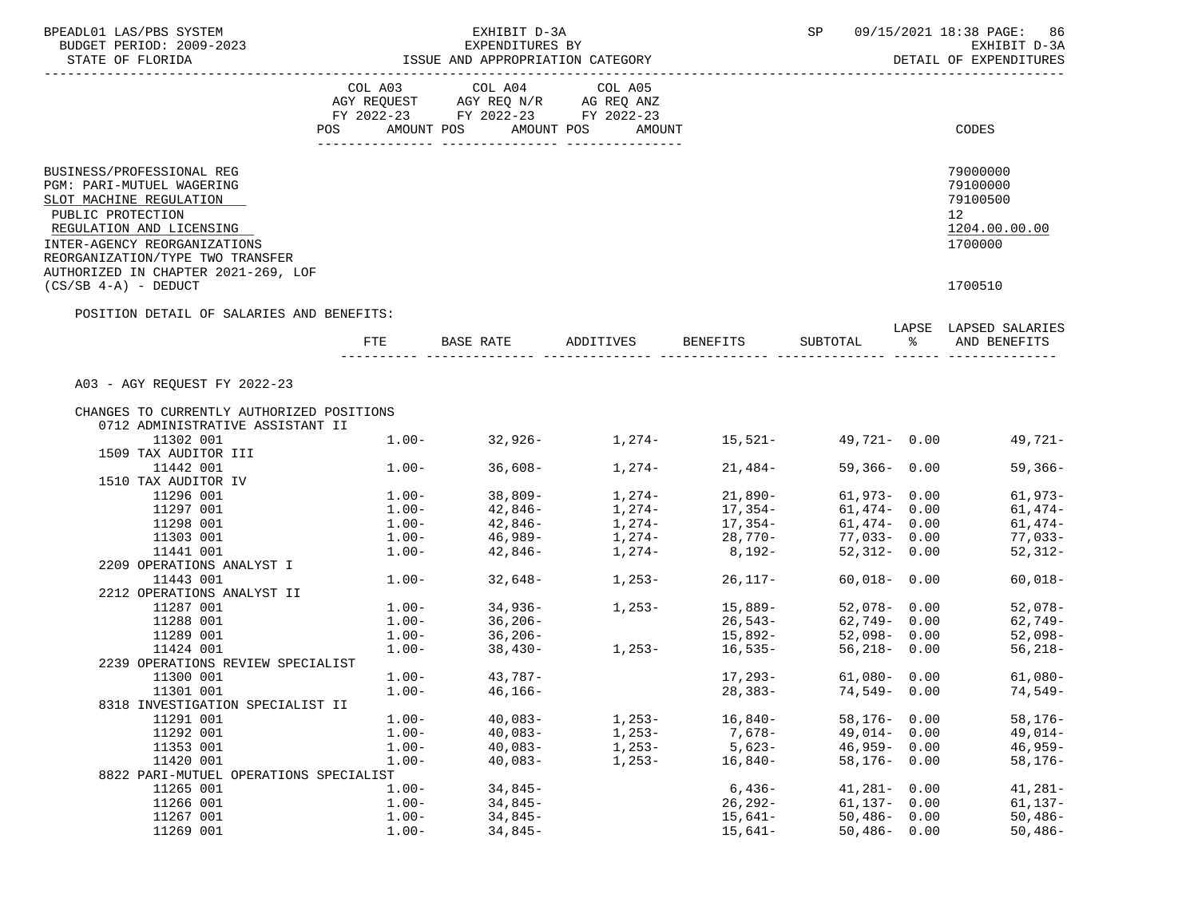| BPEADL01 LAS/PBS SYSTEM                                                                                                                                            |                 | EXHIBIT D-3A                                                      |                              |                                    | SP              | 09/15/2021 18:38 PAGE: 86                                                       |  |
|--------------------------------------------------------------------------------------------------------------------------------------------------------------------|-----------------|-------------------------------------------------------------------|------------------------------|------------------------------------|-----------------|---------------------------------------------------------------------------------|--|
| BUDGET PERIOD: 2009-2023                                                                                                                                           | EXPENDITURES BY |                                                                   |                              |                                    |                 | EXHIBIT D-3A                                                                    |  |
| STATE OF FLORIDA                                                                                                                                                   |                 | ISSUE AND APPROPRIATION CATEGORY                                  |                              |                                    |                 | DETAIL OF EXPENDITURES                                                          |  |
|                                                                                                                                                                    |                 | COL A03 COL A04                                                   | COL A05                      |                                    |                 |                                                                                 |  |
|                                                                                                                                                                    |                 | AGY REQUEST AGY REQ N/R AG REQ ANZ                                |                              |                                    |                 |                                                                                 |  |
|                                                                                                                                                                    |                 | FY 2022-23 FY 2022-23 FY 2022-23                                  |                              |                                    |                 |                                                                                 |  |
|                                                                                                                                                                    |                 | POS AMOUNT POS AMOUNT POS AMOUNT                                  |                              |                                    |                 | CODES                                                                           |  |
|                                                                                                                                                                    |                 |                                                                   |                              |                                    |                 |                                                                                 |  |
| BUSINESS/PROFESSIONAL REG<br>PGM: PARI-MUTUEL WAGERING<br>SLOT MACHINE REGULATION<br>PUBLIC PROTECTION<br>REGULATION AND LICENSING<br>INTER-AGENCY REORGANIZATIONS |                 |                                                                   |                              |                                    |                 | 79000000<br>79100000<br>79100500<br>12 <sup>7</sup><br>1204.00.00.00<br>1700000 |  |
| REORGANIZATION/TYPE TWO TRANSFER<br>AUTHORIZED IN CHAPTER 2021-269, LOF                                                                                            |                 |                                                                   |                              |                                    |                 |                                                                                 |  |
| $(CS/SB 4-A)$ - DEDUCT                                                                                                                                             |                 |                                                                   |                              |                                    |                 | 1700510                                                                         |  |
| POSITION DETAIL OF SALARIES AND BENEFITS:                                                                                                                          |                 |                                                                   |                              |                                    |                 | LAPSE LAPSED SALARIES                                                           |  |
|                                                                                                                                                                    | FTE             |                                                                   | BASE RATE ADDITIVES BENEFITS |                                    |                 | SUBTOTAL % AND BENEFITS                                                         |  |
| A03 - AGY REQUEST FY 2022-23                                                                                                                                       |                 |                                                                   |                              |                                    |                 |                                                                                 |  |
|                                                                                                                                                                    |                 |                                                                   |                              |                                    |                 |                                                                                 |  |
| CHANGES TO CURRENTLY AUTHORIZED POSITIONS<br>0712 ADMINISTRATIVE ASSISTANT II                                                                                      |                 |                                                                   |                              |                                    |                 |                                                                                 |  |
| 11302 001                                                                                                                                                          |                 | $1.00 - 32,926 - 1,274 - 15,521 -$                                |                              |                                    |                 | $49.721 - 0.00$<br>49,721-                                                      |  |
| 1509 TAX AUDITOR III                                                                                                                                               |                 |                                                                   |                              |                                    |                 |                                                                                 |  |
|                                                                                                                                                                    |                 | $1.00 - 36,608 -$                                                 |                              |                                    |                 |                                                                                 |  |
| 11442 001                                                                                                                                                          |                 |                                                                   | $1,274-$                     | 21,484-                            | $59,366 - 0.00$ | 59,366-                                                                         |  |
| 1510 TAX AUDITOR IV                                                                                                                                                |                 |                                                                   |                              |                                    |                 |                                                                                 |  |
| 11296 001                                                                                                                                                          |                 | $1.00 - 38,809 - 1.00 - 42,846 -$                                 |                              | $1,274-21,890-$<br>$1,274-17,354-$ | 61,973-0.00     | 61,973-                                                                         |  |
| 11297 001                                                                                                                                                          |                 |                                                                   |                              |                                    | $61,474 - 0.00$ | 61,474-                                                                         |  |
| 11298 001                                                                                                                                                          |                 | $1.00 - 42,846 -$                                                 | $1,274-17,354-$              |                                    | $61,474 - 0.00$ | 61,474-                                                                         |  |
| 11303 001                                                                                                                                                          |                 | $1.00  46,989  1,274  28,770 -$<br>$1.00  42,846  1,274  8,192 -$ |                              |                                    | 77,033-0.00     | 77,033-                                                                         |  |
| 11441 001                                                                                                                                                          |                 |                                                                   |                              |                                    | $52,312 - 0.00$ | $52,312-$                                                                       |  |
| 2209 OPERATIONS ANALYST I                                                                                                                                          |                 |                                                                   |                              |                                    |                 |                                                                                 |  |
| 11443 001                                                                                                                                                          |                 | $1.00 - 32,648 -$                                                 | $1,253-$                     | 26,117-                            | $60,018 - 0.00$ | $60,018-$                                                                       |  |
| 2212 OPERATIONS ANALYST II                                                                                                                                         |                 |                                                                   |                              |                                    |                 |                                                                                 |  |
| 11287 001                                                                                                                                                          | $1.00 -$        |                                                                   | 1,253-                       | 15,889–<br>26,543–                 | 52,078- 0.00    | 52,078-                                                                         |  |
| 11288 001                                                                                                                                                          | $1.00 -$        | 34,936-<br>36,206-                                                |                              |                                    | 62,749- 0.00    | $62,749-$                                                                       |  |
| 11289 001                                                                                                                                                          |                 | $1.00 - 36,206 -$                                                 |                              | 15,892-                            |                 | $52,098 - 0.00$ 52,098-                                                         |  |
| 11424 001                                                                                                                                                          | $1.00-$         | $38,430-$                                                         | $1,253-$                     | 16,535-                            | $56,218 - 0.00$ | 56,218-                                                                         |  |
| 2239 OPERATIONS REVIEW SPECIALIST                                                                                                                                  |                 |                                                                   |                              |                                    |                 |                                                                                 |  |
| 11300 001                                                                                                                                                          | $1.00 -$        | 43,787-                                                           |                              | 17,293-                            | $61,080 - 0.00$ | $61,080-$                                                                       |  |
| 11301 001                                                                                                                                                          | $1.00-$         | $46, 166 -$                                                       |                              | $28,383-$                          | $74,549 - 0.00$ | $74,549-$                                                                       |  |
| 8318 INVESTIGATION SPECIALIST II                                                                                                                                   |                 |                                                                   |                              |                                    |                 |                                                                                 |  |
| 11291 001                                                                                                                                                          | $1.00 -$        | $40,083-$                                                         | $1,253-$                     | $16,840-$                          | $58,176 - 0.00$ | $58, 176 -$                                                                     |  |
| 11292 001                                                                                                                                                          | $1.00 -$        | $40,083-$                                                         | $1,253-$                     | 7,678-                             | $49,014 - 0.00$ | $49,014-$                                                                       |  |
|                                                                                                                                                                    |                 |                                                                   |                              |                                    |                 |                                                                                 |  |
| 11353 001                                                                                                                                                          | $1.00 -$        | $40,083-$                                                         | $1,253-$                     | $5,623-$                           | $46,959 - 0.00$ | $46,959-$                                                                       |  |
| 11420 001                                                                                                                                                          | $1.00 -$        | $40,083-$                                                         | $1,253-$                     | $16,840-$                          | $58,176 - 0.00$ | $58,176-$                                                                       |  |
| 8822 PARI-MUTUEL OPERATIONS SPECIALIST                                                                                                                             |                 |                                                                   |                              |                                    |                 |                                                                                 |  |
| 11265 001                                                                                                                                                          | $1.00 -$        | $34,845-$                                                         |                              | $6.436-$                           | $41,281 - 0.00$ | $41,281-$                                                                       |  |
| 11266 001                                                                                                                                                          | $1.00-$         | $34,845-$                                                         |                              | $26, 292 -$                        | $61,137 - 0.00$ | $61, 137 -$                                                                     |  |
| 11267 001                                                                                                                                                          | $1.00-$         | $34,845-$                                                         |                              | $15,641-$                          | $50,486 - 0.00$ | $50,486-$                                                                       |  |
| 11269 001                                                                                                                                                          | $1.00 -$        | $34,845-$                                                         |                              | $15,641-$                          | $50,486 - 0.00$ | $50,486-$                                                                       |  |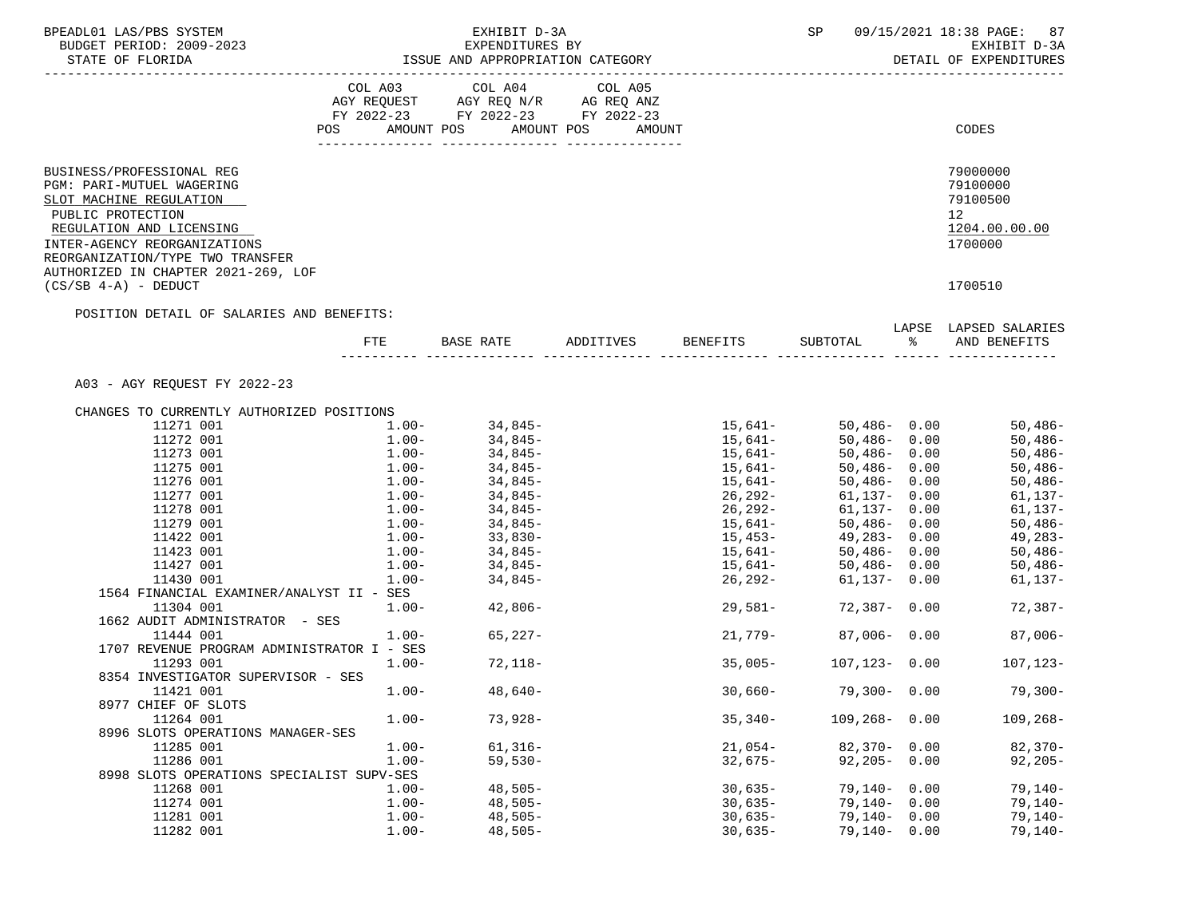| BPEADL01 LAS/PBS SYSTEM                                                           |          | EXHIBIT D-3A                                                                                                                                                                          |           |                   | SP 09/15/2021 18:38 PAGE: 87                        |
|-----------------------------------------------------------------------------------|----------|---------------------------------------------------------------------------------------------------------------------------------------------------------------------------------------|-----------|-------------------|-----------------------------------------------------|
| BUDGET PERIOD: 2009-2023                                                          |          | EXPENDITURES BY                                                                                                                                                                       |           |                   | EXHIBIT D-3A                                        |
| STATE OF FLORIDA                                                                  |          | ISSUE AND APPROPRIATION CATEGORY                                                                                                                                                      |           |                   | DETAIL OF EXPENDITURES                              |
|                                                                                   |          |                                                                                                                                                                                       |           |                   |                                                     |
|                                                                                   |          | $\begin{tabular}{lllllllll} COL & A03 & \multicolumn{2}{l}COL & A04 & \multicolumn{2}{l}COL & A05 \\ AGY & REQUEST & AGY REQ & N/R & \multicolumn{2}{l}AG REQ & ANZ \\ \end{tabular}$ |           |                   |                                                     |
|                                                                                   |          | FY 2022-23 FY 2022-23 FY 2022-23                                                                                                                                                      |           |                   |                                                     |
|                                                                                   |          | POS AMOUNT POS AMOUNT POS AMOUNT                                                                                                                                                      |           |                   | CODES                                               |
|                                                                                   |          |                                                                                                                                                                                       |           |                   |                                                     |
| BUSINESS/PROFESSIONAL REG<br>PGM: PARI-MUTUEL WAGERING<br>SLOT MACHINE REGULATION |          |                                                                                                                                                                                       |           |                   | 79000000<br>79100000<br>79100500<br>12 <sub>2</sub> |
| PUBLIC PROTECTION<br>REGULATION AND LICENSING<br>INTER-AGENCY REORGANIZATIONS     |          |                                                                                                                                                                                       |           |                   | 1204.00.00.00<br>1700000                            |
| REORGANIZATION/TYPE TWO TRANSFER<br>AUTHORIZED IN CHAPTER 2021-269, LOF           |          |                                                                                                                                                                                       |           |                   |                                                     |
| $(CS/SB 4-A)$ - DEDUCT                                                            |          |                                                                                                                                                                                       |           |                   | 1700510                                             |
| POSITION DETAIL OF SALARIES AND BENEFITS:                                         |          |                                                                                                                                                                                       |           |                   |                                                     |
|                                                                                   |          |                                                                                                                                                                                       |           |                   | LAPSE LAPSED SALARIES                               |
|                                                                                   | ETE      | BASE RATE ADDITIVES BENEFITS                                                                                                                                                          |           | SUBTOTAL %        | AND BENEFITS                                        |
| A03 - AGY REQUEST FY 2022-23                                                      |          |                                                                                                                                                                                       |           |                   |                                                     |
|                                                                                   |          |                                                                                                                                                                                       |           |                   |                                                     |
| CHANGES TO CURRENTLY AUTHORIZED POSITIONS                                         |          |                                                                                                                                                                                       |           |                   |                                                     |
| 11271 001                                                                         | $1.00 -$ | 34,845-<br>34,845-                                                                                                                                                                    |           |                   | 50,486-                                             |
| 11272 001                                                                         | $1.00-$  |                                                                                                                                                                                       |           |                   | $50,486-$                                           |
| 11273 001                                                                         |          | $1.00 - 34,845 -$                                                                                                                                                                     | $15,641-$ | $50,486 - 0.00$   | $50,486-$                                           |
| 11275 001                                                                         | $1.00 -$ | 34,845-<br>$1.00 - 34,845 -$                                                                                                                                                          | 15,641–   | $50,486 - 0.00$   | $50,486-$                                           |
| 11276 001                                                                         |          |                                                                                                                                                                                       | $15,641-$ | $50,486 - 0.00$   | $50,486-$                                           |
| 11277 001                                                                         |          | $1.00 - 34,845 -$                                                                                                                                                                     | 26,292-   | 61,137- 0.00      | $61, 137 -$                                         |
| 11278 001                                                                         | $1.00-$  | 34,845-                                                                                                                                                                               | 26,292-   | 61,137- 0.00      | $61, 137 -$                                         |
| 11279 001                                                                         |          | $1.00 - 34,845 -$                                                                                                                                                                     | 15,641–   | $50,486 - 0.00$   | $50,486-$                                           |
| 11422 001                                                                         | $1.00 -$ | 33,830-                                                                                                                                                                               | 15,453-   | 49,283- 0.00      | 49,283-                                             |
| 11423 001                                                                         | $1.00-$  | $34,845-$                                                                                                                                                                             | 15,641–   | 50,486- 0.00      | $50,486-$                                           |
| 11427 001                                                                         |          | $1.00 - 34,845 -$                                                                                                                                                                     | $15,641-$ | 50,486-0.00       | 50,486-                                             |
| 11430 001                                                                         | $1.00-$  | 34,845-                                                                                                                                                                               | 26,292-   | $61,137 - 0.00$   | 61,137-                                             |
| 1564 FINANCIAL EXAMINER/ANALYST II - SES<br>11304 001                             |          | $1.00 - 42,806 -$                                                                                                                                                                     | 29,581-   | 72,387- 0.00      | 72,387-                                             |
| 1662 AUDIT ADMINISTRATOR - SES                                                    |          |                                                                                                                                                                                       |           |                   |                                                     |
| 11444 001                                                                         |          | $1.00 - 65,227 -$                                                                                                                                                                     | 21,779-   | $87,006 - 0.00$   | $87,006-$                                           |
| 1707 REVENUE PROGRAM ADMINISTRATOR I - SES                                        |          |                                                                                                                                                                                       |           |                   |                                                     |
| 11293 001                                                                         | $1.00-$  | $72,118-$                                                                                                                                                                             | $35,005-$ | 107,123-0.00      | 107,123-                                            |
| 8354 INVESTIGATOR SUPERVISOR - SES                                                |          |                                                                                                                                                                                       |           |                   |                                                     |
| 11421 001                                                                         | $1.00 -$ | $48,640-$                                                                                                                                                                             | $30,660-$ | $79,300 - 0.00$   | $79,300-$                                           |
| 8977 CHIEF OF SLOTS                                                               |          |                                                                                                                                                                                       |           |                   |                                                     |
| 11264 001                                                                         | $1.00 -$ | $73,928-$                                                                                                                                                                             | $35,340-$ | $109, 268 - 0.00$ | $109, 268 -$                                        |
| 8996 SLOTS OPERATIONS MANAGER-SES                                                 |          |                                                                                                                                                                                       |           |                   |                                                     |
| 11285 001                                                                         | $1.00 -$ | $61,316-$                                                                                                                                                                             | $21,054-$ | $82,370 - 0.00$   | $82,370-$                                           |
| 11286 001                                                                         | $1.00 -$ | $59,530-$                                                                                                                                                                             | $32,675-$ | $92,205 - 0.00$   | $92,205-$                                           |
| 8998 SLOTS OPERATIONS SPECIALIST SUPV-SES                                         |          |                                                                                                                                                                                       |           |                   |                                                     |
| 11268 001                                                                         | $1.00 -$ | $48,505-$                                                                                                                                                                             | $30,635-$ | $79,140 - 0.00$   | $79,140-$                                           |
| 11274 001                                                                         | $1.00-$  | $48,505-$                                                                                                                                                                             | $30,635-$ | $79,140 - 0.00$   | $79,140-$                                           |
| 11281 001                                                                         | $1.00-$  | $48,505-$                                                                                                                                                                             | $30,635-$ | $79,140 - 0.00$   | $79,140-$                                           |
| 11282 001                                                                         | $1.00-$  | $48,505-$                                                                                                                                                                             | $30,635-$ | $79,140 - 0.00$   | $79,140-$                                           |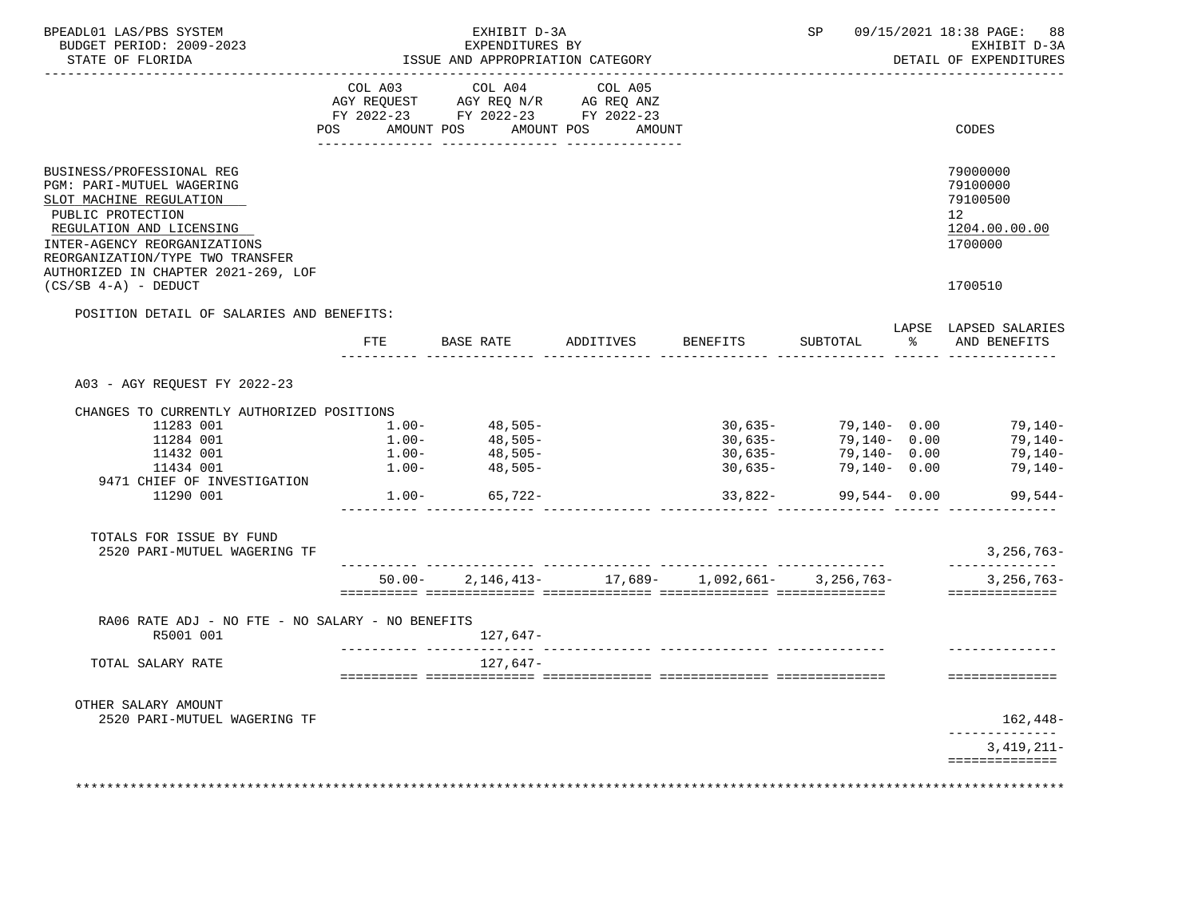| BPEADL01 LAS/PBS SYSTEM<br>BUDGET PERIOD: 2009-2023<br>STATE OF FLORIDA                                                                                                                                                                       |          | EXHIBIT D-3A<br>EXPENDITURES BY<br>ISSUE AND APPROPRIATION CATEGORY |                    |                                                                                          | SP           |       | 09/15/2021 18:38 PAGE: 88<br>EXHIBIT D-3A<br>DETAIL OF EXPENDITURES |
|-----------------------------------------------------------------------------------------------------------------------------------------------------------------------------------------------------------------------------------------------|----------|---------------------------------------------------------------------|--------------------|------------------------------------------------------------------------------------------|--------------|-------|---------------------------------------------------------------------|
|                                                                                                                                                                                                                                               | COL A03  |                                                                     | COL A04 COL A05    |                                                                                          |              |       |                                                                     |
|                                                                                                                                                                                                                                               | POS      | AMOUNT POS                                                          | AMOUNT POS         | AMOUNT                                                                                   |              |       | CODES                                                               |
| BUSINESS/PROFESSIONAL REG<br>PGM: PARI-MUTUEL WAGERING<br>SLOT MACHINE REGULATION<br>PUBLIC PROTECTION<br>REGULATION AND LICENSING<br>INTER-AGENCY REORGANIZATIONS<br>REORGANIZATION/TYPE TWO TRANSFER<br>AUTHORIZED IN CHAPTER 2021-269, LOF |          |                                                                     |                    |                                                                                          |              |       | 79000000<br>79100000<br>79100500<br>12<br>1204.00.00.00<br>1700000  |
| $(CS/SB 4-A)$ - DEDUCT                                                                                                                                                                                                                        |          |                                                                     |                    |                                                                                          |              |       | 1700510                                                             |
| POSITION DETAIL OF SALARIES AND BENEFITS:                                                                                                                                                                                                     |          |                                                                     |                    |                                                                                          |              |       |                                                                     |
|                                                                                                                                                                                                                                               | FTE      | BASE RATE                                                           | ADDITIVES BENEFITS |                                                                                          | SUBTOTAL     | ာ အော | LAPSE LAPSED SALARIES<br>AND BENEFITS                               |
| A03 - AGY REQUEST FY 2022-23                                                                                                                                                                                                                  |          |                                                                     |                    |                                                                                          |              |       |                                                                     |
| CHANGES TO CURRENTLY AUTHORIZED POSITIONS                                                                                                                                                                                                     |          |                                                                     |                    |                                                                                          |              |       |                                                                     |
| 11283 001                                                                                                                                                                                                                                     | $1.00 -$ | $48,505-$                                                           |                    |                                                                                          |              |       | $30,635 - 79,140 - 0.00$ 79,140-                                    |
| 11284 001                                                                                                                                                                                                                                     |          | $1.00 - 48,505 - 1.00 - 48,505 -$                                   |                    | 30,635-<br>- خال 6 ران کان<br>30 , 635                                                   | 79,140- 0.00 |       | 79,140-                                                             |
| 11432 001                                                                                                                                                                                                                                     |          |                                                                     |                    |                                                                                          | 79,140- 0.00 |       | 79,140-                                                             |
| 11434 001                                                                                                                                                                                                                                     | $1.00-$  | $48,505-$                                                           |                    | $30,635-$                                                                                | 79,140- 0.00 |       | $79,140-$                                                           |
| 9471 CHIEF OF INVESTIGATION                                                                                                                                                                                                                   |          |                                                                     |                    |                                                                                          |              |       |                                                                     |
| 11290 001                                                                                                                                                                                                                                     |          | $1.00 - 65,722 -$                                                   |                    | $33,822-$<br>tii tiiniiniiniin tiiniiniiniin tiiniiniiniin tiiniiniiniin tiiniin tiiniin | 99,544- 0.00 |       | 99,544-                                                             |
| TOTALS FOR ISSUE BY FUND<br>2520 PARI-MUTUEL WAGERING TF                                                                                                                                                                                      |          |                                                                     |                    |                                                                                          |              |       | $3,256,763-$                                                        |
|                                                                                                                                                                                                                                               |          |                                                                     |                    | $50.00 - 2.146.413 - 17.689 - 1.092.661 - 3.256.763 -$                                   |              |       | --------------<br>$3,256,763-$                                      |
|                                                                                                                                                                                                                                               |          |                                                                     |                    |                                                                                          |              |       | ==============                                                      |
| RA06 RATE ADJ - NO FTE - NO SALARY - NO BENEFITS<br>R5001 001                                                                                                                                                                                 |          | 127,647-                                                            |                    |                                                                                          |              |       |                                                                     |
| TOTAL SALARY RATE                                                                                                                                                                                                                             |          | 127,647-                                                            |                    |                                                                                          |              |       |                                                                     |
|                                                                                                                                                                                                                                               |          |                                                                     |                    |                                                                                          |              |       | ==============                                                      |
| OTHER SALARY AMOUNT<br>2520 PARI-MUTUEL WAGERING TF                                                                                                                                                                                           |          |                                                                     |                    |                                                                                          |              |       | 162,448-                                                            |
|                                                                                                                                                                                                                                               |          |                                                                     |                    |                                                                                          |              |       |                                                                     |
|                                                                                                                                                                                                                                               |          |                                                                     |                    |                                                                                          |              |       | $3,419,211-$<br>==============                                      |
|                                                                                                                                                                                                                                               |          |                                                                     |                    |                                                                                          |              |       |                                                                     |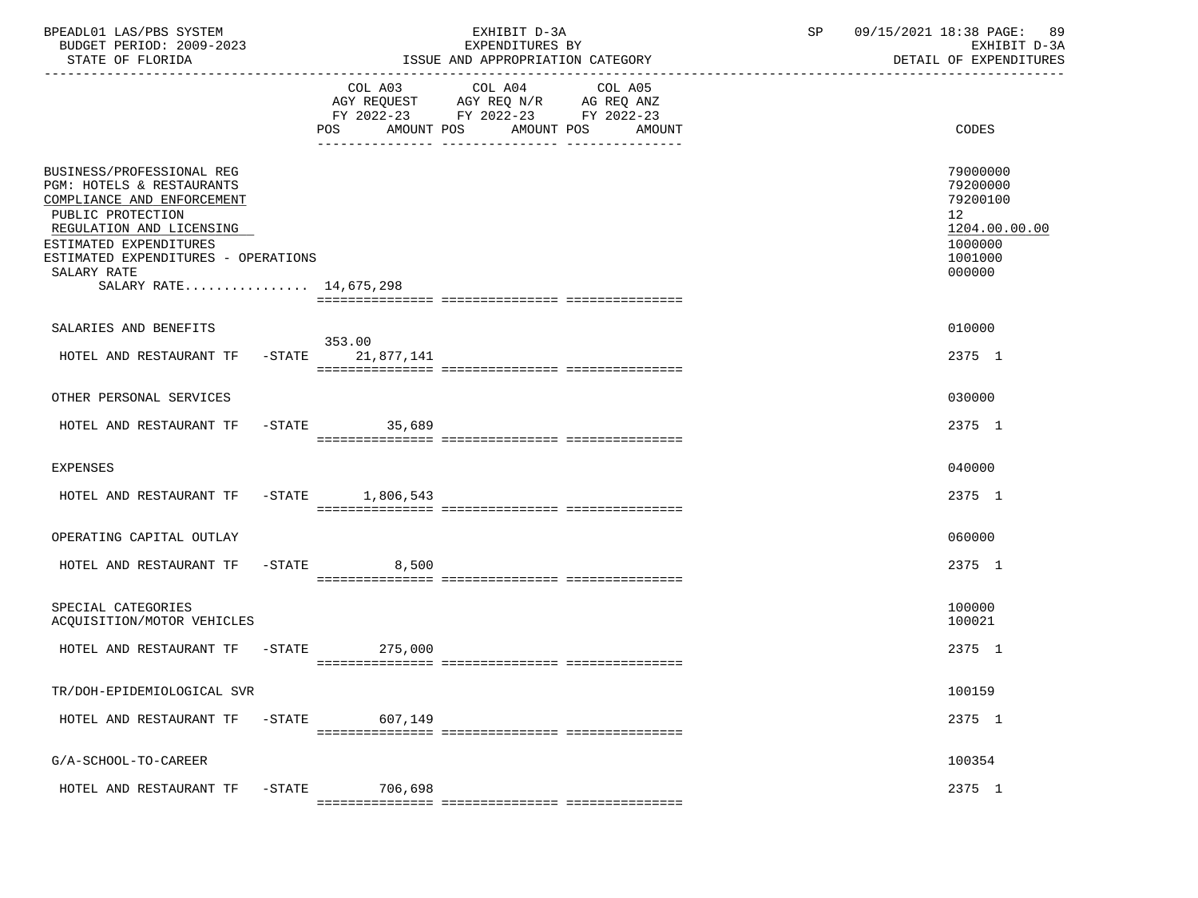| BPEADL01 LAS/PBS SYSTEM<br>BUDGET PERIOD: 2009-2023<br>STATE OF FLORIDA                                                                                                                                                                                    |           |                | EXHIBIT D-3A<br>EXPENDITURES BY<br>ISSUE AND APPROPRIATION CATEGORY                                                                      | SP | 09/15/2021 18:38 PAGE: 89<br>EXHIBIT D-3A<br>DETAIL OF EXPENDITURES                                  |
|------------------------------------------------------------------------------------------------------------------------------------------------------------------------------------------------------------------------------------------------------------|-----------|----------------|------------------------------------------------------------------------------------------------------------------------------------------|----|------------------------------------------------------------------------------------------------------|
|                                                                                                                                                                                                                                                            |           |                | COL A03 COL A04 COL A05<br>AGY REQUEST AGY REQ N/R AG REQ ANZ<br>FY 2022-23 FY 2022-23 FY 2022-23<br>POS AMOUNT POS AMOUNT POS<br>AMOUNT |    | CODES                                                                                                |
| BUSINESS/PROFESSIONAL REG<br><b>PGM: HOTELS &amp; RESTAURANTS</b><br>COMPLIANCE AND ENFORCEMENT<br>PUBLIC PROTECTION<br>REGULATION AND LICENSING<br>ESTIMATED EXPENDITURES<br>ESTIMATED EXPENDITURES - OPERATIONS<br>SALARY RATE<br>SALARY RATE 14,675,298 |           |                |                                                                                                                                          |    | 79000000<br>79200000<br>79200100<br>12 <sup>°</sup><br>1204.00.00.00<br>1000000<br>1001000<br>000000 |
| SALARIES AND BENEFITS                                                                                                                                                                                                                                      |           |                |                                                                                                                                          |    | 010000                                                                                               |
| HOTEL AND RESTAURANT TF -STATE 21,877,141                                                                                                                                                                                                                  |           | 353.00         |                                                                                                                                          |    | 2375 1                                                                                               |
| OTHER PERSONAL SERVICES                                                                                                                                                                                                                                    |           |                |                                                                                                                                          |    | 030000                                                                                               |
| HOTEL AND RESTAURANT TF -STATE 35,689                                                                                                                                                                                                                      |           |                |                                                                                                                                          |    | 2375 1                                                                                               |
| <b>EXPENSES</b>                                                                                                                                                                                                                                            |           |                |                                                                                                                                          |    | 040000                                                                                               |
| HOTEL AND RESTAURANT TF -STATE 1,806,543                                                                                                                                                                                                                   |           |                |                                                                                                                                          |    | 2375 1                                                                                               |
| OPERATING CAPITAL OUTLAY                                                                                                                                                                                                                                   |           |                |                                                                                                                                          |    | 060000                                                                                               |
| HOTEL AND RESTAURANT TF -STATE 6,500                                                                                                                                                                                                                       |           |                |                                                                                                                                          |    | 2375 1                                                                                               |
| SPECIAL CATEGORIES<br>ACQUISITION/MOTOR VEHICLES                                                                                                                                                                                                           |           |                |                                                                                                                                          |    | 100000<br>100021                                                                                     |
| HOTEL AND RESTAURANT TF                                                                                                                                                                                                                                    |           | -STATE 275,000 |                                                                                                                                          |    | 2375 1                                                                                               |
| TR/DOH-EPIDEMIOLOGICAL SVR                                                                                                                                                                                                                                 |           |                |                                                                                                                                          |    | 100159                                                                                               |
| HOTEL AND RESTAURANT TF                                                                                                                                                                                                                                    | $-$ STATE | 607,149        |                                                                                                                                          |    | 2375 1                                                                                               |
| G/A-SCHOOL-TO-CAREER                                                                                                                                                                                                                                       |           |                |                                                                                                                                          |    | 100354                                                                                               |
| HOTEL AND RESTAURANT TF                                                                                                                                                                                                                                    | $-$ STATE | 706,698        |                                                                                                                                          |    | 2375 1                                                                                               |
|                                                                                                                                                                                                                                                            |           |                |                                                                                                                                          |    |                                                                                                      |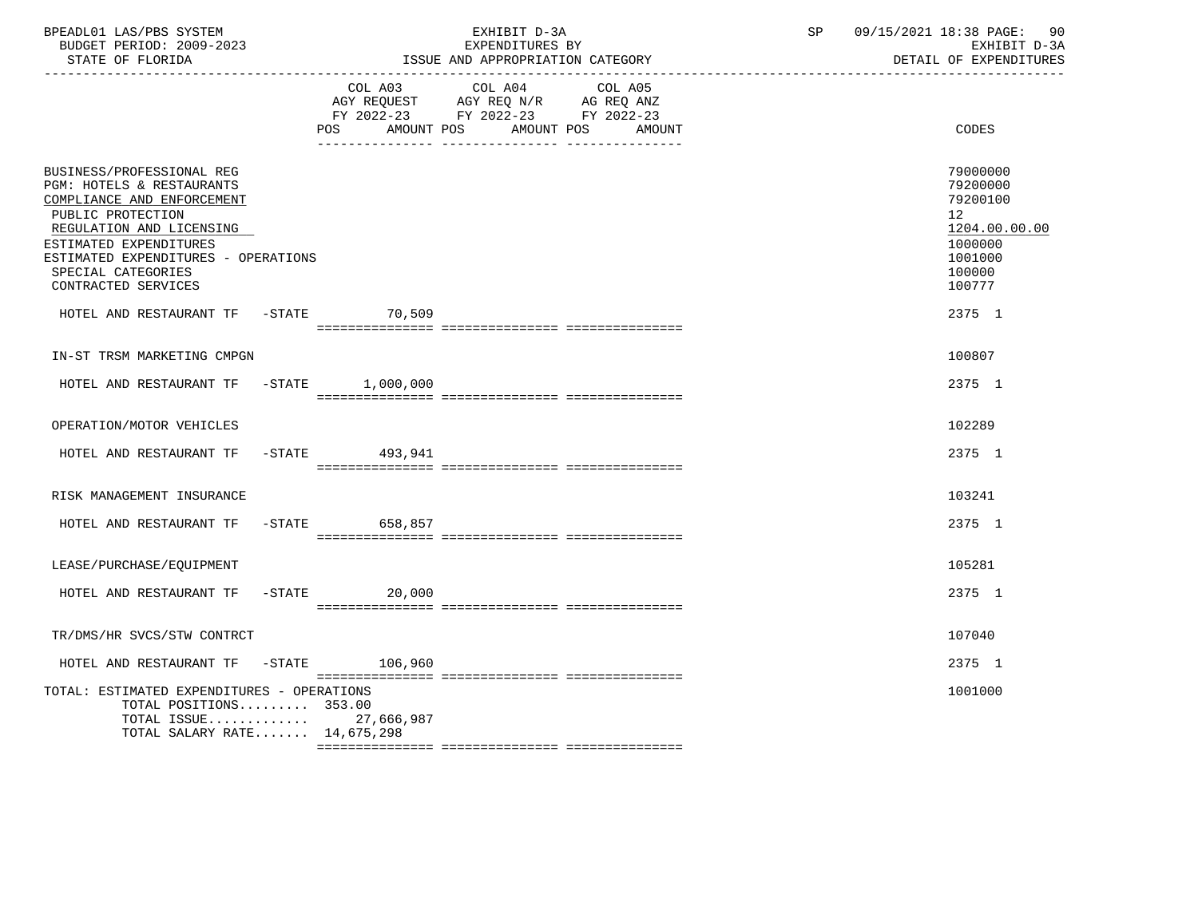| BPEADL01 LAS/PBS SYSTEM<br>BUDGET PERIOD: 2009-2023<br>STATE OF FLORIDA                                                                                                                                                                             |                     | EXHIBIT D-3A<br>EXPENDITURES BY<br>ISSUE AND APPROPRIATION CATEGORY                                                       | SP | 09/15/2021 18:38 PAGE:<br>90<br>EXHIBIT D-3A<br>DETAIL OF EXPENDITURES                            |
|-----------------------------------------------------------------------------------------------------------------------------------------------------------------------------------------------------------------------------------------------------|---------------------|---------------------------------------------------------------------------------------------------------------------------|----|---------------------------------------------------------------------------------------------------|
|                                                                                                                                                                                                                                                     | POS<br>AMOUNT POS   | COL A03 COL A04 COL A05<br>AGY REQUEST AGY REQ N/R AG REQ ANZ<br>FY 2022-23 FY 2022-23 FY 2022-23<br>AMOUNT POS<br>AMOUNT |    | CODES                                                                                             |
| BUSINESS/PROFESSIONAL REG<br>PGM: HOTELS & RESTAURANTS<br>COMPLIANCE AND ENFORCEMENT<br>PUBLIC PROTECTION<br>REGULATION AND LICENSING<br>ESTIMATED EXPENDITURES<br>ESTIMATED EXPENDITURES - OPERATIONS<br>SPECIAL CATEGORIES<br>CONTRACTED SERVICES |                     |                                                                                                                           |    | 79000000<br>79200000<br>79200100<br>12<br>1204.00.00.00<br>1000000<br>1001000<br>100000<br>100777 |
| HOTEL AND RESTAURANT TF -STATE 70,509                                                                                                                                                                                                               |                     |                                                                                                                           |    | 2375 1                                                                                            |
| IN-ST TRSM MARKETING CMPGN                                                                                                                                                                                                                          |                     |                                                                                                                           |    | 100807                                                                                            |
| HOTEL AND RESTAURANT TF -STATE 1,000,000                                                                                                                                                                                                            |                     |                                                                                                                           |    | 2375 1                                                                                            |
| OPERATION/MOTOR VEHICLES                                                                                                                                                                                                                            |                     |                                                                                                                           |    | 102289                                                                                            |
| HOTEL AND RESTAURANT TF                                                                                                                                                                                                                             | -STATE 493,941      |                                                                                                                           |    | 2375 1                                                                                            |
| RISK MANAGEMENT INSURANCE                                                                                                                                                                                                                           |                     |                                                                                                                           |    | 103241                                                                                            |
| HOTEL AND RESTAURANT TF -STATE 658,857                                                                                                                                                                                                              |                     |                                                                                                                           |    | 2375 1                                                                                            |
| LEASE/PURCHASE/EQUIPMENT                                                                                                                                                                                                                            |                     |                                                                                                                           |    | 105281                                                                                            |
| HOTEL AND RESTAURANT TF                                                                                                                                                                                                                             | $-$ STATE<br>20,000 |                                                                                                                           |    | 2375 1                                                                                            |
| TR/DMS/HR SVCS/STW CONTRCT                                                                                                                                                                                                                          |                     |                                                                                                                           |    | 107040                                                                                            |
| HOTEL AND RESTAURANT TF -STATE                                                                                                                                                                                                                      | 106,960             |                                                                                                                           |    | 2375 1                                                                                            |
| TOTAL: ESTIMATED EXPENDITURES - OPERATIONS<br>TOTAL POSITIONS 353.00<br>TOTAL ISSUE 27,666,987<br>TOTAL SALARY RATE 14,675,298                                                                                                                      |                     |                                                                                                                           |    | 1001000                                                                                           |
|                                                                                                                                                                                                                                                     |                     |                                                                                                                           |    |                                                                                                   |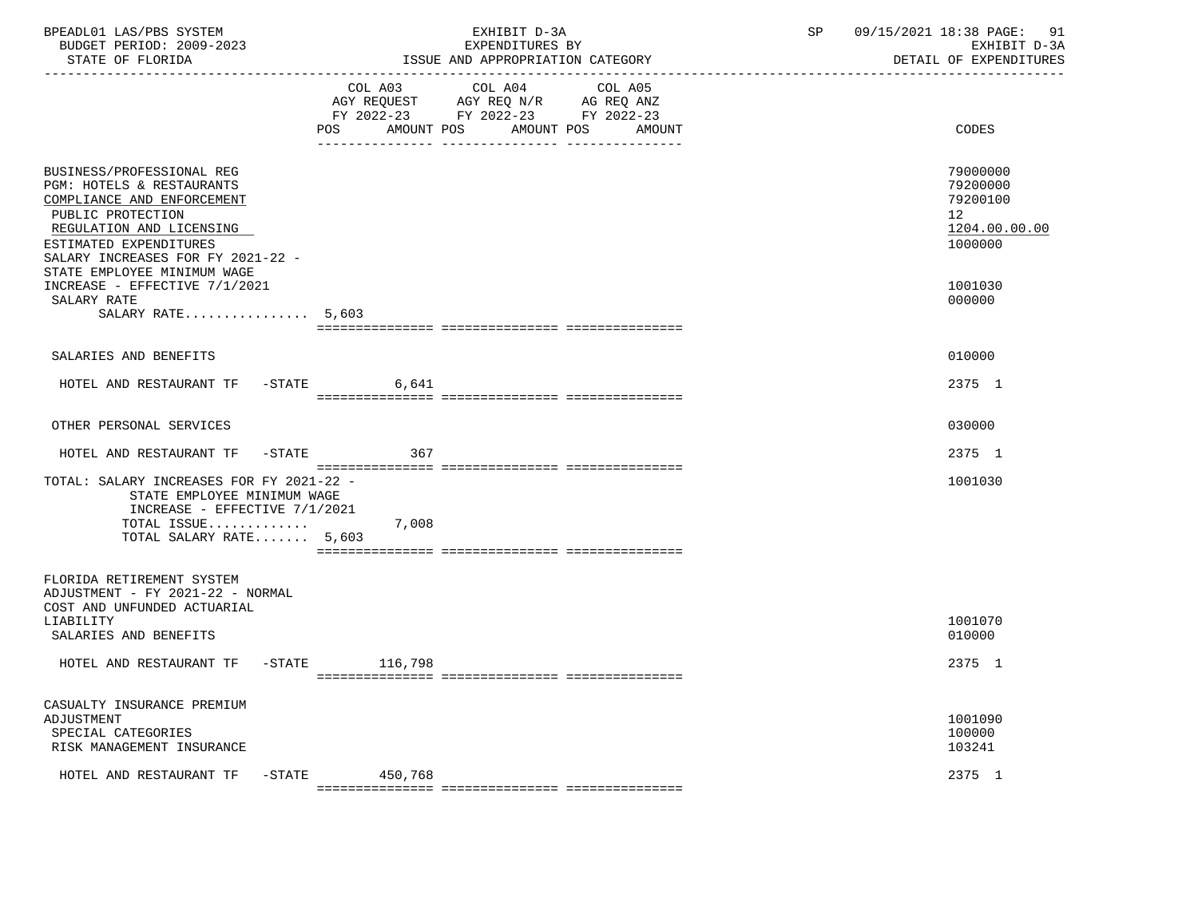|         | EXHIBIT D-3A<br>EXPENDITURES BY                                                                                                                                                                                                                                                                        | SP                                                                                                                                          | 09/15/2021 18:38 PAGE: 91<br>EXHIBIT D-3A<br>DETAIL OF EXPENDITURES           |
|---------|--------------------------------------------------------------------------------------------------------------------------------------------------------------------------------------------------------------------------------------------------------------------------------------------------------|---------------------------------------------------------------------------------------------------------------------------------------------|-------------------------------------------------------------------------------|
| POS     | COL A05<br>AMOUNT POS<br>AMOUNT                                                                                                                                                                                                                                                                        |                                                                                                                                             | CODES                                                                         |
|         |                                                                                                                                                                                                                                                                                                        |                                                                                                                                             | 79000000<br>79200000<br>79200100<br>12<br>1204.00.00.00<br>1000000<br>1001030 |
|         |                                                                                                                                                                                                                                                                                                        |                                                                                                                                             | 000000                                                                        |
|         |                                                                                                                                                                                                                                                                                                        |                                                                                                                                             | 010000                                                                        |
| 6.641   |                                                                                                                                                                                                                                                                                                        |                                                                                                                                             | 2375 1                                                                        |
|         |                                                                                                                                                                                                                                                                                                        |                                                                                                                                             | 030000                                                                        |
| 367     |                                                                                                                                                                                                                                                                                                        |                                                                                                                                             | 2375 1                                                                        |
| 7,008   |                                                                                                                                                                                                                                                                                                        |                                                                                                                                             | 1001030                                                                       |
|         |                                                                                                                                                                                                                                                                                                        |                                                                                                                                             | 1001070<br>010000                                                             |
|         |                                                                                                                                                                                                                                                                                                        |                                                                                                                                             | 2375 1                                                                        |
| 450,768 |                                                                                                                                                                                                                                                                                                        |                                                                                                                                             | 1001090<br>100000<br>103241<br>2375 1                                         |
|         | SALARY RATE $5,603$<br>HOTEL AND RESTAURANT TF -STATE<br>HOTEL AND RESTAURANT TF -STATE<br>TOTAL: SALARY INCREASES FOR FY 2021-22 -<br>STATE EMPLOYEE MINIMUM WAGE<br>INCREASE - EFFECTIVE $7/1/2021$<br>TOTAL ISSUE<br>TOTAL SALARY RATE 5,603<br>HOTEL AND RESTAURANT TF -STATE 116,798<br>$-$ STATE | ISSUE AND APPROPRIATION CATEGORY<br>COL A03 COL A04<br>AGY REQUEST AGY REQ N/R AG REQ ANZ<br>FY 2022-23 FY 2022-23 FY 2022-23<br>AMOUNT POS |                                                                               |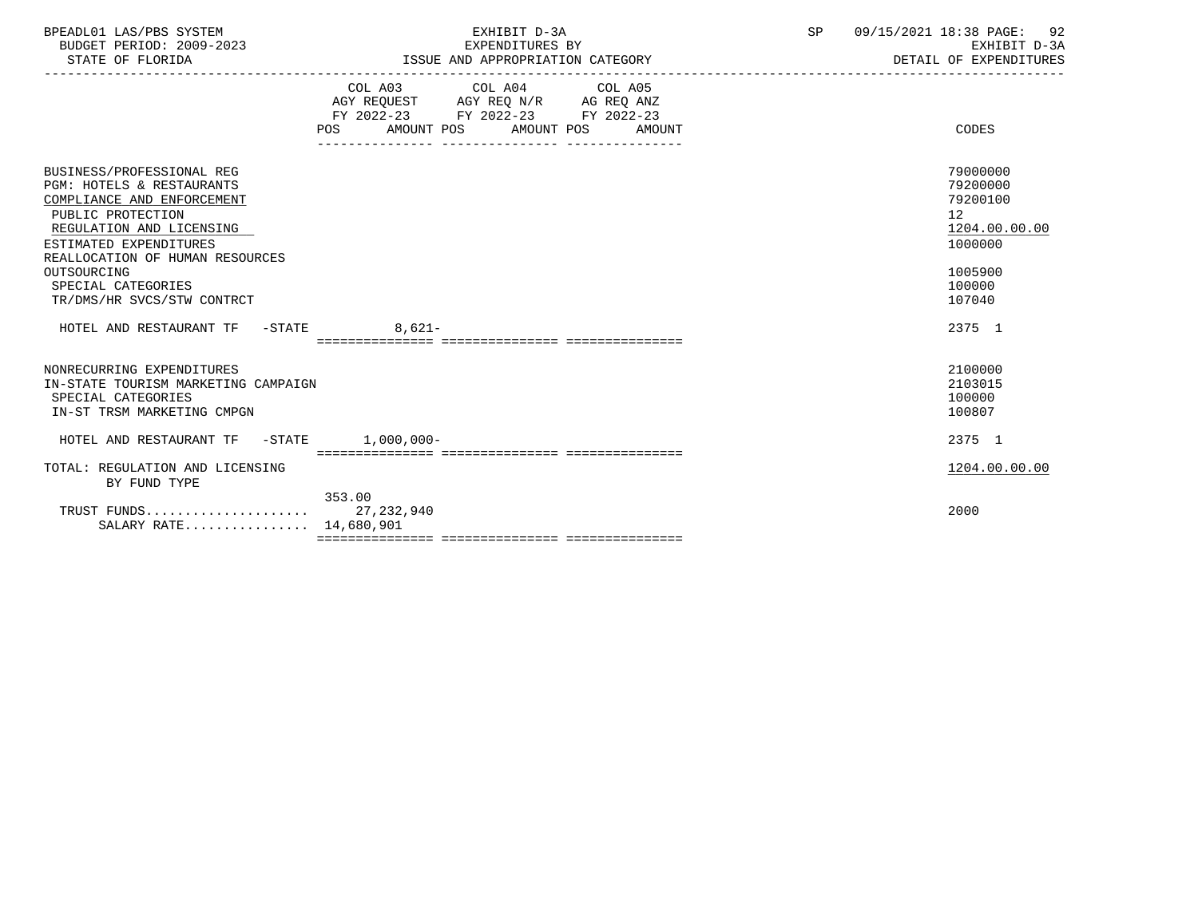| BPEADL01 LAS/PBS SYSTEM  | EXHIBIT D                             | $\cap$ $\Gamma$ | 09/15/2021 18:38 PAGE:<br>92 |
|--------------------------|---------------------------------------|-----------------|------------------------------|
| BUDGET PERIOD: 2009-2023 | EXPENDITURES BY                       |                 | EXHIBIT D-3A                 |
| STATE OF FLORIDA         | : AND APPROPRIATION CATEGORY<br>"SSUE |                 | DETAIL OF EXPENDITURES       |

|                                                 | COL A03                  | COL A04<br>AGY REQUEST AGY REQ N/R AG REQ ANZ | COL A05    |               |
|-------------------------------------------------|--------------------------|-----------------------------------------------|------------|---------------|
|                                                 | FY 2022-23 FY 2022-23    |                                               | FY 2022-23 |               |
|                                                 | AMOUNT POS<br><b>POS</b> | AMOUNT POS                                    | AMOUNT     | CODES         |
|                                                 |                          |                                               |            |               |
| BUSINESS/PROFESSIONAL REG                       |                          |                                               |            | 79000000      |
| PGM: HOTELS & RESTAURANTS                       |                          |                                               |            | 79200000      |
| COMPLIANCE AND ENFORCEMENT                      |                          |                                               |            | 79200100      |
| PUBLIC PROTECTION                               |                          |                                               |            | 12            |
| REGULATION AND LICENSING                        |                          |                                               |            | 1204.00.00.00 |
| ESTIMATED EXPENDITURES                          |                          |                                               |            | 1000000       |
| REALLOCATION OF HUMAN RESOURCES<br>OUTSOURCING  |                          |                                               |            | 1005900       |
| SPECIAL CATEGORIES                              |                          |                                               |            | 100000        |
| TR/DMS/HR SVCS/STW CONTRCT                      |                          |                                               |            | 107040        |
|                                                 |                          |                                               |            |               |
|                                                 |                          |                                               |            |               |
| HOTEL AND RESTAURANT TF<br>$-\mathtt{STATE}$    | $8.621-$                 |                                               |            | 2375 1        |
|                                                 |                          | ============================                  |            |               |
| NONRECURRING EXPENDITURES                       |                          |                                               |            | 2100000       |
| IN-STATE TOURISM MARKETING CAMPAIGN             |                          |                                               |            | 2103015       |
| SPECIAL CATEGORIES                              |                          |                                               |            | 100000        |
| IN-ST TRSM MARKETING CMPGN                      |                          |                                               |            | 100807        |
| HOTEL AND RESTAURANT TF<br>$-\mathtt{STATE}$    | $1,000,000-$             |                                               |            | 2375 1        |
|                                                 |                          |                                               |            |               |
| TOTAL: REGULATION AND LICENSING<br>BY FUND TYPE |                          |                                               |            | 1204.00.00.00 |
|                                                 | 353.00                   |                                               |            |               |
| TRUST FUNDS                                     | 27, 232, 940             |                                               |            | 2000          |
| SALARY RATE 14,680,901                          |                          |                                               |            |               |

ISSUE AND APPROPRIATION CATEGORY

-----------------------------------------------------------------------------------------------------------------------------------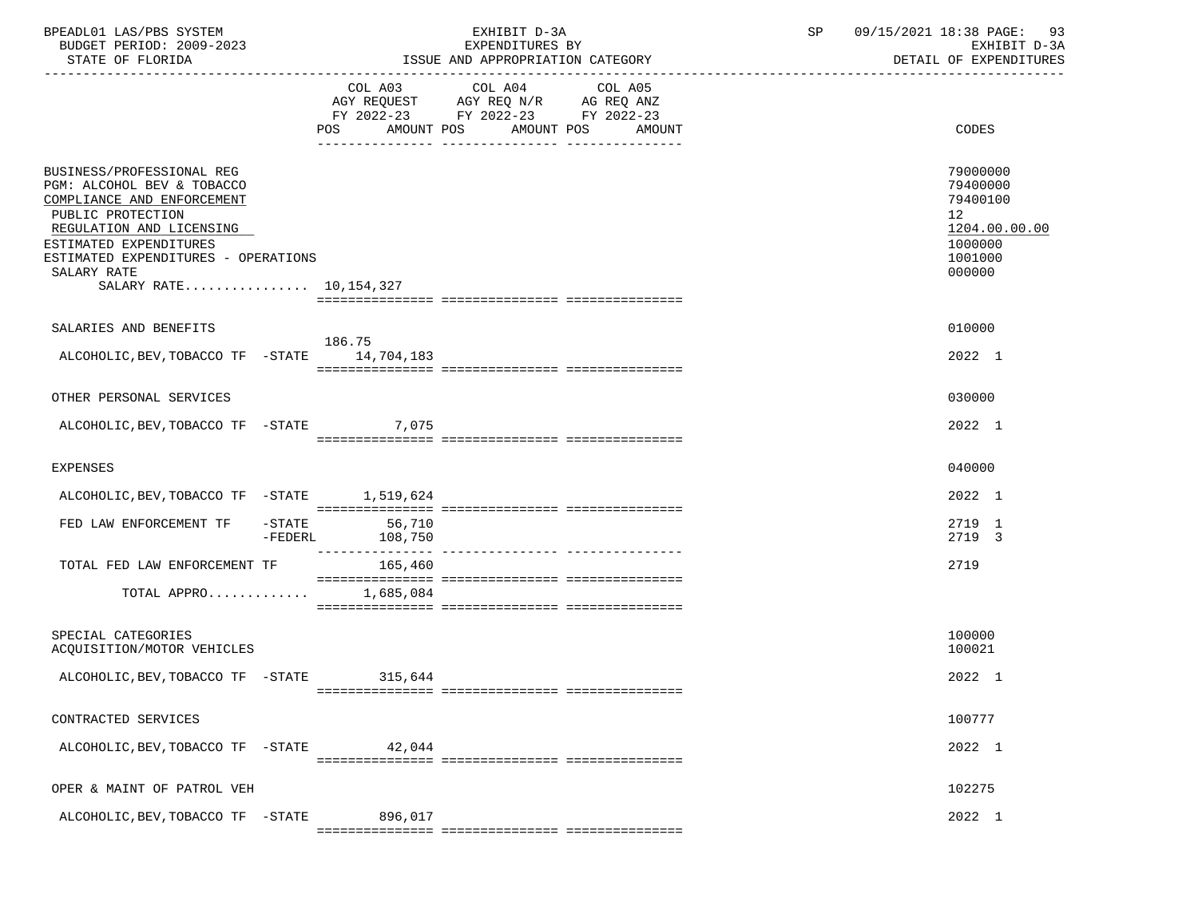| BPEADL01 LAS/PBS SYSTEM<br>BUDGET PERIOD: 2009-2023<br>STATE OF FLORIDA                                                                                                                                                                          |                                       | EXHIBIT D-3A<br>EXPENDITURES BY<br>ISSUE AND APPROPRIATION CATEGORY                                                                      | 09/15/2021 18:38 PAGE: 93<br>SP<br>EXHIBIT D-3A<br>DETAIL OF EXPENDITURES                            |
|--------------------------------------------------------------------------------------------------------------------------------------------------------------------------------------------------------------------------------------------------|---------------------------------------|------------------------------------------------------------------------------------------------------------------------------------------|------------------------------------------------------------------------------------------------------|
|                                                                                                                                                                                                                                                  |                                       | COL A03 COL A04 COL A05<br>AGY REQUEST AGY REQ N/R AG REQ ANZ<br>FY 2022-23 FY 2022-23 FY 2022-23<br>POS AMOUNT POS AMOUNT POS<br>AMOUNT | CODES                                                                                                |
| BUSINESS/PROFESSIONAL REG<br>PGM: ALCOHOL BEV & TOBACCO<br>COMPLIANCE AND ENFORCEMENT<br>PUBLIC PROTECTION<br>REGULATION AND LICENSING<br>ESTIMATED EXPENDITURES<br>ESTIMATED EXPENDITURES - OPERATIONS<br>SALARY RATE<br>SALARY RATE 10,154,327 |                                       |                                                                                                                                          | 79000000<br>79400000<br>79400100<br>12 <sup>°</sup><br>1204.00.00.00<br>1000000<br>1001000<br>000000 |
| SALARIES AND BENEFITS<br>ALCOHOLIC, BEV, TOBACCO TF - STATE 14, 704, 183                                                                                                                                                                         | 186.75                                |                                                                                                                                          | 010000<br>2022 1                                                                                     |
| OTHER PERSONAL SERVICES                                                                                                                                                                                                                          |                                       |                                                                                                                                          | 030000                                                                                               |
| ALCOHOLIC, BEV, TOBACCO TF - STATE 7, 075                                                                                                                                                                                                        |                                       |                                                                                                                                          | 2022 1                                                                                               |
| <b>EXPENSES</b>                                                                                                                                                                                                                                  |                                       |                                                                                                                                          | 040000                                                                                               |
| ALCOHOLIC, BEV, TOBACCO TF - STATE 1, 519, 624                                                                                                                                                                                                   |                                       |                                                                                                                                          | 2022 1                                                                                               |
| FED LAW ENFORCEMENT TF                                                                                                                                                                                                                           | $-STATE$ 56,710<br>-FEDERL<br>108,750 |                                                                                                                                          | 2719 1<br>2719 3                                                                                     |
| TOTAL FED LAW ENFORCEMENT TF 165,460                                                                                                                                                                                                             |                                       |                                                                                                                                          | 2719                                                                                                 |
| TOTAL APPRO $1,685,084$                                                                                                                                                                                                                          |                                       |                                                                                                                                          |                                                                                                      |
| SPECIAL CATEGORIES<br>ACQUISITION/MOTOR VEHICLES                                                                                                                                                                                                 |                                       |                                                                                                                                          | 100000<br>100021                                                                                     |
| ALCOHOLIC, BEV, TOBACCO TF -STATE                                                                                                                                                                                                                | 315,644                               |                                                                                                                                          | 2022 1                                                                                               |
| CONTRACTED SERVICES                                                                                                                                                                                                                              |                                       |                                                                                                                                          | 100777                                                                                               |
| ALCOHOLIC, BEV, TOBACCO TF -STATE                                                                                                                                                                                                                | 42,044                                |                                                                                                                                          | 2022 1                                                                                               |
| OPER & MAINT OF PATROL VEH                                                                                                                                                                                                                       |                                       |                                                                                                                                          | 102275                                                                                               |
| ALCOHOLIC, BEV, TOBACCO TF -STATE                                                                                                                                                                                                                | 896,017                               |                                                                                                                                          | 2022 1                                                                                               |
|                                                                                                                                                                                                                                                  |                                       |                                                                                                                                          |                                                                                                      |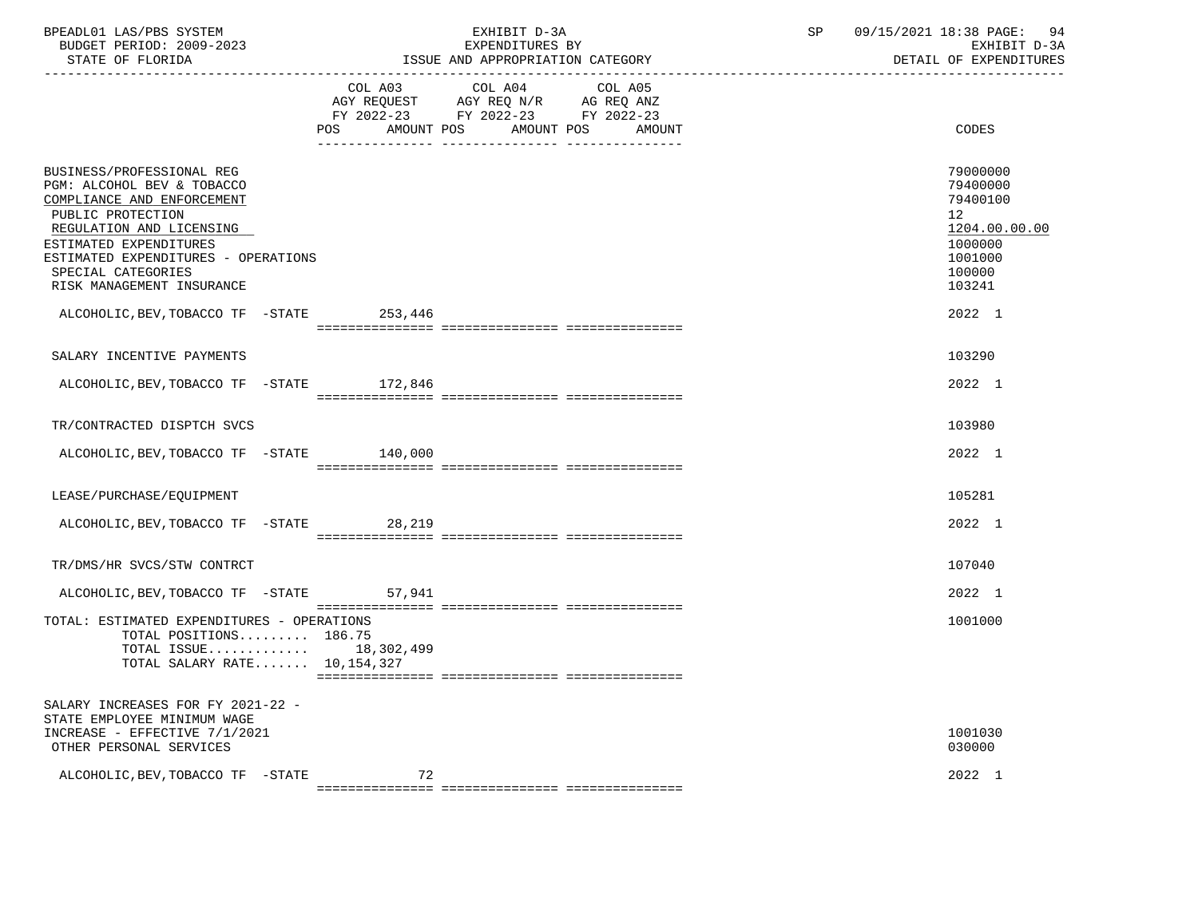| BPEADL01 LAS/PBS SYSTEM<br>BUDGET PERIOD: 2009-2023<br>STATE OF FLORIDA                                                                                                                                                                                                                                   |    | EXHIBIT D-3A<br>EXPENDITURES BY<br>ISSUE AND APPROPRIATION CATEGORY                                                                      | 09/15/2021 18:38 PAGE:<br>SP<br>-94<br>EXHIBIT D-3A<br>DETAIL OF EXPENDITURES                                            |
|-----------------------------------------------------------------------------------------------------------------------------------------------------------------------------------------------------------------------------------------------------------------------------------------------------------|----|------------------------------------------------------------------------------------------------------------------------------------------|--------------------------------------------------------------------------------------------------------------------------|
|                                                                                                                                                                                                                                                                                                           |    | COL A03 COL A04<br>COL A05<br>AGY REQUEST AGY REQ N/R AG REQ ANZ<br>FY 2022-23 FY 2022-23 FY 2022-23<br>POS AMOUNT POS AMOUNT POS AMOUNT | CODES                                                                                                                    |
| BUSINESS/PROFESSIONAL REG<br>PGM: ALCOHOL BEV & TOBACCO<br>COMPLIANCE AND ENFORCEMENT<br>PUBLIC PROTECTION<br>REGULATION AND LICENSING<br>ESTIMATED EXPENDITURES<br>ESTIMATED EXPENDITURES - OPERATIONS<br>SPECIAL CATEGORIES<br>RISK MANAGEMENT INSURANCE<br>ALCOHOLIC, BEV, TOBACCO TF - STATE 253, 446 |    |                                                                                                                                          | 79000000<br>79400000<br>79400100<br>12 <sup>°</sup><br>1204.00.00.00<br>1000000<br>1001000<br>100000<br>103241<br>2022 1 |
|                                                                                                                                                                                                                                                                                                           |    |                                                                                                                                          |                                                                                                                          |
| SALARY INCENTIVE PAYMENTS                                                                                                                                                                                                                                                                                 |    |                                                                                                                                          | 103290                                                                                                                   |
| ALCOHOLIC, BEV, TOBACCO TF - STATE 172, 846                                                                                                                                                                                                                                                               |    |                                                                                                                                          | 2022 1                                                                                                                   |
| TR/CONTRACTED DISPTCH SVCS                                                                                                                                                                                                                                                                                |    |                                                                                                                                          | 103980                                                                                                                   |
| ALCOHOLIC, BEV, TOBACCO TF - STATE 140,000                                                                                                                                                                                                                                                                |    |                                                                                                                                          | 2022 1                                                                                                                   |
| LEASE/PURCHASE/EQUIPMENT                                                                                                                                                                                                                                                                                  |    |                                                                                                                                          | 105281                                                                                                                   |
| ALCOHOLIC, BEV, TOBACCO TF - STATE 28, 219                                                                                                                                                                                                                                                                |    |                                                                                                                                          | 2022 1                                                                                                                   |
| TR/DMS/HR SVCS/STW CONTRCT                                                                                                                                                                                                                                                                                |    |                                                                                                                                          | 107040                                                                                                                   |
| ALCOHOLIC, BEV, TOBACCO TF - STATE 57, 941                                                                                                                                                                                                                                                                |    |                                                                                                                                          | 2022 1                                                                                                                   |
| TOTAL: ESTIMATED EXPENDITURES - OPERATIONS<br>TOTAL POSITIONS 186.75<br>TOTAL ISSUE 18,302,499<br>TOTAL SALARY RATE 10,154,327                                                                                                                                                                            |    |                                                                                                                                          | 1001000                                                                                                                  |
| SALARY INCREASES FOR FY 2021-22 -<br>STATE EMPLOYEE MINIMUM WAGE<br>INCREASE - EFFECTIVE 7/1/2021<br>OTHER PERSONAL SERVICES                                                                                                                                                                              |    |                                                                                                                                          | 1001030<br>030000                                                                                                        |
| ALCOHOLIC, BEV, TOBACCO TF -STATE                                                                                                                                                                                                                                                                         | 72 |                                                                                                                                          | 2022 1                                                                                                                   |
|                                                                                                                                                                                                                                                                                                           |    |                                                                                                                                          |                                                                                                                          |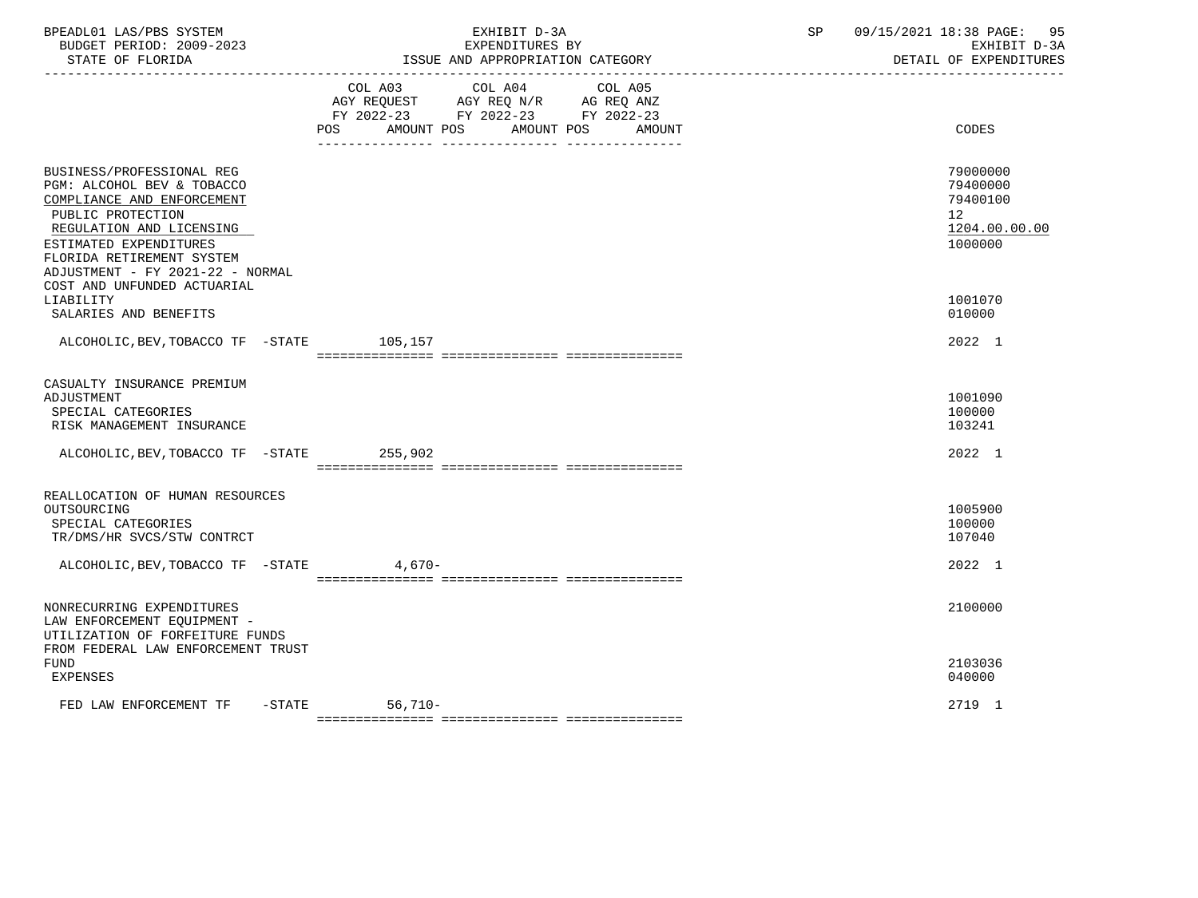| BPEADL01 LAS/PBS SYSTEM<br>BUDGET PERIOD: 2009-2023<br>STATE OF FLORIDA                                                                                                                                                                                          |                | EXHIBIT D-3A<br>EXPENDITURES BY<br>ISSUE AND APPROPRIATION CATEGORY                                                                                                                                                       | 09/15/2021 18:38 PAGE:<br>95<br>SP<br>EXHIBIT D-3A<br>DETAIL OF EXPENDITURES |
|------------------------------------------------------------------------------------------------------------------------------------------------------------------------------------------------------------------------------------------------------------------|----------------|---------------------------------------------------------------------------------------------------------------------------------------------------------------------------------------------------------------------------|------------------------------------------------------------------------------|
|                                                                                                                                                                                                                                                                  | COL A03<br>POS | COL A04<br>COL A05<br>$\begin{tabular}{lllllll} \bf AGY & \bf REQUEST & \bf AGY & \bf REQ & \bf N/R & \bf AG & \bf REQ & \bf ANZ \\ \end{tabular}$<br>FY 2022-23 FY 2022-23 FY 2022-23<br>AMOUNT POS<br>AMOUNT POS AMOUNT | CODES                                                                        |
| BUSINESS/PROFESSIONAL REG<br>PGM: ALCOHOL BEV & TOBACCO<br>COMPLIANCE AND ENFORCEMENT<br>PUBLIC PROTECTION<br>REGULATION AND LICENSING<br>ESTIMATED EXPENDITURES<br>FLORIDA RETIREMENT SYSTEM<br>ADJUSTMENT - FY 2021-22 - NORMAL<br>COST AND UNFUNDED ACTUARIAL |                |                                                                                                                                                                                                                           | 79000000<br>79400000<br>79400100<br>12<br>1204.00.00.00<br>1000000           |
| LIABILITY<br>SALARIES AND BENEFITS                                                                                                                                                                                                                               |                |                                                                                                                                                                                                                           | 1001070<br>010000                                                            |
| ALCOHOLIC, BEV, TOBACCO TF - STATE 105, 157                                                                                                                                                                                                                      |                |                                                                                                                                                                                                                           | 2022 1                                                                       |
| CASUALTY INSURANCE PREMIUM<br>ADJUSTMENT<br>SPECIAL CATEGORIES<br>RISK MANAGEMENT INSURANCE                                                                                                                                                                      |                |                                                                                                                                                                                                                           | 1001090<br>100000<br>103241                                                  |
| ALCOHOLIC, BEV, TOBACCO TF - STATE 255, 902                                                                                                                                                                                                                      |                |                                                                                                                                                                                                                           | 2022 1                                                                       |
| REALLOCATION OF HUMAN RESOURCES<br>OUTSOURCING<br>SPECIAL CATEGORIES<br>TR/DMS/HR SVCS/STW CONTRCT<br>ALCOHOLIC, BEV, TOBACCO TF - STATE 4, 670-                                                                                                                 |                |                                                                                                                                                                                                                           | 1005900<br>100000<br>107040<br>2022 1                                        |
| NONRECURRING EXPENDITURES<br>LAW ENFORCEMENT EQUIPMENT -<br>UTILIZATION OF FORFEITURE FUNDS                                                                                                                                                                      |                |                                                                                                                                                                                                                           | 2100000                                                                      |
| FROM FEDERAL LAW ENFORCEMENT TRUST<br><b>FUND</b><br><b>EXPENSES</b>                                                                                                                                                                                             |                |                                                                                                                                                                                                                           | 2103036<br>040000                                                            |
| $-$ STATE<br>FED LAW ENFORCEMENT TF                                                                                                                                                                                                                              | 56,710-        |                                                                                                                                                                                                                           | 2719 1                                                                       |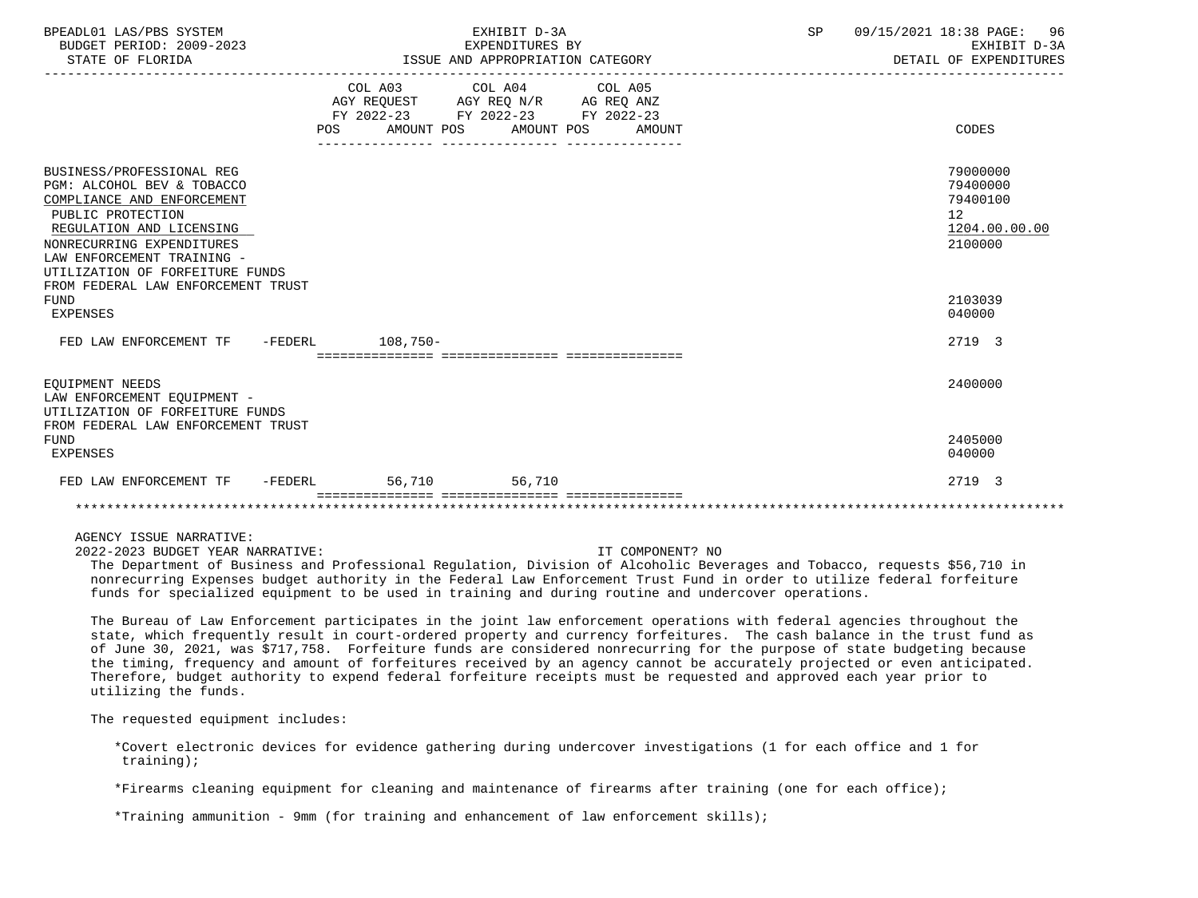| BPEADL01 LAS/PBS SYSTEM<br>BUDGET PERIOD: 2009-2023<br>STATE OF FLORIDA                                                                                                                                                                                                                               | EXHIBIT D-3A<br>EXPENDITURES BY<br>ISSUE AND APPROPRIATION CATEGORY |                       |        | SP | 09/15/2021 18:38 PAGE: 96<br>EXHIBIT D-3A<br>DETAIL OF EXPENDITURES                     |
|-------------------------------------------------------------------------------------------------------------------------------------------------------------------------------------------------------------------------------------------------------------------------------------------------------|---------------------------------------------------------------------|-----------------------|--------|----|-----------------------------------------------------------------------------------------|
|                                                                                                                                                                                                                                                                                                       | COL A03 COL A04 COL A05<br>FY 2022-23 FY 2022-23 FY 2022-23<br>POS  | AMOUNT POS AMOUNT POS | AMOUNT |    | CODES                                                                                   |
| BUSINESS/PROFESSIONAL REG<br>PGM: ALCOHOL BEV & TOBACCO<br>COMPLIANCE AND ENFORCEMENT<br>PUBLIC PROTECTION<br>REGULATION AND LICENSING<br>NONRECURRING EXPENDITURES<br>LAW ENFORCEMENT TRAINING -<br>UTILIZATION OF FORFEITURE FUNDS<br>FROM FEDERAL LAW ENFORCEMENT TRUST<br>FUND<br><b>EXPENSES</b> |                                                                     |                       |        |    | 79000000<br>79400000<br>79400100<br>12<br>1204.00.00.00<br>2100000<br>2103039<br>040000 |
| FED LAW ENFORCEMENT TF -FEDERL 108,750-                                                                                                                                                                                                                                                               |                                                                     |                       |        |    | 2719 3                                                                                  |
| EOUIPMENT NEEDS<br>LAW ENFORCEMENT EQUIPMENT -<br>UTILIZATION OF FORFEITURE FUNDS<br>FROM FEDERAL LAW ENFORCEMENT TRUST                                                                                                                                                                               |                                                                     |                       |        |    | 2400000                                                                                 |
| <b>FUND</b><br><b>EXPENSES</b>                                                                                                                                                                                                                                                                        |                                                                     |                       |        |    | 2405000<br>040000                                                                       |
| FED LAW ENFORCEMENT TF -FEDERL                                                                                                                                                                                                                                                                        | 56.710 56.710                                                       |                       |        |    | 2719 3                                                                                  |
|                                                                                                                                                                                                                                                                                                       |                                                                     |                       |        |    |                                                                                         |

AGENCY ISSUE NARRATIVE:

2022-2023 BUDGET YEAR NARRATIVE: IT COMPONENT? NO

 The Department of Business and Professional Regulation, Division of Alcoholic Beverages and Tobacco, requests \$56,710 in nonrecurring Expenses budget authority in the Federal Law Enforcement Trust Fund in order to utilize federal forfeiture funds for specialized equipment to be used in training and during routine and undercover operations.

 The Bureau of Law Enforcement participates in the joint law enforcement operations with federal agencies throughout the state, which frequently result in court-ordered property and currency forfeitures. The cash balance in the trust fund as of June 30, 2021, was \$717,758. Forfeiture funds are considered nonrecurring for the purpose of state budgeting because the timing, frequency and amount of forfeitures received by an agency cannot be accurately projected or even anticipated. Therefore, budget authority to expend federal forfeiture receipts must be requested and approved each year prior to utilizing the funds.

The requested equipment includes:

 \*Covert electronic devices for evidence gathering during undercover investigations (1 for each office and 1 for training);

\*Firearms cleaning equipment for cleaning and maintenance of firearms after training (one for each office);

\*Training ammunition - 9mm (for training and enhancement of law enforcement skills);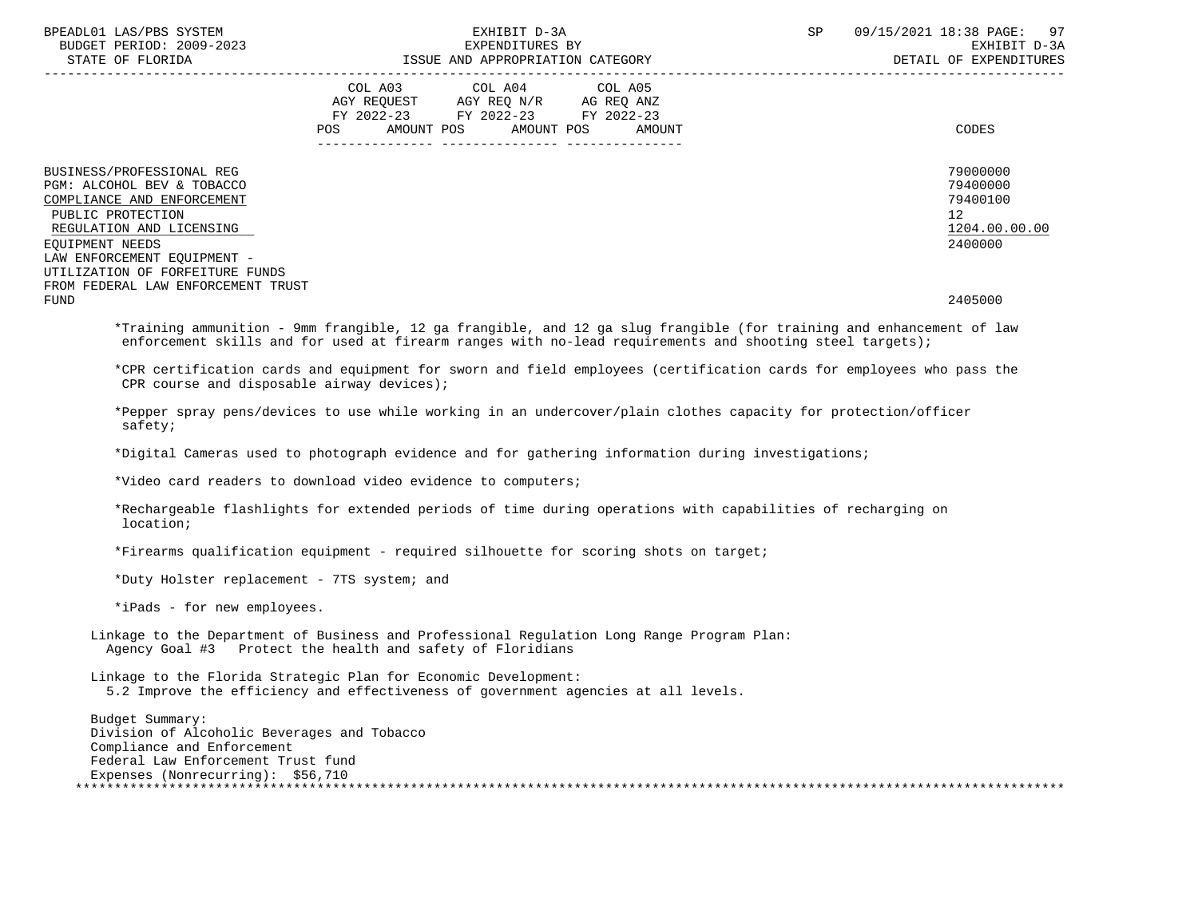| BPEADL01 LAS/PBS SYSTEM<br>BUDGET PERIOD: 2009-2023<br>STATE OF FLORIDA                                                                                   | EXHIBIT D-3A<br>EXPENDITURES BY<br>ISSUE AND APPROPRIATION CATEGORY                                                                            | 97<br>SP<br>09/15/2021 18:38 PAGE:<br>EXHIBIT D-3A<br>DETAIL OF EXPENDITURES |
|-----------------------------------------------------------------------------------------------------------------------------------------------------------|------------------------------------------------------------------------------------------------------------------------------------------------|------------------------------------------------------------------------------|
|                                                                                                                                                           | COL A03 COL A04 COL A05<br>AGY REQUEST AGY REQ N/R AG REQ ANZ<br>FY 2022-23 FY 2022-23 FY 2022-23<br>AMOUNT POS AMOUNT POS<br>POS DO<br>AMOUNT | CODES                                                                        |
| BUSINESS/PROFESSIONAL REG<br>PGM: ALCOHOL BEV & TOBACCO<br>COMPLIANCE AND ENFORCEMENT<br>PUBLIC PROTECTION<br>REGULATION AND LICENSING<br>EOUIPMENT NEEDS |                                                                                                                                                | 79000000<br>79400000<br>79400100<br>12<br>1204.00.00.00<br>2400000           |
| LAW ENFORCEMENT EQUIPMENT -<br>UTILIZATION OF FORFEITURE FUNDS<br>FROM FEDERAL LAW ENFORCEMENT TRUST<br><b>FUND</b>                                       |                                                                                                                                                | 2405000                                                                      |

 \*Training ammunition - 9mm frangible, 12 ga frangible, and 12 ga slug frangible (for training and enhancement of law enforcement skills and for used at firearm ranges with no-lead requirements and shooting steel targets);

 \*CPR certification cards and equipment for sworn and field employees (certification cards for employees who pass the CPR course and disposable airway devices);

 \*Pepper spray pens/devices to use while working in an undercover/plain clothes capacity for protection/officer safety;

\*Digital Cameras used to photograph evidence and for gathering information during investigations;

\*Video card readers to download video evidence to computers;

 \*Rechargeable flashlights for extended periods of time during operations with capabilities of recharging on location;

\*Firearms qualification equipment - required silhouette for scoring shots on target;

\*Duty Holster replacement - 7TS system; and

\*iPads - for new employees.

 Linkage to the Department of Business and Professional Regulation Long Range Program Plan: Agency Goal #3 Protect the health and safety of Floridians

 Linkage to the Florida Strategic Plan for Economic Development: 5.2 Improve the efficiency and effectiveness of government agencies at all levels.

 Budget Summary: Division of Alcoholic Beverages and Tobacco Compliance and Enforcement Federal Law Enforcement Trust fund Expenses (Nonrecurring): \$56,710 \*\*\*\*\*\*\*\*\*\*\*\*\*\*\*\*\*\*\*\*\*\*\*\*\*\*\*\*\*\*\*\*\*\*\*\*\*\*\*\*\*\*\*\*\*\*\*\*\*\*\*\*\*\*\*\*\*\*\*\*\*\*\*\*\*\*\*\*\*\*\*\*\*\*\*\*\*\*\*\*\*\*\*\*\*\*\*\*\*\*\*\*\*\*\*\*\*\*\*\*\*\*\*\*\*\*\*\*\*\*\*\*\*\*\*\*\*\*\*\*\*\*\*\*\*\*\*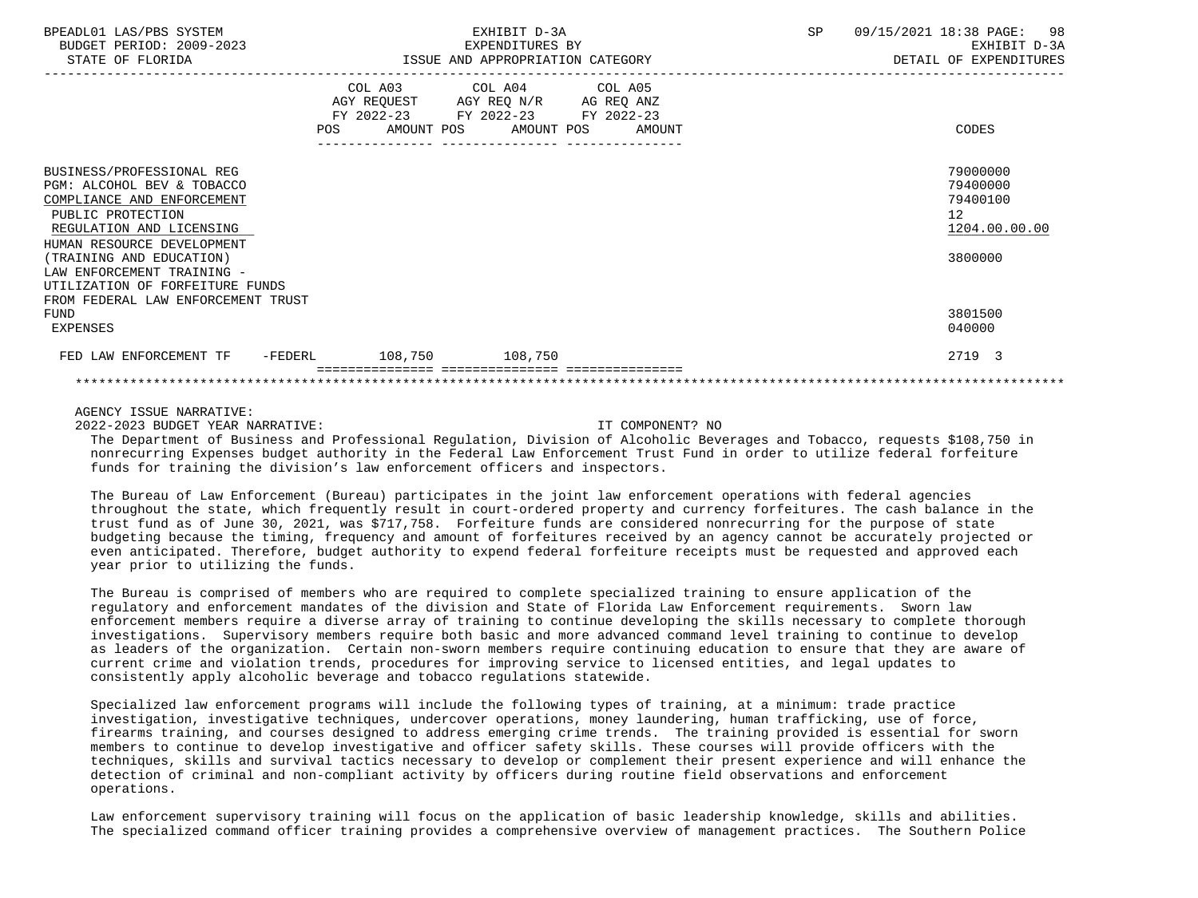| BPEADL01 LAS/PBS SYSTEM<br>BUDGET PERIOD: 2009-2023<br>STATE OF FLORIDA                                                                                              | EXHIBIT D-3A<br>EXPENDITURES BY<br>ISSUE AND APPROPRIATION CATEGORY |                                                                                                                                       |  | SP | 09/15/2021 18:38 PAGE: 98<br>EXHIBIT D-3A<br>DETAIL OF EXPENDITURES   |
|----------------------------------------------------------------------------------------------------------------------------------------------------------------------|---------------------------------------------------------------------|---------------------------------------------------------------------------------------------------------------------------------------|--|----|-----------------------------------------------------------------------|
|                                                                                                                                                                      |                                                                     | COL A03 COL A04 COL A05<br>AGY REQUEST AGY REQ N/R AG REQ ANZ<br>FY 2022-23 FY 2022-23 FY 2022-23<br>POS AMOUNT POS AMOUNT POS AMOUNT |  |    | CODES                                                                 |
| BUSINESS/PROFESSIONAL REG<br>PGM: ALCOHOL BEV & TOBACCO<br>COMPLIANCE AND ENFORCEMENT<br>PUBLIC PROTECTION<br>REGULATION AND LICENSING<br>HUMAN RESOURCE DEVELOPMENT |                                                                     |                                                                                                                                       |  |    | 79000000<br>79400000<br>79400100<br>12 <sup>12</sup><br>1204.00.00.00 |
| (TRAINING AND EDUCATION)<br>LAW ENFORCEMENT TRAINING -<br>UTILIZATION OF FORFEITURE FUNDS<br>FROM FEDERAL LAW ENFORCEMENT TRUST                                      |                                                                     |                                                                                                                                       |  |    | 3800000                                                               |
| FUND<br>EXPENSES                                                                                                                                                     |                                                                     |                                                                                                                                       |  |    | 3801500<br>040000                                                     |
| FED LAW ENFORCEMENT TF -FEDERL 108,750 108,750                                                                                                                       |                                                                     |                                                                                                                                       |  |    | 2719 3                                                                |
|                                                                                                                                                                      |                                                                     |                                                                                                                                       |  |    |                                                                       |

# AGENCY ISSUE NARRATIVE:

2022-2023 BUDGET YEAR NARRATIVE: IT COMPONENT? NO

 The Department of Business and Professional Regulation, Division of Alcoholic Beverages and Tobacco, requests \$108,750 in nonrecurring Expenses budget authority in the Federal Law Enforcement Trust Fund in order to utilize federal forfeiture funds for training the division's law enforcement officers and inspectors.

 The Bureau of Law Enforcement (Bureau) participates in the joint law enforcement operations with federal agencies throughout the state, which frequently result in court-ordered property and currency forfeitures. The cash balance in the trust fund as of June 30, 2021, was \$717,758. Forfeiture funds are considered nonrecurring for the purpose of state budgeting because the timing, frequency and amount of forfeitures received by an agency cannot be accurately projected or even anticipated. Therefore, budget authority to expend federal forfeiture receipts must be requested and approved each year prior to utilizing the funds.

 The Bureau is comprised of members who are required to complete specialized training to ensure application of the regulatory and enforcement mandates of the division and State of Florida Law Enforcement requirements. Sworn law enforcement members require a diverse array of training to continue developing the skills necessary to complete thorough investigations. Supervisory members require both basic and more advanced command level training to continue to develop as leaders of the organization. Certain non-sworn members require continuing education to ensure that they are aware of current crime and violation trends, procedures for improving service to licensed entities, and legal updates to consistently apply alcoholic beverage and tobacco regulations statewide.

 Specialized law enforcement programs will include the following types of training, at a minimum: trade practice investigation, investigative techniques, undercover operations, money laundering, human trafficking, use of force, firearms training, and courses designed to address emerging crime trends. The training provided is essential for sworn members to continue to develop investigative and officer safety skills. These courses will provide officers with the techniques, skills and survival tactics necessary to develop or complement their present experience and will enhance the detection of criminal and non-compliant activity by officers during routine field observations and enforcement operations.

 Law enforcement supervisory training will focus on the application of basic leadership knowledge, skills and abilities. The specialized command officer training provides a comprehensive overview of management practices. The Southern Police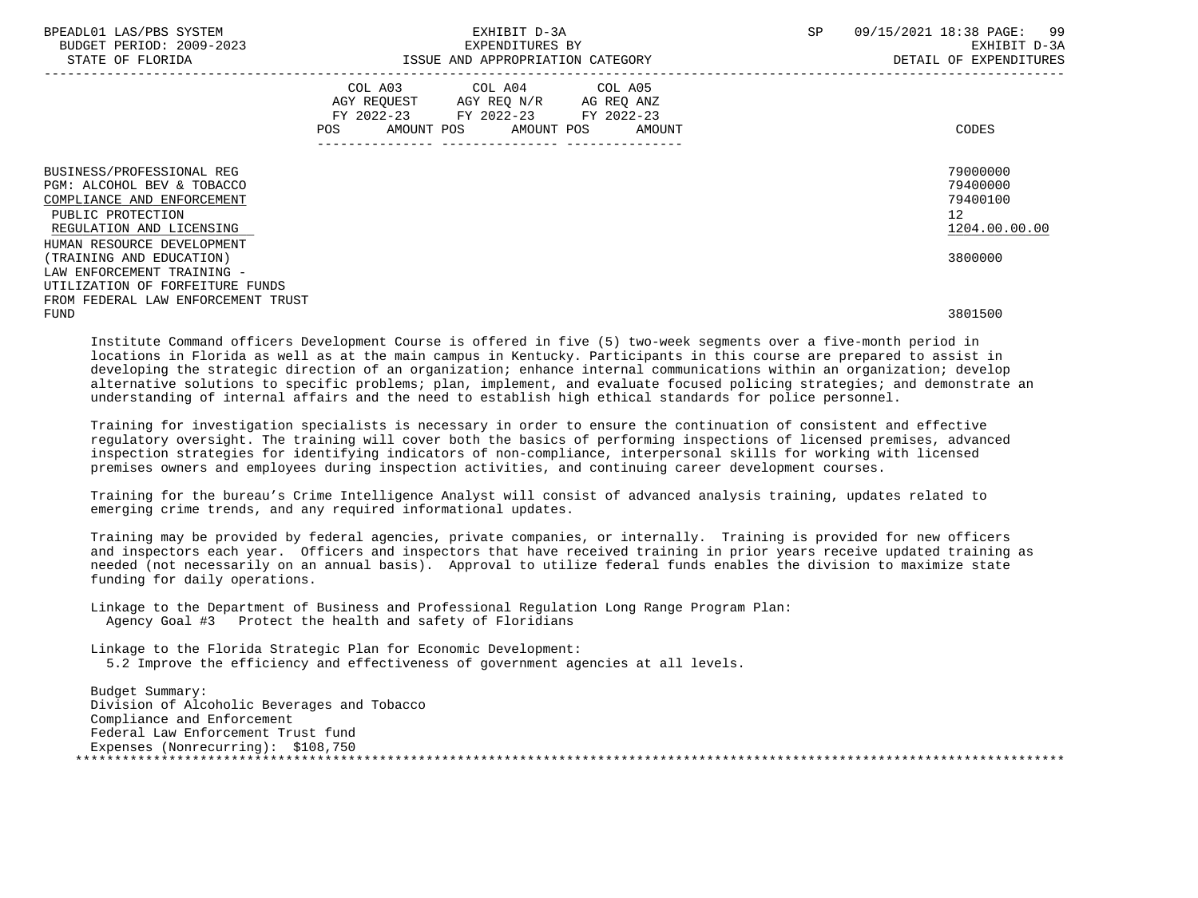| BPEADL01 LAS/PBS SYSTEM<br>BUDGET PERIOD: 2009-2023<br>STATE OF FLORIDA | EXHIBIT D-3A<br>EXPENDITURES BY<br>ISSUE AND APPROPRIATION CATEGORY                                                                                                        |  | SP. | 09/15/2021 18:38 PAGE: 99<br>EXHIBIT D-3A<br>DETAIL OF EXPENDITURES |
|-------------------------------------------------------------------------|----------------------------------------------------------------------------------------------------------------------------------------------------------------------------|--|-----|---------------------------------------------------------------------|
|                                                                         | COL A03 COL A04 COL A05<br>AGY REQUEST AGY REQ N/R AG REQ ANZ<br>FY 2022-23 FY 2022-23 FY 2022-23<br>POS AMOUNT POS AMOUNT POS AMOUNT<br>---------------- ---------------- |  |     | CODES                                                               |
| BUSINESS/PROFESSIONAL REG                                               |                                                                                                                                                                            |  |     | 79000000                                                            |
| PGM: ALCOHOL BEV & TOBACCO<br>COMPLIANCE AND ENFORCEMENT                |                                                                                                                                                                            |  |     | 79400000<br>79400100                                                |
| PUBLIC PROTECTION                                                       |                                                                                                                                                                            |  |     | 12 <sup>7</sup>                                                     |
| REGULATION AND LICENSING                                                |                                                                                                                                                                            |  |     | 1204.00.00.00                                                       |
| HUMAN RESOURCE DEVELOPMENT                                              |                                                                                                                                                                            |  |     |                                                                     |
| (TRAINING AND EDUCATION)                                                |                                                                                                                                                                            |  |     | 3800000                                                             |
| LAW ENFORCEMENT TRAINING -                                              |                                                                                                                                                                            |  |     |                                                                     |
| UTILIZATION OF FORFEITURE FUNDS                                         |                                                                                                                                                                            |  |     |                                                                     |
| FROM FEDERAL LAW ENFORCEMENT TRUST                                      |                                                                                                                                                                            |  |     |                                                                     |
| <b>FUND</b>                                                             |                                                                                                                                                                            |  |     | 3801500                                                             |

 Institute Command officers Development Course is offered in five (5) two-week segments over a five-month period in locations in Florida as well as at the main campus in Kentucky. Participants in this course are prepared to assist in developing the strategic direction of an organization; enhance internal communications within an organization; develop alternative solutions to specific problems; plan, implement, and evaluate focused policing strategies; and demonstrate an understanding of internal affairs and the need to establish high ethical standards for police personnel.

 Training for investigation specialists is necessary in order to ensure the continuation of consistent and effective regulatory oversight. The training will cover both the basics of performing inspections of licensed premises, advanced inspection strategies for identifying indicators of non-compliance, interpersonal skills for working with licensed premises owners and employees during inspection activities, and continuing career development courses.

 Training for the bureau's Crime Intelligence Analyst will consist of advanced analysis training, updates related to emerging crime trends, and any required informational updates.

 Training may be provided by federal agencies, private companies, or internally. Training is provided for new officers and inspectors each year. Officers and inspectors that have received training in prior years receive updated training as needed (not necessarily on an annual basis). Approval to utilize federal funds enables the division to maximize state funding for daily operations.

 Linkage to the Department of Business and Professional Regulation Long Range Program Plan: Agency Goal #3 Protect the health and safety of Floridians

 Linkage to the Florida Strategic Plan for Economic Development: 5.2 Improve the efficiency and effectiveness of government agencies at all levels.

 Budget Summary: Division of Alcoholic Beverages and Tobacco Compliance and Enforcement Federal Law Enforcement Trust fund Expenses (Nonrecurring): \$108,750 \*\*\*\*\*\*\*\*\*\*\*\*\*\*\*\*\*\*\*\*\*\*\*\*\*\*\*\*\*\*\*\*\*\*\*\*\*\*\*\*\*\*\*\*\*\*\*\*\*\*\*\*\*\*\*\*\*\*\*\*\*\*\*\*\*\*\*\*\*\*\*\*\*\*\*\*\*\*\*\*\*\*\*\*\*\*\*\*\*\*\*\*\*\*\*\*\*\*\*\*\*\*\*\*\*\*\*\*\*\*\*\*\*\*\*\*\*\*\*\*\*\*\*\*\*\*\*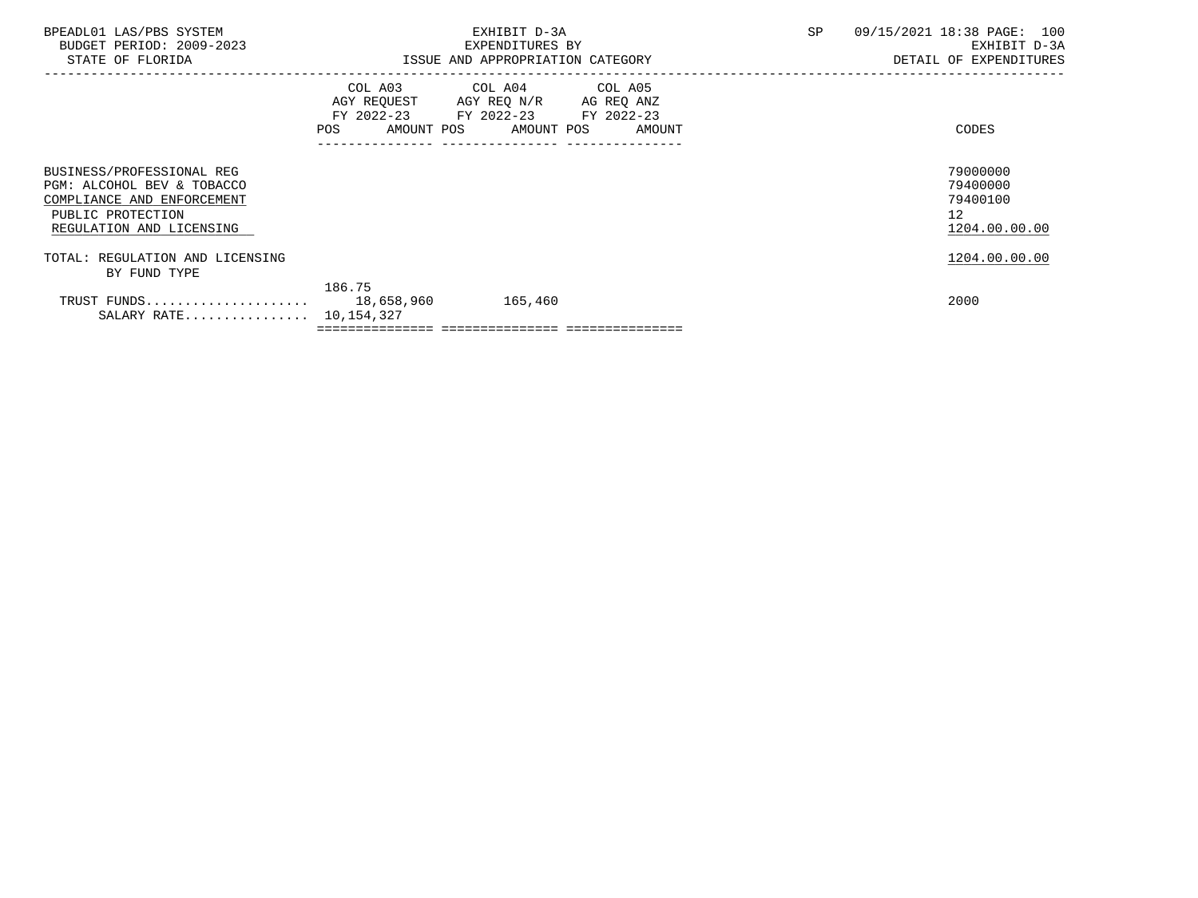| BPEADL01 LAS/PBS SYSTEM<br>BUDGET PERIOD: 2009-2023                                                                                    |        | EXHIBIT D-3A<br>EXPENDITURES BY                                                                                                       | SP | 09/15/2021 18:38 PAGE: 100<br>EXHIBIT D-3A              |
|----------------------------------------------------------------------------------------------------------------------------------------|--------|---------------------------------------------------------------------------------------------------------------------------------------|----|---------------------------------------------------------|
| STATE OF FLORIDA                                                                                                                       |        | ISSUE AND APPROPRIATION CATEGORY                                                                                                      |    | DETAIL OF EXPENDITURES                                  |
|                                                                                                                                        |        | COL A03 COL A04 COL A05<br>AGY REQUEST AGY REQ N/R AG REQ ANZ<br>FY 2022-23 FY 2022-23 FY 2022-23<br>POS AMOUNT POS AMOUNT POS AMOUNT |    | CODES                                                   |
| BUSINESS/PROFESSIONAL REG<br>PGM: ALCOHOL BEV & TOBACCO<br>COMPLIANCE AND ENFORCEMENT<br>PUBLIC PROTECTION<br>REGULATION AND LICENSING |        |                                                                                                                                       |    | 79000000<br>79400000<br>79400100<br>12<br>1204.00.00.00 |
| TOTAL: REGULATION AND LICENSING<br>BY FUND TYPE                                                                                        |        |                                                                                                                                       |    | 1204.00.00.00                                           |
| SALARY RATE 10,154,327                                                                                                                 | 186.75 |                                                                                                                                       |    | 2000                                                    |
|                                                                                                                                        |        |                                                                                                                                       |    |                                                         |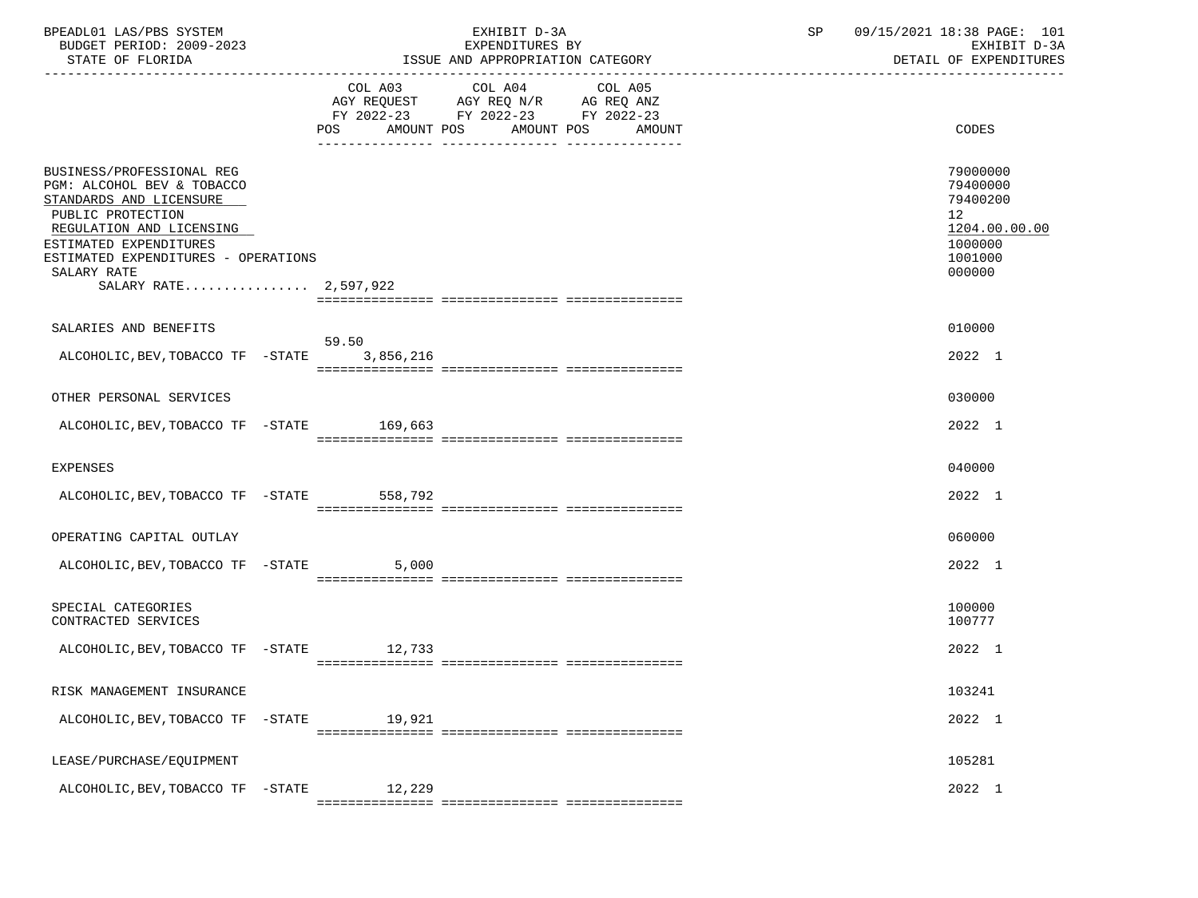| BPEADL01 LAS/PBS SYSTEM<br>BUDGET PERIOD: 2009-2023<br>STATE OF FLORIDA                                                                                                                                                                      |        | EXHIBIT D-3A<br>EXPENDITURES BY<br>ISSUE AND APPROPRIATION CATEGORY                                                                   | 09/15/2021 18:38 PAGE: 101<br>SP<br>EXHIBIT D-3A<br>DETAIL OF EXPENDITURES |                                                                                                      |
|----------------------------------------------------------------------------------------------------------------------------------------------------------------------------------------------------------------------------------------------|--------|---------------------------------------------------------------------------------------------------------------------------------------|----------------------------------------------------------------------------|------------------------------------------------------------------------------------------------------|
|                                                                                                                                                                                                                                              |        | COL A03 COL A04 COL A05<br>AGY REQUEST AGY REQ N/R AG REQ ANZ<br>FY 2022-23 FY 2022-23 FY 2022-23<br>POS AMOUNT POS AMOUNT POS AMOUNT |                                                                            | CODES                                                                                                |
| BUSINESS/PROFESSIONAL REG<br>PGM: ALCOHOL BEV & TOBACCO<br>STANDARDS AND LICENSURE<br>PUBLIC PROTECTION<br>REGULATION AND LICENSING<br>ESTIMATED EXPENDITURES<br>ESTIMATED EXPENDITURES - OPERATIONS<br>SALARY RATE<br>SALARY RATE 2,597,922 |        |                                                                                                                                       |                                                                            | 79000000<br>79400000<br>79400200<br>12 <sup>°</sup><br>1204.00.00.00<br>1000000<br>1001000<br>000000 |
| SALARIES AND BENEFITS                                                                                                                                                                                                                        |        |                                                                                                                                       |                                                                            | 010000                                                                                               |
| ALCOHOLIC, BEV, TOBACCO TF - STATE 3, 856, 216                                                                                                                                                                                               | 59.50  |                                                                                                                                       |                                                                            | 2022 1                                                                                               |
| OTHER PERSONAL SERVICES                                                                                                                                                                                                                      |        |                                                                                                                                       |                                                                            | 030000                                                                                               |
| ALCOHOLIC, BEV, TOBACCO TF - STATE 169, 663                                                                                                                                                                                                  |        |                                                                                                                                       |                                                                            | 2022 1                                                                                               |
| EXPENSES                                                                                                                                                                                                                                     |        |                                                                                                                                       |                                                                            | 040000                                                                                               |
| ALCOHOLIC, BEV, TOBACCO TF - STATE 558, 792                                                                                                                                                                                                  |        |                                                                                                                                       |                                                                            | 2022 1                                                                                               |
| OPERATING CAPITAL OUTLAY                                                                                                                                                                                                                     |        |                                                                                                                                       |                                                                            | 060000                                                                                               |
| ALCOHOLIC, BEV, TOBACCO TF - STATE 5,000                                                                                                                                                                                                     |        |                                                                                                                                       |                                                                            | 2022 1                                                                                               |
| SPECIAL CATEGORIES<br>CONTRACTED SERVICES                                                                                                                                                                                                    |        |                                                                                                                                       |                                                                            | 100000<br>100777                                                                                     |
| ALCOHOLIC, BEV, TOBACCO TF - STATE 12, 733                                                                                                                                                                                                   |        |                                                                                                                                       |                                                                            | 2022 1                                                                                               |
| RISK MANAGEMENT INSURANCE                                                                                                                                                                                                                    |        |                                                                                                                                       |                                                                            | 103241                                                                                               |
| ALCOHOLIC, BEV, TOBACCO TF -STATE                                                                                                                                                                                                            | 19,921 |                                                                                                                                       |                                                                            | 2022 1                                                                                               |
| LEASE/PURCHASE/EQUIPMENT                                                                                                                                                                                                                     |        |                                                                                                                                       |                                                                            | 105281                                                                                               |
| ALCOHOLIC, BEV, TOBACCO TF -STATE                                                                                                                                                                                                            | 12,229 |                                                                                                                                       |                                                                            | 2022 1                                                                                               |
|                                                                                                                                                                                                                                              |        |                                                                                                                                       |                                                                            |                                                                                                      |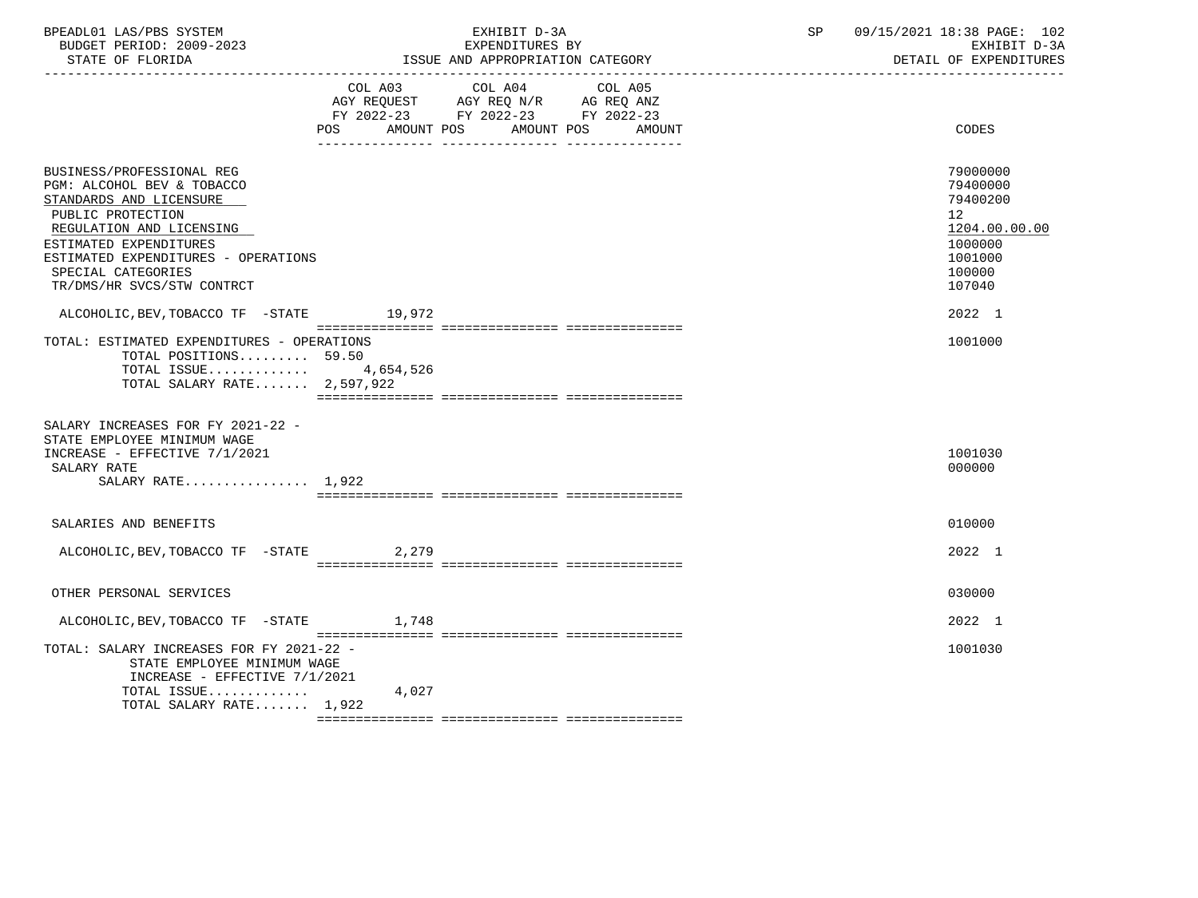| BPEADL01 LAS/PBS SYSTEM  | EXHIBIT                          | 09/15/2021 18:38 PAGE: 1<br>102 |
|--------------------------|----------------------------------|---------------------------------|
| BUDGET PERIOD: 2009-2023 | EXPENDITURES BY                  | EXHIBIT D-3A                    |
| STATE OF FLORIDA         | ISSUE AND APPROPRIATION CATEGORY | DETAIL OF EXPENDITURES          |

|                                                                                                                                                                                                                                                          | COL A03 COL A04 COL A05                                                |                                                                                                                |
|----------------------------------------------------------------------------------------------------------------------------------------------------------------------------------------------------------------------------------------------------------|------------------------------------------------------------------------|----------------------------------------------------------------------------------------------------------------|
|                                                                                                                                                                                                                                                          | AGY REQUEST AGY REQ N/R AG REQ ANZ<br>FY 2022-23 FY 2022-23 FY 2022-23 |                                                                                                                |
|                                                                                                                                                                                                                                                          | <b>POS</b><br>AMOUNT POS<br>AMOUNT POS<br>AMOUNT                       | CODES                                                                                                          |
|                                                                                                                                                                                                                                                          | __ ________________ _____________                                      |                                                                                                                |
| BUSINESS/PROFESSIONAL REG<br>PGM: ALCOHOL BEV & TOBACCO<br>STANDARDS AND LICENSURE<br>PUBLIC PROTECTION<br>REGULATION AND LICENSING<br>ESTIMATED EXPENDITURES<br>ESTIMATED EXPENDITURES - OPERATIONS<br>SPECIAL CATEGORIES<br>TR/DMS/HR SVCS/STW CONTRCT |                                                                        | 79000000<br>79400000<br>79400200<br>12 <sup>°</sup><br>1204.00.00.00<br>1000000<br>1001000<br>100000<br>107040 |
| ALCOHOLIC, BEV, TOBACCO TF -STATE                                                                                                                                                                                                                        | 19,972                                                                 | 2022 1                                                                                                         |
| TOTAL: ESTIMATED EXPENDITURES - OPERATIONS<br>TOTAL POSITIONS 59.50<br>TOTAL ISSUE $4,654,526$<br>TOTAL SALARY RATE $2,597,922$                                                                                                                          |                                                                        | 1001000                                                                                                        |
| SALARY INCREASES FOR FY 2021-22 -<br>STATE EMPLOYEE MINIMUM WAGE<br>INCREASE - EFFECTIVE 7/1/2021<br>SALARY RATE<br>SALARY RATE 1,922                                                                                                                    |                                                                        | 1001030<br>000000                                                                                              |
| SALARIES AND BENEFITS                                                                                                                                                                                                                                    |                                                                        | 010000                                                                                                         |
| ALCOHOLIC, BEV, TOBACCO TF - STATE 2, 279                                                                                                                                                                                                                |                                                                        | 2022 1                                                                                                         |
| OTHER PERSONAL SERVICES                                                                                                                                                                                                                                  |                                                                        | 030000                                                                                                         |
| ALCOHOLIC, BEV, TOBACCO TF - STATE 1,748                                                                                                                                                                                                                 |                                                                        | 2022 1                                                                                                         |
| TOTAL: SALARY INCREASES FOR FY 2021-22 -<br>STATE EMPLOYEE MINIMUM WAGE<br>INCREASE - EFFECTIVE $7/1/2021$<br>TOTAL ISSUE                                                                                                                                | 4,027                                                                  | 1001030                                                                                                        |
| TOTAL SALARY RATE 1,922                                                                                                                                                                                                                                  |                                                                        |                                                                                                                |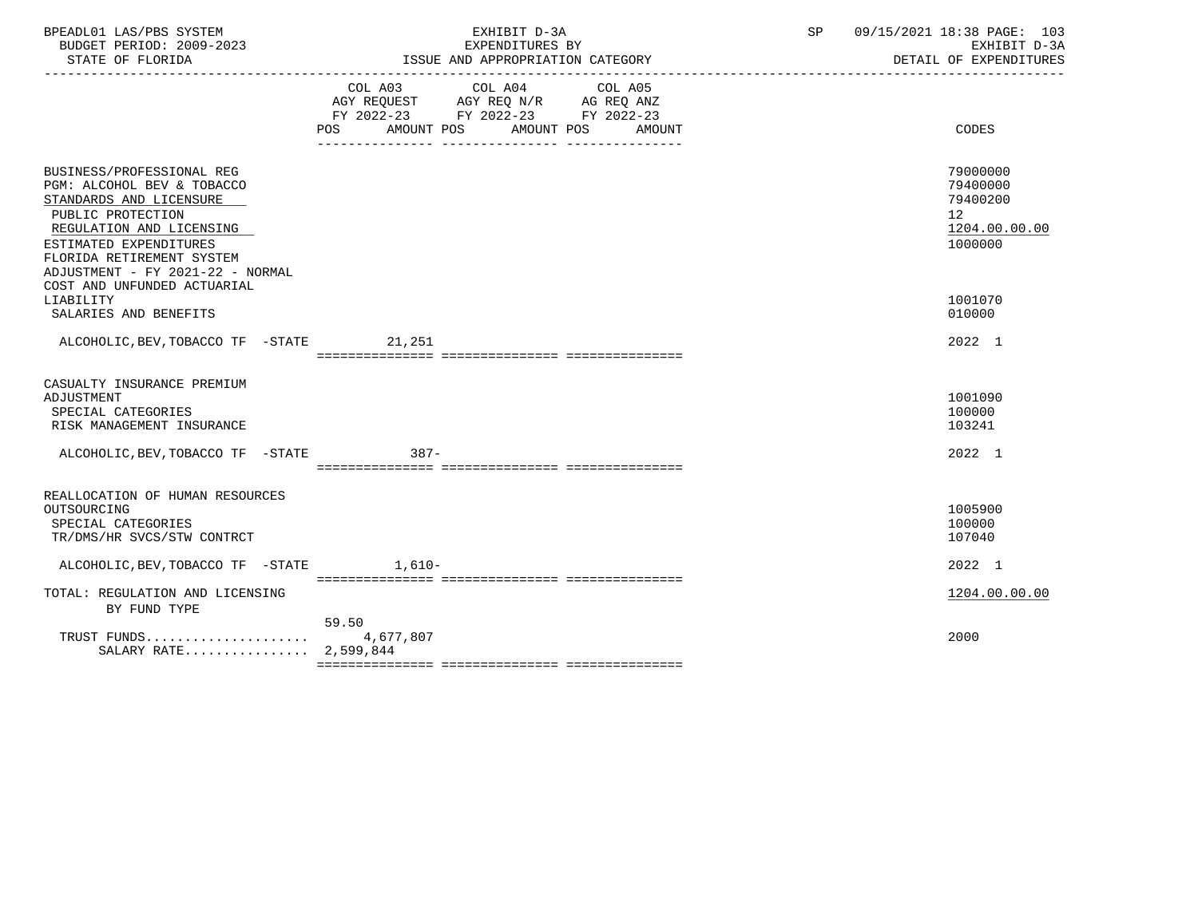| BPEADL01 LAS/PBS SYSTEM<br>BUDGET PERIOD: 2009-2023<br>STATE OF FLORIDA                                                                                                                                                                                       | EXHIBIT D-3A<br>EXPENDITURES BY<br>ISSUE AND APPROPRIATION CATEGORY                                                                         | 09/15/2021 18:38 PAGE: 103<br>SP<br>EXHIBIT D-3A<br>DETAIL OF EXPENDITURES |
|---------------------------------------------------------------------------------------------------------------------------------------------------------------------------------------------------------------------------------------------------------------|---------------------------------------------------------------------------------------------------------------------------------------------|----------------------------------------------------------------------------|
|                                                                                                                                                                                                                                                               | COL A03 COL A04 COL A05<br>AGY REQUEST AGY REQ N/R AG REQ ANZ<br>FY 2022-23 FY 2022-23 FY 2022-23<br>AMOUNT POS AMOUNT POS<br>POS<br>AMOUNT | CODES                                                                      |
| BUSINESS/PROFESSIONAL REG<br>PGM: ALCOHOL BEV & TOBACCO<br>STANDARDS AND LICENSURE<br>PUBLIC PROTECTION<br>REGULATION AND LICENSING<br>ESTIMATED EXPENDITURES<br>FLORIDA RETIREMENT SYSTEM<br>ADJUSTMENT - FY 2021-22 - NORMAL<br>COST AND UNFUNDED ACTUARIAL |                                                                                                                                             | 79000000<br>79400000<br>79400200<br>12<br>1204.00.00.00<br>1000000         |
| LIABILITY<br>SALARIES AND BENEFITS                                                                                                                                                                                                                            |                                                                                                                                             | 1001070<br>010000                                                          |
| ALCOHOLIC, BEV, TOBACCO TF - STATE 21, 251                                                                                                                                                                                                                    |                                                                                                                                             | 2022 1                                                                     |
| CASUALTY INSURANCE PREMIUM<br>ADJUSTMENT<br>SPECIAL CATEGORIES<br>RISK MANAGEMENT INSURANCE                                                                                                                                                                   |                                                                                                                                             | 1001090<br>100000<br>103241                                                |
| ALCOHOLIC, BEV, TOBACCO TF -STATE                                                                                                                                                                                                                             | $387 -$                                                                                                                                     | 2022 1                                                                     |
| REALLOCATION OF HUMAN RESOURCES<br>OUTSOURCING<br>SPECIAL CATEGORIES<br>TR/DMS/HR SVCS/STW CONTRCT                                                                                                                                                            |                                                                                                                                             | 1005900<br>100000<br>107040                                                |
| ALCOHOLIC, BEV, TOBACCO TF -STATE 1,610-                                                                                                                                                                                                                      |                                                                                                                                             | 2022 1                                                                     |
| TOTAL: REGULATION AND LICENSING<br>BY FUND TYPE                                                                                                                                                                                                               |                                                                                                                                             | 1204.00.00.00                                                              |
| TRUST FUNDS<br>SALARY RATE 2,599,844                                                                                                                                                                                                                          | 59.50<br>4,677,807                                                                                                                          | 2000                                                                       |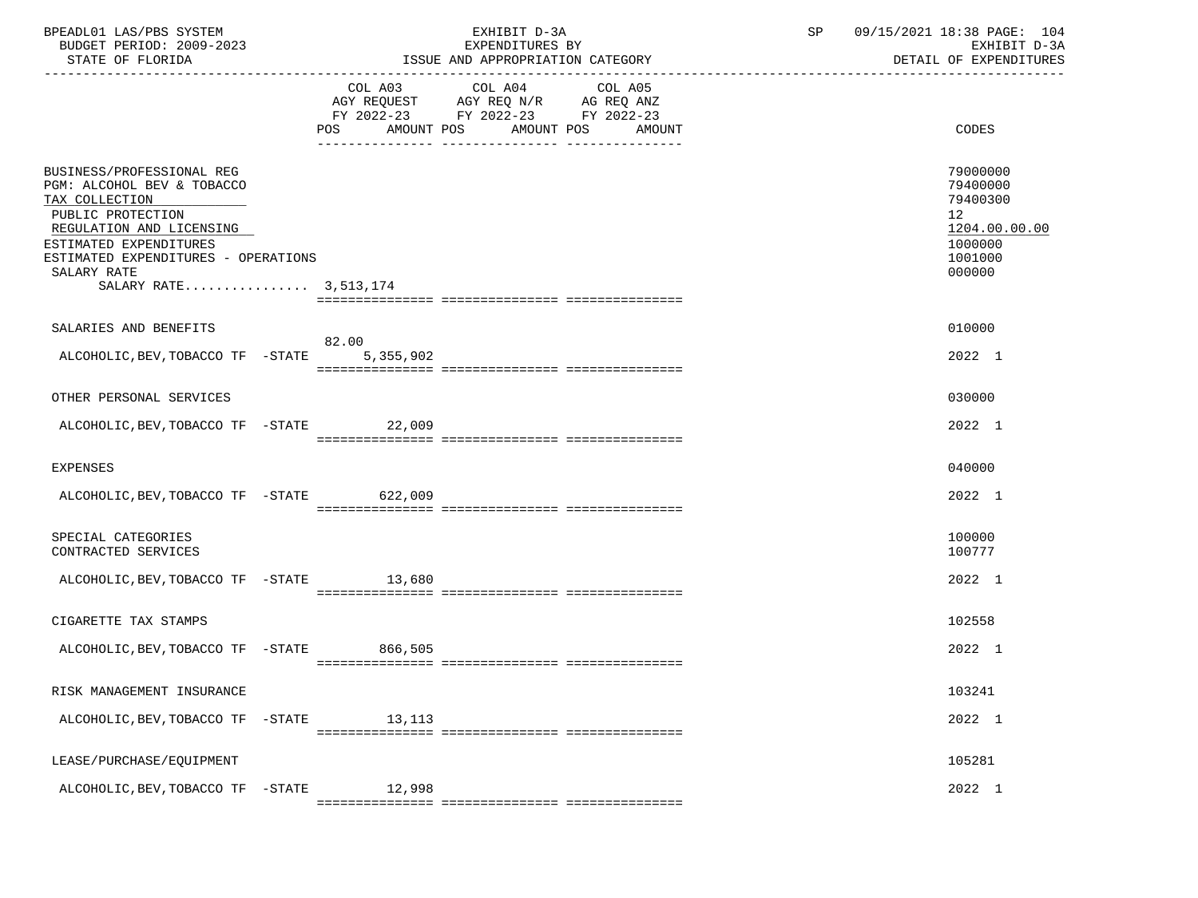| BPEADL01 LAS/PBS SYSTEM<br>BUDGET PERIOD: 2009-2023<br>STATE OF FLORIDA                                                                                                                                                             |        | EXHIBIT D-3A<br>EXPENDITURES BY<br>ISSUE AND APPROPRIATION CATEGORY                                                                   | SP | 09/15/2021 18:38 PAGE: 104<br>EXHIBIT D-3A<br>DETAIL OF EXPENDITURES                                 |
|-------------------------------------------------------------------------------------------------------------------------------------------------------------------------------------------------------------------------------------|--------|---------------------------------------------------------------------------------------------------------------------------------------|----|------------------------------------------------------------------------------------------------------|
|                                                                                                                                                                                                                                     |        | COL A03 COL A04 COL A05<br>AGY REQUEST AGY REQ N/R AG REQ ANZ<br>FY 2022-23 FY 2022-23 FY 2022-23<br>POS AMOUNT POS AMOUNT POS AMOUNT |    | CODES                                                                                                |
| BUSINESS/PROFESSIONAL REG<br>PGM: ALCOHOL BEV & TOBACCO<br>TAX COLLECTION<br>PUBLIC PROTECTION<br>REGULATION AND LICENSING<br>ESTIMATED EXPENDITURES<br>ESTIMATED EXPENDITURES - OPERATIONS<br>SALARY RATE<br>SALARY RATE 3,513,174 |        |                                                                                                                                       |    | 79000000<br>79400000<br>79400300<br>12 <sup>°</sup><br>1204.00.00.00<br>1000000<br>1001000<br>000000 |
| SALARIES AND BENEFITS                                                                                                                                                                                                               |        |                                                                                                                                       |    | 010000                                                                                               |
| ALCOHOLIC, BEV, TOBACCO TF -STATE 5, 355, 902                                                                                                                                                                                       | 82.00  |                                                                                                                                       |    | 2022 1                                                                                               |
| OTHER PERSONAL SERVICES                                                                                                                                                                                                             |        |                                                                                                                                       |    | 030000                                                                                               |
| ALCOHOLIC, BEV, TOBACCO TF - STATE 22, 009                                                                                                                                                                                          |        |                                                                                                                                       |    | 2022 1                                                                                               |
| EXPENSES                                                                                                                                                                                                                            |        |                                                                                                                                       |    | 040000                                                                                               |
| ALCOHOLIC, BEV, TOBACCO TF - STATE 622, 009                                                                                                                                                                                         |        |                                                                                                                                       |    | 2022 1                                                                                               |
| SPECIAL CATEGORIES<br>CONTRACTED SERVICES                                                                                                                                                                                           |        |                                                                                                                                       |    | 100000<br>100777                                                                                     |
| ALCOHOLIC, BEV, TOBACCO TF - STATE 13,680                                                                                                                                                                                           |        |                                                                                                                                       |    | 2022 1                                                                                               |
| CIGARETTE TAX STAMPS                                                                                                                                                                                                                |        |                                                                                                                                       |    | 102558                                                                                               |
| ALCOHOLIC, BEV, TOBACCO TF - STATE 866, 505                                                                                                                                                                                         |        |                                                                                                                                       |    | 2022 1                                                                                               |
| RISK MANAGEMENT INSURANCE                                                                                                                                                                                                           |        |                                                                                                                                       |    | 103241                                                                                               |
| ALCOHOLIC, BEV, TOBACCO TF -STATE                                                                                                                                                                                                   | 13,113 |                                                                                                                                       |    | 2022 1                                                                                               |
| LEASE/PURCHASE/EQUIPMENT                                                                                                                                                                                                            |        |                                                                                                                                       |    | 105281                                                                                               |
| ALCOHOLIC, BEV, TOBACCO TF -STATE                                                                                                                                                                                                   | 12,998 |                                                                                                                                       |    | 2022 1                                                                                               |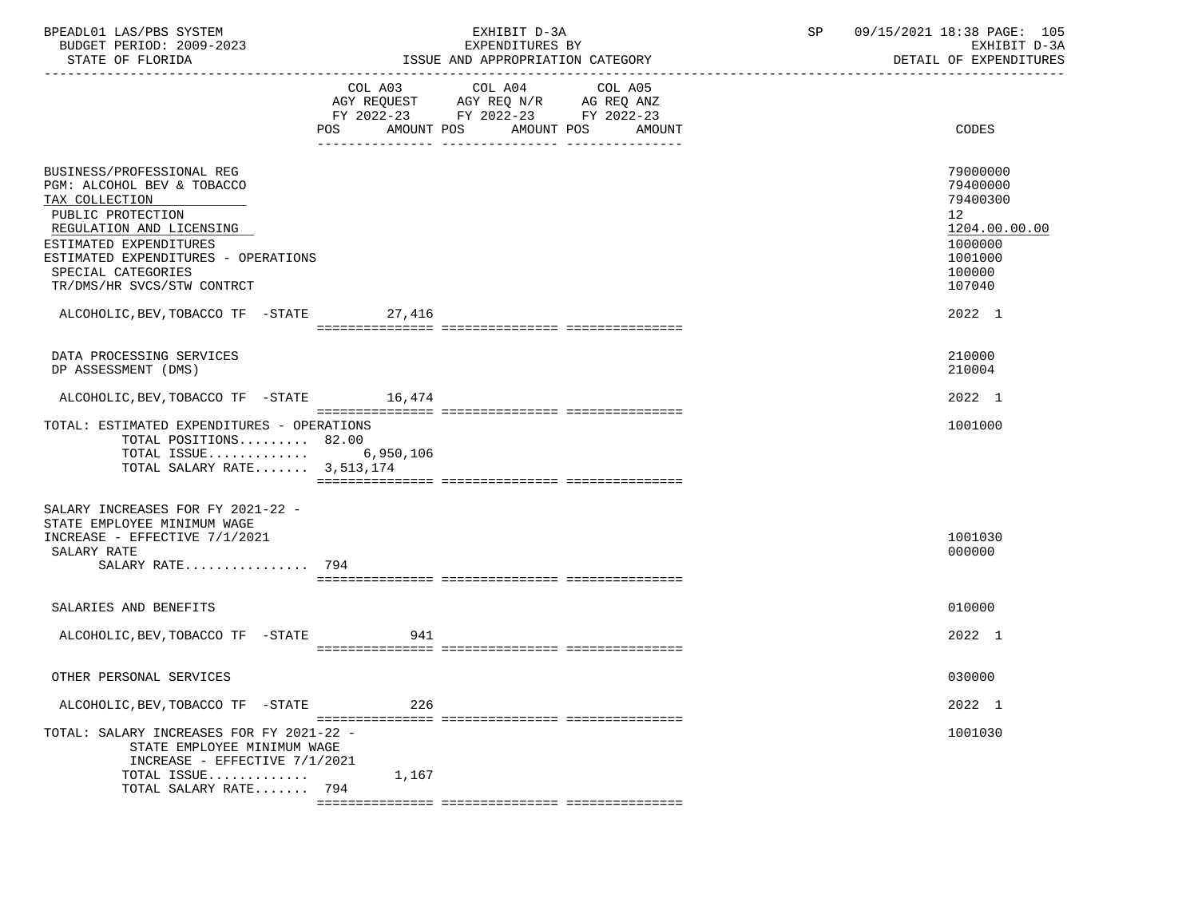| BPEADL01 LAS/PBS SYSTEM  | EXHIBIT D-3A                           | 09/15/2021 18:38 PAGE: 1<br>105 |
|--------------------------|----------------------------------------|---------------------------------|
| BUDGET PERIOD: 2009-2023 | EXPENDITURES BY                        | EXHIBIT D-3A                    |
| STATE OF FLORIDA         | 'SSUE-<br>: AND APPROPRIATION CATEGORY | DETAIL OF EXPENDITURES          |

|                                                                                                                                                                                                                                                 | COL A03<br>$\begin{tabular}{lllllll} \bf AGY & \bf REQUEST & \bf AGY & \bf REQ & \bf N/R & \bf AG & \bf REQ & \bf ANZ \\ \end{tabular}$<br>FY 2022-23 FY 2022-23 FY 2022-23<br>AMOUNT POS<br>POS | COL A04 | COL A05<br>AMOUNT POS | AMOUNT | <b>CODES</b>                                                                                      |
|-------------------------------------------------------------------------------------------------------------------------------------------------------------------------------------------------------------------------------------------------|--------------------------------------------------------------------------------------------------------------------------------------------------------------------------------------------------|---------|-----------------------|--------|---------------------------------------------------------------------------------------------------|
| BUSINESS/PROFESSIONAL REG<br>PGM: ALCOHOL BEV & TOBACCO<br>TAX COLLECTION<br>PUBLIC PROTECTION<br>REGULATION AND LICENSING<br>ESTIMATED EXPENDITURES<br>ESTIMATED EXPENDITURES - OPERATIONS<br>SPECIAL CATEGORIES<br>TR/DMS/HR SVCS/STW CONTRCT |                                                                                                                                                                                                  |         |                       |        | 79000000<br>79400000<br>79400300<br>12<br>1204.00.00.00<br>1000000<br>1001000<br>100000<br>107040 |
| ALCOHOLIC, BEV, TOBACCO TF - STATE 27, 416                                                                                                                                                                                                      |                                                                                                                                                                                                  |         |                       |        | 2022 1                                                                                            |
| DATA PROCESSING SERVICES<br>DP ASSESSMENT (DMS)                                                                                                                                                                                                 |                                                                                                                                                                                                  |         |                       |        | 210000<br>210004                                                                                  |
| ALCOHOLIC, BEV, TOBACCO TF - STATE 16, 474                                                                                                                                                                                                      |                                                                                                                                                                                                  |         |                       |        | 2022 1                                                                                            |
| TOTAL: ESTIMATED EXPENDITURES - OPERATIONS<br>TOTAL POSITIONS $82.00$<br>TOTAL ISSUE $6,950,106$<br>TOTAL SALARY RATE 3,513,174                                                                                                                 |                                                                                                                                                                                                  |         |                       |        | 1001000                                                                                           |
| SALARY INCREASES FOR FY 2021-22 -<br>STATE EMPLOYEE MINIMUM WAGE<br>INCREASE - EFFECTIVE 7/1/2021<br>SALARY RATE<br>SALARY RATE 794                                                                                                             |                                                                                                                                                                                                  |         |                       |        | 1001030<br>000000                                                                                 |
| SALARIES AND BENEFITS                                                                                                                                                                                                                           |                                                                                                                                                                                                  |         |                       |        | 010000                                                                                            |
| ALCOHOLIC, BEV, TOBACCO TF -STATE                                                                                                                                                                                                               | 941                                                                                                                                                                                              |         |                       |        | 2022 1                                                                                            |
| OTHER PERSONAL SERVICES                                                                                                                                                                                                                         |                                                                                                                                                                                                  |         |                       |        | 030000                                                                                            |
| ALCOHOLIC, BEV, TOBACCO TF -STATE                                                                                                                                                                                                               | 226                                                                                                                                                                                              |         |                       |        | 2022 1                                                                                            |
| TOTAL: SALARY INCREASES FOR FY 2021-22 -<br>STATE EMPLOYEE MINIMUM WAGE<br>INCREASE - EFFECTIVE $7/1/2021$<br>TOTAL ISSUE<br>TOTAL SALARY RATE 794                                                                                              | 1,167                                                                                                                                                                                            |         |                       |        | 1001030                                                                                           |
|                                                                                                                                                                                                                                                 |                                                                                                                                                                                                  |         |                       |        |                                                                                                   |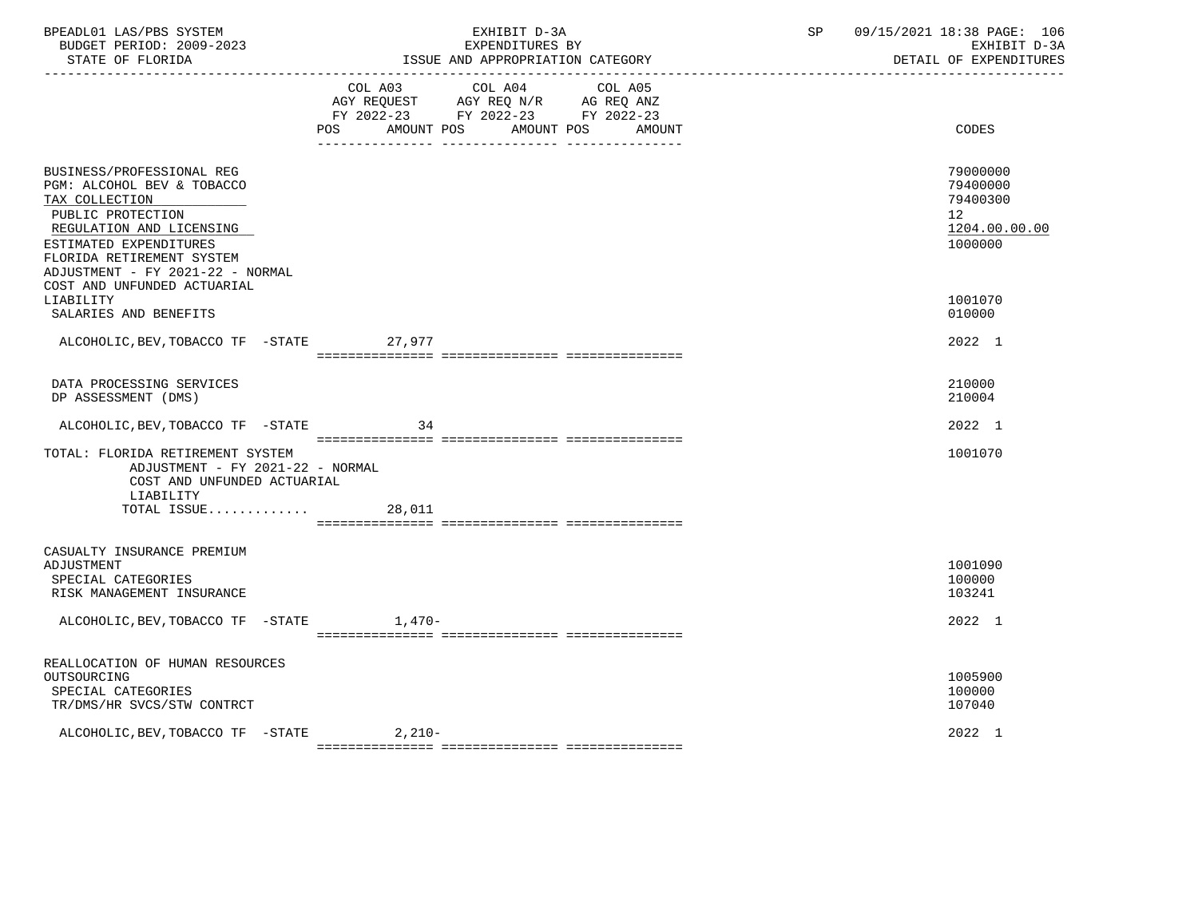| BPEADL01 LAS/PBS SYSTEM<br>BUDGET PERIOD: 2009-2023<br>STATE OF FLORIDA                                                                                                                                               | EXHIBIT D-3A<br>EXPENDITURES BY<br>ISSUE AND APPROPRIATION CATEGORY                                                                                   | 09/15/2021 18:38 PAGE: 106<br>SP<br>EXHIBIT D-3A<br>DETAIL OF EXPENDITURES      |
|-----------------------------------------------------------------------------------------------------------------------------------------------------------------------------------------------------------------------|-------------------------------------------------------------------------------------------------------------------------------------------------------|---------------------------------------------------------------------------------|
|                                                                                                                                                                                                                       | COL A03 COL A04 COL A05<br>AGY REQUEST AGY REQ N/R AG REQ ANZ<br>FY 2022-23 FY 2022-23 FY 2022-23<br>AMOUNT POS<br><b>POS</b><br>AMOUNT POS<br>AMOUNT | CODES                                                                           |
| BUSINESS/PROFESSIONAL REG<br>PGM: ALCOHOL BEV & TOBACCO<br>TAX COLLECTION<br>PUBLIC PROTECTION<br>REGULATION AND LICENSING<br>ESTIMATED EXPENDITURES<br>FLORIDA RETIREMENT SYSTEM<br>ADJUSTMENT - FY 2021-22 - NORMAL |                                                                                                                                                       | 79000000<br>79400000<br>79400300<br>12 <sup>°</sup><br>1204.00.00.00<br>1000000 |
| COST AND UNFUNDED ACTUARIAL<br>LIABILITY<br>SALARIES AND BENEFITS                                                                                                                                                     |                                                                                                                                                       | 1001070<br>010000                                                               |
| ALCOHOLIC, BEV, TOBACCO TF -STATE                                                                                                                                                                                     | 27,977                                                                                                                                                | 2022 1                                                                          |
| DATA PROCESSING SERVICES<br>DP ASSESSMENT (DMS)                                                                                                                                                                       |                                                                                                                                                       | 210000<br>210004                                                                |
| ALCOHOLIC, BEV, TOBACCO TF -STATE                                                                                                                                                                                     | 34                                                                                                                                                    | 2022 1                                                                          |
| TOTAL: FLORIDA RETIREMENT SYSTEM<br>ADJUSTMENT - FY 2021-22 - NORMAL<br>COST AND UNFUNDED ACTUARIAL<br>LIABILITY                                                                                                      |                                                                                                                                                       | 1001070                                                                         |
| TOTAL ISSUE                                                                                                                                                                                                           | 28,011                                                                                                                                                |                                                                                 |
| CASUALTY INSURANCE PREMIUM<br>ADJUSTMENT<br>SPECIAL CATEGORIES<br>RISK MANAGEMENT INSURANCE                                                                                                                           |                                                                                                                                                       | 1001090<br>100000<br>103241                                                     |
| ALCOHOLIC, BEV, TOBACCO TF - STATE 1, 470-                                                                                                                                                                            |                                                                                                                                                       | 2022 1                                                                          |
| REALLOCATION OF HUMAN RESOURCES<br>OUTSOURCING<br>SPECIAL CATEGORIES<br>TR/DMS/HR SVCS/STW CONTRCT                                                                                                                    |                                                                                                                                                       | 1005900<br>100000<br>107040                                                     |
| ALCOHOLIC, BEV, TOBACCO TF -STATE 2, 210-                                                                                                                                                                             |                                                                                                                                                       | 2022 1                                                                          |

 ${\tt 2} = {\tt 2} = {\tt 2} = {\tt 2} = {\tt 2} = {\tt 2} = {\tt 2} = {\tt 2} = {\tt 2} = {\tt 2} = {\tt 2} = {\tt 2} = {\tt 2} = {\tt 2} = {\tt 2} = {\tt 2} = {\tt 2} = {\tt 2} = {\tt 2} = {\tt 2} = {\tt 2} = {\tt 2} = {\tt 2} = {\tt 2} = {\tt 2} = {\tt 2} = {\tt 2} = {\tt 2} = {\tt 2} = {\tt 2} = {\tt 2} = {\tt 2} = {\tt 2} = {\tt 2} = {\tt 2} = {\tt 2} = {\tt 2$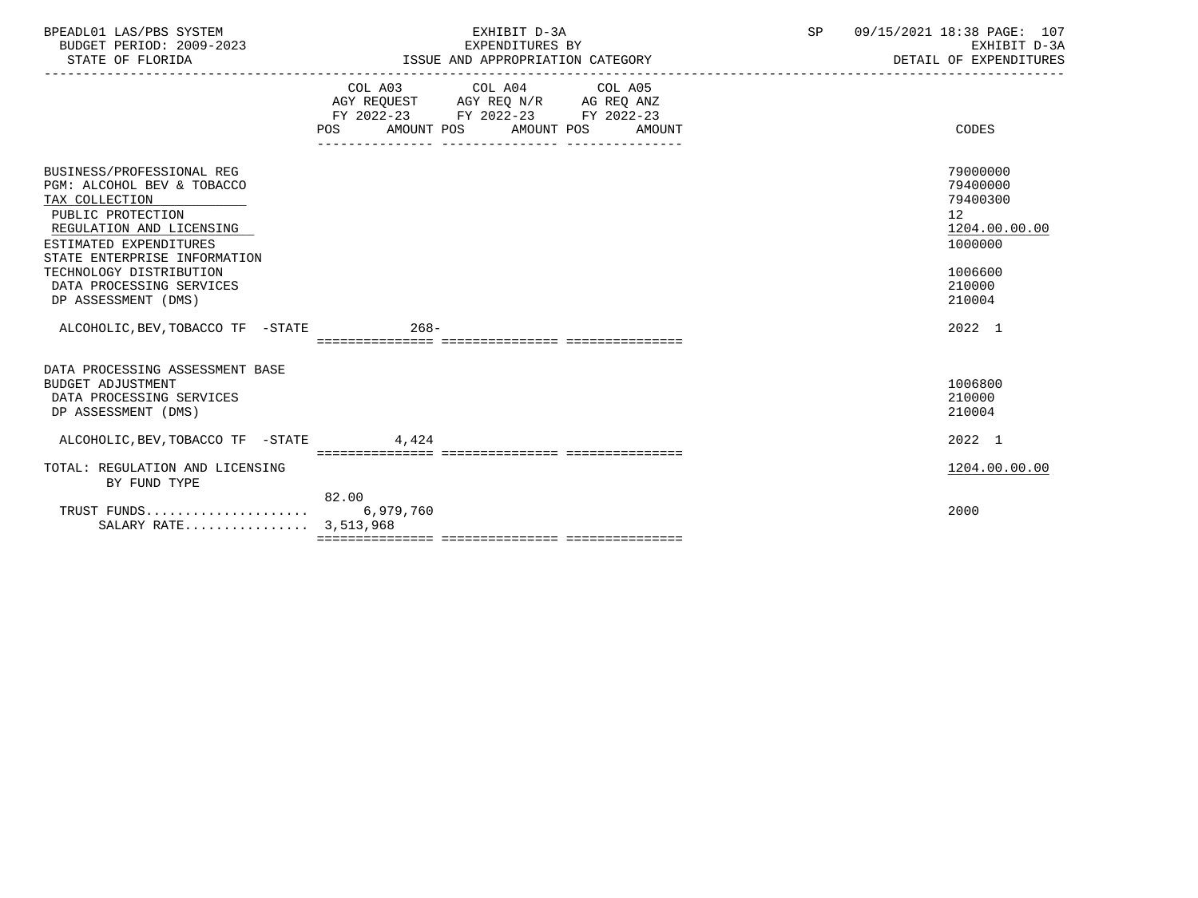| BPEADL01 LAS/PBS SYSTEM<br>BUDGET PERIOD: 2009-2023<br>STATE OF FLORIDA                                                                                                                                                                                            | EXHIBIT D-3A<br>EXPENDITURES BY<br>ISSUE AND APPROPRIATION CATEGORY                                                                   | 09/15/2021 18:38 PAGE: 107<br>SP<br>EXHIBIT D-3A<br>DETAIL OF EXPENDITURES                        |  |
|--------------------------------------------------------------------------------------------------------------------------------------------------------------------------------------------------------------------------------------------------------------------|---------------------------------------------------------------------------------------------------------------------------------------|---------------------------------------------------------------------------------------------------|--|
|                                                                                                                                                                                                                                                                    | COL A03 COL A04 COL A05<br>AGY REQUEST AGY REQ N/R AG REQ ANZ<br>FY 2022-23 FY 2022-23 FY 2022-23<br>POS AMOUNT POS AMOUNT POS AMOUNT | CODES                                                                                             |  |
| BUSINESS/PROFESSIONAL REG<br>PGM: ALCOHOL BEV & TOBACCO<br>TAX COLLECTION<br>PUBLIC PROTECTION<br>REGULATION AND LICENSING<br>ESTIMATED EXPENDITURES<br>STATE ENTERPRISE INFORMATION<br>TECHNOLOGY DISTRIBUTION<br>DATA PROCESSING SERVICES<br>DP ASSESSMENT (DMS) |                                                                                                                                       | 79000000<br>79400000<br>79400300<br>12<br>1204.00.00.00<br>1000000<br>1006600<br>210000<br>210004 |  |
| ALCOHOLIC, BEV, TOBACCO TF - STATE 268-                                                                                                                                                                                                                            |                                                                                                                                       | 2022 1                                                                                            |  |
| DATA PROCESSING ASSESSMENT BASE<br>BUDGET ADJUSTMENT<br>DATA PROCESSING SERVICES<br>DP ASSESSMENT (DMS)                                                                                                                                                            |                                                                                                                                       | 1006800<br>210000<br>210004                                                                       |  |
| ALCOHOLIC, BEV, TOBACCO TF - STATE 4, 424                                                                                                                                                                                                                          |                                                                                                                                       | 2022 1                                                                                            |  |
| TOTAL: REGULATION AND LICENSING<br>BY FUND TYPE                                                                                                                                                                                                                    |                                                                                                                                       | 1204.00.00.00                                                                                     |  |
| SALARY RATE 3,513,968                                                                                                                                                                                                                                              | 82.00                                                                                                                                 | 2000                                                                                              |  |
|                                                                                                                                                                                                                                                                    |                                                                                                                                       |                                                                                                   |  |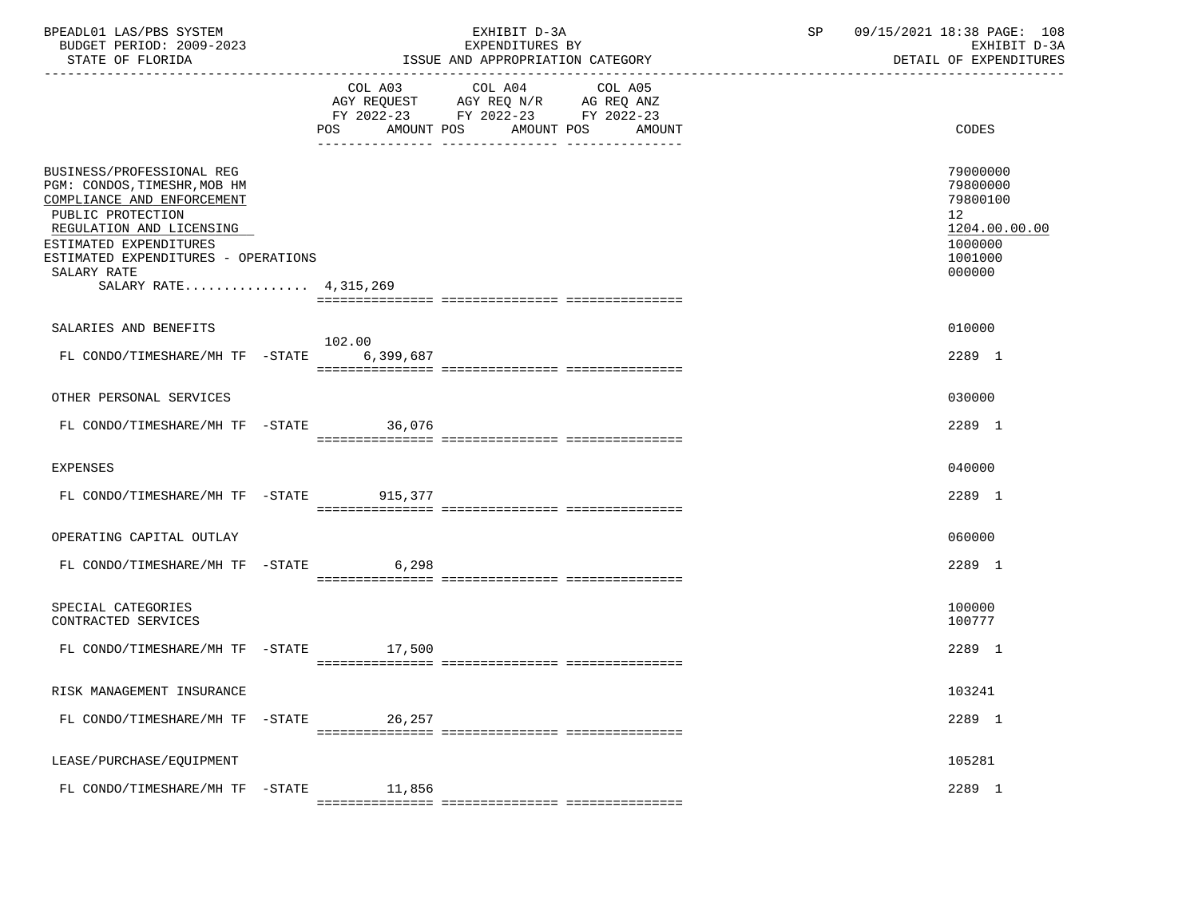| BPEADL01 LAS/PBS SYSTEM<br>BUDGET PERIOD: 2009-2023<br>STATE OF FLORIDA                                                                                                                                                                           |  |        | EXHIBIT D-3A<br>EXPENDITURES BY<br>ISSUE AND APPROPRIATION CATEGORY                                                                   | SP | 09/15/2021 18:38 PAGE: 108<br>EXHIBIT D-3A<br>DETAIL OF EXPENDITURES                    |  |
|---------------------------------------------------------------------------------------------------------------------------------------------------------------------------------------------------------------------------------------------------|--|--------|---------------------------------------------------------------------------------------------------------------------------------------|----|-----------------------------------------------------------------------------------------|--|
|                                                                                                                                                                                                                                                   |  |        | COL A03 COL A04 COL A05<br>AGY REQUEST AGY REQ N/R AG REQ ANZ<br>FY 2022-23 FY 2022-23 FY 2022-23<br>POS AMOUNT POS AMOUNT POS AMOUNT |    | <b>CODES</b>                                                                            |  |
| BUSINESS/PROFESSIONAL REG<br>PGM: CONDOS, TIMESHR, MOB HM<br>COMPLIANCE AND ENFORCEMENT<br>PUBLIC PROTECTION<br>REGULATION AND LICENSING<br>ESTIMATED EXPENDITURES<br>ESTIMATED EXPENDITURES - OPERATIONS<br>SALARY RATE<br>SALARY RATE 4,315,269 |  |        |                                                                                                                                       |    | 79000000<br>79800000<br>79800100<br>12<br>1204.00.00.00<br>1000000<br>1001000<br>000000 |  |
| SALARIES AND BENEFITS                                                                                                                                                                                                                             |  | 102.00 |                                                                                                                                       |    | 010000                                                                                  |  |
| FL CONDO/TIMESHARE/MH TF -STATE 6,399,687                                                                                                                                                                                                         |  |        |                                                                                                                                       |    | 2289 1                                                                                  |  |
| OTHER PERSONAL SERVICES                                                                                                                                                                                                                           |  |        |                                                                                                                                       |    | 030000                                                                                  |  |
| FL CONDO/TIMESHARE/MH TF -STATE 36,076                                                                                                                                                                                                            |  |        |                                                                                                                                       |    | 2289 1                                                                                  |  |
| EXPENSES                                                                                                                                                                                                                                          |  |        |                                                                                                                                       |    | 040000                                                                                  |  |
| FL CONDO/TIMESHARE/MH TF -STATE 915,377                                                                                                                                                                                                           |  |        |                                                                                                                                       |    | 2289 1                                                                                  |  |
| OPERATING CAPITAL OUTLAY                                                                                                                                                                                                                          |  |        |                                                                                                                                       |    | 060000                                                                                  |  |
| FL CONDO/TIMESHARE/MH TF -STATE 6,298                                                                                                                                                                                                             |  |        |                                                                                                                                       |    | 2289 1                                                                                  |  |
| SPECIAL CATEGORIES<br>CONTRACTED SERVICES                                                                                                                                                                                                         |  |        |                                                                                                                                       |    | 100000<br>100777                                                                        |  |
| FL CONDO/TIMESHARE/MH TF -STATE 17,500                                                                                                                                                                                                            |  |        |                                                                                                                                       |    | 2289 1                                                                                  |  |
| RISK MANAGEMENT INSURANCE                                                                                                                                                                                                                         |  |        |                                                                                                                                       |    | 103241                                                                                  |  |
| FL CONDO/TIMESHARE/MH TF -STATE                                                                                                                                                                                                                   |  | 26,257 |                                                                                                                                       |    | 2289 1                                                                                  |  |
| LEASE/PURCHASE/EQUIPMENT                                                                                                                                                                                                                          |  |        |                                                                                                                                       |    | 105281                                                                                  |  |
| FL CONDO/TIMESHARE/MH TF -STATE                                                                                                                                                                                                                   |  | 11,856 |                                                                                                                                       |    | 2289 1                                                                                  |  |
|                                                                                                                                                                                                                                                   |  |        |                                                                                                                                       |    |                                                                                         |  |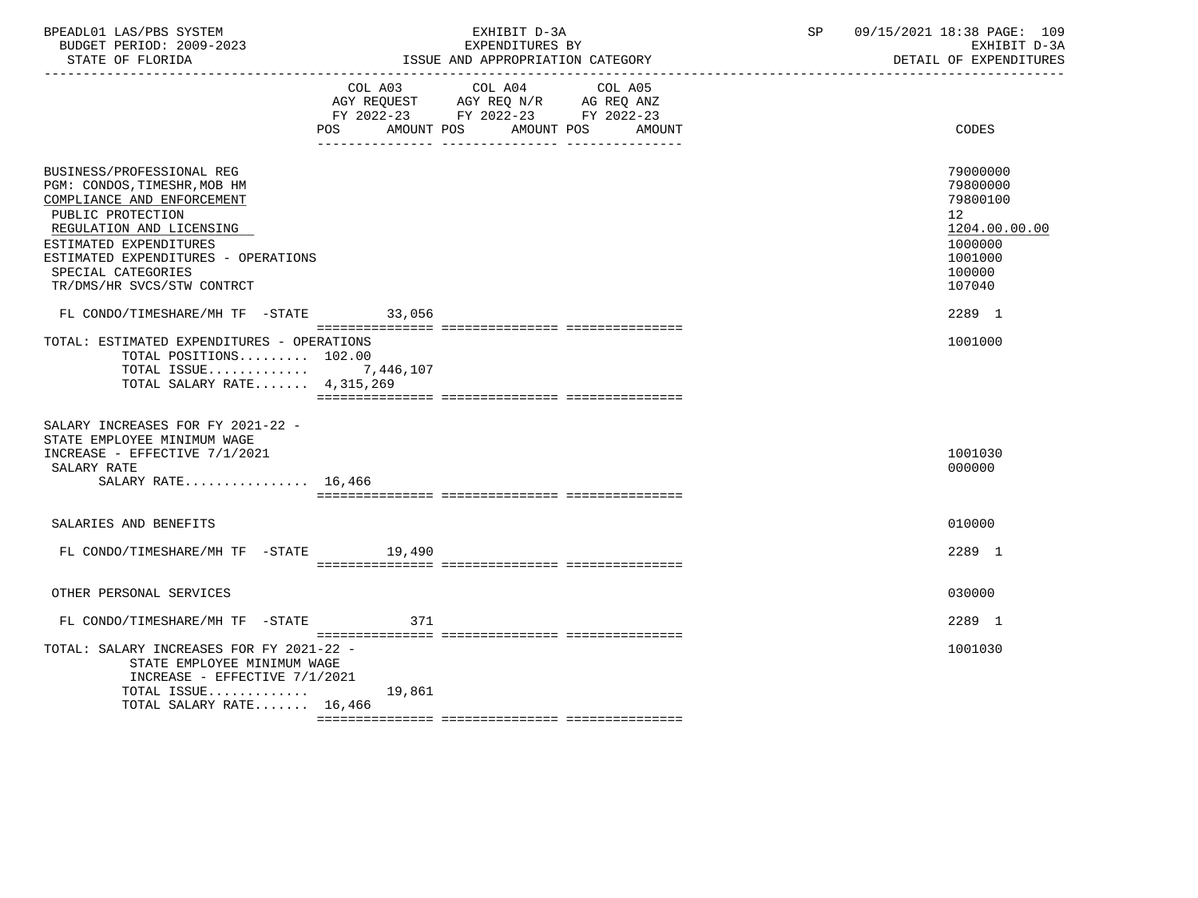| BPEADL01 LAS/PBS SYSTEM  | EXHIBIT D-3A                     | 09/15/2021 18:38 PAGE: 109 |
|--------------------------|----------------------------------|----------------------------|
| BUDGET PERIOD: 2009-2023 | EXPENDITURES BY                  | EXHIBIT D-3A               |
| STATE OF FLORIDA         | ISSUE AND APPROPRIATION CATEGORY | DETAIL OF EXPENDITURES     |

|                                                                                                                                                                                                                                                                                                  |                          | COL A03 COL A04 COL A05            |        |                                                                                                                          |
|--------------------------------------------------------------------------------------------------------------------------------------------------------------------------------------------------------------------------------------------------------------------------------------------------|--------------------------|------------------------------------|--------|--------------------------------------------------------------------------------------------------------------------------|
|                                                                                                                                                                                                                                                                                                  |                          | AGY REQUEST AGY REQ N/R AG REQ ANZ |        |                                                                                                                          |
|                                                                                                                                                                                                                                                                                                  |                          | FY 2022-23 FY 2022-23 FY 2022-23   |        |                                                                                                                          |
|                                                                                                                                                                                                                                                                                                  | <b>POS</b><br>AMOUNT POS | AMOUNT POS                         | AMOUNT | CODES                                                                                                                    |
| BUSINESS/PROFESSIONAL REG<br>PGM: CONDOS, TIMESHR, MOB HM<br>COMPLIANCE AND ENFORCEMENT<br>PUBLIC PROTECTION<br>REGULATION AND LICENSING<br>ESTIMATED EXPENDITURES<br>ESTIMATED EXPENDITURES - OPERATIONS<br>SPECIAL CATEGORIES<br>TR/DMS/HR SVCS/STW CONTRCT<br>FL CONDO/TIMESHARE/MH TF -STATE | 33,056                   |                                    |        | 79000000<br>79800000<br>79800100<br>12 <sub>2</sub><br>1204.00.00.00<br>1000000<br>1001000<br>100000<br>107040<br>2289 1 |
|                                                                                                                                                                                                                                                                                                  |                          |                                    |        |                                                                                                                          |
| TOTAL: ESTIMATED EXPENDITURES - OPERATIONS<br>TOTAL POSITIONS 102.00<br>TOTAL ISSUE $7,446,107$<br>TOTAL SALARY RATE 4,315,269                                                                                                                                                                   |                          |                                    |        | 1001000                                                                                                                  |
| SALARY INCREASES FOR FY 2021-22 -<br>STATE EMPLOYEE MINIMUM WAGE<br>INCREASE - EFFECTIVE 7/1/2021<br>SALARY RATE<br>SALARY RATE $16.466$                                                                                                                                                         |                          |                                    |        | 1001030<br>000000                                                                                                        |
| SALARIES AND BENEFITS                                                                                                                                                                                                                                                                            |                          |                                    |        | 010000                                                                                                                   |
| FL CONDO/TIMESHARE/MH TF -STATE 19,490                                                                                                                                                                                                                                                           |                          |                                    |        | 2289 1                                                                                                                   |
| OTHER PERSONAL SERVICES                                                                                                                                                                                                                                                                          |                          |                                    |        | 030000                                                                                                                   |
| FL CONDO/TIMESHARE/MH TF -STATE                                                                                                                                                                                                                                                                  | 371                      |                                    |        | 2289 1                                                                                                                   |
| TOTAL: SALARY INCREASES FOR FY 2021-22 -<br>STATE EMPLOYEE MINIMUM WAGE<br>INCREASE - EFFECTIVE $7/1/2021$<br>TOTAL ISSUE                                                                                                                                                                        | 19,861                   |                                    |        | 1001030                                                                                                                  |
| TOTAL SALARY RATE 16,466                                                                                                                                                                                                                                                                         |                          |                                    |        |                                                                                                                          |